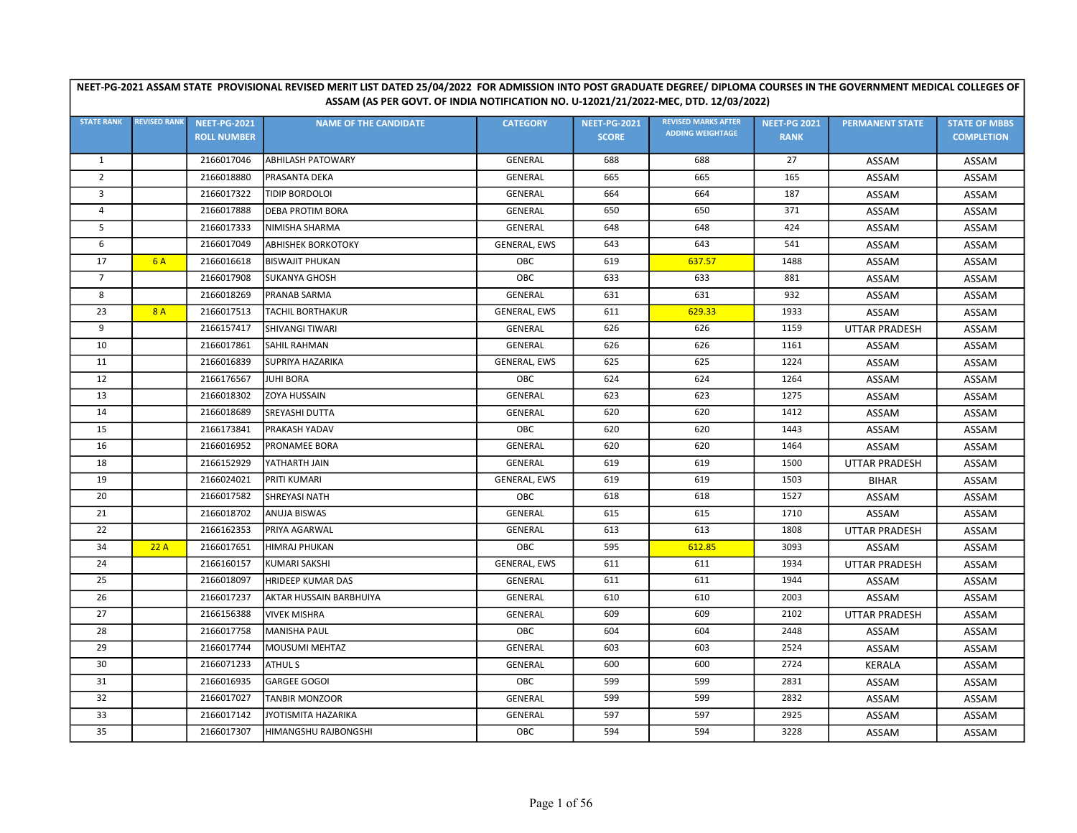|                   | ASSAM (AS PER GOVT. OF INDIA NOTIFICATION NO. U-12021/21/2022-MEC, DTD. 12/03/2022) |                     |                              |                     |                     |                                                       |                     |                        |                      |  |  |  |
|-------------------|-------------------------------------------------------------------------------------|---------------------|------------------------------|---------------------|---------------------|-------------------------------------------------------|---------------------|------------------------|----------------------|--|--|--|
| <b>STATE RANK</b> | <b>REVISED RANK</b>                                                                 | <b>NEET-PG-2021</b> | <b>NAME OF THE CANDIDATE</b> | <b>CATEGORY</b>     | <b>NEET-PG-2021</b> | <b>REVISED MARKS AFTER</b><br><b>ADDING WEIGHTAGE</b> | <b>NEET-PG 2021</b> | <b>PERMANENT STATE</b> | <b>STATE OF MBBS</b> |  |  |  |
|                   |                                                                                     | <b>ROLL NUMBER</b>  |                              |                     | <b>SCORE</b>        |                                                       | <b>RANK</b>         |                        | <b>COMPLETION</b>    |  |  |  |
| 1                 |                                                                                     | 2166017046          | <b>ABHILASH PATOWARY</b>     | <b>GENERAL</b>      | 688                 | 688                                                   | 27                  | ASSAM                  | ASSAM                |  |  |  |
| $\overline{2}$    |                                                                                     | 2166018880          | PRASANTA DEKA                | <b>GENERAL</b>      | 665                 | 665                                                   | 165                 | ASSAM                  | ASSAM                |  |  |  |
| 3                 |                                                                                     | 2166017322          | <b>TIDIP BORDOLOI</b>        | <b>GENERAL</b>      | 664                 | 664                                                   | 187                 | ASSAM                  | ASSAM                |  |  |  |
| 4                 |                                                                                     | 2166017888          | <b>DEBA PROTIM BORA</b>      | <b>GENERAL</b>      | 650                 | 650                                                   | 371                 | ASSAM                  | ASSAM                |  |  |  |
| 5                 |                                                                                     | 2166017333          | NIMISHA SHARMA               | <b>GENERAL</b>      | 648                 | 648                                                   | 424                 | ASSAM                  | ASSAM                |  |  |  |
| 6                 |                                                                                     | 2166017049          | <b>ABHISHEK BORKOTOKY</b>    | <b>GENERAL, EWS</b> | 643                 | 643                                                   | 541                 | ASSAM                  | ASSAM                |  |  |  |
| 17                | <b>6A</b>                                                                           | 2166016618          | <b>BISWAJIT PHUKAN</b>       | OBC                 | 619                 | 637.57                                                | 1488                | ASSAM                  | ASSAM                |  |  |  |
| $\overline{7}$    |                                                                                     | 2166017908          | <b>SUKANYA GHOSH</b>         | OBC                 | 633                 | 633                                                   | 881                 | ASSAM                  | ASSAM                |  |  |  |
| 8                 |                                                                                     | 2166018269          | PRANAB SARMA                 | <b>GENERAL</b>      | 631                 | 631                                                   | 932                 | ASSAM                  | ASSAM                |  |  |  |
| 23                | 8A                                                                                  | 2166017513          | <b>TACHIL BORTHAKUR</b>      | <b>GENERAL, EWS</b> | 611                 | 629.33                                                | 1933                | ASSAM                  | ASSAM                |  |  |  |
| 9                 |                                                                                     | 2166157417          | SHIVANGI TIWARI              | <b>GENERAL</b>      | 626                 | 626                                                   | 1159                | <b>UTTAR PRADESH</b>   | ASSAM                |  |  |  |
| 10                |                                                                                     | 2166017861          | <b>SAHIL RAHMAN</b>          | <b>GENERAL</b>      | 626                 | 626                                                   | 1161                | ASSAM                  | ASSAM                |  |  |  |
| 11                |                                                                                     | 2166016839          | SUPRIYA HAZARIKA             | <b>GENERAL, EWS</b> | 625                 | 625                                                   | 1224                | ASSAM                  | ASSAM                |  |  |  |
| 12                |                                                                                     | 2166176567          | <b>JUHI BORA</b>             | OBC                 | 624                 | 624                                                   | 1264                | ASSAM                  | ASSAM                |  |  |  |
| 13                |                                                                                     | 2166018302          | <b>ZOYA HUSSAIN</b>          | <b>GENERAL</b>      | 623                 | 623                                                   | 1275                | ASSAM                  | ASSAM                |  |  |  |
| 14                |                                                                                     | 2166018689          | SREYASHI DUTTA               | <b>GENERAL</b>      | 620                 | 620                                                   | 1412                | ASSAM                  | ASSAM                |  |  |  |
| 15                |                                                                                     | 2166173841          | PRAKASH YADAV                | OBC                 | 620                 | 620                                                   | 1443                | ASSAM                  | ASSAM                |  |  |  |
| 16                |                                                                                     | 2166016952          | PRONAMEE BORA                | GENERAL             | 620                 | 620                                                   | 1464                | ASSAM                  | ASSAM                |  |  |  |
| 18                |                                                                                     | 2166152929          | YATHARTH JAIN                | GENERAL             | 619                 | 619                                                   | 1500                | <b>UTTAR PRADESH</b>   | ASSAM                |  |  |  |
| 19                |                                                                                     | 2166024021          | PRITI KUMARI                 | GENERAL, EWS        | 619                 | 619                                                   | 1503                | <b>BIHAR</b>           | ASSAM                |  |  |  |
| 20                |                                                                                     | 2166017582          | <b>SHREYASI NATH</b>         | OBC                 | 618                 | 618                                                   | 1527                | ASSAM                  | ASSAM                |  |  |  |
| 21                |                                                                                     | 2166018702          | <b>ANUJA BISWAS</b>          | <b>GENERAL</b>      | 615                 | 615                                                   | 1710                | ASSAM                  | ASSAM                |  |  |  |
| 22                |                                                                                     | 2166162353          | PRIYA AGARWAL                | GENERAL             | 613                 | 613                                                   | 1808                | <b>UTTAR PRADESH</b>   | ASSAM                |  |  |  |
| 34                | 22A                                                                                 | 2166017651          | <b>HIMRAJ PHUKAN</b>         | OBC                 | 595                 | 612.85                                                | 3093                | ASSAM                  | ASSAM                |  |  |  |
| 24                |                                                                                     | 2166160157          | <b>KUMARI SAKSHI</b>         | GENERAL, EWS        | 611                 | 611                                                   | 1934                | <b>UTTAR PRADESH</b>   | ASSAM                |  |  |  |
| 25                |                                                                                     | 2166018097          | <b>HRIDEEP KUMAR DAS</b>     | <b>GENERAL</b>      | 611                 | 611                                                   | 1944                | ASSAM                  | ASSAM                |  |  |  |
| 26                |                                                                                     | 2166017237          | AKTAR HUSSAIN BARBHUIYA      | <b>GENERAL</b>      | 610                 | 610                                                   | 2003                | ASSAM                  | ASSAM                |  |  |  |
| 27                |                                                                                     | 2166156388          | <b>VIVEK MISHRA</b>          | GENERAL             | 609                 | 609                                                   | 2102                | <b>UTTAR PRADESH</b>   | ASSAM                |  |  |  |
| 28                |                                                                                     | 2166017758          | <b>MANISHA PAUL</b>          | OBC                 | 604                 | 604                                                   | 2448                | ASSAM                  | ASSAM                |  |  |  |
| 29                |                                                                                     | 2166017744          | MOUSUMI MEHTAZ               | <b>GENERAL</b>      | 603                 | 603                                                   | 2524                | ASSAM                  | ASSAM                |  |  |  |
| 30                |                                                                                     | 2166071233          | <b>ATHUL S</b>               | <b>GENERAL</b>      | 600                 | 600                                                   | 2724                | <b>KERALA</b>          | ASSAM                |  |  |  |
| 31                |                                                                                     | 2166016935          | <b>GARGEE GOGOI</b>          | OBC                 | 599                 | 599                                                   | 2831                | ASSAM                  | ASSAM                |  |  |  |
| 32                |                                                                                     | 2166017027          | <b>TANBIR MONZOOR</b>        | <b>GENERAL</b>      | 599                 | 599                                                   | 2832                | ASSAM                  | ASSAM                |  |  |  |
| 33                |                                                                                     | 2166017142          | JYOTISMITA HAZARIKA          | <b>GENERAL</b>      | 597                 | 597                                                   | 2925                | ASSAM                  | ASSAM                |  |  |  |
| 35                |                                                                                     | 2166017307          | HIMANGSHU RAJBONGSHI         | OBC                 | 594                 | 594                                                   | 3228                | ASSAM                  | ASSAM                |  |  |  |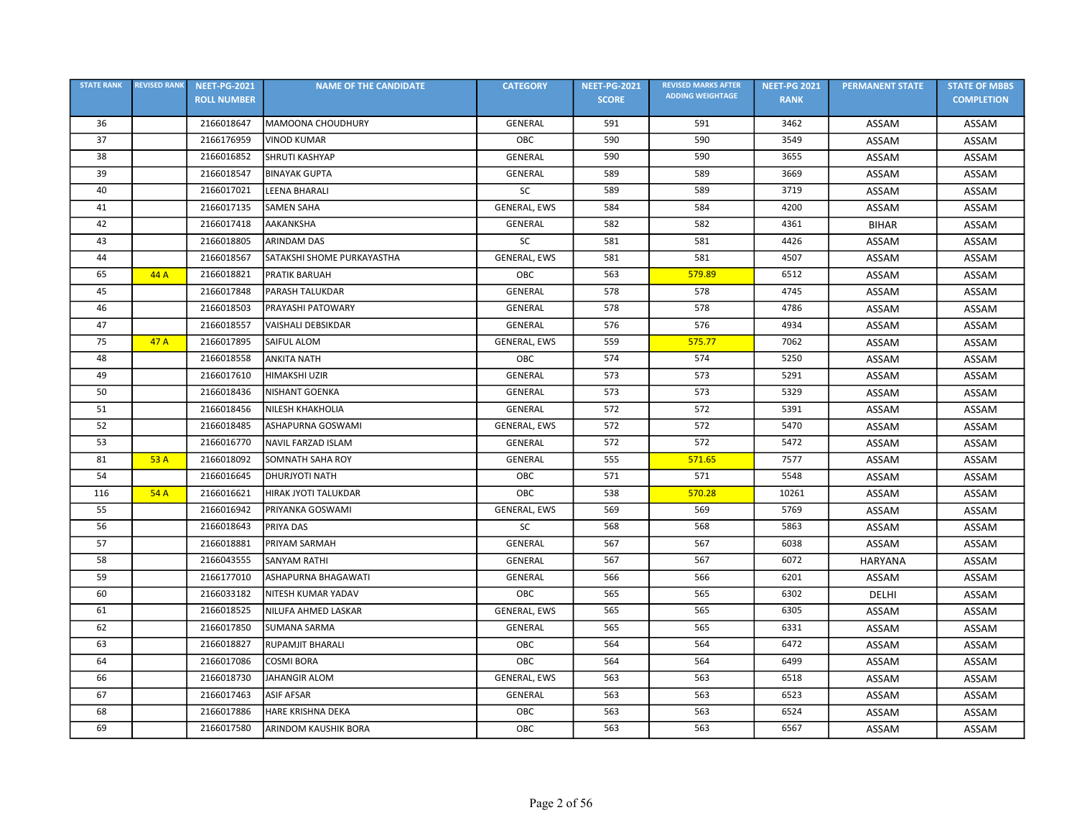| <b>STATE RANK</b> | <b>REVISED RANK</b> | <b>NEET-PG-2021</b> | <b>NAME OF THE CANDIDATE</b> | <b>CATEGORY</b>     | <b>NEET-PG-2021</b> | <b>REVISED MARKS AFTER</b> | <b>NEET-PG 2021</b> | <b>PERMANENT STATE</b> | <b>STATE OF MBBS</b> |
|-------------------|---------------------|---------------------|------------------------------|---------------------|---------------------|----------------------------|---------------------|------------------------|----------------------|
|                   |                     | <b>ROLL NUMBER</b>  |                              |                     | <b>SCORE</b>        | <b>ADDING WEIGHTAGE</b>    | <b>RANK</b>         |                        | <b>COMPLETION</b>    |
| 36                |                     | 2166018647          | MAMOONA CHOUDHURY            | <b>GENERAL</b>      | 591                 | 591                        | 3462                | ASSAM                  | ASSAM                |
| 37                |                     | 2166176959          | <b>VINOD KUMAR</b>           | OBC                 | 590                 | 590                        | 3549                | ASSAM                  | ASSAM                |
| 38                |                     | 2166016852          | <b>SHRUTI KASHYAP</b>        | <b>GENERAL</b>      | 590                 | 590                        | 3655                | ASSAM                  | ASSAM                |
| 39                |                     | 2166018547          | <b>BINAYAK GUPTA</b>         | GENERAL             | 589                 | 589                        | 3669                | ASSAM                  | ASSAM                |
| 40                |                     | 2166017021          | LEENA BHARALI                | SC                  | 589                 | 589                        | 3719                | ASSAM                  | ASSAM                |
| 41                |                     | 2166017135          | <b>SAMEN SAHA</b>            | <b>GENERAL, EWS</b> | 584                 | 584                        | 4200                | ASSAM                  | ASSAM                |
| 42                |                     | 2166017418          | AAKANKSHA                    | <b>GENERAL</b>      | 582                 | 582                        | 4361                | <b>BIHAR</b>           | ASSAM                |
| 43                |                     | 2166018805          | <b>ARINDAM DAS</b>           | SC                  | 581                 | 581                        | 4426                | ASSAM                  | ASSAM                |
| 44                |                     | 2166018567          | SATAKSHI SHOME PURKAYASTHA   | GENERAL, EWS        | 581                 | 581                        | 4507                | ASSAM                  | ASSAM                |
| 65                | 44 A                | 2166018821          | <b>PRATIK BARUAH</b>         | OBC                 | 563                 | 579.89                     | 6512                | ASSAM                  | ASSAM                |
| 45                |                     | 2166017848          | PARASH TALUKDAR              | <b>GENERAL</b>      | 578                 | 578                        | 4745                | ASSAM                  | ASSAM                |
| 46                |                     | 2166018503          | PRAYASHI PATOWARY            | <b>GENERAL</b>      | 578                 | 578                        | 4786                | ASSAM                  | ASSAM                |
| 47                |                     | 2166018557          | <b>VAISHALI DEBSIKDAR</b>    | <b>GENERAL</b>      | 576                 | 576                        | 4934                | ASSAM                  | ASSAM                |
| 75                | 47A                 | 2166017895          | SAIFUL ALOM                  | GENERAL, EWS        | 559                 | 575.77                     | 7062                | ASSAM                  | ASSAM                |
| 48                |                     | 2166018558          | <b>ANKITA NATH</b>           | OBC                 | 574                 | 574                        | 5250                | ASSAM                  | ASSAM                |
| 49                |                     | 2166017610          | <b>HIMAKSHI UZIR</b>         | GENERAL             | 573                 | 573                        | 5291                | ASSAM                  | ASSAM                |
| 50                |                     | 2166018436          | <b>NISHANT GOENKA</b>        | <b>GENERAL</b>      | 573                 | 573                        | 5329                | ASSAM                  | ASSAM                |
| 51                |                     | 2166018456          | NILESH KHAKHOLIA             | GENERAL             | 572                 | 572                        | 5391                | ASSAM                  | ASSAM                |
| 52                |                     | 2166018485          | ASHAPURNA GOSWAMI            | <b>GENERAL, EWS</b> | 572                 | 572                        | 5470                | ASSAM                  | ASSAM                |
| 53                |                     | 2166016770          | NAVIL FARZAD ISLAM           | <b>GENERAL</b>      | 572                 | 572                        | 5472                | ASSAM                  | ASSAM                |
| 81                | 53 A                | 2166018092          | SOMNATH SAHA ROY             | <b>GENERAL</b>      | 555                 | 571.65                     | 7577                | ASSAM                  | ASSAM                |
| 54                |                     | 2166016645          | <b>DHURJYOTI NATH</b>        | OBC                 | 571                 | 571                        | 5548                | ASSAM                  | ASSAM                |
| 116               | 54A                 | 2166016621          | HIRAK JYOTI TALUKDAR         | OBC                 | 538                 | 570.28                     | 10261               | ASSAM                  | ASSAM                |
| 55                |                     | 2166016942          | PRIYANKA GOSWAMI             | GENERAL, EWS        | 569                 | 569                        | 5769                | ASSAM                  | ASSAM                |
| 56                |                     | 2166018643          | PRIYA DAS                    | SC                  | 568                 | 568                        | 5863                | ASSAM                  | ASSAM                |
| 57                |                     | 2166018881          | PRIYAM SARMAH                | <b>GENERAL</b>      | 567                 | 567                        | 6038                | ASSAM                  | ASSAM                |
| 58                |                     | 2166043555          | <b>SANYAM RATHI</b>          | GENERAL             | 567                 | 567                        | 6072                | <b>HARYANA</b>         | ASSAM                |
| 59                |                     | 2166177010          | ASHAPURNA BHAGAWATI          | <b>GENERAL</b>      | 566                 | 566                        | 6201                | ASSAM                  | ASSAM                |
| 60                |                     | 2166033182          | NITESH KUMAR YADAV           | OBC                 | 565                 | 565                        | 6302                | DELHI                  | ASSAM                |
| 61                |                     | 2166018525          | NILUFA AHMED LASKAR          | GENERAL, EWS        | 565                 | 565                        | 6305                | ASSAM                  | ASSAM                |
| 62                |                     | 2166017850          | <b>SUMANA SARMA</b>          | <b>GENERAL</b>      | 565                 | 565                        | 6331                | ASSAM                  | ASSAM                |
| 63                |                     | 2166018827          | <b>RUPAMJIT BHARALI</b>      | OBC                 | 564                 | 564                        | 6472                | ASSAM                  | ASSAM                |
| 64                |                     | 2166017086          | <b>COSMI BORA</b>            | OBC                 | 564                 | 564                        | 6499                | ASSAM                  | ASSAM                |
| 66                |                     | 2166018730          | <b>JAHANGIR ALOM</b>         | GENERAL, EWS        | 563                 | 563                        | 6518                | ASSAM                  | ASSAM                |
| 67                |                     | 2166017463          | <b>ASIF AFSAR</b>            | GENERAL             | 563                 | 563                        | 6523                | ASSAM                  | ASSAM                |
| 68                |                     | 2166017886          | <b>HARE KRISHNA DEKA</b>     | OBC                 | 563                 | 563                        | 6524                | ASSAM                  | ASSAM                |
| 69                |                     | 2166017580          | ARINDOM KAUSHIK BORA         | OBC                 | 563                 | 563                        | 6567                | ASSAM                  | ASSAM                |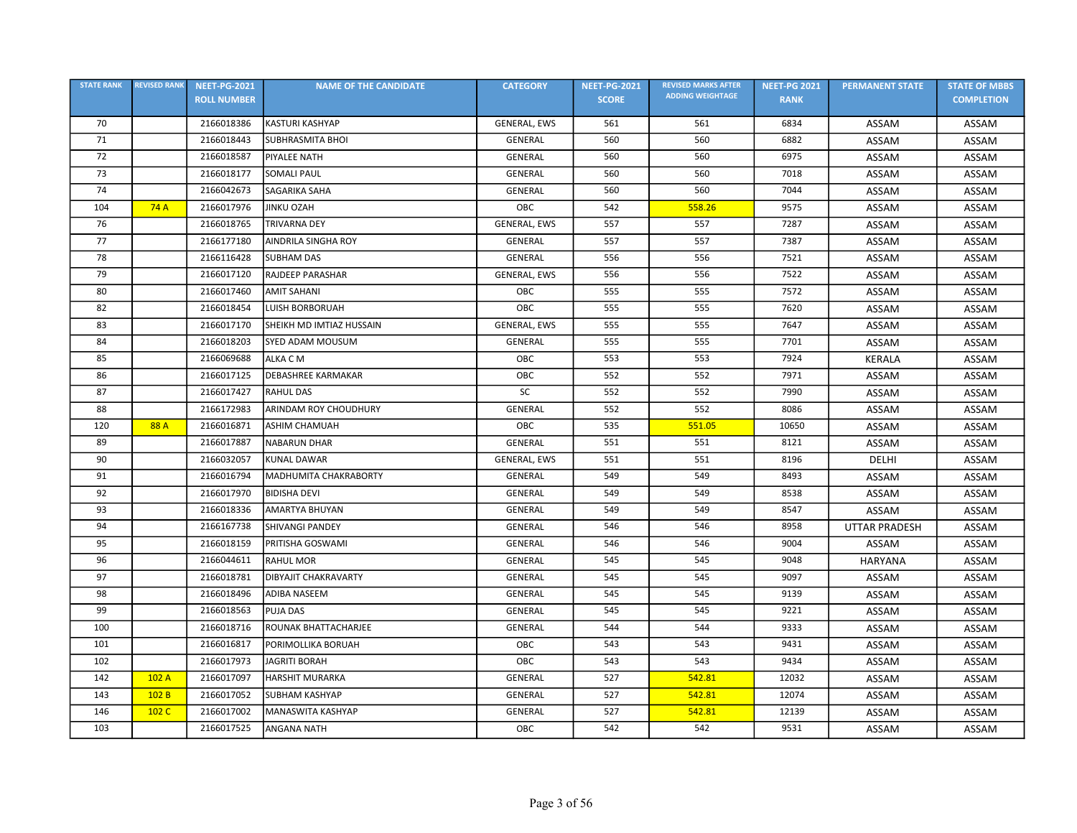| <b>STATE RANK</b> | <b>REVISED RANK</b> | <b>NEET-PG-2021</b> | <b>NAME OF THE CANDIDATE</b> | <b>CATEGORY</b>     | <b>NEET-PG-2021</b> | <b>REVISED MARKS AFTER</b> | <b>NEET-PG 2021</b> | <b>PERMANENT STATE</b> | <b>STATE OF MBBS</b> |
|-------------------|---------------------|---------------------|------------------------------|---------------------|---------------------|----------------------------|---------------------|------------------------|----------------------|
|                   |                     | <b>ROLL NUMBER</b>  |                              |                     | <b>SCORE</b>        | <b>ADDING WEIGHTAGE</b>    | <b>RANK</b>         |                        | <b>COMPLETION</b>    |
| 70                |                     | 2166018386          | <b>KASTURI KASHYAP</b>       | GENERAL, EWS        | 561                 | 561                        | 6834                | ASSAM                  | ASSAM                |
| 71                |                     | 2166018443          | <b>SUBHRASMITA BHOI</b>      | <b>GENERAL</b>      | 560                 | 560                        | 6882                | ASSAM                  | ASSAM                |
| 72                |                     | 2166018587          | <b>PIYALEE NATH</b>          | GENERAL             | 560                 | 560                        | 6975                | ASSAM                  | ASSAM                |
| 73                |                     | 2166018177          | <b>SOMALI PAUL</b>           | GENERAL             | 560                 | 560                        | 7018                | ASSAM                  | ASSAM                |
| 74                |                     | 2166042673          | SAGARIKA SAHA                | GENERAL             | 560                 | 560                        | 7044                | ASSAM                  | ASSAM                |
| 104               | 74A                 | 2166017976          | <b>JINKU OZAH</b>            | OBC                 | 542                 | 558.26                     | 9575                | ASSAM                  | ASSAM                |
| 76                |                     | 2166018765          | <b>TRIVARNA DEY</b>          | <b>GENERAL, EWS</b> | 557                 | 557                        | 7287                | ASSAM                  | ASSAM                |
| 77                |                     | 2166177180          | AINDRILA SINGHA ROY          | <b>GENERAL</b>      | 557                 | 557                        | 7387                | ASSAM                  | ASSAM                |
| 78                |                     | 2166116428          | <b>SUBHAM DAS</b>            | <b>GENERAL</b>      | 556                 | 556                        | 7521                | ASSAM                  | ASSAM                |
| 79                |                     | 2166017120          | <b>RAJDEEP PARASHAR</b>      | GENERAL, EWS        | 556                 | 556                        | 7522                | ASSAM                  | ASSAM                |
| 80                |                     | 2166017460          | <b>AMIT SAHANI</b>           | OBC                 | 555                 | 555                        | 7572                | ASSAM                  | ASSAM                |
| 82                |                     | 2166018454          | <b>LUISH BORBORUAH</b>       | OBC                 | 555                 | 555                        | 7620                | ASSAM                  | ASSAM                |
| 83                |                     | 2166017170          | SHEIKH MD IMTIAZ HUSSAIN     | <b>GENERAL, EWS</b> | 555                 | 555                        | 7647                | ASSAM                  | ASSAM                |
| 84                |                     | 2166018203          | <b>SYED ADAM MOUSUM</b>      | GENERAL             | 555                 | 555                        | 7701                | ASSAM                  | ASSAM                |
| 85                |                     | 2166069688          | ALKA C M                     | OBC                 | 553                 | 553                        | 7924                | <b>KERALA</b>          | ASSAM                |
| 86                |                     | 2166017125          | <b>DEBASHREE KARMAKAR</b>    | OBC                 | 552                 | 552                        | 7971                | ASSAM                  | ASSAM                |
| 87                |                     | 2166017427          | <b>RAHUL DAS</b>             | SC                  | 552                 | 552                        | 7990                | ASSAM                  | ASSAM                |
| 88                |                     | 2166172983          | ARINDAM ROY CHOUDHURY        | GENERAL             | 552                 | 552                        | 8086                | ASSAM                  | ASSAM                |
| 120               | 88 A                | 2166016871          | <b>ASHIM CHAMUAH</b>         | OBC                 | 535                 | 551.05                     | 10650               | ASSAM                  | ASSAM                |
| 89                |                     | 2166017887          | <b>NABARUN DHAR</b>          | <b>GENERAL</b>      | 551                 | 551                        | 8121                | ASSAM                  | ASSAM                |
| 90                |                     | 2166032057          | <b>KUNAL DAWAR</b>           | GENERAL, EWS        | 551                 | 551                        | 8196                | DELHI                  | ASSAM                |
| 91                |                     | 2166016794          | MADHUMITA CHAKRABORTY        | GENERAL             | 549                 | 549                        | 8493                | ASSAM                  | ASSAM                |
| 92                |                     | 2166017970          | <b>BIDISHA DEVI</b>          | <b>GENERAL</b>      | 549                 | 549                        | 8538                | ASSAM                  | ASSAM                |
| 93                |                     | 2166018336          | AMARTYA BHUYAN               | <b>GENERAL</b>      | 549                 | 549                        | 8547                | ASSAM                  | ASSAM                |
| 94                |                     | 2166167738          | <b>SHIVANGI PANDEY</b>       | <b>GENERAL</b>      | 546                 | 546                        | 8958                | <b>UTTAR PRADESH</b>   | ASSAM                |
| 95                |                     | 2166018159          | PRITISHA GOSWAMI             | <b>GENERAL</b>      | 546                 | 546                        | 9004                | ASSAM                  | ASSAM                |
| 96                |                     | 2166044611          | <b>RAHUL MOR</b>             | <b>GENERAL</b>      | 545                 | 545                        | 9048                | <b>HARYANA</b>         | ASSAM                |
| 97                |                     | 2166018781          | <b>DIBYAJIT CHAKRAVARTY</b>  | GENERAL             | 545                 | 545                        | 9097                | ASSAM                  | <b>ASSAM</b>         |
| 98                |                     | 2166018496          | ADIBA NASEEM                 | GENERAL             | 545                 | 545                        | 9139                | ASSAM                  | ASSAM                |
| 99                |                     | 2166018563          | <b>PUJA DAS</b>              | <b>GENERAL</b>      | 545                 | 545                        | 9221                | ASSAM                  | ASSAM                |
| 100               |                     | 2166018716          | ROUNAK BHATTACHARJEE         | <b>GENERAL</b>      | 544                 | 544                        | 9333                | ASSAM                  | ASSAM                |
| 101               |                     | 2166016817          | PORIMOLLIKA BORUAH           | OBC                 | 543                 | 543                        | 9431                | ASSAM                  | ASSAM                |
| 102               |                     | 2166017973          | <b>JAGRITI BORAH</b>         | OBC                 | 543                 | 543                        | 9434                | ASSAM                  | ASSAM                |
| 142               | 102 A               | 2166017097          | <b>HARSHIT MURARKA</b>       | <b>GENERAL</b>      | 527                 | 542.81                     | 12032               | ASSAM                  | ASSAM                |
| 143               | 102B                | 2166017052          | <b>SUBHAM KASHYAP</b>        | GENERAL             | 527                 | 542.81                     | 12074               | ASSAM                  | ASSAM                |
| 146               | 102 C               | 2166017002          | MANASWITA KASHYAP            | GENERAL             | 527                 | 542.81                     | 12139               | ASSAM                  | ASSAM                |
| 103               |                     | 2166017525          | <b>ANGANA NATH</b>           | OBC                 | 542                 | 542                        | 9531                | ASSAM                  | ASSAM                |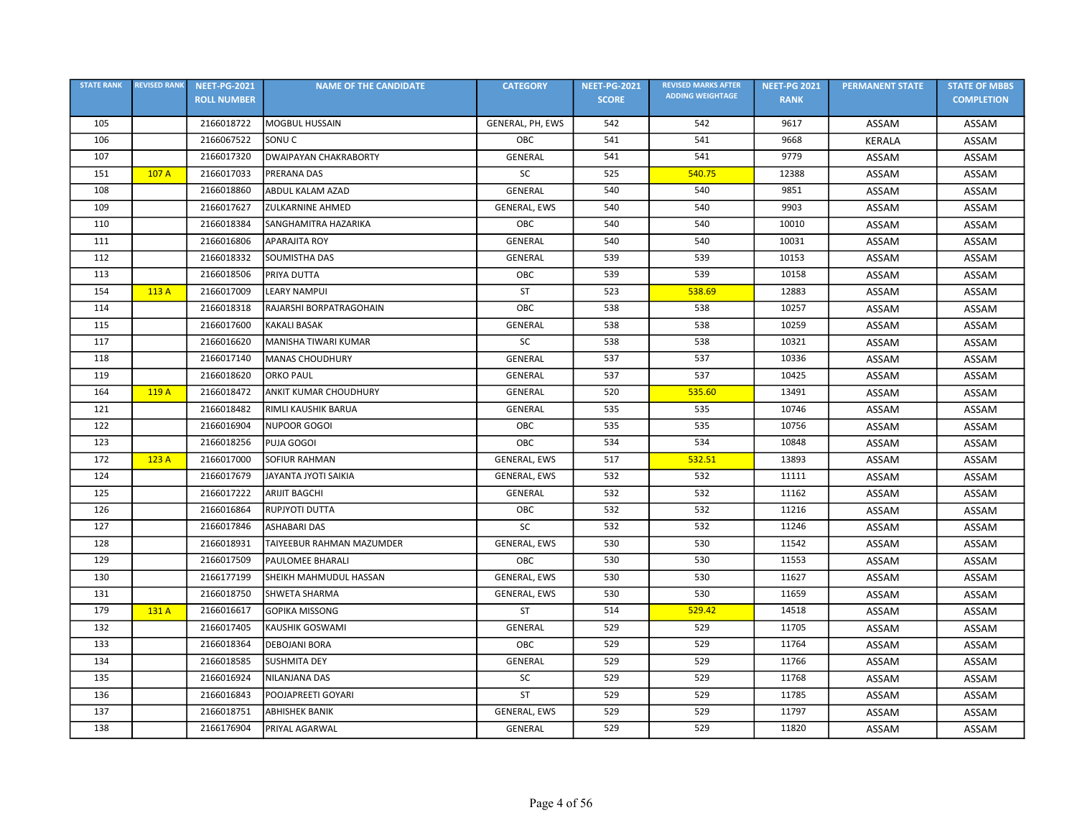| <b>STATE RANK</b> | <b>REVISED RANK</b> | <b>NEET-PG-2021</b> | <b>NAME OF THE CANDIDATE</b> | <b>CATEGORY</b>  | <b>NEET-PG-2021</b> | <b>REVISED MARKS AFTER</b> | <b>NEET-PG 2021</b> | <b>PERMANENT STATE</b> | <b>STATE OF MBBS</b> |
|-------------------|---------------------|---------------------|------------------------------|------------------|---------------------|----------------------------|---------------------|------------------------|----------------------|
|                   |                     | <b>ROLL NUMBER</b>  |                              |                  | <b>SCORE</b>        | <b>ADDING WEIGHTAGE</b>    | <b>RANK</b>         |                        | <b>COMPLETION</b>    |
| 105               |                     | 2166018722          | <b>MOGBUL HUSSAIN</b>        | GENERAL, PH, EWS | 542                 | 542                        | 9617                | ASSAM                  | ASSAM                |
| 106               |                     | 2166067522          | SONU <sub>C</sub>            | OBC              | 541                 | 541                        | 9668                | <b>KERALA</b>          | ASSAM                |
| 107               |                     | 2166017320          | <b>DWAIPAYAN CHAKRABORTY</b> | <b>GENERAL</b>   | 541                 | 541                        | 9779                | ASSAM                  | ASSAM                |
| 151               | 107 A               | 2166017033          | PRERANA DAS                  | SC               | 525                 | 540.75                     | 12388               | ASSAM                  | ASSAM                |
| 108               |                     | 2166018860          | <b>ABDUL KALAM AZAD</b>      | <b>GENERAL</b>   | 540                 | 540                        | 9851                | ASSAM                  | ASSAM                |
| 109               |                     | 2166017627          | <b>ZULKARNINE AHMED</b>      | GENERAL, EWS     | 540                 | 540                        | 9903                | ASSAM                  | ASSAM                |
| 110               |                     | 2166018384          | SANGHAMITRA HAZARIKA         | OBC              | 540                 | 540                        | 10010               | ASSAM                  | ASSAM                |
| 111               |                     | 2166016806          | <b>APARAJITA ROY</b>         | GENERAL          | 540                 | 540                        | 10031               | ASSAM                  | ASSAM                |
| 112               |                     | 2166018332          | SOUMISTHA DAS                | GENERAL          | 539                 | 539                        | 10153               | ASSAM                  | ASSAM                |
| 113               |                     | 2166018506          | PRIYA DUTTA                  | OBC              | 539                 | 539                        | 10158               | ASSAM                  | ASSAM                |
| 154               | 113 A               | 2166017009          | <b>LEARY NAMPUI</b>          | <b>ST</b>        | 523                 | 538.69                     | 12883               | ASSAM                  | ASSAM                |
| 114               |                     | 2166018318          | RAJARSHI BORPATRAGOHAIN      | OBC              | 538                 | 538                        | 10257               | ASSAM                  | ASSAM                |
| 115               |                     | 2166017600          | <b>KAKALI BASAK</b>          | <b>GENERAL</b>   | 538                 | 538                        | 10259               | ASSAM                  | ASSAM                |
| 117               |                     | 2166016620          | MANISHA TIWARI KUMAR         | <b>SC</b>        | 538                 | 538                        | 10321               | ASSAM                  | ASSAM                |
| 118               |                     | 2166017140          | <b>MANAS CHOUDHURY</b>       | GENERAL          | 537                 | 537                        | 10336               | ASSAM                  | ASSAM                |
| 119               |                     | 2166018620          | <b>ORKO PAUL</b>             | <b>GENERAL</b>   | 537                 | 537                        | 10425               | ASSAM                  | ASSAM                |
| 164               | 119 A               | 2166018472          | <b>ANKIT KUMAR CHOUDHURY</b> | <b>GENERAL</b>   | 520                 | 535.60                     | 13491               | ASSAM                  | ASSAM                |
| 121               |                     | 2166018482          | RIMLI KAUSHIK BARUA          | <b>GENERAL</b>   | 535                 | 535                        | 10746               | ASSAM                  | ASSAM                |
| 122               |                     | 2166016904          | <b>NUPOOR GOGOI</b>          | OBC              | 535                 | 535                        | 10756               | ASSAM                  | ASSAM                |
| 123               |                     | 2166018256          | PUJA GOGOI                   | OBC              | 534                 | 534                        | 10848               | ASSAM                  | ASSAM                |
| 172               | 123 A               | 2166017000          | <b>SOFIUR RAHMAN</b>         | GENERAL, EWS     | 517                 | 532.51                     | 13893               | ASSAM                  | ASSAM                |
| 124               |                     | 2166017679          | JAYANTA JYOTI SAIKIA         | GENERAL, EWS     | 532                 | 532                        | 11111               | ASSAM                  | ASSAM                |
| 125               |                     | 2166017222          | <b>ARIJIT BAGCHI</b>         | GENERAL          | 532                 | 532                        | 11162               | ASSAM                  | ASSAM                |
| 126               |                     | 2166016864          | RUPJYOTI DUTTA               | OBC              | 532                 | 532                        | 11216               | ASSAM                  | ASSAM                |
| 127               |                     | 2166017846          | <b>ASHABARI DAS</b>          | <b>SC</b>        | 532                 | 532                        | 11246               | ASSAM                  | ASSAM                |
| 128               |                     | 2166018931          | TAIYEEBUR RAHMAN MAZUMDER    | GENERAL, EWS     | 530                 | 530                        | 11542               | ASSAM                  | ASSAM                |
| 129               |                     | 2166017509          | <b>PAULOMEE BHARALI</b>      | OBC              | 530                 | 530                        | 11553               | ASSAM                  | ASSAM                |
| 130               |                     | 2166177199          | SHEIKH MAHMUDUL HASSAN       | GENERAL, EWS     | 530                 | 530                        | 11627               | ASSAM                  | ASSAM                |
| 131               |                     | 2166018750          | <b>SHWETA SHARMA</b>         | GENERAL, EWS     | 530                 | 530                        | 11659               | ASSAM                  | ASSAM                |
| 179               | 131 A               | 2166016617          | <b>GOPIKA MISSONG</b>        | ST               | 514                 | 529.42                     | 14518               | ASSAM                  | ASSAM                |
| 132               |                     | 2166017405          | KAUSHIK GOSWAMI              | GENERAL          | 529                 | 529                        | 11705               | ASSAM                  | ASSAM                |
| 133               |                     | 2166018364          | <b>DEBOJANI BORA</b>         | OBC              | 529                 | 529                        | 11764               | ASSAM                  | ASSAM                |
| 134               |                     | 2166018585          | <b>SUSHMITA DEY</b>          | <b>GENERAL</b>   | 529                 | 529                        | 11766               | ASSAM                  | ASSAM                |
| 135               |                     | 2166016924          | NILANJANA DAS                | <b>SC</b>        | 529                 | 529                        | 11768               | ASSAM                  | ASSAM                |
| 136               |                     | 2166016843          | POOJAPREETI GOYARI           | <b>ST</b>        | 529                 | 529                        | 11785               | ASSAM                  | ASSAM                |
| 137               |                     | 2166018751          | <b>ABHISHEK BANIK</b>        | GENERAL, EWS     | 529                 | 529                        | 11797               | ASSAM                  | ASSAM                |
| 138               |                     | 2166176904          | PRIYAL AGARWAL               | GENERAL          | 529                 | 529                        | 11820               | ASSAM                  | ASSAM                |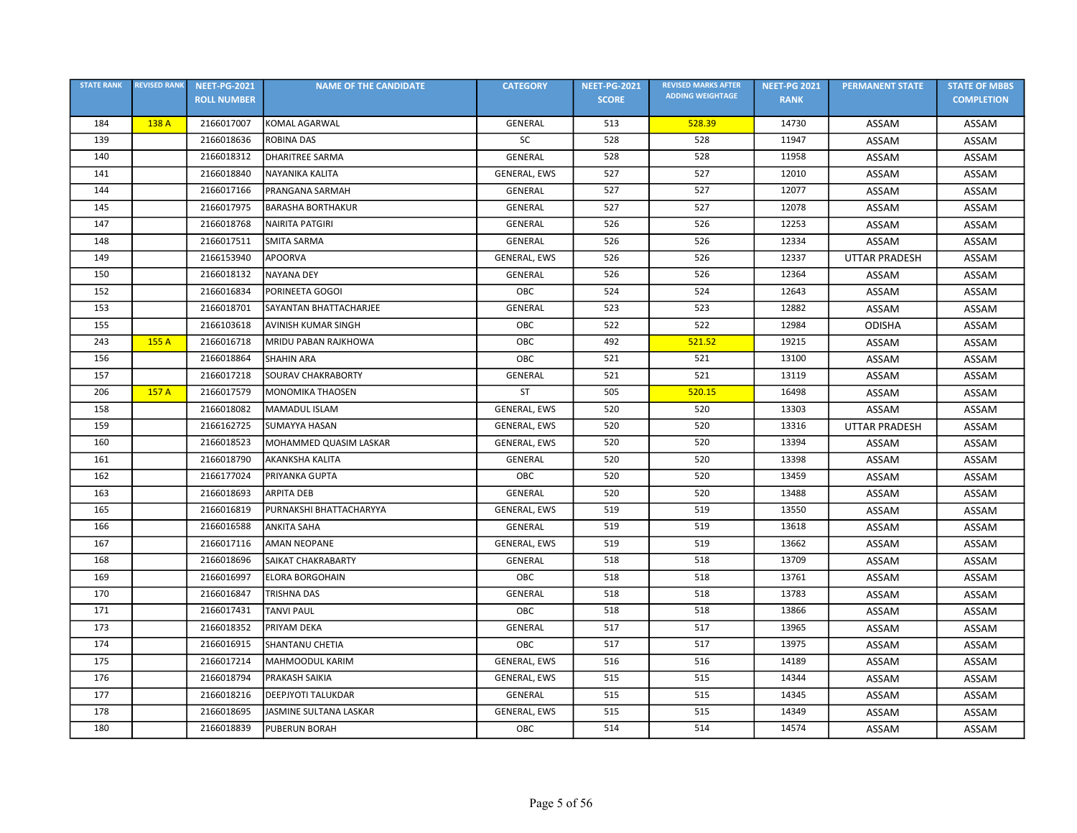| <b>STATE RANK</b> | <b>REVISED RANK</b> | <b>NEET-PG-2021</b> | <b>NAME OF THE CANDIDATE</b> | <b>CATEGORY</b>     | <b>NEET-PG-2021</b> | <b>REVISED MARKS AFTER</b> | <b>NEET-PG 2021</b> | <b>PERMANENT STATE</b> | <b>STATE OF MBBS</b> |
|-------------------|---------------------|---------------------|------------------------------|---------------------|---------------------|----------------------------|---------------------|------------------------|----------------------|
|                   |                     | <b>ROLL NUMBER</b>  |                              |                     | <b>SCORE</b>        | <b>ADDING WEIGHTAGE</b>    | <b>RANK</b>         |                        | <b>COMPLETION</b>    |
| 184               | 138 A               | 2166017007          | KOMAL AGARWAL                | <b>GENERAL</b>      | 513                 | 528.39                     | 14730               | ASSAM                  | ASSAM                |
| 139               |                     | 2166018636          | <b>ROBINA DAS</b>            | SC                  | 528                 | 528                        | 11947               | ASSAM                  | ASSAM                |
| 140               |                     | 2166018312          | <b>DHARITREE SARMA</b>       | <b>GENERAL</b>      | 528                 | 528                        | 11958               | ASSAM                  | ASSAM                |
| 141               |                     | 2166018840          | <b>NAYANIKA KALITA</b>       | GENERAL, EWS        | 527                 | 527                        | 12010               | ASSAM                  | ASSAM                |
| 144               |                     | 2166017166          | PRANGANA SARMAH              | <b>GENERAL</b>      | 527                 | 527                        | 12077               | ASSAM                  | ASSAM                |
| 145               |                     | 2166017975          | <b>BARASHA BORTHAKUR</b>     | GENERAL             | 527                 | 527                        | 12078               | ASSAM                  | ASSAM                |
| 147               |                     | 2166018768          | <b>NAIRITA PATGIRI</b>       | <b>GENERAL</b>      | 526                 | 526                        | 12253               | ASSAM                  | ASSAM                |
| 148               |                     | 2166017511          | <b>SMITA SARMA</b>           | <b>GENERAL</b>      | 526                 | 526                        | 12334               | ASSAM                  | ASSAM                |
| 149               |                     | 2166153940          | <b>APOORVA</b>               | GENERAL, EWS        | 526                 | 526                        | 12337               | <b>UTTAR PRADESH</b>   | ASSAM                |
| 150               |                     | 2166018132          | <b>NAYANA DEY</b>            | GENERAL             | 526                 | 526                        | 12364               | ASSAM                  | ASSAM                |
| 152               |                     | 2166016834          | PORINEETA GOGOI              | ОВС                 | 524                 | 524                        | 12643               | ASSAM                  | ASSAM                |
| 153               |                     | 2166018701          | SAYANTAN BHATTACHARJEE       | <b>GENERAL</b>      | 523                 | 523                        | 12882               | ASSAM                  | ASSAM                |
| 155               |                     | 2166103618          | <b>AVINISH KUMAR SINGH</b>   | OBC                 | 522                 | 522                        | 12984               | <b>ODISHA</b>          | ASSAM                |
| 243               | 155 A               | 2166016718          | MRIDU PABAN RAJKHOWA         | OBC                 | 492                 | 521.52                     | 19215               | ASSAM                  | ASSAM                |
| 156               |                     | 2166018864          | <b>SHAHIN ARA</b>            | OBC                 | 521                 | 521                        | 13100               | <b>ASSAM</b>           | ASSAM                |
| 157               |                     | 2166017218          | SOURAV CHAKRABORTY           | GENERAL             | 521                 | 521                        | 13119               | ASSAM                  | ASSAM                |
| 206               | 157 A               | 2166017579          | <b>MONOMIKA THAOSEN</b>      | <b>ST</b>           | 505                 | 520.15                     | 16498               | ASSAM                  | ASSAM                |
| 158               |                     | 2166018082          | <b>MAMADUL ISLAM</b>         | <b>GENERAL, EWS</b> | 520                 | 520                        | 13303               | ASSAM                  | ASSAM                |
| 159               |                     | 2166162725          | <b>SUMAYYA HASAN</b>         | GENERAL, EWS        | 520                 | 520                        | 13316               | <b>UTTAR PRADESH</b>   | ASSAM                |
| 160               |                     | 2166018523          | MOHAMMED QUASIM LASKAR       | GENERAL, EWS        | 520                 | 520                        | 13394               | ASSAM                  | ASSAM                |
| 161               |                     | 2166018790          | <b>AKANKSHA KALITA</b>       | GENERAL             | 520                 | 520                        | 13398               | ASSAM                  | ASSAM                |
| 162               |                     | 2166177024          | PRIYANKA GUPTA               | OBC                 | 520                 | 520                        | 13459               | ASSAM                  | ASSAM                |
| 163               |                     | 2166018693          | <b>ARPITA DEB</b>            | GENERAL             | 520                 | 520                        | 13488               | ASSAM                  | ASSAM                |
| 165               |                     | 2166016819          | PURNAKSHI BHATTACHARYYA      | GENERAL, EWS        | 519                 | 519                        | 13550               | ASSAM                  | ASSAM                |
| 166               |                     | 2166016588          | <b>ANKITA SAHA</b>           | <b>GENERAL</b>      | 519                 | 519                        | 13618               | ASSAM                  | ASSAM                |
| 167               |                     | 2166017116          | <b>AMAN NEOPANE</b>          | <b>GENERAL, EWS</b> | 519                 | 519                        | 13662               | ASSAM                  | ASSAM                |
| 168               |                     | 2166018696          | SAIKAT CHAKRABARTY           | GENERAL             | 518                 | 518                        | 13709               | ASSAM                  | ASSAM                |
| 169               |                     | 2166016997          | <b>ELORA BORGOHAIN</b>       | OBC                 | 518                 | 518                        | 13761               | ASSAM                  | ASSAM                |
| 170               |                     | 2166016847          | TRISHNA DAS                  | <b>GENERAL</b>      | 518                 | 518                        | 13783               | ASSAM                  | ASSAM                |
| 171               |                     | 2166017431          | <b>TANVI PAUL</b>            | OBC                 | 518                 | 518                        | 13866               | ASSAM                  | ASSAM                |
| 173               |                     | 2166018352          | PRIYAM DEKA                  | <b>GENERAL</b>      | 517                 | 517                        | 13965               | ASSAM                  | ASSAM                |
| 174               |                     | 2166016915          | <b>SHANTANU CHETIA</b>       | OBC                 | 517                 | 517                        | 13975               | ASSAM                  | ASSAM                |
| 175               |                     | 2166017214          | MAHMOODUL KARIM              | GENERAL, EWS        | 516                 | 516                        | 14189               | ASSAM                  | ASSAM                |
| 176               |                     | 2166018794          | <b>PRAKASH SAIKIA</b>        | GENERAL, EWS        | 515                 | 515                        | 14344               | ASSAM                  | ASSAM                |
| 177               |                     | 2166018216          | <b>DEEPJYOTI TALUKDAR</b>    | GENERAL             | 515                 | 515                        | 14345               | ASSAM                  | ASSAM                |
| 178               |                     | 2166018695          | JASMINE SULTANA LASKAR       | GENERAL, EWS        | 515                 | 515                        | 14349               | ASSAM                  | ASSAM                |
| 180               |                     | 2166018839          | <b>PUBERUN BORAH</b>         | ОВС                 | 514                 | 514                        | 14574               | ASSAM                  | ASSAM                |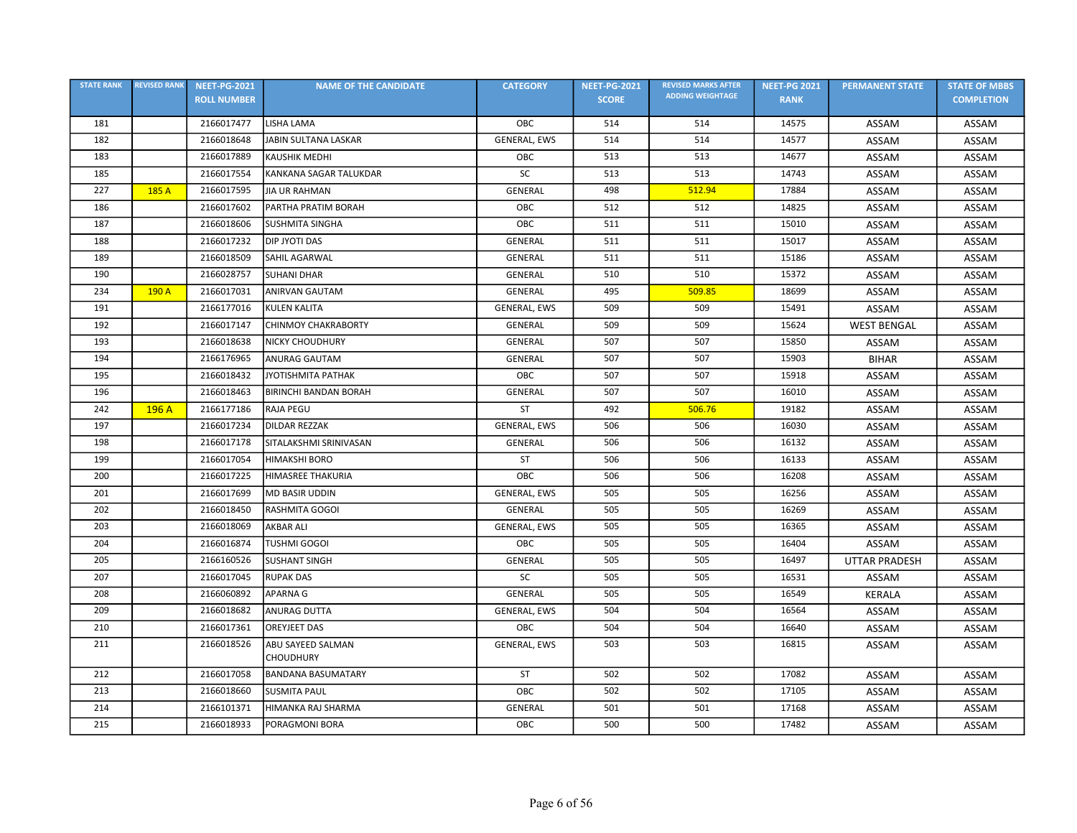| <b>STATE RANK</b> | <b>REVISED RANK</b> | <b>NEET-PG-2021</b> | <b>NAME OF THE CANDIDATE</b> | <b>CATEGORY</b> | <b>NEET-PG-2021</b> | <b>REVISED MARKS AFTER</b> | <b>NEET-PG 2021</b> | <b>PERMANENT STATE</b> | <b>STATE OF MBBS</b> |
|-------------------|---------------------|---------------------|------------------------------|-----------------|---------------------|----------------------------|---------------------|------------------------|----------------------|
|                   |                     | <b>ROLL NUMBER</b>  |                              |                 | <b>SCORE</b>        | <b>ADDING WEIGHTAGE</b>    | <b>RANK</b>         |                        | <b>COMPLETION</b>    |
| 181               |                     | 2166017477          | LISHA LAMA                   | OBC             | 514                 | 514                        | 14575               | ASSAM                  | ASSAM                |
| 182               |                     | 2166018648          | JABIN SULTANA LASKAR         | GENERAL, EWS    | 514                 | 514                        | 14577               | ASSAM                  | ASSAM                |
| 183               |                     | 2166017889          | <b>KAUSHIK MEDHI</b>         | OBC             | 513                 | 513                        | 14677               | ASSAM                  | ASSAM                |
| 185               |                     | 2166017554          | KANKANA SAGAR TALUKDAR       | SC              | 513                 | 513                        | 14743               | ASSAM                  | ASSAM                |
| 227               | 185 A               | 2166017595          | <b>JIA UR RAHMAN</b>         | GENERAL         | 498                 | 512.94                     | 17884               | ASSAM                  | ASSAM                |
| 186               |                     | 2166017602          | PARTHA PRATIM BORAH          | OBC             | 512                 | 512                        | 14825               | ASSAM                  | ASSAM                |
| 187               |                     | 2166018606          | <b>SUSHMITA SINGHA</b>       | OBC             | 511                 | 511                        | 15010               | ASSAM                  | ASSAM                |
| 188               |                     | 2166017232          | <b>DIP JYOTI DAS</b>         | <b>GENERAL</b>  | 511                 | 511                        | 15017               | ASSAM                  | ASSAM                |
| 189               |                     | 2166018509          | SAHIL AGARWAL                | GENERAL         | 511                 | 511                        | 15186               | ASSAM                  | ASSAM                |
| 190               |                     | 2166028757          | <b>SUHANI DHAR</b>           | <b>GENERAL</b>  | 510                 | 510                        | 15372               | ASSAM                  | ASSAM                |
| 234               | 190 A               | 2166017031          | ANIRVAN GAUTAM               | GENERAL         | 495                 | 509.85                     | 18699               | ASSAM                  | ASSAM                |
| 191               |                     | 2166177016          | <b>KULEN KALITA</b>          | GENERAL, EWS    | 509                 | 509                        | 15491               | ASSAM                  | ASSAM                |
| 192               |                     | 2166017147          | <b>CHINMOY CHAKRABORTY</b>   | GENERAL         | 509                 | 509                        | 15624               | <b>WEST BENGAL</b>     | ASSAM                |
| 193               |                     | 2166018638          | <b>NICKY CHOUDHURY</b>       | <b>GENERAL</b>  | 507                 | 507                        | 15850               | ASSAM                  | ASSAM                |
| 194               |                     | 2166176965          | ANURAG GAUTAM                | GENERAL         | 507                 | 507                        | 15903               | <b>BIHAR</b>           | ASSAM                |
| 195               |                     | 2166018432          | JYOTISHMITA PATHAK           | OBC             | 507                 | 507                        | 15918               | ASSAM                  | ASSAM                |
| 196               |                     | 2166018463          | <b>BIRINCHI BANDAN BORAH</b> | <b>GENERAL</b>  | 507                 | 507                        | 16010               | ASSAM                  | ASSAM                |
| 242               | 196 A               | 2166177186          | <b>RAJA PEGU</b>             | <b>ST</b>       | 492                 | 506.76                     | 19182               | ASSAM                  | ASSAM                |
| 197               |                     | 2166017234          | DILDAR REZZAK                | GENERAL, EWS    | 506                 | 506                        | 16030               | ASSAM                  | ASSAM                |
| 198               |                     | 2166017178          | SITALAKSHMI SRINIVASAN       | GENERAL         | 506                 | 506                        | 16132               | ASSAM                  | ASSAM                |
| 199               |                     | 2166017054          | <b>HIMAKSHI BORO</b>         | ST              | 506                 | 506                        | 16133               | ASSAM                  | ASSAM                |
| 200               |                     | 2166017225          | HIMASREE THAKURIA            | OBC             | 506                 | 506                        | 16208               | ASSAM                  | ASSAM                |
| 201               |                     | 2166017699          | <b>MD BASIR UDDIN</b>        | GENERAL, EWS    | 505                 | 505                        | 16256               | ASSAM                  | ASSAM                |
| 202               |                     | 2166018450          | <b>RASHMITA GOGOI</b>        | GENERAL         | 505                 | 505                        | 16269               | ASSAM                  | ASSAM                |
| 203               |                     | 2166018069          | <b>AKBAR ALI</b>             | GENERAL, EWS    | 505                 | 505                        | 16365               | ASSAM                  | ASSAM                |
| 204               |                     | 2166016874          | <b>TUSHMI GOGOI</b>          | OBC             | 505                 | 505                        | 16404               | ASSAM                  | ASSAM                |
| 205               |                     | 2166160526          | <b>SUSHANT SINGH</b>         | <b>GENERAL</b>  | 505                 | 505                        | 16497               | <b>UTTAR PRADESH</b>   | ASSAM                |
| 207               |                     | 2166017045          | <b>RUPAK DAS</b>             | SC              | 505                 | 505                        | 16531               | ASSAM                  | ASSAM                |
| 208               |                     | 2166060892          | <b>APARNA G</b>              | GENERAL         | 505                 | 505                        | 16549               | <b>KERALA</b>          | ASSAM                |
| 209               |                     | 2166018682          | <b>ANURAG DUTTA</b>          | GENERAL, EWS    | 504                 | 504                        | 16564               | ASSAM                  | ASSAM                |
| 210               |                     | 2166017361          | <b>OREYJEET DAS</b>          | OBC             | 504                 | 504                        | 16640               | ASSAM                  | ASSAM                |
| 211               |                     | 2166018526          | ABU SAYEED SALMAN            | GENERAL, EWS    | 503                 | 503                        | 16815               | ASSAM                  | ASSAM                |
|                   |                     |                     | <b>CHOUDHURY</b>             |                 |                     |                            |                     |                        |                      |
| 212               |                     | 2166017058          | <b>BANDANA BASUMATARY</b>    | <b>ST</b>       | 502                 | 502                        | 17082               | ASSAM                  | ASSAM                |
| 213               |                     | 2166018660          | <b>SUSMITA PAUL</b>          | OBC             | 502                 | 502                        | 17105               | ASSAM                  | ASSAM                |
| 214               |                     | 2166101371          | HIMANKA RAJ SHARMA           | GENERAL         | 501                 | 501                        | 17168               | ASSAM                  | ASSAM                |
| 215               |                     | 2166018933          | PORAGMONI BORA               | OBC             | 500                 | 500                        | 17482               | ASSAM                  | ASSAM                |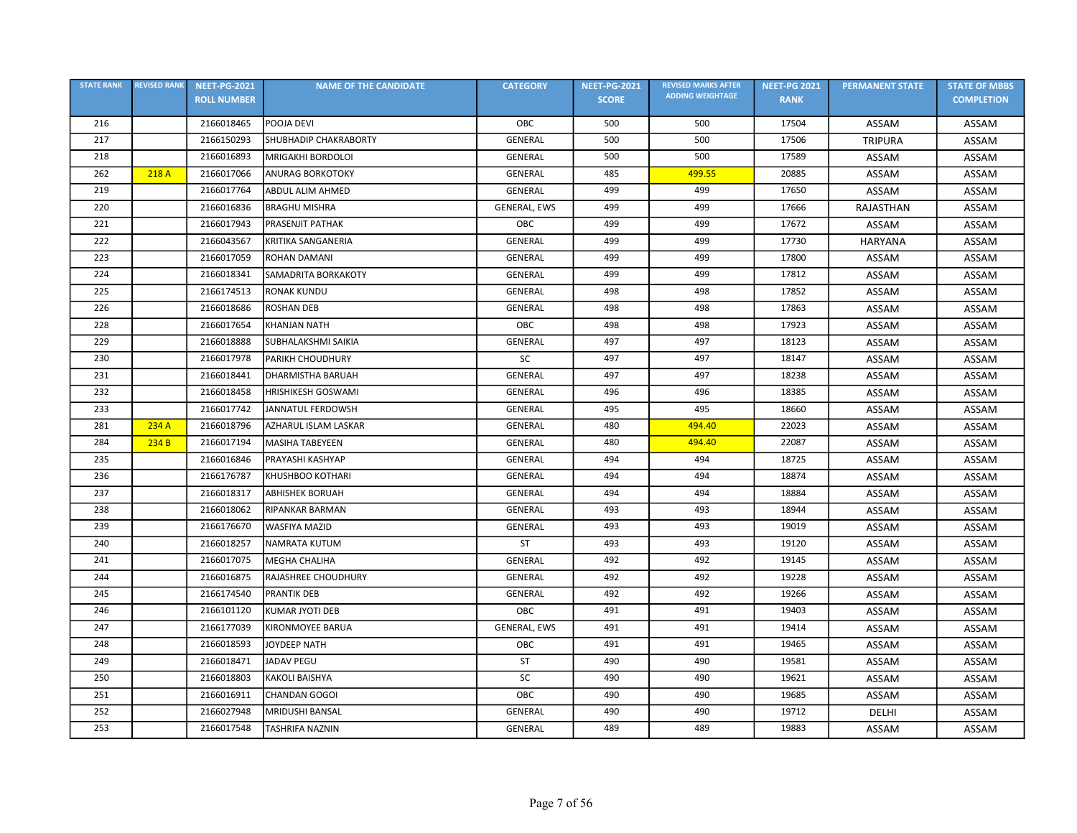| <b>STATE RANK</b> | <b>REVISED RANK</b> | <b>NEET-PG-2021</b> | <b>NAME OF THE CANDIDATE</b> | <b>CATEGORY</b>     | <b>NEET-PG-2021</b> | <b>REVISED MARKS AFTER</b> | <b>NEET-PG 2021</b> | <b>PERMANENT STATE</b> | <b>STATE OF MBBS</b> |
|-------------------|---------------------|---------------------|------------------------------|---------------------|---------------------|----------------------------|---------------------|------------------------|----------------------|
|                   |                     | <b>ROLL NUMBER</b>  |                              |                     | <b>SCORE</b>        | <b>ADDING WEIGHTAGE</b>    | <b>RANK</b>         |                        | <b>COMPLETION</b>    |
| 216               |                     | 2166018465          | POOJA DEVI                   | OBC                 | 500                 | 500                        | 17504               | ASSAM                  | ASSAM                |
| 217               |                     | 2166150293          | <b>SHUBHADIP CHAKRABORTY</b> | <b>GENERAL</b>      | 500                 | 500                        | 17506               | <b>TRIPURA</b>         | ASSAM                |
| 218               |                     | 2166016893          | MRIGAKHI BORDOLOI            | GENERAL             | 500                 | 500                        | 17589               | ASSAM                  | ASSAM                |
| 262               | 218 A               | 2166017066          | <b>ANURAG BORKOTOKY</b>      | GENERAL             | 485                 | 499.55                     | 20885               | ASSAM                  | ASSAM                |
| 219               |                     | 2166017764          | <b>ABDUL ALIM AHMED</b>      | <b>GENERAL</b>      | 499                 | 499                        | 17650               | ASSAM                  | ASSAM                |
| 220               |                     | 2166016836          | <b>BRAGHU MISHRA</b>         | <b>GENERAL, EWS</b> | 499                 | 499                        | 17666               | RAJASTHAN              | ASSAM                |
| 221               |                     | 2166017943          | PRASENJIT PATHAK             | OBC                 | 499                 | 499                        | 17672               | ASSAM                  | ASSAM                |
| 222               |                     | 2166043567          | KRITIKA SANGANERIA           | GENERAL             | 499                 | 499                        | 17730               | <b>HARYANA</b>         | ASSAM                |
| 223               |                     | 2166017059          | <b>ROHAN DAMANI</b>          | GENERAL             | 499                 | 499                        | 17800               | ASSAM                  | ASSAM                |
| 224               |                     | 2166018341          | SAMADRITA BORKAKOTY          | <b>GENERAL</b>      | 499                 | 499                        | 17812               | ASSAM                  | ASSAM                |
| 225               |                     | 2166174513          | <b>RONAK KUNDU</b>           | <b>GENERAL</b>      | 498                 | 498                        | 17852               | ASSAM                  | ASSAM                |
| 226               |                     | 2166018686          | <b>ROSHAN DEB</b>            | <b>GENERAL</b>      | 498                 | 498                        | 17863               | ASSAM                  | ASSAM                |
| 228               |                     | 2166017654          | <b>KHANJAN NATH</b>          | OBC                 | 498                 | 498                        | 17923               | ASSAM                  | ASSAM                |
| 229               |                     | 2166018888          | SUBHALAKSHMI SAIKIA          | GENERAL             | 497                 | 497                        | 18123               | ASSAM                  | ASSAM                |
| 230               |                     | 2166017978          | PARIKH CHOUDHURY             | SC                  | 497                 | 497                        | 18147               | ASSAM                  | ASSAM                |
| 231               |                     | 2166018441          | <b>DHARMISTHA BARUAH</b>     | GENERAL             | 497                 | 497                        | 18238               | ASSAM                  | ASSAM                |
| 232               |                     | 2166018458          | <b>HRISHIKESH GOSWAMI</b>    | <b>GENERAL</b>      | 496                 | 496                        | 18385               | ASSAM                  | ASSAM                |
| 233               |                     | 2166017742          | JANNATUL FERDOWSH            | <b>GENERAL</b>      | 495                 | 495                        | 18660               | ASSAM                  | ASSAM                |
| 281               | 234 A               | 2166018796          | AZHARUL ISLAM LASKAR         | <b>GENERAL</b>      | 480                 | 494.40                     | 22023               | ASSAM                  | ASSAM                |
| 284               | 234 B               | 2166017194          | <b>MASIHA TABEYEEN</b>       | GENERAL             | 480                 | 494.40                     | 22087               | ASSAM                  | ASSAM                |
| 235               |                     | 2166016846          | PRAYASHI KASHYAP             | <b>GENERAL</b>      | 494                 | 494                        | 18725               | ASSAM                  | ASSAM                |
| 236               |                     | 2166176787          | KHUSHBOO KOTHARI             | <b>GENERAL</b>      | 494                 | 494                        | 18874               | ASSAM                  | ASSAM                |
| 237               |                     | 2166018317          | <b>ABHISHEK BORUAH</b>       | GENERAL             | 494                 | 494                        | 18884               | ASSAM                  | ASSAM                |
| 238               |                     | 2166018062          | RIPANKAR BARMAN              | GENERAL             | 493                 | 493                        | 18944               | ASSAM                  | ASSAM                |
| 239               |                     | 2166176670          | <b>WASFIYA MAZID</b>         | GENERAL             | 493                 | 493                        | 19019               | ASSAM                  | ASSAM                |
| 240               |                     | 2166018257          | NAMRATA KUTUM                | ST                  | 493                 | 493                        | 19120               | ASSAM                  | ASSAM                |
| 241               |                     | 2166017075          | <b>MEGHA CHALIHA</b>         | GENERAL             | 492                 | 492                        | 19145               | ASSAM                  | ASSAM                |
| 244               |                     | 2166016875          | RAJASHREE CHOUDHURY          | <b>GENERAL</b>      | 492                 | 492                        | 19228               | ASSAM                  | ASSAM                |
| 245               |                     | 2166174540          | <b>PRANTIK DEB</b>           | <b>GENERAL</b>      | 492                 | 492                        | 19266               | ASSAM                  | ASSAM                |
| 246               |                     | 2166101120          | KUMAR JYOTI DEB              | OBC                 | 491                 | 491                        | 19403               | ASSAM                  | ASSAM                |
| 247               |                     | 2166177039          | KIRONMOYEE BARUA             | GENERAL, EWS        | 491                 | 491                        | 19414               | ASSAM                  | ASSAM                |
| 248               |                     | 2166018593          | JOYDEEP NATH                 | OBC                 | 491                 | 491                        | 19465               | ASSAM                  | ASSAM                |
| 249               |                     | 2166018471          | <b>JADAV PEGU</b>            | ST                  | 490                 | 490                        | 19581               | ASSAM                  | ASSAM                |
| 250               |                     | 2166018803          | <b>KAKOLI BAISHYA</b>        | SC                  | 490                 | 490                        | 19621               | ASSAM                  | ASSAM                |
| 251               |                     | 2166016911          | <b>CHANDAN GOGOI</b>         | OBC                 | 490                 | 490                        | 19685               | ASSAM                  | ASSAM                |
| 252               |                     | 2166027948          | <b>MRIDUSHI BANSAL</b>       | GENERAL             | 490                 | 490                        | 19712               | <b>DELHI</b>           | ASSAM                |
| 253               |                     | 2166017548          | <b>TASHRIFA NAZNIN</b>       | GENERAL             | 489                 | 489                        | 19883               | ASSAM                  | ASSAM                |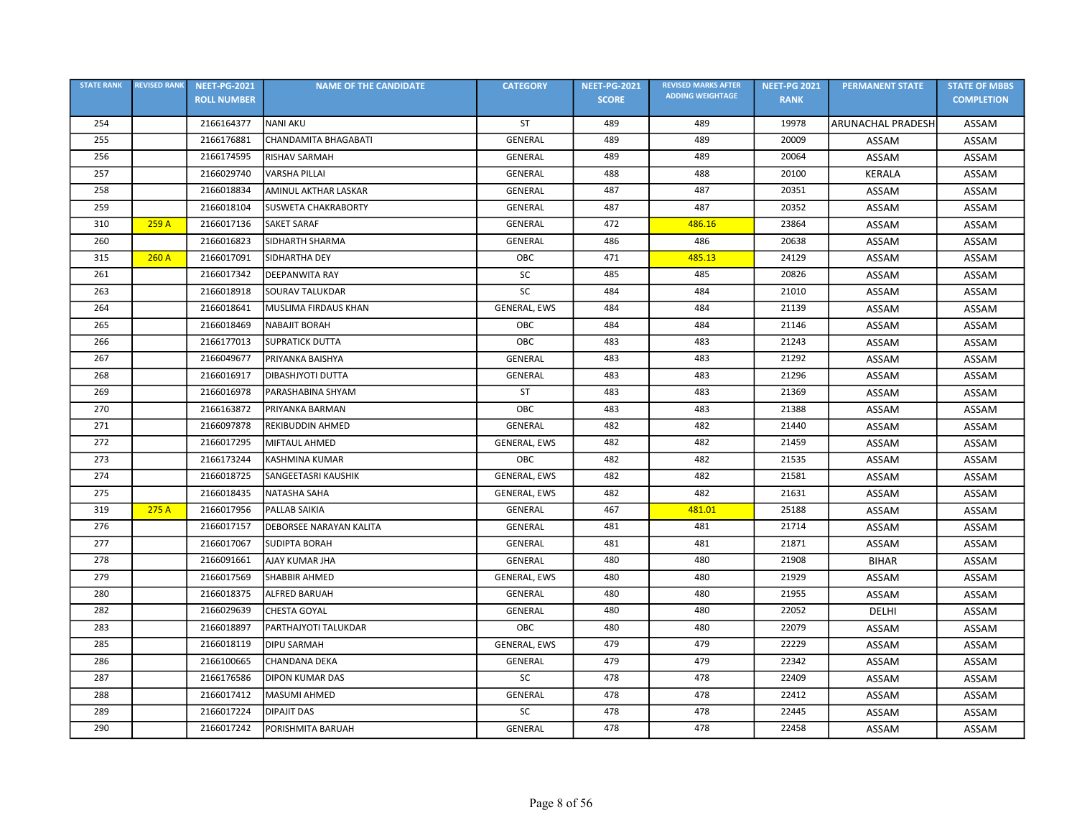| <b>STATE RANK</b> | <b>REVISED RANK</b> | <b>NEET-PG-2021</b> | <b>NAME OF THE CANDIDATE</b> | <b>CATEGORY</b>     | <b>NEET-PG-2021</b> | <b>REVISED MARKS AFTER</b> | <b>NEET-PG 2021</b> | <b>PERMANENT STATE</b>   | <b>STATE OF MBBS</b> |
|-------------------|---------------------|---------------------|------------------------------|---------------------|---------------------|----------------------------|---------------------|--------------------------|----------------------|
|                   |                     | <b>ROLL NUMBER</b>  |                              |                     | <b>SCORE</b>        | <b>ADDING WEIGHTAGE</b>    | <b>RANK</b>         |                          | <b>COMPLETION</b>    |
| 254               |                     | 2166164377          | <b>NANI AKU</b>              | ST                  | 489                 | 489                        | 19978               | <b>ARUNACHAL PRADESH</b> | ASSAM                |
| 255               |                     | 2166176881          | CHANDAMITA BHAGABATI         | <b>GENERAL</b>      | 489                 | 489                        | 20009               | ASSAM                    | ASSAM                |
| 256               |                     | 2166174595          | RISHAV SARMAH                | <b>GENERAL</b>      | 489                 | 489                        | 20064               | ASSAM                    | ASSAM                |
| 257               |                     | 2166029740          | <b>VARSHA PILLAI</b>         | GENERAL             | 488                 | 488                        | 20100               | <b>KERALA</b>            | ASSAM                |
| 258               |                     | 2166018834          | <b>AMINUL AKTHAR LASKAR</b>  | <b>GENERAL</b>      | 487                 | 487                        | 20351               | ASSAM                    | ASSAM                |
| 259               |                     | 2166018104          | <b>SUSWETA CHAKRABORTY</b>   | GENERAL             | 487                 | 487                        | 20352               | ASSAM                    | ASSAM                |
| 310               | 259 A               | 2166017136          | <b>SAKET SARAF</b>           | GENERAL             | 472                 | 486.16                     | 23864               | ASSAM                    | ASSAM                |
| 260               |                     | 2166016823          | SIDHARTH SHARMA              | <b>GENERAL</b>      | 486                 | 486                        | 20638               | ASSAM                    | ASSAM                |
| 315               | 260A                | 2166017091          | SIDHARTHA DEY                | OBC                 | 471                 | 485.13                     | 24129               | ASSAM                    | ASSAM                |
| 261               |                     | 2166017342          | <b>DEEPANWITA RAY</b>        | SC                  | 485                 | 485                        | 20826               | ASSAM                    | ASSAM                |
| 263               |                     | 2166018918          | <b>SOURAV TALUKDAR</b>       | SC                  | 484                 | 484                        | 21010               | ASSAM                    | ASSAM                |
| 264               |                     | 2166018641          | MUSLIMA FIRDAUS KHAN         | GENERAL, EWS        | 484                 | 484                        | 21139               | ASSAM                    | ASSAM                |
| 265               |                     | 2166018469          | <b>NABAJIT BORAH</b>         | OBC                 | 484                 | 484                        | 21146               | ASSAM                    | ASSAM                |
| 266               |                     | 2166177013          | <b>SUPRATICK DUTTA</b>       | OBC                 | 483                 | 483                        | 21243               | ASSAM                    | ASSAM                |
| 267               |                     | 2166049677          | PRIYANKA BAISHYA             | GENERAL             | 483                 | 483                        | 21292               | ASSAM                    | ASSAM                |
| 268               |                     | 2166016917          | <b>DIBASHJYOTI DUTTA</b>     | <b>GENERAL</b>      | 483                 | 483                        | 21296               | ASSAM                    | ASSAM                |
| 269               |                     | 2166016978          | PARASHABINA SHYAM            | ST                  | 483                 | 483                        | 21369               | ASSAM                    | ASSAM                |
| 270               |                     | 2166163872          | PRIYANKA BARMAN              | OBC                 | 483                 | 483                        | 21388               | ASSAM                    | ASSAM                |
| 271               |                     | 2166097878          | REKIBUDDIN AHMED             | GENERAL             | 482                 | 482                        | 21440               | ASSAM                    | ASSAM                |
| 272               |                     | 2166017295          | <b>MIFTAUL AHMED</b>         | <b>GENERAL, EWS</b> | 482                 | 482                        | 21459               | ASSAM                    | ASSAM                |
| 273               |                     | 2166173244          | <b>KASHMINA KUMAR</b>        | ОВС                 | 482                 | 482                        | 21535               | ASSAM                    | ASSAM                |
| 274               |                     | 2166018725          | SANGEETASRI KAUSHIK          | GENERAL, EWS        | 482                 | 482                        | 21581               | ASSAM                    | ASSAM                |
| 275               |                     | 2166018435          | <b>NATASHA SAHA</b>          | GENERAL, EWS        | 482                 | 482                        | 21631               | ASSAM                    | ASSAM                |
| 319               | 275 A               | 2166017956          | PALLAB SAIKIA                | <b>GENERAL</b>      | 467                 | 481.01                     | 25188               | ASSAM                    | ASSAM                |
| 276               |                     | 2166017157          | DEBORSEE NARAYAN KALITA      | GENERAL             | 481                 | 481                        | 21714               | ASSAM                    | ASSAM                |
| 277               |                     | 2166017067          | <b>SUDIPTA BORAH</b>         | <b>GENERAL</b>      | 481                 | 481                        | 21871               | ASSAM                    | ASSAM                |
| 278               |                     | 2166091661          | <b>AJAY KUMAR JHA</b>        | <b>GENERAL</b>      | 480                 | 480                        | 21908               | <b>BIHAR</b>             | ASSAM                |
| 279               |                     | 2166017569          | SHABBIR AHMED                | GENERAL, EWS        | 480                 | 480                        | 21929               | ASSAM                    | ASSAM                |
| 280               |                     | 2166018375          | ALFRED BARUAH                | <b>GENERAL</b>      | 480                 | 480                        | 21955               | ASSAM                    | ASSAM                |
| 282               |                     | 2166029639          | CHESTA GOYAL                 | <b>GENERAL</b>      | 480                 | 480                        | 22052               | DELHI                    | ASSAM                |
| 283               |                     | 2166018897          | PARTHAJYOTI TALUKDAR         | OBC                 | 480                 | 480                        | 22079               | ASSAM                    | ASSAM                |
| 285               |                     | 2166018119          | <b>DIPU SARMAH</b>           | GENERAL, EWS        | 479                 | 479                        | 22229               | ASSAM                    | ASSAM                |
| 286               |                     | 2166100665          | CHANDANA DEKA                | <b>GENERAL</b>      | 479                 | 479                        | 22342               | ASSAM                    | ASSAM                |
| 287               |                     | 2166176586          | <b>DIPON KUMAR DAS</b>       | <b>SC</b>           | 478                 | 478                        | 22409               | ASSAM                    | ASSAM                |
| 288               |                     | 2166017412          | MASUMI AHMED                 | <b>GENERAL</b>      | 478                 | 478                        | 22412               | ASSAM                    | ASSAM                |
| 289               |                     | 2166017224          | <b>DIPAJIT DAS</b>           | SC                  | 478                 | 478                        | 22445               | ASSAM                    | ASSAM                |
| 290               |                     | 2166017242          | PORISHMITA BARUAH            | GENERAL             | 478                 | 478                        | 22458               | ASSAM                    | ASSAM                |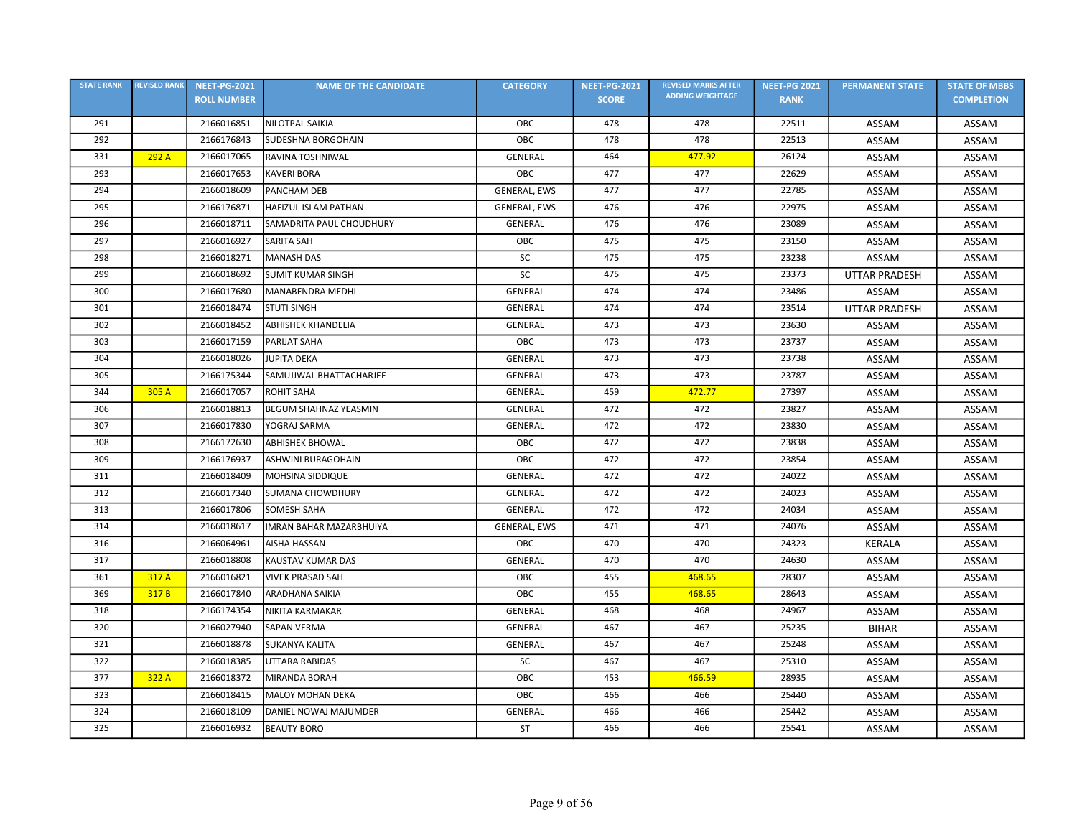| <b>STATE RANK</b> | <b>REVISED RANK</b> | <b>NEET-PG-2021</b> | <b>NAME OF THE CANDIDATE</b>   | <b>CATEGORY</b>     | <b>NEET-PG-2021</b> | <b>REVISED MARKS AFTER</b> | <b>NEET-PG 2021</b> | <b>PERMANENT STATE</b> | <b>STATE OF MBBS</b> |
|-------------------|---------------------|---------------------|--------------------------------|---------------------|---------------------|----------------------------|---------------------|------------------------|----------------------|
|                   |                     | <b>ROLL NUMBER</b>  |                                |                     | <b>SCORE</b>        | <b>ADDING WEIGHTAGE</b>    | <b>RANK</b>         |                        | <b>COMPLETION</b>    |
| 291               |                     | 2166016851          | NILOTPAL SAIKIA                | OBC                 | 478                 | 478                        | 22511               | ASSAM                  | ASSAM                |
| 292               |                     | 2166176843          | <b>SUDESHNA BORGOHAIN</b>      | OBC                 | 478                 | 478                        | 22513               | ASSAM                  | ASSAM                |
| 331               | 292 A               | 2166017065          | RAVINA TOSHNIWAL               | <b>GENERAL</b>      | 464                 | 477.92                     | 26124               | ASSAM                  | ASSAM                |
| 293               |                     | 2166017653          | <b>KAVERI BORA</b>             | OBC                 | 477                 | 477                        | 22629               | ASSAM                  | ASSAM                |
| 294               |                     | 2166018609          | <b>PANCHAM DEB</b>             | <b>GENERAL, EWS</b> | 477                 | 477                        | 22785               | ASSAM                  | ASSAM                |
| 295               |                     | 2166176871          | HAFIZUL ISLAM PATHAN           | GENERAL, EWS        | 476                 | 476                        | 22975               | ASSAM                  | ASSAM                |
| 296               |                     | 2166018711          | SAMADRITA PAUL CHOUDHURY       | GENERAL             | 476                 | 476                        | 23089               | ASSAM                  | <b>ASSAM</b>         |
| 297               |                     | 2166016927          | <b>SARITA SAH</b>              | OBC                 | 475                 | 475                        | 23150               | ASSAM                  | ASSAM                |
| 298               |                     | 2166018271          | <b>MANASH DAS</b>              | SC                  | 475                 | 475                        | 23238               | <b>ASSAM</b>           | ASSAM                |
| 299               |                     | 2166018692          | <b>SUMIT KUMAR SINGH</b>       | <b>SC</b>           | 475                 | 475                        | 23373               | <b>UTTAR PRADESH</b>   | ASSAM                |
| 300               |                     | 2166017680          | <b>MANABENDRA MEDHI</b>        | GENERAL             | 474                 | 474                        | 23486               | ASSAM                  | ASSAM                |
| 301               |                     | 2166018474          | <b>STUTI SINGH</b>             | <b>GENERAL</b>      | 474                 | 474                        | 23514               | <b>UTTAR PRADESH</b>   | ASSAM                |
| 302               |                     | 2166018452          | <b>ABHISHEK KHANDELIA</b>      | <b>GENERAL</b>      | 473                 | 473                        | 23630               | ASSAM                  | ASSAM                |
| 303               |                     | 2166017159          | PARIJAT SAHA                   | OBC                 | 473                 | 473                        | 23737               | ASSAM                  | ASSAM                |
| 304               |                     | 2166018026          | <b>JUPITA DEKA</b>             | GENERAL             | 473                 | 473                        | 23738               | ASSAM                  | ASSAM                |
| 305               |                     | 2166175344          | SAMUJJWAL BHATTACHARJEE        | <b>GENERAL</b>      | 473                 | 473                        | 23787               | ASSAM                  | ASSAM                |
| 344               | 305 A               | 2166017057          | <b>ROHIT SAHA</b>              | <b>GENERAL</b>      | 459                 | 472.77                     | 27397               | ASSAM                  | ASSAM                |
| 306               |                     | 2166018813          | <b>BEGUM SHAHNAZ YEASMIN</b>   | GENERAL             | 472                 | 472                        | 23827               | ASSAM                  | <b>ASSAM</b>         |
| 307               |                     | 2166017830          | YOGRAJ SARMA                   | GENERAL             | 472                 | 472                        | 23830               | ASSAM                  | ASSAM                |
| 308               |                     | 2166172630          | <b>ABHISHEK BHOWAL</b>         | OBC                 | 472                 | 472                        | 23838               | ASSAM                  | ASSAM                |
| 309               |                     | 2166176937          | ASHWINI BURAGOHAIN             | ОВС                 | 472                 | 472                        | 23854               | ASSAM                  | ASSAM                |
| 311               |                     | 2166018409          | <b>MOHSINA SIDDIQUE</b>        | <b>GENERAL</b>      | 472                 | 472                        | 24022               | ASSAM                  | ASSAM                |
| 312               |                     | 2166017340          | <b>SUMANA CHOWDHURY</b>        | <b>GENERAL</b>      | 472                 | 472                        | 24023               | ASSAM                  | <b>ASSAM</b>         |
| 313               |                     | 2166017806          | <b>SOMESH SAHA</b>             | <b>GENERAL</b>      | 472                 | 472                        | 24034               | ASSAM                  | ASSAM                |
| 314               |                     | 2166018617          | <b>IMRAN BAHAR MAZARBHUIYA</b> | <b>GENERAL, EWS</b> | 471                 | 471                        | 24076               | <b>ASSAM</b>           | ASSAM                |
| 316               |                     | 2166064961          | <b>AISHA HASSAN</b>            | OBC                 | 470                 | 470                        | 24323               | <b>KERALA</b>          | ASSAM                |
| 317               |                     | 2166018808          | KAUSTAV KUMAR DAS              | GENERAL             | 470                 | 470                        | 24630               | ASSAM                  | ASSAM                |
| 361               | 317 A               | 2166016821          | <b>VIVEK PRASAD SAH</b>        | OBC                 | 455                 | 468.65                     | 28307               | ASSAM                  | ASSAM                |
| 369               | 317B                | 2166017840          | <b>ARADHANA SAIKIA</b>         | OBC                 | 455                 | 468.65                     | 28643               | ASSAM                  | ASSAM                |
| 318               |                     | 2166174354          | <b>NIKITA KARMAKAR</b>         | <b>GENERAL</b>      | 468                 | 468                        | 24967               | ASSAM                  | ASSAM                |
| 320               |                     | 2166027940          | <b>SAPAN VERMA</b>             | GENERAL             | 467                 | 467                        | 25235               | <b>BIHAR</b>           | ASSAM                |
| 321               |                     | 2166018878          | <b>SUKANYA KALITA</b>          | <b>GENERAL</b>      | 467                 | 467                        | 25248               | ASSAM                  | ASSAM                |
| 322               |                     | 2166018385          | UTTARA RABIDAS                 | <b>SC</b>           | 467                 | 467                        | 25310               | ASSAM                  | ASSAM                |
| 377               | 322 A               | 2166018372          | <b>MIRANDA BORAH</b>           | OBC                 | 453                 | 466.59                     | 28935               | ASSAM                  | ASSAM                |
| 323               |                     | 2166018415          | <b>MALOY MOHAN DEKA</b>        | OBC                 | 466                 | 466                        | 25440               | ASSAM                  | ASSAM                |
| 324               |                     | 2166018109          | DANIEL NOWAJ MAJUMDER          | GENERAL             | 466                 | 466                        | 25442               | ASSAM                  | ASSAM                |
| 325               |                     | 2166016932          | <b>BEAUTY BORO</b>             | ST                  | 466                 | 466                        | 25541               | ASSAM                  | ASSAM                |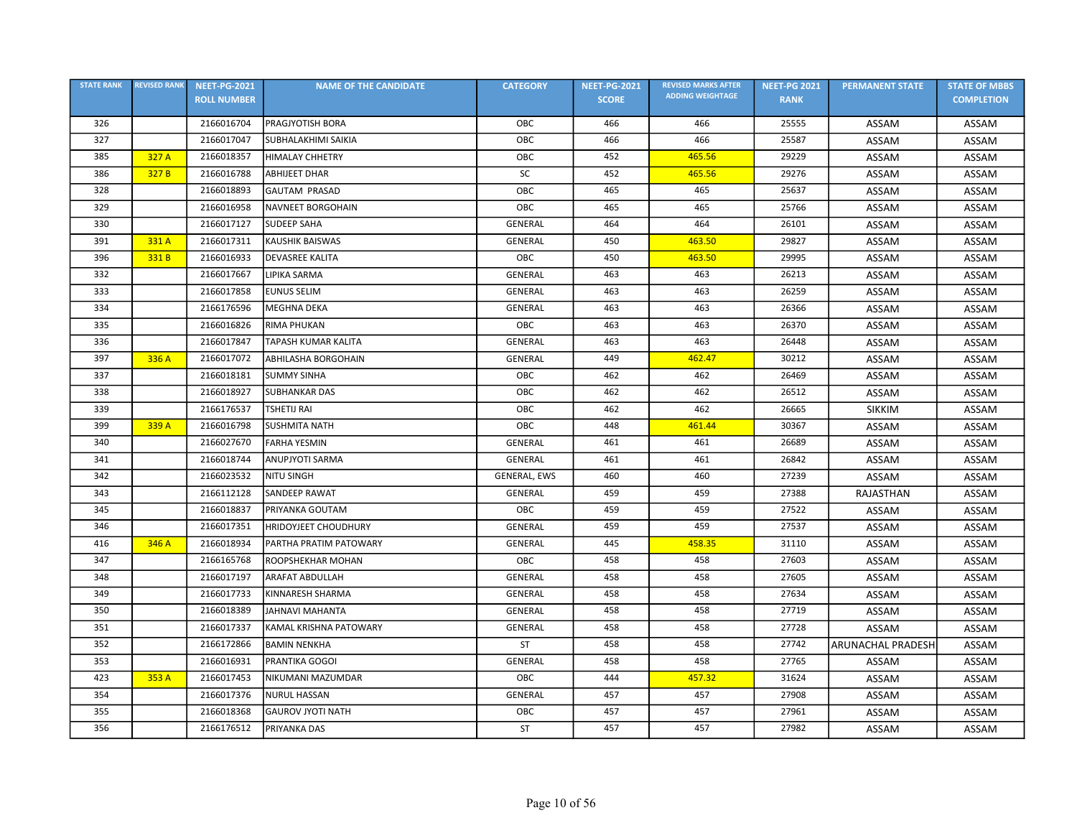| <b>STATE RANK</b> | <b>REVISED RANK</b> | <b>NEET-PG-2021</b> | <b>NAME OF THE CANDIDATE</b> | <b>CATEGORY</b> | <b>NEET-PG-2021</b> | <b>REVISED MARKS AFTER</b> | <b>NEET-PG 2021</b> | <b>PERMANENT STATE</b> | <b>STATE OF MBBS</b> |
|-------------------|---------------------|---------------------|------------------------------|-----------------|---------------------|----------------------------|---------------------|------------------------|----------------------|
|                   |                     | <b>ROLL NUMBER</b>  |                              |                 | <b>SCORE</b>        | <b>ADDING WEIGHTAGE</b>    | <b>RANK</b>         |                        | <b>COMPLETION</b>    |
| 326               |                     | 2166016704          | PRAGJYOTISH BORA             | OBC             | 466                 | 466                        | 25555               | ASSAM                  | ASSAM                |
| 327               |                     | 2166017047          | SUBHALAKHIMI SAIKIA          | OBC             | 466                 | 466                        | 25587               | ASSAM                  | ASSAM                |
| 385               | 327 A               | 2166018357          | <b>HIMALAY CHHETRY</b>       | ОВС             | 452                 | 465.56                     | 29229               | ASSAM                  | ASSAM                |
| 386               | 327 B               | 2166016788          | <b>ABHIJEET DHAR</b>         | SC              | 452                 | 465.56                     | 29276               | ASSAM                  | ASSAM                |
| 328               |                     | 2166018893          | <b>GAUTAM PRASAD</b>         | OBC             | 465                 | 465                        | 25637               | ASSAM                  | ASSAM                |
| 329               |                     | 2166016958          | NAVNEET BORGOHAIN            | OBC             | 465                 | 465                        | 25766               | ASSAM                  | ASSAM                |
| 330               |                     | 2166017127          | <b>SUDEEP SAHA</b>           | GENERAL         | 464                 | 464                        | 26101               | ASSAM                  | ASSAM                |
| 391               | 331 A               | 2166017311          | <b>KAUSHIK BAISWAS</b>       | <b>GENERAL</b>  | 450                 | 463.50                     | 29827               | ASSAM                  | ASSAM                |
| 396               | 331 B               | 2166016933          | <b>DEVASREE KALITA</b>       | OBC             | 450                 | 463.50                     | 29995               | ASSAM                  | ASSAM                |
| 332               |                     | 2166017667          | LIPIKA SARMA                 | GENERAL         | 463                 | 463                        | 26213               | ASSAM                  | ASSAM                |
| 333               |                     | 2166017858          | <b>EUNUS SELIM</b>           | <b>GENERAL</b>  | 463                 | 463                        | 26259               | ASSAM                  | ASSAM                |
| 334               |                     | 2166176596          | <b>MEGHNA DEKA</b>           | <b>GENERAL</b>  | 463                 | 463                        | 26366               | ASSAM                  | ASSAM                |
| 335               |                     | 2166016826          | <b>RIMA PHUKAN</b>           | OBC             | 463                 | 463                        | 26370               | ASSAM                  | ASSAM                |
| 336               |                     | 2166017847          | <b>TAPASH KUMAR KALITA</b>   | GENERAL         | 463                 | 463                        | 26448               | ASSAM                  | ASSAM                |
| 397               | 336 A               | 2166017072          | <b>ABHILASHA BORGOHAIN</b>   | <b>GENERAL</b>  | 449                 | 462.47                     | 30212               | ASSAM                  | ASSAM                |
| 337               |                     | 2166018181          | <b>SUMMY SINHA</b>           | <b>OBC</b>      | 462                 | 462                        | 26469               | ASSAM                  | ASSAM                |
| 338               |                     | 2166018927          | <b>SUBHANKAR DAS</b>         | OBC             | 462                 | 462                        | 26512               | ASSAM                  | ASSAM                |
| 339               |                     | 2166176537          | <b>TSHETIJ RAI</b>           | OBC             | 462                 | 462                        | 26665               | <b>SIKKIM</b>          | ASSAM                |
| 399               | 339 A               | 2166016798          | <b>SUSHMITA NATH</b>         | OBC             | 448                 | 461.44                     | 30367               | ASSAM                  | ASSAM                |
| 340               |                     | 2166027670          | <b>FARHA YESMIN</b>          | GENERAL         | 461                 | 461                        | 26689               | ASSAM                  | ASSAM                |
| 341               |                     | 2166018744          | ANUPJYOTI SARMA              | <b>GENERAL</b>  | 461                 | 461                        | 26842               | ASSAM                  | ASSAM                |
| 342               |                     | 2166023532          | <b>NITU SINGH</b>            | GENERAL, EWS    | 460                 | 460                        | 27239               | ASSAM                  | ASSAM                |
| 343               |                     | 2166112128          | SANDEEP RAWAT                | GENERAL         | 459                 | 459                        | 27388               | <b>RAJASTHAN</b>       | ASSAM                |
| 345               |                     | 2166018837          | PRIYANKA GOUTAM              | OBC             | 459                 | 459                        | 27522               | ASSAM                  | ASSAM                |
| 346               |                     | 2166017351          | <b>HRIDOYJEET CHOUDHURY</b>  | GENERAL         | 459                 | 459                        | 27537               | ASSAM                  | ASSAM                |
| 416               | 346 A               | 2166018934          | PARTHA PRATIM PATOWARY       | <b>GENERAL</b>  | 445                 | 458.35                     | 31110               | ASSAM                  | ASSAM                |
| 347               |                     | 2166165768          | ROOPSHEKHAR MOHAN            | OBC             | 458                 | 458                        | 27603               | ASSAM                  | ASSAM                |
| 348               |                     | 2166017197          | <b>ARAFAT ABDULLAH</b>       | <b>GENERAL</b>  | 458                 | 458                        | 27605               | ASSAM                  | ASSAM                |
| 349               |                     | 2166017733          | KINNARESH SHARMA             | <b>GENERAL</b>  | 458                 | 458                        | 27634               | ASSAM                  | ASSAM                |
| 350               |                     | 2166018389          | <b>JAHNAVI MAHANTA</b>       | <b>GENERAL</b>  | 458                 | 458                        | 27719               | ASSAM                  | ASSAM                |
| 351               |                     | 2166017337          | KAMAL KRISHNA PATOWARY       | GENERAL         | 458                 | 458                        | 27728               | ASSAM                  | ASSAM                |
| 352               |                     | 2166172866          | <b>BAMIN NENKHA</b>          | <b>ST</b>       | 458                 | 458                        | 27742               | ARUNACHAL PRADESH      | ASSAM                |
| 353               |                     | 2166016931          | <b>PRANTIKA GOGOI</b>        | <b>GENERAL</b>  | 458                 | 458                        | 27765               | ASSAM                  | ASSAM                |
| 423               | 353 A               | 2166017453          | NIKUMANI MAZUMDAR            | OBC             | 444                 | 457.32                     | 31624               | ASSAM                  | ASSAM                |
| 354               |                     | 2166017376          | <b>NURUL HASSAN</b>          | <b>GENERAL</b>  | 457                 | 457                        | 27908               | ASSAM                  | ASSAM                |
| 355               |                     | 2166018368          | <b>GAUROV JYOTI NATH</b>     | OBC             | 457                 | 457                        | 27961               | ASSAM                  | ASSAM                |
| 356               |                     | 2166176512          | PRIYANKA DAS                 | ST              | 457                 | 457                        | 27982               | ASSAM                  | ASSAM                |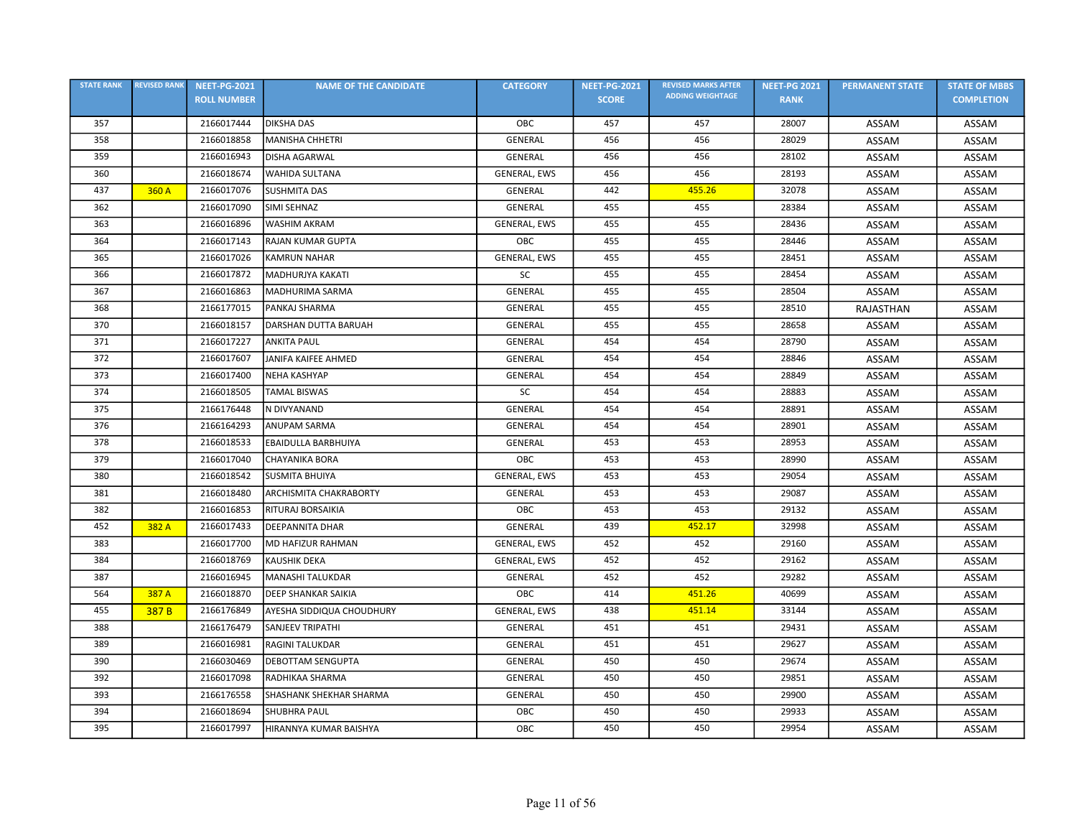| <b>STATE RANK</b> | <b>REVISED RANK</b> | <b>NEET-PG-2021</b> | <b>NAME OF THE CANDIDATE</b>  | <b>CATEGORY</b>     | <b>NEET-PG-2021</b> | <b>REVISED MARKS AFTER</b> | <b>NEET-PG 2021</b> | <b>PERMANENT STATE</b> | <b>STATE OF MBBS</b> |
|-------------------|---------------------|---------------------|-------------------------------|---------------------|---------------------|----------------------------|---------------------|------------------------|----------------------|
|                   |                     | <b>ROLL NUMBER</b>  |                               |                     | <b>SCORE</b>        | <b>ADDING WEIGHTAGE</b>    | <b>RANK</b>         |                        | <b>COMPLETION</b>    |
| 357               |                     | 2166017444          | <b>DIKSHA DAS</b>             | OBC                 | 457                 | 457                        | 28007               | ASSAM                  | ASSAM                |
| 358               |                     | 2166018858          | <b>MANISHA CHHETRI</b>        | GENERAL             | 456                 | 456                        | 28029               | ASSAM                  | ASSAM                |
| 359               |                     | 2166016943          | <b>DISHA AGARWAL</b>          | <b>GENERAL</b>      | 456                 | 456                        | 28102               | ASSAM                  | ASSAM                |
| 360               |                     | 2166018674          | WAHIDA SULTANA                | <b>GENERAL, EWS</b> | 456                 | 456                        | 28193               | <b>ASSAM</b>           | ASSAM                |
| 437               | 360 A               | 2166017076          | <b>SUSHMITA DAS</b>           | <b>GENERAL</b>      | 442                 | 455.26                     | 32078               | ASSAM                  | ASSAM                |
| 362               |                     | 2166017090          | <b>SIMI SEHNAZ</b>            | GENERAL             | 455                 | 455                        | 28384               | ASSAM                  | ASSAM                |
| 363               |                     | 2166016896          | <b>WASHIM AKRAM</b>           | GENERAL, EWS        | 455                 | 455                        | 28436               | ASSAM                  | ASSAM                |
| 364               |                     | 2166017143          | <b>RAJAN KUMAR GUPTA</b>      | OBC                 | 455                 | 455                        | 28446               | ASSAM                  | ASSAM                |
| 365               |                     | 2166017026          | <b>KAMRUN NAHAR</b>           | <b>GENERAL, EWS</b> | 455                 | 455                        | 28451               | ASSAM                  | ASSAM                |
| 366               |                     | 2166017872          | <b>MADHURJYA KAKATI</b>       | <b>SC</b>           | 455                 | 455                        | 28454               | ASSAM                  | <b>ASSAM</b>         |
| 367               |                     | 2166016863          | MADHURIMA SARMA               | <b>GENERAL</b>      | 455                 | 455                        | 28504               | ASSAM                  | ASSAM                |
| 368               |                     | 2166177015          | PANKAJ SHARMA                 | <b>GENERAL</b>      | 455                 | 455                        | 28510               | <b>RAJASTHAN</b>       | <b>ASSAM</b>         |
| 370               |                     | 2166018157          | DARSHAN DUTTA BARUAH          | GENERAL             | 455                 | 455                        | 28658               | ASSAM                  | ASSAM                |
| 371               |                     | 2166017227          | <b>ANKITA PAUL</b>            | <b>GENERAL</b>      | 454                 | 454                        | 28790               | ASSAM                  | ASSAM                |
| 372               |                     | 2166017607          | JANIFA KAIFEE AHMED           | <b>GENERAL</b>      | 454                 | 454                        | 28846               | ASSAM                  | ASSAM                |
| 373               |                     | 2166017400          | <b>NEHA KASHYAP</b>           | GENERAL             | 454                 | 454                        | 28849               | ASSAM                  | ASSAM                |
| 374               |                     | 2166018505          | <b>TAMAL BISWAS</b>           | SC                  | 454                 | 454                        | 28883               | ASSAM                  | ASSAM                |
| 375               |                     | 2166176448          | N DIVYANAND                   | GENERAL             | 454                 | 454                        | 28891               | ASSAM                  | ASSAM                |
| 376               |                     | 2166164293          | ANUPAM SARMA                  | <b>GENERAL</b>      | 454                 | 454                        | 28901               | ASSAM                  | ASSAM                |
| 378               |                     | 2166018533          | EBAIDULLA BARBHUIYA           | GENERAL             | 453                 | 453                        | 28953               | ASSAM                  | ASSAM                |
| 379               |                     | 2166017040          | CHAYANIKA BORA                | OBC                 | 453                 | 453                        | 28990               | ASSAM                  | ASSAM                |
| 380               |                     | 2166018542          | <b>SUSMITA BHUIYA</b>         | GENERAL, EWS        | 453                 | 453                        | 29054               | ASSAM                  | ASSAM                |
| 381               |                     | 2166018480          | <b>ARCHISMITA CHAKRABORTY</b> | GENERAL             | 453                 | 453                        | 29087               | ASSAM                  | ASSAM                |
| 382               |                     | 2166016853          | RITURAJ BORSAIKIA             | OBC                 | 453                 | 453                        | 29132               | ASSAM                  | ASSAM                |
| 452               | 382 A               | 2166017433          | DEEPANNITA DHAR               | GENERAL             | 439                 | 452.17                     | 32998               | ASSAM                  | ASSAM                |
| 383               |                     | 2166017700          | <b>MD HAFIZUR RAHMAN</b>      | GENERAL, EWS        | 452                 | 452                        | 29160               | ASSAM                  | ASSAM                |
| 384               |                     | 2166018769          | <b>KAUSHIK DEKA</b>           | GENERAL, EWS        | 452                 | 452                        | 29162               | ASSAM                  | ASSAM                |
| 387               |                     | 2166016945          | <b>MANASHI TALUKDAR</b>       | GENERAL             | 452                 | 452                        | 29282               | ASSAM                  | ASSAM                |
| 564               | 387 A               | 2166018870          | <b>DEEP SHANKAR SAIKIA</b>    | OBC                 | 414                 | 451.26                     | 40699               | ASSAM                  | ASSAM                |
| 455               | 387 <sub>B</sub>    | 2166176849          | AYESHA SIDDIQUA CHOUDHURY     | GENERAL, EWS        | 438                 | 451.14                     | 33144               | ASSAM                  | ASSAM                |
| 388               |                     | 2166176479          | <b>SANJEEV TRIPATHI</b>       | <b>GENERAL</b>      | 451                 | 451                        | 29431               | ASSAM                  | ASSAM                |
| 389               |                     | 2166016981          | <b>RAGINI TALUKDAR</b>        | <b>GENERAL</b>      | 451                 | 451                        | 29627               | ASSAM                  | ASSAM                |
| 390               |                     | 2166030469          | DEBOTTAM SENGUPTA             | GENERAL             | 450                 | 450                        | 29674               | ASSAM                  | ASSAM                |
| 392               |                     | 2166017098          | RADHIKAA SHARMA               | GENERAL             | 450                 | 450                        | 29851               | ASSAM                  | ASSAM                |
| 393               |                     | 2166176558          | SHASHANK SHEKHAR SHARMA       | <b>GENERAL</b>      | 450                 | 450                        | 29900               | ASSAM                  | ASSAM                |
| 394               |                     | 2166018694          | <b>SHUBHRA PAUL</b>           | OBC                 | 450                 | 450                        | 29933               | ASSAM                  | ASSAM                |
| 395               |                     | 2166017997          | HIRANNYA KUMAR BAISHYA        | OBC                 | 450                 | 450                        | 29954               | ASSAM                  | ASSAM                |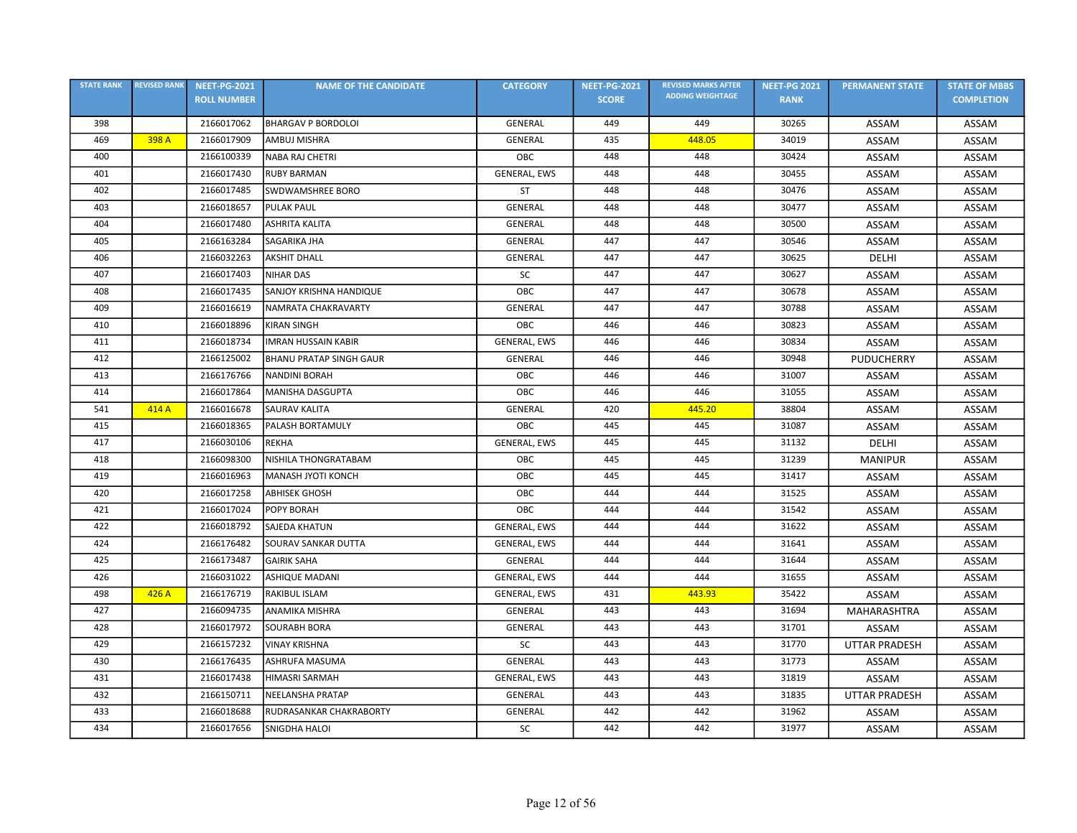| <b>STATE RANK</b> | <b>REVISED RANK</b> | <b>NEET-PG-2021</b> | <b>NAME OF THE CANDIDATE</b>   | <b>CATEGORY</b>     | <b>NEET-PG-2021</b> | <b>REVISED MARKS AFTER</b> | <b>NEET-PG 2021</b> | <b>PERMANENT STATE</b> | <b>STATE OF MBBS</b> |
|-------------------|---------------------|---------------------|--------------------------------|---------------------|---------------------|----------------------------|---------------------|------------------------|----------------------|
|                   |                     | <b>ROLL NUMBER</b>  |                                |                     | <b>SCORE</b>        | <b>ADDING WEIGHTAGE</b>    | <b>RANK</b>         |                        | <b>COMPLETION</b>    |
| 398               |                     | 2166017062          | <b>BHARGAV P BORDOLOI</b>      | <b>GENERAL</b>      | 449                 | 449                        | 30265               | ASSAM                  | ASSAM                |
| 469               | 398 A               | 2166017909          | AMBUJ MISHRA                   | <b>GENERAL</b>      | 435                 | 448.05                     | 34019               | ASSAM                  | ASSAM                |
| 400               |                     | 2166100339          | <b>NABA RAJ CHETRI</b>         | OBC                 | 448                 | 448                        | 30424               | ASSAM                  | ASSAM                |
| 401               |                     | 2166017430          | <b>RUBY BARMAN</b>             | GENERAL, EWS        | 448                 | 448                        | 30455               | ASSAM                  | ASSAM                |
| 402               |                     | 2166017485          | SWDWAMSHREE BORO               | ST                  | 448                 | 448                        | 30476               | ASSAM                  | ASSAM                |
| 403               |                     | 2166018657          | <b>PULAK PAUL</b>              | <b>GENERAL</b>      | 448                 | 448                        | 30477               | ASSAM                  | ASSAM                |
| 404               |                     | 2166017480          | <b>ASHRITA KALITA</b>          | GENERAL             | 448                 | 448                        | 30500               | ASSAM                  | ASSAM                |
| 405               |                     | 2166163284          | SAGARIKA JHA                   | GENERAL             | 447                 | 447                        | 30546               | ASSAM                  | ASSAM                |
| 406               |                     | 2166032263          | <b>AKSHIT DHALL</b>            | GENERAL             | 447                 | 447                        | 30625               | <b>DELHI</b>           | ASSAM                |
| 407               |                     | 2166017403          | <b>NIHAR DAS</b>               | <b>SC</b>           | 447                 | 447                        | 30627               | ASSAM                  | ASSAM                |
| 408               |                     | 2166017435          | SANJOY KRISHNA HANDIQUE        | OBC                 | 447                 | 447                        | 30678               | ASSAM                  | ASSAM                |
| 409               |                     | 2166016619          | NAMRATA CHAKRAVARTY            | <b>GENERAL</b>      | 447                 | 447                        | 30788               | ASSAM                  | ASSAM                |
| 410               |                     | 2166018896          | <b>KIRAN SINGH</b>             | OBC                 | 446                 | 446                        | 30823               | ASSAM                  | ASSAM                |
| 411               |                     | 2166018734          | <b>IMRAN HUSSAIN KABIR</b>     | <b>GENERAL, EWS</b> | 446                 | 446                        | 30834               | ASSAM                  | ASSAM                |
| 412               |                     | 2166125002          | <b>BHANU PRATAP SINGH GAUR</b> | <b>GENERAL</b>      | 446                 | 446                        | 30948               | <b>PUDUCHERRY</b>      | ASSAM                |
| 413               |                     | 2166176766          | <b>NANDINI BORAH</b>           | <b>OBC</b>          | 446                 | 446                        | 31007               | ASSAM                  | ASSAM                |
| 414               |                     | 2166017864          | <b>MANISHA DASGUPTA</b>        | OBC                 | 446                 | 446                        | 31055               | ASSAM                  | ASSAM                |
| 541               | 414 A               | 2166016678          | <b>SAURAV KALITA</b>           | GENERAL             | 420                 | 445.20                     | 38804               | ASSAM                  | ASSAM                |
| 415               |                     | 2166018365          | PALASH BORTAMULY               | OBC                 | 445                 | 445                        | 31087               | ASSAM                  | ASSAM                |
| 417               |                     | 2166030106          | <b>REKHA</b>                   | GENERAL, EWS        | 445                 | 445                        | 31132               | <b>DELHI</b>           | ASSAM                |
| 418               |                     | 2166098300          | NISHILA THONGRATABAM           | OBC                 | 445                 | 445                        | 31239               | <b>MANIPUR</b>         | ASSAM                |
| 419               |                     | 2166016963          | <b>MANASH JYOTI KONCH</b>      | OBC                 | 445                 | 445                        | 31417               | ASSAM                  | ASSAM                |
| 420               |                     | 2166017258          | <b>ABHISEK GHOSH</b>           | OBC                 | 444                 | 444                        | 31525               | ASSAM                  | ASSAM                |
| 421               |                     | 2166017024          | <b>POPY BORAH</b>              | OBC                 | 444                 | 444                        | 31542               | ASSAM                  | ASSAM                |
| 422               |                     | 2166018792          | <b>SAJEDA KHATUN</b>           | <b>GENERAL, EWS</b> | 444                 | 444                        | 31622               | ASSAM                  | ASSAM                |
| 424               |                     | 2166176482          | SOURAV SANKAR DUTTA            | GENERAL, EWS        | 444                 | 444                        | 31641               | ASSAM                  | ASSAM                |
| 425               |                     | 2166173487          | <b>GAIRIK SAHA</b>             | <b>GENERAL</b>      | 444                 | 444                        | 31644               | ASSAM                  | ASSAM                |
| 426               |                     | 2166031022          | <b>ASHIQUE MADANI</b>          | GENERAL, EWS        | 444                 | 444                        | 31655               | ASSAM                  | ASSAM                |
| 498               | 426 A               | 2166176719          | RAKIBUL ISLAM                  | GENERAL, EWS        | 431                 | 443.93                     | 35422               | ASSAM                  | ASSAM                |
| 427               |                     | 2166094735          | ANAMIKA MISHRA                 | <b>GENERAL</b>      | 443                 | 443                        | 31694               | MAHARASHTRA            | ASSAM                |
| 428               |                     | 2166017972          | <b>SOURABH BORA</b>            | GENERAL             | 443                 | 443                        | 31701               | ASSAM                  | ASSAM                |
| 429               |                     | 2166157232          | <b>VINAY KRISHNA</b>           | SC                  | 443                 | 443                        | 31770               | <b>UTTAR PRADESH</b>   | ASSAM                |
| 430               |                     | 2166176435          | ASHRUFA MASUMA                 | GENERAL             | 443                 | 443                        | 31773               | ASSAM                  | ASSAM                |
| 431               |                     | 2166017438          | <b>HIMASRI SARMAH</b>          | GENERAL, EWS        | 443                 | 443                        | 31819               | ASSAM                  | ASSAM                |
| 432               |                     | 2166150711          | <b>NEELANSHA PRATAP</b>        | <b>GENERAL</b>      | 443                 | 443                        | 31835               | <b>UTTAR PRADESH</b>   | ASSAM                |
| 433               |                     | 2166018688          | RUDRASANKAR CHAKRABORTY        | GENERAL             | 442                 | 442                        | 31962               | ASSAM                  | ASSAM                |
| 434               |                     | 2166017656          | <b>SNIGDHA HALOI</b>           | SC                  | 442                 | 442                        | 31977               | ASSAM                  | ASSAM                |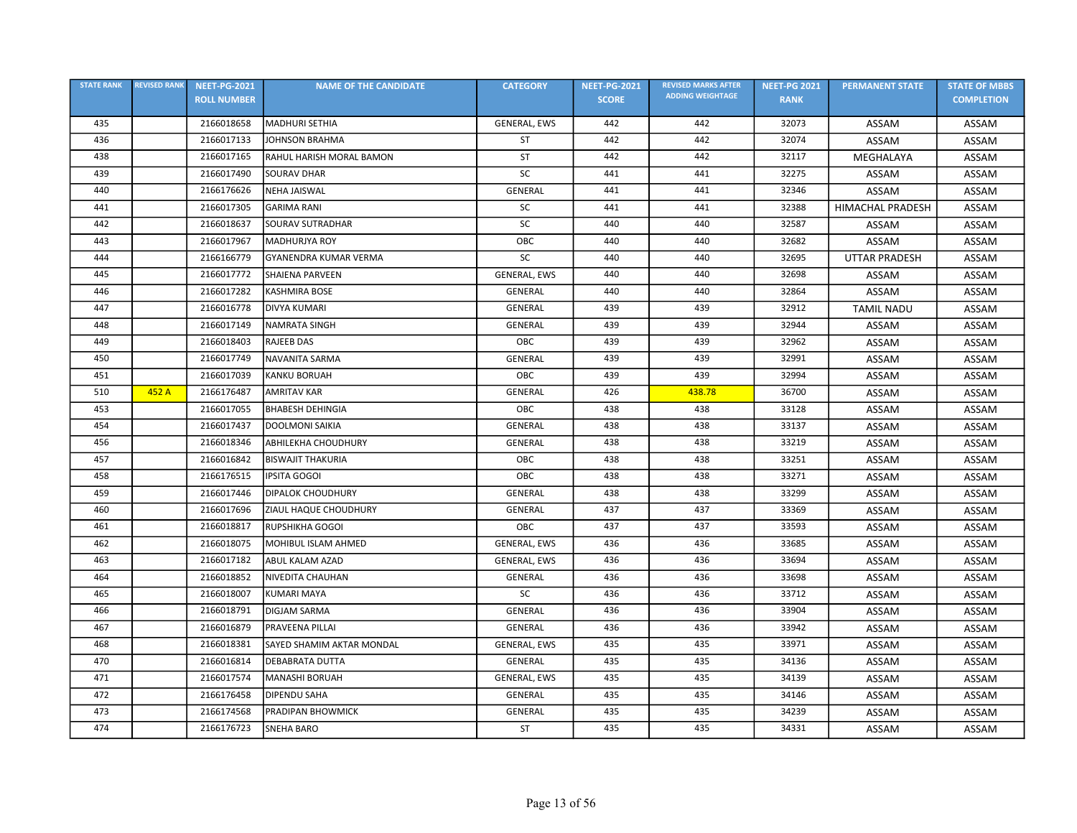| <b>STATE RANK</b> | <b>REVISED RANK</b> | <b>NEET-PG-2021</b> | <b>NAME OF THE CANDIDATE</b> | <b>CATEGORY</b>     | <b>NEET-PG-2021</b> | <b>REVISED MARKS AFTER</b> | <b>NEET-PG 2021</b> | <b>PERMANENT STATE</b>  | <b>STATE OF MBBS</b> |
|-------------------|---------------------|---------------------|------------------------------|---------------------|---------------------|----------------------------|---------------------|-------------------------|----------------------|
|                   |                     | <b>ROLL NUMBER</b>  |                              |                     | <b>SCORE</b>        | <b>ADDING WEIGHTAGE</b>    | <b>RANK</b>         |                         | <b>COMPLETION</b>    |
| 435               |                     | 2166018658          | MADHURI SETHIA               | GENERAL, EWS        | 442                 | 442                        | 32073               | ASSAM                   | ASSAM                |
| 436               |                     | 2166017133          | JOHNSON BRAHMA               | <b>ST</b>           | 442                 | 442                        | 32074               | ASSAM                   | ASSAM                |
| 438               |                     | 2166017165          | RAHUL HARISH MORAL BAMON     | ST                  | 442                 | 442                        | 32117               | MEGHALAYA               | ASSAM                |
| 439               |                     | 2166017490          | <b>SOURAV DHAR</b>           | SC                  | 441                 | 441                        | 32275               | ASSAM                   | ASSAM                |
| 440               |                     | 2166176626          | <b>NEHA JAISWAL</b>          | <b>GENERAL</b>      | 441                 | 441                        | 32346               | ASSAM                   | ASSAM                |
| 441               |                     | 2166017305          | <b>GARIMA RANI</b>           | SC                  | 441                 | 441                        | 32388               | <b>HIMACHAL PRADESH</b> | ASSAM                |
| 442               |                     | 2166018637          | <b>SOURAV SUTRADHAR</b>      | SC                  | 440                 | 440                        | 32587               | ASSAM                   | ASSAM                |
| 443               |                     | 2166017967          | <b>MADHURJYA ROY</b>         | OBC                 | 440                 | 440                        | 32682               | ASSAM                   | ASSAM                |
| 444               |                     | 2166166779          | <b>GYANENDRA KUMAR VERMA</b> | SC                  | 440                 | 440                        | 32695               | <b>UTTAR PRADESH</b>    | ASSAM                |
| 445               |                     | 2166017772          | <b>SHAIENA PARVEEN</b>       | <b>GENERAL, EWS</b> | 440                 | 440                        | 32698               | ASSAM                   | ASSAM                |
| 446               |                     | 2166017282          | <b>KASHMIRA BOSE</b>         | GENERAL             | 440                 | 440                        | 32864               | ASSAM                   | ASSAM                |
| 447               |                     | 2166016778          | <b>DIVYA KUMARI</b>          | <b>GENERAL</b>      | 439                 | 439                        | 32912               | <b>TAMIL NADU</b>       | <b>ASSAM</b>         |
| 448               |                     | 2166017149          | NAMRATA SINGH                | <b>GENERAL</b>      | 439                 | 439                        | 32944               | ASSAM                   | ASSAM                |
| 449               |                     | 2166018403          | <b>RAJEEB DAS</b>            | OBC                 | 439                 | 439                        | 32962               | ASSAM                   | ASSAM                |
| 450               |                     | 2166017749          | NAVANITA SARMA               | GENERAL             | 439                 | 439                        | 32991               | ASSAM                   | ASSAM                |
| 451               |                     | 2166017039          | <b>KANKU BORUAH</b>          | OBC                 | 439                 | 439                        | 32994               | ASSAM                   | ASSAM                |
| 510               | 452 A               | 2166176487          | <b>AMRITAV KAR</b>           | <b>GENERAL</b>      | 426                 | 438.78                     | 36700               | ASSAM                   | ASSAM                |
| 453               |                     | 2166017055          | <b>BHABESH DEHINGIA</b>      | OBC                 | 438                 | 438                        | 33128               | ASSAM                   | <b>ASSAM</b>         |
| 454               |                     | 2166017437          | DOOLMONI SAIKIA              | <b>GENERAL</b>      | 438                 | 438                        | 33137               | ASSAM                   | ASSAM                |
| 456               |                     | 2166018346          | <b>ABHILEKHA CHOUDHURY</b>   | GENERAL             | 438                 | 438                        | 33219               | ASSAM                   | ASSAM                |
| 457               |                     | 2166016842          | <b>BISWAJIT THAKURIA</b>     | OBC                 | 438                 | 438                        | 33251               | ASSAM                   | ASSAM                |
| 458               |                     | 2166176515          | IPSITA GOGOI                 | OBC                 | 438                 | 438                        | 33271               | ASSAM                   | ASSAM                |
| 459               |                     | 2166017446          | <b>DIPALOK CHOUDHURY</b>     | GENERAL             | 438                 | 438                        | 33299               | ASSAM                   | ASSAM                |
| 460               |                     | 2166017696          | ZIAUL HAQUE CHOUDHURY        | GENERAL             | 437                 | 437                        | 33369               | ASSAM                   | ASSAM                |
| 461               |                     | 2166018817          | RUPSHIKHA GOGOI              | OBC                 | 437                 | 437                        | 33593               | ASSAM                   | ASSAM                |
| 462               |                     | 2166018075          | MOHIBUL ISLAM AHMED          | <b>GENERAL, EWS</b> | 436                 | 436                        | 33685               | ASSAM                   | ASSAM                |
| 463               |                     | 2166017182          | <b>ABUL KALAM AZAD</b>       | GENERAL, EWS        | 436                 | 436                        | 33694               | ASSAM                   | ASSAM                |
| 464               |                     | 2166018852          | NIVEDITA CHAUHAN             | <b>GENERAL</b>      | 436                 | 436                        | 33698               | ASSAM                   | ASSAM                |
| 465               |                     | 2166018007          | <b>KUMARI MAYA</b>           | SC                  | 436                 | 436                        | 33712               | ASSAM                   | ASSAM                |
| 466               |                     | 2166018791          | <b>DIGJAM SARMA</b>          | <b>GENERAL</b>      | 436                 | 436                        | 33904               | ASSAM                   | ASSAM                |
| 467               |                     | 2166016879          | <b>PRAVEENA PILLAI</b>       | GENERAL             | 436                 | 436                        | 33942               | ASSAM                   | ASSAM                |
| 468               |                     | 2166018381          | SAYED SHAMIM AKTAR MONDAL    | GENERAL, EWS        | 435                 | 435                        | 33971               | ASSAM                   | ASSAM                |
| 470               |                     | 2166016814          | <b>DEBABRATA DUTTA</b>       | GENERAL             | 435                 | 435                        | 34136               | ASSAM                   | ASSAM                |
| 471               |                     | 2166017574          | MANASHI BORUAH               | GENERAL, EWS        | 435                 | 435                        | 34139               | ASSAM                   | ASSAM                |
| 472               |                     | 2166176458          | <b>DIPENDU SAHA</b>          | GENERAL             | 435                 | 435                        | 34146               | ASSAM                   | ASSAM                |
| 473               |                     | 2166174568          | <b>PRADIPAN BHOWMICK</b>     | GENERAL             | 435                 | 435                        | 34239               | ASSAM                   | <b>ASSAM</b>         |
| 474               |                     | 2166176723          | <b>SNEHA BARO</b>            | <b>ST</b>           | 435                 | 435                        | 34331               | ASSAM                   | ASSAM                |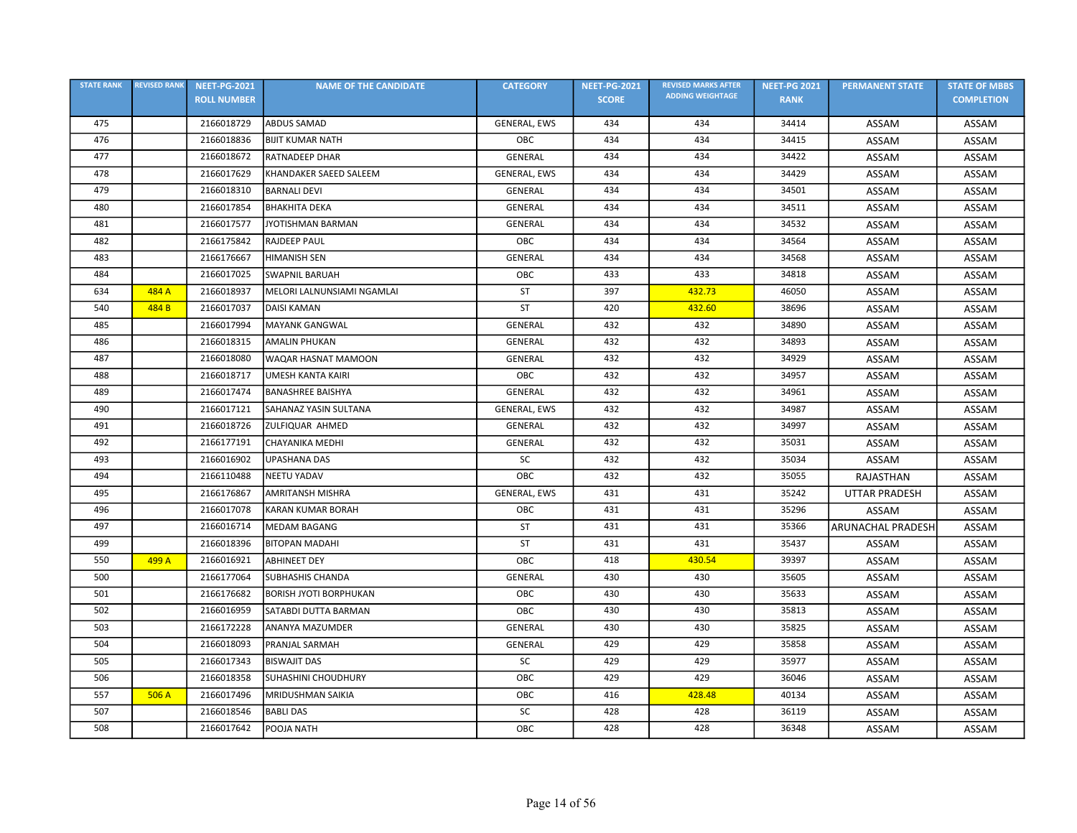| <b>STATE RANK</b> | <b>REVISED RANK</b> | <b>NEET-PG-2021</b> | <b>NAME OF THE CANDIDATE</b>  | <b>CATEGORY</b>     | <b>NEET-PG-2021</b> | <b>REVISED MARKS AFTER</b> | <b>NEET-PG 2021</b> | <b>PERMANENT STATE</b>   | <b>STATE OF MBBS</b> |
|-------------------|---------------------|---------------------|-------------------------------|---------------------|---------------------|----------------------------|---------------------|--------------------------|----------------------|
|                   |                     | <b>ROLL NUMBER</b>  |                               |                     | <b>SCORE</b>        | <b>ADDING WEIGHTAGE</b>    | <b>RANK</b>         |                          | <b>COMPLETION</b>    |
| 475               |                     | 2166018729          | <b>ABDUS SAMAD</b>            | GENERAL, EWS        | 434                 | 434                        | 34414               | ASSAM                    | ASSAM                |
| 476               |                     | 2166018836          | <b>BIJIT KUMAR NATH</b>       | OBC                 | 434                 | 434                        | 34415               | ASSAM                    | ASSAM                |
| 477               |                     | 2166018672          | <b>RATNADEEP DHAR</b>         | <b>GENERAL</b>      | 434                 | 434                        | 34422               | ASSAM                    | ASSAM                |
| 478               |                     | 2166017629          | KHANDAKER SAEED SALEEM        | <b>GENERAL, EWS</b> | 434                 | 434                        | 34429               | ASSAM                    | ASSAM                |
| 479               |                     | 2166018310          | <b>BARNALI DEVI</b>           | GENERAL             | 434                 | 434                        | 34501               | ASSAM                    | ASSAM                |
| 480               |                     | 2166017854          | <b>BHAKHITA DEKA</b>          | GENERAL             | 434                 | 434                        | 34511               | ASSAM                    | ASSAM                |
| 481               |                     | 2166017577          | <b>JYOTISHMAN BARMAN</b>      | <b>GENERAL</b>      | 434                 | 434                        | 34532               | ASSAM                    | ASSAM                |
| 482               |                     | 2166175842          | <b>RAJDEEP PAUL</b>           | OBC                 | 434                 | 434                        | 34564               | ASSAM                    | ASSAM                |
| 483               |                     | 2166176667          | <b>HIMANISH SEN</b>           | GENERAL             | 434                 | 434                        | 34568               | ASSAM                    | ASSAM                |
| 484               |                     | 2166017025          | <b>SWAPNIL BARUAH</b>         | OBC                 | 433                 | 433                        | 34818               | ASSAM                    | ASSAM                |
| 634               | 484 A               | 2166018937          | MELORI LALNUNSIAMI NGAMLAI    | <b>ST</b>           | 397                 | 432.73                     | 46050               | ASSAM                    | ASSAM                |
| 540               | 484 B               | 2166017037          | <b>DAISI KAMAN</b>            | <b>ST</b>           | 420                 | 432.60                     | 38696               | ASSAM                    | ASSAM                |
| 485               |                     | 2166017994          | <b>MAYANK GANGWAL</b>         | GENERAL             | 432                 | 432                        | 34890               | ASSAM                    | ASSAM                |
| 486               |                     | 2166018315          | <b>AMALIN PHUKAN</b>          | <b>GENERAL</b>      | 432                 | 432                        | 34893               | ASSAM                    | ASSAM                |
| 487               |                     | 2166018080          | WAQAR HASNAT MAMOON           | <b>GENERAL</b>      | 432                 | 432                        | 34929               | ASSAM                    | <b>ASSAM</b>         |
| 488               |                     | 2166018717          | <b>UMESH KANTA KAIRI</b>      | OBC                 | 432                 | 432                        | 34957               | ASSAM                    | ASSAM                |
| 489               |                     | 2166017474          | <b>BANASHREE BAISHYA</b>      | <b>GENERAL</b>      | 432                 | 432                        | 34961               | ASSAM                    | <b>ASSAM</b>         |
| 490               |                     | 2166017121          | SAHANAZ YASIN SULTANA         | GENERAL, EWS        | 432                 | 432                        | 34987               | ASSAM                    | ASSAM                |
| 491               |                     | 2166018726          | ZULFIQUAR AHMED               | GENERAL             | 432                 | 432                        | 34997               | ASSAM                    | ASSAM                |
| 492               |                     | 2166177191          | CHAYANIKA MEDHI               | <b>GENERAL</b>      | 432                 | 432                        | 35031               | ASSAM                    | ASSAM                |
| 493               |                     | 2166016902          | <b>UPASHANA DAS</b>           | SC                  | 432                 | 432                        | 35034               | ASSAM                    | ASSAM                |
| 494               |                     | 2166110488          | <b>NEETU YADAV</b>            | OBC                 | 432                 | 432                        | 35055               | RAJASTHAN                | ASSAM                |
| 495               |                     | 2166176867          | <b>AMRITANSH MISHRA</b>       | GENERAL, EWS        | 431                 | 431                        | 35242               | <b>UTTAR PRADESH</b>     | ASSAM                |
| 496               |                     | 2166017078          | <b>KARAN KUMAR BORAH</b>      | OBC                 | 431                 | 431                        | 35296               | ASSAM                    | ASSAM                |
| 497               |                     | 2166016714          | <b>MEDAM BAGANG</b>           | ST                  | 431                 | 431                        | 35366               | <b>ARUNACHAL PRADESH</b> | ASSAM                |
| 499               |                     | 2166018396          | <b>BITOPAN MADAHI</b>         | ST                  | 431                 | 431                        | 35437               | ASSAM                    | ASSAM                |
| 550               | 499 A               | 2166016921          | <b>ABHINEET DEY</b>           | OBC                 | 418                 | 430.54                     | 39397               | ASSAM                    | ASSAM                |
| 500               |                     | 2166177064          | <b>SUBHASHIS CHANDA</b>       | GENERAL             | 430                 | 430                        | 35605               | ASSAM                    | <b>ASSAM</b>         |
| 501               |                     | 2166176682          | <b>BORISH JYOTI BORPHUKAN</b> | OBC                 | 430                 | 430                        | 35633               | ASSAM                    | ASSAM                |
| 502               |                     | 2166016959          | SATABDI DUTTA BARMAN          | OBC                 | 430                 | 430                        | 35813               | ASSAM                    | ASSAM                |
| 503               |                     | 2166172228          | ANANYA MAZUMDER               | <b>GENERAL</b>      | 430                 | 430                        | 35825               | ASSAM                    | ASSAM                |
| 504               |                     | 2166018093          | PRANJAL SARMAH                | <b>GENERAL</b>      | 429                 | 429                        | 35858               | ASSAM                    | ASSAM                |
| 505               |                     | 2166017343          | <b>BISWAJIT DAS</b>           | SC                  | 429                 | 429                        | 35977               | ASSAM                    | ASSAM                |
| 506               |                     | 2166018358          | <b>SUHASHINI CHOUDHURY</b>    | OBC                 | 429                 | 429                        | 36046               | ASSAM                    | ASSAM                |
| 557               | 506 A               | 2166017496          | <b>MRIDUSHMAN SAIKIA</b>      | ОВС                 | 416                 | 428.48                     | 40134               | ASSAM                    | ASSAM                |
| 507               |                     | 2166018546          | <b>BABLI DAS</b>              | SC                  | 428                 | 428                        | 36119               | ASSAM                    | ASSAM                |
| 508               |                     | 2166017642          | POOJA NATH                    | OBC                 | 428                 | 428                        | 36348               | ASSAM                    | ASSAM                |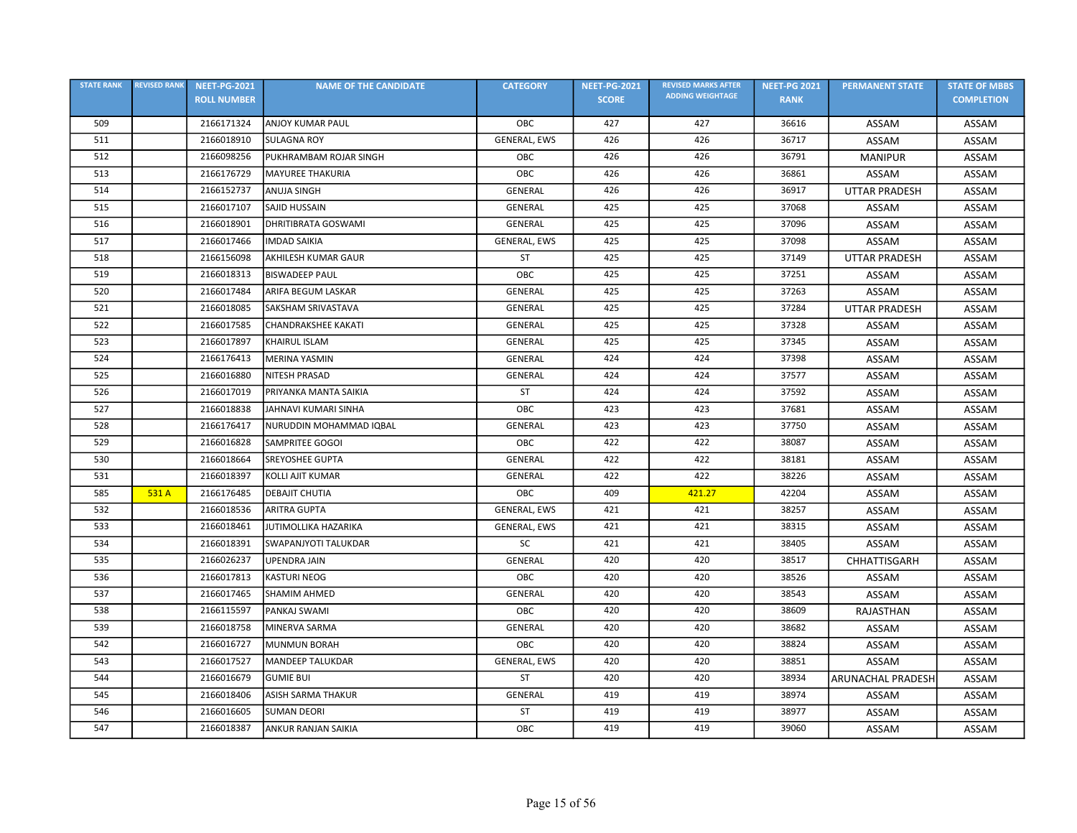| <b>STATE RANK</b> | <b>REVISED RANK</b> | <b>NEET-PG-2021</b> | <b>NAME OF THE CANDIDATE</b> | <b>CATEGORY</b> | <b>NEET-PG-2021</b> | <b>REVISED MARKS AFTER</b> | <b>NEET-PG 2021</b> | <b>PERMANENT STATE</b>   | <b>STATE OF MBBS</b> |
|-------------------|---------------------|---------------------|------------------------------|-----------------|---------------------|----------------------------|---------------------|--------------------------|----------------------|
|                   |                     | <b>ROLL NUMBER</b>  |                              |                 | <b>SCORE</b>        | <b>ADDING WEIGHTAGE</b>    | <b>RANK</b>         |                          | <b>COMPLETION</b>    |
| 509               |                     | 2166171324          | <b>ANJOY KUMAR PAUL</b>      | OBC             | 427                 | 427                        | 36616               | ASSAM                    | ASSAM                |
| 511               |                     | 2166018910          | <b>SULAGNA ROY</b>           | GENERAL, EWS    | 426                 | 426                        | 36717               | ASSAM                    | ASSAM                |
| 512               |                     | 2166098256          | PUKHRAMBAM ROJAR SINGH       | OBC             | 426                 | 426                        | 36791               | <b>MANIPUR</b>           | ASSAM                |
| 513               |                     | 2166176729          | MAYUREE THAKURIA             | OBC             | 426                 | 426                        | 36861               | ASSAM                    | ASSAM                |
| 514               |                     | 2166152737          | <b>ANUJA SINGH</b>           | <b>GENERAL</b>  | 426                 | 426                        | 36917               | <b>UTTAR PRADESH</b>     | ASSAM                |
| 515               |                     | 2166017107          | <b>SAJID HUSSAIN</b>         | GENERAL         | 425                 | 425                        | 37068               | ASSAM                    | <b>ASSAM</b>         |
| 516               |                     | 2166018901          | <b>DHRITIBRATA GOSWAMI</b>   | GENERAL         | 425                 | 425                        | 37096               | ASSAM                    | ASSAM                |
| 517               |                     | 2166017466          | <b>IMDAD SAIKIA</b>          | GENERAL, EWS    | 425                 | 425                        | 37098               | ASSAM                    | ASSAM                |
| 518               |                     | 2166156098          | AKHILESH KUMAR GAUR          | <b>ST</b>       | 425                 | 425                        | 37149               | <b>UTTAR PRADESH</b>     | ASSAM                |
| 519               |                     | 2166018313          | <b>BISWADEEP PAUL</b>        | OBC             | 425                 | 425                        | 37251               | ASSAM                    | ASSAM                |
| 520               |                     | 2166017484          | ARIFA BEGUM LASKAR           | GENERAL         | 425                 | 425                        | 37263               | ASSAM                    | ASSAM                |
| 521               |                     | 2166018085          | SAKSHAM SRIVASTAVA           | <b>GENERAL</b>  | 425                 | 425                        | 37284               | <b>UTTAR PRADESH</b>     | <b>ASSAM</b>         |
| 522               |                     | 2166017585          | <b>CHANDRAKSHEE KAKATI</b>   | <b>GENERAL</b>  | 425                 | 425                        | 37328               | ASSAM                    | <b>ASSAM</b>         |
| 523               |                     | 2166017897          | <b>KHAIRUL ISLAM</b>         | GENERAL         | 425                 | 425                        | 37345               | ASSAM                    | ASSAM                |
| 524               |                     | 2166176413          | MERINA YASMIN                | <b>GENERAL</b>  | 424                 | 424                        | 37398               | ASSAM                    | ASSAM                |
| 525               |                     | 2166016880          | <b>NITESH PRASAD</b>         | GENERAL         | 424                 | 424                        | 37577               | ASSAM                    | ASSAM                |
| 526               |                     | 2166017019          | PRIYANKA MANTA SAIKIA        | <b>ST</b>       | 424                 | 424                        | 37592               | ASSAM                    | ASSAM                |
| 527               |                     | 2166018838          | JAHNAVI KUMARI SINHA         | OBC             | 423                 | 423                        | 37681               | ASSAM                    | <b>ASSAM</b>         |
| 528               |                     | 2166176417          | NURUDDIN MOHAMMAD IQBAL      | <b>GENERAL</b>  | 423                 | 423                        | 37750               | ASSAM                    | ASSAM                |
| 529               |                     | 2166016828          | <b>SAMPRITEE GOGOI</b>       | OBC             | 422                 | 422                        | 38087               | ASSAM                    | ASSAM                |
| 530               |                     | 2166018664          | SREYOSHEE GUPTA              | <b>GENERAL</b>  | 422                 | 422                        | 38181               | ASSAM                    | ASSAM                |
| 531               |                     | 2166018397          | KOLLI AJIT KUMAR             | <b>GENERAL</b>  | 422                 | 422                        | 38226               | ASSAM                    | ASSAM                |
| 585               | 531 A               | 2166176485          | <b>DEBAJIT CHUTIA</b>        | OBC             | 409                 | 421.27                     | 42204               | ASSAM                    | ASSAM                |
| 532               |                     | 2166018536          | <b>ARITRA GUPTA</b>          | GENERAL, EWS    | 421                 | 421                        | 38257               | ASSAM                    | ASSAM                |
| 533               |                     | 2166018461          | JUTIMOLLIKA HAZARIKA         | GENERAL, EWS    | 421                 | 421                        | 38315               | ASSAM                    | ASSAM                |
| 534               |                     | 2166018391          | SWAPANJYOTI TALUKDAR         | SC              | 421                 | 421                        | 38405               | ASSAM                    | ASSAM                |
| 535               |                     | 2166026237          | <b>UPENDRA JAIN</b>          | <b>GENERAL</b>  | 420                 | 420                        | 38517               | CHHATTISGARH             | ASSAM                |
| 536               |                     | 2166017813          | <b>KASTURI NEOG</b>          | OBC             | 420                 | 420                        | 38526               | ASSAM                    | <b>ASSAM</b>         |
| 537               |                     | 2166017465          | SHAMIM AHMED                 | GENERAL         | 420                 | 420                        | 38543               | ASSAM                    | ASSAM                |
| 538               |                     | 2166115597          | PANKAJ SWAMI                 | OBC             | 420                 | 420                        | 38609               | RAJASTHAN                | ASSAM                |
| 539               |                     | 2166018758          | MINERVA SARMA                | GENERAL         | 420                 | 420                        | 38682               | ASSAM                    | ASSAM                |
| 542               |                     | 2166016727          | MUNMUN BORAH                 | OBC             | 420                 | 420                        | 38824               | ASSAM                    | ASSAM                |
| 543               |                     | 2166017527          | MANDEEP TALUKDAR             | GENERAL, EWS    | 420                 | 420                        | 38851               | ASSAM                    | ASSAM                |
| 544               |                     | 2166016679          | <b>GUMIE BUI</b>             | <b>ST</b>       | 420                 | 420                        | 38934               | <b>ARUNACHAL PRADESH</b> | <b>ASSAM</b>         |
| 545               |                     | 2166018406          | <b>ASISH SARMA THAKUR</b>    | <b>GENERAL</b>  | 419                 | 419                        | 38974               | ASSAM                    | ASSAM                |
| 546               |                     | 2166016605          | <b>SUMAN DEORI</b>           | <b>ST</b>       | 419                 | 419                        | 38977               | ASSAM                    | <b>ASSAM</b>         |
| 547               |                     | 2166018387          | <b>ANKUR RANJAN SAIKIA</b>   | OBC             | 419                 | 419                        | 39060               | ASSAM                    | ASSAM                |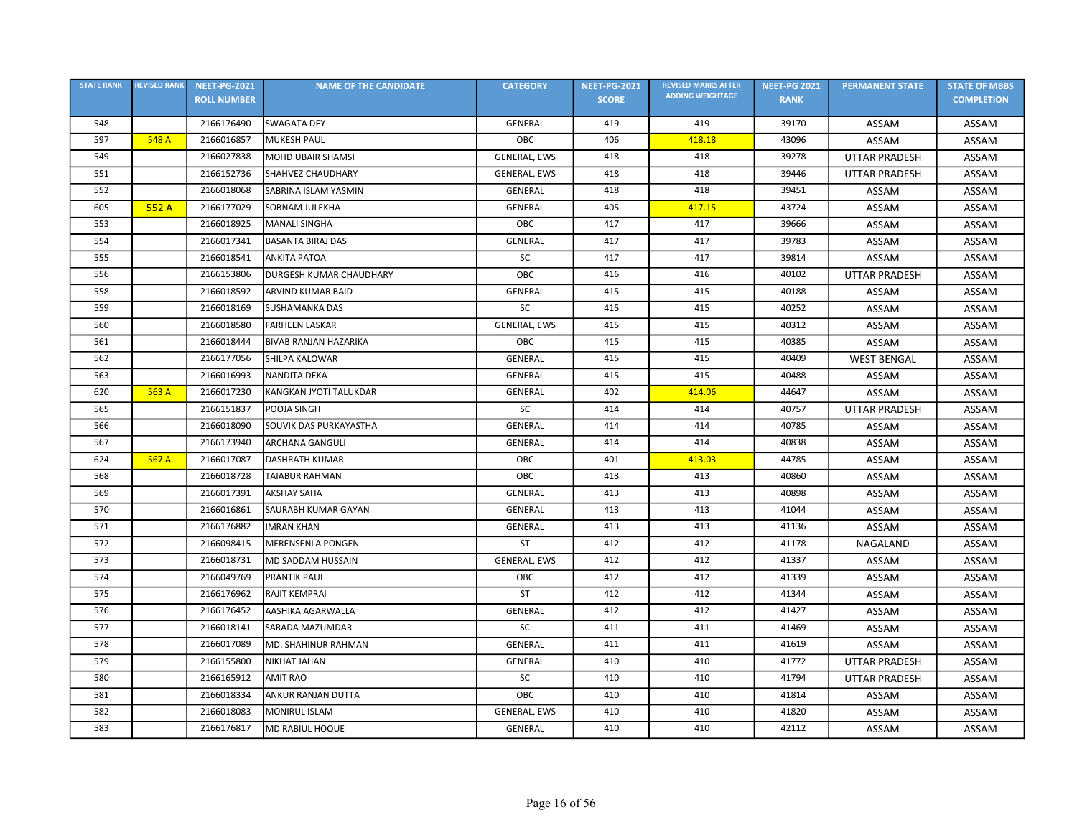| <b>STATE RANK</b> | <b>REVISED RANK</b> | <b>NEET-PG-2021</b> | <b>NAME OF THE CANDIDATE</b> | <b>CATEGORY</b>     | <b>NEET-PG-2021</b> | <b>REVISED MARKS AFTER</b> | <b>NEET-PG 2021</b> | <b>PERMANENT STATE</b> | <b>STATE OF MBBS</b> |
|-------------------|---------------------|---------------------|------------------------------|---------------------|---------------------|----------------------------|---------------------|------------------------|----------------------|
|                   |                     | <b>ROLL NUMBER</b>  |                              |                     | <b>SCORE</b>        | <b>ADDING WEIGHTAGE</b>    | <b>RANK</b>         |                        | <b>COMPLETION</b>    |
| 548               |                     | 2166176490          | <b>SWAGATA DEY</b>           | <b>GENERAL</b>      | 419                 | 419                        | 39170               | ASSAM                  | ASSAM                |
| 597               | 548 A               | 2166016857          | <b>MUKESH PAUL</b>           | OBC                 | 406                 | 418.18                     | 43096               | ASSAM                  | ASSAM                |
| 549               |                     | 2166027838          | MOHD UBAIR SHAMSI            | GENERAL, EWS        | 418                 | 418                        | 39278               | <b>UTTAR PRADESH</b>   | ASSAM                |
| 551               |                     | 2166152736          | <b>SHAHVEZ CHAUDHARY</b>     | GENERAL, EWS        | 418                 | 418                        | 39446               | <b>UTTAR PRADESH</b>   | ASSAM                |
| 552               |                     | 2166018068          | SABRINA ISLAM YASMIN         | <b>GENERAL</b>      | 418                 | 418                        | 39451               | ASSAM                  | ASSAM                |
| 605               | 552 A               | 2166177029          | SOBNAM JULEKHA               | <b>GENERAL</b>      | 405                 | 417.15                     | 43724               | ASSAM                  | ASSAM                |
| 553               |                     | 2166018925          | <b>MANALI SINGHA</b>         | OBC                 | 417                 | 417                        | 39666               | ASSAM                  | <b>ASSAM</b>         |
| 554               |                     | 2166017341          | <b>BASANTA BIRAJ DAS</b>     | GENERAL             | 417                 | 417                        | 39783               | ASSAM                  | ASSAM                |
| 555               |                     | 2166018541          | <b>ANKITA PATOA</b>          | SC                  | 417                 | 417                        | 39814               | <b>ASSAM</b>           | ASSAM                |
| 556               |                     | 2166153806          | DURGESH KUMAR CHAUDHARY      | OBC                 | 416                 | 416                        | 40102               | <b>UTTAR PRADESH</b>   | ASSAM                |
| 558               |                     | 2166018592          | ARVIND KUMAR BAID            | GENERAL             | 415                 | 415                        | 40188               | ASSAM                  | ASSAM                |
| 559               |                     | 2166018169          | <b>SUSHAMANKA DAS</b>        | SC                  | 415                 | 415                        | 40252               | ASSAM                  | ASSAM                |
| 560               |                     | 2166018580          | <b>FARHEEN LASKAR</b>        | GENERAL, EWS        | 415                 | 415                        | 40312               | ASSAM                  | ASSAM                |
| 561               |                     | 2166018444          | <b>BIVAB RANJAN HAZARIKA</b> | <b>OBC</b>          | 415                 | 415                        | 40385               | ASSAM                  | ASSAM                |
| 562               |                     | 2166177056          | <b>SHILPA KALOWAR</b>        | GENERAL             | 415                 | 415                        | 40409               | <b>WEST BENGAL</b>     | ASSAM                |
| 563               |                     | 2166016993          | <b>NANDITA DEKA</b>          | <b>GENERAL</b>      | 415                 | 415                        | 40488               | ASSAM                  | ASSAM                |
| 620               | 563 A               | 2166017230          | KANGKAN JYOTI TALUKDAR       | <b>GENERAL</b>      | 402                 | 414.06                     | 44647               | ASSAM                  | ASSAM                |
| 565               |                     | 2166151837          | POOJA SINGH                  | SC                  | 414                 | 414                        | 40757               | <b>UTTAR PRADESH</b>   | <b>ASSAM</b>         |
| 566               |                     | 2166018090          | SOUVIK DAS PURKAYASTHA       | <b>GENERAL</b>      | 414                 | 414                        | 40785               | ASSAM                  | ASSAM                |
| 567               |                     | 2166173940          | <b>ARCHANA GANGULI</b>       | GENERAL             | 414                 | 414                        | 40838               | ASSAM                  | ASSAM                |
| 624               | 567 A               | 2166017087          | <b>DASHRATH KUMAR</b>        | ОВС                 | 401                 | 413.03                     | 44785               | ASSAM                  | ASSAM                |
| 568               |                     | 2166018728          | <b>TAIABUR RAHMAN</b>        | OBC                 | 413                 | 413                        | 40860               | ASSAM                  | ASSAM                |
| 569               |                     | 2166017391          | <b>AKSHAY SAHA</b>           | GENERAL             | 413                 | 413                        | 40898               | ASSAM                  | <b>ASSAM</b>         |
| 570               |                     | 2166016861          | SAURABH KUMAR GAYAN          | <b>GENERAL</b>      | 413                 | 413                        | 41044               | ASSAM                  | ASSAM                |
| 571               |                     | 2166176882          | <b>IMRAN KHAN</b>            | GENERAL             | 413                 | 413                        | 41136               | <b>ASSAM</b>           | ASSAM                |
| 572               |                     | 2166098415          | <b>MERENSENLA PONGEN</b>     | ST                  | 412                 | 412                        | 41178               | NAGALAND               | ASSAM                |
| 573               |                     | 2166018731          | MD SADDAM HUSSAIN            | GENERAL, EWS        | 412                 | 412                        | 41337               | ASSAM                  | ASSAM                |
| 574               |                     | 2166049769          | PRANTIK PAUL                 | OBC                 | 412                 | 412                        | 41339               | ASSAM                  | ASSAM                |
| 575               |                     | 2166176962          | <b>RAJIT KEMPRAI</b>         | <b>ST</b>           | 412                 | 412                        | 41344               | ASSAM                  | ASSAM                |
| 576               |                     | 2166176452          | AASHIKA AGARWALLA            | <b>GENERAL</b>      | 412                 | 412                        | 41427               | ASSAM                  | ASSAM                |
| 577               |                     | 2166018141          | SARADA MAZUMDAR              | SC                  | 411                 | 411                        | 41469               | ASSAM                  | ASSAM                |
| 578               |                     | 2166017089          | <b>MD. SHAHINUR RAHMAN</b>   | <b>GENERAL</b>      | 411                 | 411                        | 41619               | ASSAM                  | ASSAM                |
| 579               |                     | 2166155800          | <b>NIKHAT JAHAN</b>          | <b>GENERAL</b>      | 410                 | 410                        | 41772               | <b>UTTAR PRADESH</b>   | ASSAM                |
| 580               |                     | 2166165912          | <b>AMIT RAO</b>              | SC                  | 410                 | 410                        | 41794               | <b>UTTAR PRADESH</b>   | ASSAM                |
| 581               |                     | 2166018334          | ANKUR RANJAN DUTTA           | OBC                 | 410                 | 410                        | 41814               | ASSAM                  | ASSAM                |
| 582               |                     | 2166018083          | <b>MONIRUL ISLAM</b>         | <b>GENERAL, EWS</b> | 410                 | 410                        | 41820               | ASSAM                  | ASSAM                |
| 583               |                     | 2166176817          | <b>MD RABIUL HOQUE</b>       | GENERAL             | 410                 | 410                        | 42112               | ASSAM                  | ASSAM                |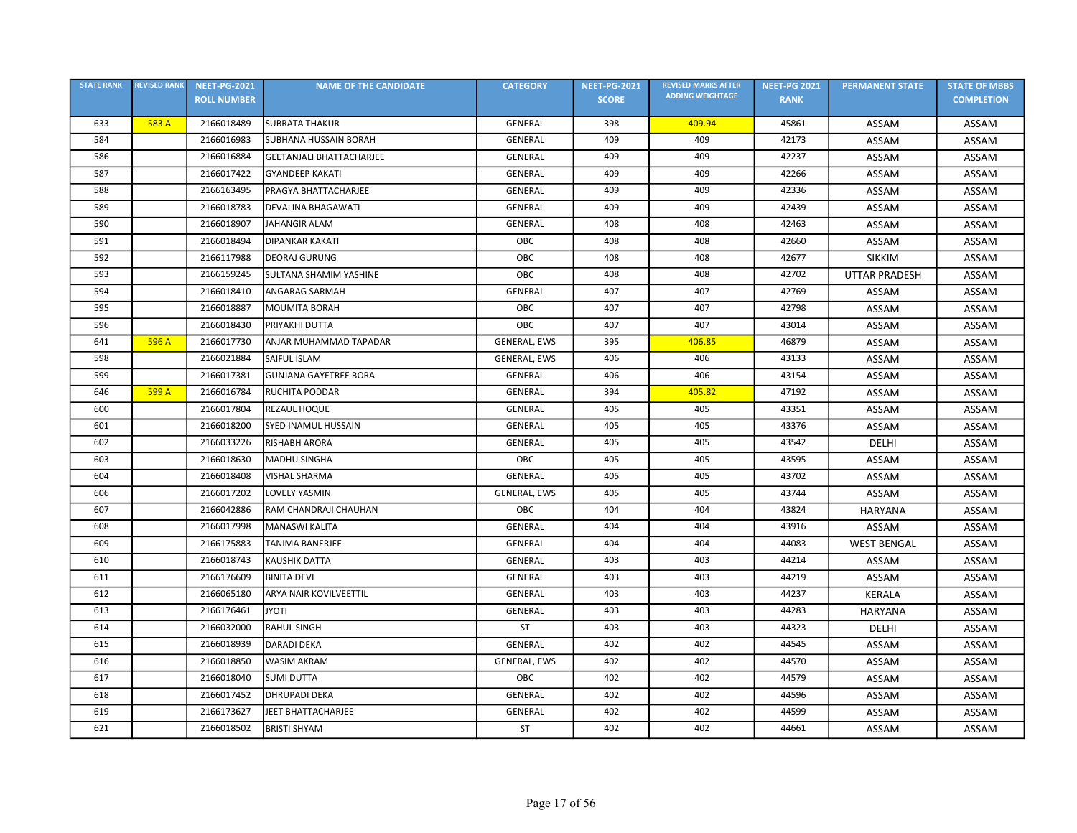| <b>STATE RANK</b> | <b>REVISED RANK</b> | <b>NEET-PG-2021</b> | <b>NAME OF THE CANDIDATE</b>    | <b>CATEGORY</b>     | <b>NEET-PG-2021</b> | <b>REVISED MARKS AFTER</b> | <b>NEET-PG 2021</b> | <b>PERMANENT STATE</b> | <b>STATE OF MBBS</b> |
|-------------------|---------------------|---------------------|---------------------------------|---------------------|---------------------|----------------------------|---------------------|------------------------|----------------------|
|                   |                     | <b>ROLL NUMBER</b>  |                                 |                     | <b>SCORE</b>        | <b>ADDING WEIGHTAGE</b>    | <b>RANK</b>         |                        | <b>COMPLETION</b>    |
| 633               | 583 A               | 2166018489          | <b>SUBRATA THAKUR</b>           | GENERAL             | 398                 | 409.94                     | 45861               | ASSAM                  | ASSAM                |
| 584               |                     | 2166016983          | <b>SUBHANA HUSSAIN BORAH</b>    | <b>GENERAL</b>      | 409                 | 409                        | 42173               | ASSAM                  | ASSAM                |
| 586               |                     | 2166016884          | <b>GEETANJALI BHATTACHARJEE</b> | GENERAL             | 409                 | 409                        | 42237               | ASSAM                  | ASSAM                |
| 587               |                     | 2166017422          | <b>GYANDEEP KAKATI</b>          | GENERAL             | 409                 | 409                        | 42266               | ASSAM                  | ASSAM                |
| 588               |                     | 2166163495          | PRAGYA BHATTACHARJEE            | <b>GENERAL</b>      | 409                 | 409                        | 42336               | ASSAM                  | ASSAM                |
| 589               |                     | 2166018783          | <b>DEVALINA BHAGAWATI</b>       | GENERAL             | 409                 | 409                        | 42439               | ASSAM                  | ASSAM                |
| 590               |                     | 2166018907          | <b>JAHANGIR ALAM</b>            | GENERAL             | 408                 | 408                        | 42463               | ASSAM                  | ASSAM                |
| 591               |                     | 2166018494          | <b>DIPANKAR KAKATI</b>          | OBC                 | 408                 | 408                        | 42660               | ASSAM                  | ASSAM                |
| 592               |                     | 2166117988          | <b>DEORAJ GURUNG</b>            | OBC                 | 408                 | 408                        | 42677               | <b>SIKKIM</b>          | ASSAM                |
| 593               |                     | 2166159245          | SULTANA SHAMIM YASHINE          | OBC                 | 408                 | 408                        | 42702               | <b>UTTAR PRADESH</b>   | ASSAM                |
| 594               |                     | 2166018410          | <b>ANGARAG SARMAH</b>           | <b>GENERAL</b>      | 407                 | 407                        | 42769               | ASSAM                  | ASSAM                |
| 595               |                     | 2166018887          | <b>MOUMITA BORAH</b>            | ОВС                 | 407                 | 407                        | 42798               | ASSAM                  | ASSAM                |
| 596               |                     | 2166018430          | PRIYAKHI DUTTA                  | OBC                 | 407                 | 407                        | 43014               | ASSAM                  | ASSAM                |
| 641               | 596 A               | 2166017730          | ANJAR MUHAMMAD TAPADAR          | <b>GENERAL, EWS</b> | 395                 | 406.85                     | 46879               | ASSAM                  | ASSAM                |
| 598               |                     | 2166021884          | SAIFUL ISLAM                    | GENERAL, EWS        | 406                 | 406                        | 43133               | ASSAM                  | ASSAM                |
| 599               |                     | 2166017381          | <b>GUNJANA GAYETREE BORA</b>    | <b>GENERAL</b>      | 406                 | 406                        | 43154               | ASSAM                  | ASSAM                |
| 646               | 599 A               | 2166016784          | <b>RUCHITA PODDAR</b>           | <b>GENERAL</b>      | 394                 | 405.82                     | 47192               | ASSAM                  | ASSAM                |
| 600               |                     | 2166017804          | <b>REZAUL HOQUE</b>             | GENERAL             | 405                 | 405                        | 43351               | ASSAM                  | ASSAM                |
| 601               |                     | 2166018200          | SYED INAMUL HUSSAIN             | <b>GENERAL</b>      | 405                 | 405                        | 43376               | ASSAM                  | ASSAM                |
| 602               |                     | 2166033226          | <b>RISHABH ARORA</b>            | GENERAL             | 405                 | 405                        | 43542               | DELHI                  | ASSAM                |
| 603               |                     | 2166018630          | <b>MADHU SINGHA</b>             | ОВС                 | 405                 | 405                        | 43595               | ASSAM                  | ASSAM                |
| 604               |                     | 2166018408          | <b>VISHAL SHARMA</b>            | GENERAL             | 405                 | 405                        | 43702               | ASSAM                  | ASSAM                |
| 606               |                     | 2166017202          | <b>LOVELY YASMIN</b>            | GENERAL, EWS        | 405                 | 405                        | 43744               | ASSAM                  | ASSAM                |
| 607               |                     | 2166042886          | RAM CHANDRAJI CHAUHAN           | OBC                 | 404                 | 404                        | 43824               | <b>HARYANA</b>         | ASSAM                |
| 608               |                     | 2166017998          | <b>MANASWI KALITA</b>           | GENERAL             | 404                 | 404                        | 43916               | ASSAM                  | ASSAM                |
| 609               |                     | 2166175883          | <b>TANIMA BANERJEE</b>          | <b>GENERAL</b>      | 404                 | 404                        | 44083               | <b>WEST BENGAL</b>     | ASSAM                |
| 610               |                     | 2166018743          | <b>KAUSHIK DATTA</b>            | GENERAL             | 403                 | 403                        | 44214               | ASSAM                  | ASSAM                |
| 611               |                     | 2166176609          | <b>BINITA DEVI</b>              | <b>GENERAL</b>      | 403                 | 403                        | 44219               | ASSAM                  | ASSAM                |
| 612               |                     | 2166065180          | ARYA NAIR KOVILVEETTIL          | <b>GENERAL</b>      | 403                 | 403                        | 44237               | <b>KERALA</b>          | ASSAM                |
| 613               |                     | 2166176461          | <b>ITOYL</b>                    | GENERAL             | 403                 | 403                        | 44283               | <b>HARYANA</b>         | ASSAM                |
| 614               |                     | 2166032000          | <b>RAHUL SINGH</b>              | <b>ST</b>           | 403                 | 403                        | 44323               | DELHI                  | ASSAM                |
| 615               |                     | 2166018939          | <b>DARADI DEKA</b>              | <b>GENERAL</b>      | 402                 | 402                        | 44545               | ASSAM                  | ASSAM                |
| 616               |                     | 2166018850          | <b>WASIM AKRAM</b>              | GENERAL, EWS        | 402                 | 402                        | 44570               | ASSAM                  | ASSAM                |
| 617               |                     | 2166018040          | <b>SUMI DUTTA</b>               | OBC                 | 402                 | 402                        | 44579               | ASSAM                  | ASSAM                |
| 618               |                     | 2166017452          | <b>DHRUPADI DEKA</b>            | <b>GENERAL</b>      | 402                 | 402                        | 44596               | ASSAM                  | ASSAM                |
| 619               |                     | 2166173627          | JEET BHATTACHARJEE              | GENERAL             | 402                 | 402                        | 44599               | ASSAM                  | ASSAM                |
| 621               |                     | 2166018502          | <b>BRISTI SHYAM</b>             | ST                  | 402                 | 402                        | 44661               | ASSAM                  | ASSAM                |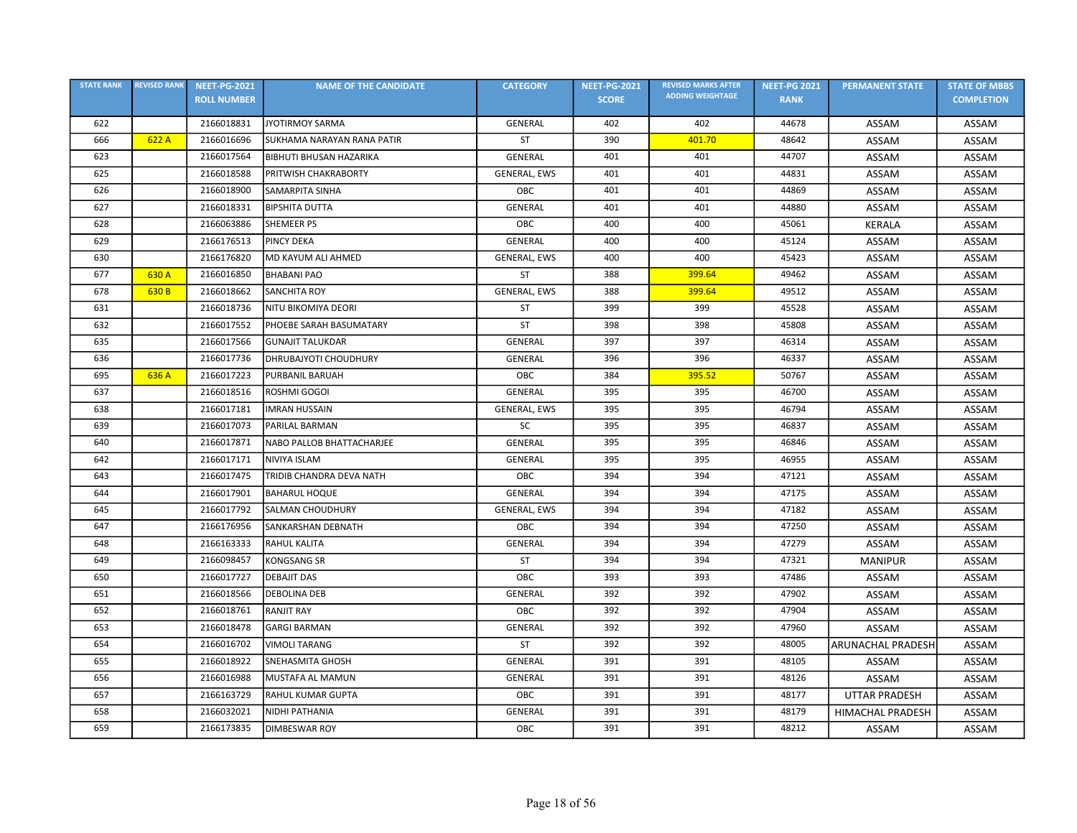| <b>STATE RANK</b> | <b>REVISED RANK</b> | <b>NEET-PG-2021</b> | <b>NAME OF THE CANDIDATE</b>   | <b>CATEGORY</b>     | <b>NEET-PG-2021</b> | <b>REVISED MARKS AFTER</b> | <b>NEET-PG 2021</b> | <b>PERMANENT STATE</b>  | <b>STATE OF MBBS</b> |
|-------------------|---------------------|---------------------|--------------------------------|---------------------|---------------------|----------------------------|---------------------|-------------------------|----------------------|
|                   |                     | <b>ROLL NUMBER</b>  |                                |                     | <b>SCORE</b>        | <b>ADDING WEIGHTAGE</b>    | <b>RANK</b>         |                         | <b>COMPLETION</b>    |
| 622               |                     | 2166018831          | <b>JYOTIRMOY SARMA</b>         | <b>GENERAL</b>      | 402                 | 402                        | 44678               | ASSAM                   | ASSAM                |
| 666               | 622 A               | 2166016696          | SUKHAMA NARAYAN RANA PATIR     | ST                  | 390                 | 401.70                     | 48642               | ASSAM                   | ASSAM                |
| 623               |                     | 2166017564          | <b>BIBHUTI BHUSAN HAZARIKA</b> | <b>GENERAL</b>      | 401                 | 401                        | 44707               | ASSAM                   | ASSAM                |
| 625               |                     | 2166018588          | PRITWISH CHAKRABORTY           | GENERAL, EWS        | 401                 | 401                        | 44831               | ASSAM                   | ASSAM                |
| 626               |                     | 2166018900          | <b>SAMARPITA SINHA</b>         | OBC                 | 401                 | 401                        | 44869               | ASSAM                   | ASSAM                |
| 627               |                     | 2166018331          | <b>BIPSHITA DUTTA</b>          | GENERAL             | 401                 | 401                        | 44880               | ASSAM                   | ASSAM                |
| 628               |                     | 2166063886          | <b>SHEMEER PS</b>              | ОВС                 | 400                 | 400                        | 45061               | <b>KERALA</b>           | ASSAM                |
| 629               |                     | 2166176513          | <b>PINCY DEKA</b>              | GENERAL             | 400                 | 400                        | 45124               | ASSAM                   | ASSAM                |
| 630               |                     | 2166176820          | MD KAYUM ALI AHMED             | <b>GENERAL, EWS</b> | 400                 | 400                        | 45423               | ASSAM                   | ASSAM                |
| 677               | 630 A               | 2166016850          | <b>BHABANI PAO</b>             | <b>ST</b>           | 388                 | 399.64                     | 49462               | ASSAM                   | ASSAM                |
| 678               | 630 B               | 2166018662          | <b>SANCHITA ROY</b>            | GENERAL, EWS        | 388                 | 399.64                     | 49512               | ASSAM                   | ASSAM                |
| 631               |                     | 2166018736          | NITU BIKOMIYA DEORI            | ST                  | 399                 | 399                        | 45528               | ASSAM                   | ASSAM                |
| 632               |                     | 2166017552          | PHOEBE SARAH BASUMATARY        | <b>ST</b>           | 398                 | 398                        | 45808               | ASSAM                   | ASSAM                |
| 635               |                     | 2166017566          | <b>GUNAJIT TALUKDAR</b>        | <b>GENERAL</b>      | 397                 | 397                        | 46314               | ASSAM                   | ASSAM                |
| 636               |                     | 2166017736          | DHRUBAJYOTI CHOUDHURY          | <b>GENERAL</b>      | 396                 | 396                        | 46337               | ASSAM                   | <b>ASSAM</b>         |
| 695               | 636 A               | 2166017223          | PURBANIL BARUAH                | OBC                 | 384                 | 395.52                     | 50767               | ASSAM                   | ASSAM                |
| 637               |                     | 2166018516          | ROSHMI GOGOI                   | <b>GENERAL</b>      | 395                 | 395                        | 46700               | ASSAM                   | <b>ASSAM</b>         |
| 638               |                     | 2166017181          | <b>IMRAN HUSSAIN</b>           | GENERAL, EWS        | 395                 | 395                        | 46794               | ASSAM                   | ASSAM                |
| 639               |                     | 2166017073          | <b>PARILAL BARMAN</b>          | <b>SC</b>           | 395                 | 395                        | 46837               | ASSAM                   | ASSAM                |
| 640               |                     | 2166017871          | NABO PALLOB BHATTACHARJEE      | GENERAL             | 395                 | 395                        | 46846               | ASSAM                   | ASSAM                |
| 642               |                     | 2166017171          | <b>NIVIYA ISLAM</b>            | <b>GENERAL</b>      | 395                 | 395                        | 46955               | ASSAM                   | ASSAM                |
| 643               |                     | 2166017475          | TRIDIB CHANDRA DEVA NATH       | OBC                 | 394                 | 394                        | 47121               | ASSAM                   | ASSAM                |
| 644               |                     | 2166017901          | <b>BAHARUL HOQUE</b>           | <b>GENERAL</b>      | 394                 | 394                        | 47175               | ASSAM                   | ASSAM                |
| 645               |                     | 2166017792          | <b>SALMAN CHOUDHURY</b>        | GENERAL, EWS        | 394                 | 394                        | 47182               | ASSAM                   | ASSAM                |
| 647               |                     | 2166176956          | SANKARSHAN DEBNATH             | OBC                 | 394                 | 394                        | 47250               | ASSAM                   | ASSAM                |
| 648               |                     | 2166163333          | <b>RAHUL KALITA</b>            | GENERAL             | 394                 | 394                        | 47279               | ASSAM                   | ASSAM                |
| 649               |                     | 2166098457          | <b>KONGSANG SR</b>             | ST                  | 394                 | 394                        | 47321               | <b>MANIPUR</b>          | ASSAM                |
| 650               |                     | 2166017727          | <b>DEBAJIT DAS</b>             | OBC                 | 393                 | 393                        | 47486               | ASSAM                   | <b>ASSAM</b>         |
| 651               |                     | 2166018566          | <b>DEBOLINA DEB</b>            | <b>GENERAL</b>      | 392                 | 392                        | 47902               | ASSAM                   | ASSAM                |
| 652               |                     | 2166018761          | <b>RANJIT RAY</b>              | OBC                 | 392                 | 392                        | 47904               | <b>ASSAM</b>            | <b>ASSAM</b>         |
| 653               |                     | 2166018478          | <b>GARGI BARMAN</b>            | GENERAL             | 392                 | 392                        | 47960               | ASSAM                   | ASSAM                |
| 654               |                     | 2166016702          | <b>VIMOLI TARANG</b>           | ST                  | 392                 | 392                        | 48005               | ARUNACHAL PRADESH       | ASSAM                |
| 655               |                     | 2166018922          | <b>SNEHASMITA GHOSH</b>        | <b>GENERAL</b>      | 391                 | 391                        | 48105               | ASSAM                   | ASSAM                |
| 656               |                     | 2166016988          | MUSTAFA AL MAMUN               | <b>GENERAL</b>      | 391                 | 391                        | 48126               | ASSAM                   | ASSAM                |
| 657               |                     | 2166163729          | RAHUL KUMAR GUPTA              | ОВС                 | 391                 | 391                        | 48177               | <b>UTTAR PRADESH</b>    | ASSAM                |
| 658               |                     | 2166032021          | NIDHI PATHANIA                 | <b>GENERAL</b>      | 391                 | 391                        | 48179               | <b>HIMACHAL PRADESH</b> | ASSAM                |
| 659               |                     | 2166173835          | <b>DIMBESWAR ROY</b>           | OBC                 | 391                 | 391                        | 48212               | ASSAM                   | ASSAM                |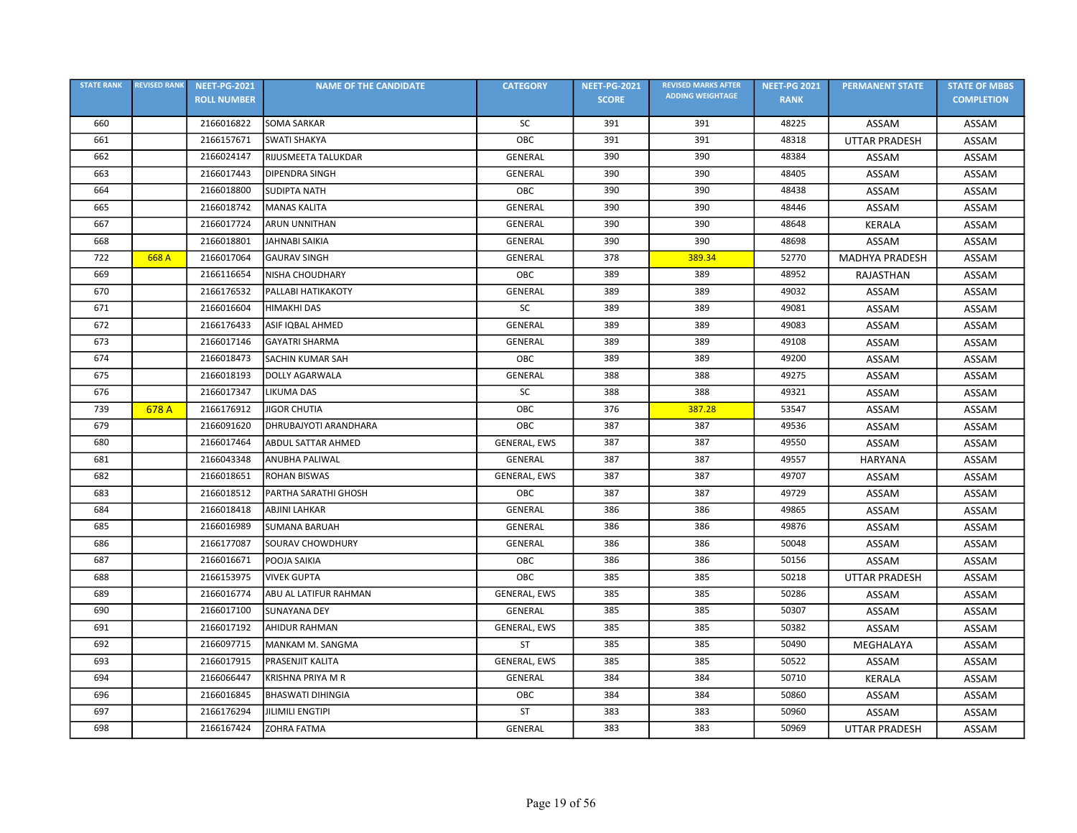| <b>STATE RANK</b> | <b>REVISED RANK</b> | <b>NEET-PG-2021</b> | <b>NAME OF THE CANDIDATE</b> | <b>CATEGORY</b>     | <b>NEET-PG-2021</b> | <b>REVISED MARKS AFTER</b> | <b>NEET-PG 2021</b> | <b>PERMANENT STATE</b> | <b>STATE OF MBBS</b> |
|-------------------|---------------------|---------------------|------------------------------|---------------------|---------------------|----------------------------|---------------------|------------------------|----------------------|
|                   |                     | <b>ROLL NUMBER</b>  |                              |                     | <b>SCORE</b>        | <b>ADDING WEIGHTAGE</b>    | <b>RANK</b>         |                        | <b>COMPLETION</b>    |
| 660               |                     | 2166016822          | <b>SOMA SARKAR</b>           | SC                  | 391                 | 391                        | 48225               | ASSAM                  | ASSAM                |
| 661               |                     | 2166157671          | <b>SWATI SHAKYA</b>          | OBC                 | 391                 | 391                        | 48318               | <b>UTTAR PRADESH</b>   | ASSAM                |
| 662               |                     | 2166024147          | RIJUSMEETA TALUKDAR          | <b>GENERAL</b>      | 390                 | 390                        | 48384               | ASSAM                  | ASSAM                |
| 663               |                     | 2166017443          | <b>DIPENDRA SINGH</b>        | <b>GENERAL</b>      | 390                 | 390                        | 48405               | ASSAM                  | ASSAM                |
| 664               |                     | 2166018800          | <b>SUDIPTA NATH</b>          | ОВС                 | 390                 | 390                        | 48438               | ASSAM                  | ASSAM                |
| 665               |                     | 2166018742          | <b>MANAS KALITA</b>          | GENERAL             | 390                 | 390                        | 48446               | ASSAM                  | ASSAM                |
| 667               |                     | 2166017724          | <b>ARUN UNNITHAN</b>         | GENERAL             | 390                 | 390                        | 48648               | <b>KERALA</b>          | ASSAM                |
| 668               |                     | 2166018801          | JAHNABI SAIKIA               | <b>GENERAL</b>      | 390                 | 390                        | 48698               | ASSAM                  | ASSAM                |
| 722               | 668 A               | 2166017064          | <b>GAURAV SINGH</b>          | GENERAL             | 378                 | 389.34                     | 52770               | <b>MADHYA PRADESH</b>  | ASSAM                |
| 669               |                     | 2166116654          | NISHA CHOUDHARY              | ОВС                 | 389                 | 389                        | 48952               | RAJASTHAN              | ASSAM                |
| 670               |                     | 2166176532          | PALLABI HATIKAKOTY           | <b>GENERAL</b>      | 389                 | 389                        | 49032               | ASSAM                  | ASSAM                |
| 671               |                     | 2166016604          | <b>HIMAKHI DAS</b>           | SC                  | 389                 | 389                        | 49081               | ASSAM                  | ASSAM                |
| 672               |                     | 2166176433          | ASIF IQBAL AHMED             | <b>GENERAL</b>      | 389                 | 389                        | 49083               | ASSAM                  | ASSAM                |
| 673               |                     | 2166017146          | <b>GAYATRI SHARMA</b>        | <b>GENERAL</b>      | 389                 | 389                        | 49108               | ASSAM                  | ASSAM                |
| 674               |                     | 2166018473          | <b>SACHIN KUMAR SAH</b>      | OBC                 | 389                 | 389                        | 49200               | ASSAM                  | ASSAM                |
| 675               |                     | 2166018193          | <b>DOLLY AGARWALA</b>        | GENERAL             | 388                 | 388                        | 49275               | ASSAM                  | ASSAM                |
| 676               |                     | 2166017347          | LIKUMA DAS                   | SC                  | 388                 | 388                        | 49321               | ASSAM                  | ASSAM                |
| 739               | 678 A               | 2166176912          | <b>JIGOR CHUTIA</b>          | OBC                 | 376                 | 387.28                     | 53547               | ASSAM                  | ASSAM                |
| 679               |                     | 2166091620          | DHRUBAJYOTI ARANDHARA        | OBC                 | 387                 | 387                        | 49536               | ASSAM                  | ASSAM                |
| 680               |                     | 2166017464          | ABDUL SATTAR AHMED           | GENERAL, EWS        | 387                 | 387                        | 49550               | ASSAM                  | ASSAM                |
| 681               |                     | 2166043348          | ANUBHA PALIWAL               | <b>GENERAL</b>      | 387                 | 387                        | 49557               | <b>HARYANA</b>         | ASSAM                |
| 682               |                     | 2166018651          | <b>ROHAN BISWAS</b>          | GENERAL, EWS        | 387                 | 387                        | 49707               | ASSAM                  | ASSAM                |
| 683               |                     | 2166018512          | PARTHA SARATHI GHOSH         | OBC                 | 387                 | 387                        | 49729               | ASSAM                  | ASSAM                |
| 684               |                     | 2166018418          | <b>ABJINI LAHKAR</b>         | <b>GENERAL</b>      | 386                 | 386                        | 49865               | ASSAM                  | ASSAM                |
| 685               |                     | 2166016989          | <b>SUMANA BARUAH</b>         | GENERAL             | 386                 | 386                        | 49876               | ASSAM                  | ASSAM                |
| 686               |                     | 2166177087          | <b>SOURAV CHOWDHURY</b>      | <b>GENERAL</b>      | 386                 | 386                        | 50048               | ASSAM                  | ASSAM                |
| 687               |                     | 2166016671          | POOJA SAIKIA                 | <b>OBC</b>          | 386                 | 386                        | 50156               | ASSAM                  | ASSAM                |
| 688               |                     | 2166153975          | <b>VIVEK GUPTA</b>           | OBC                 | 385                 | 385                        | 50218               | <b>UTTAR PRADESH</b>   | ASSAM                |
| 689               |                     | 2166016774          | ABU AL LATIFUR RAHMAN        | GENERAL, EWS        | 385                 | 385                        | 50286               | ASSAM                  | ASSAM                |
| 690               |                     | 2166017100          | <b>SUNAYANA DEY</b>          | GENERAL             | 385                 | 385                        | 50307               | ASSAM                  | ASSAM                |
| 691               |                     | 2166017192          | <b>AHIDUR RAHMAN</b>         | <b>GENERAL, EWS</b> | 385                 | 385                        | 50382               | ASSAM                  | ASSAM                |
| 692               |                     | 2166097715          | MANKAM M. SANGMA             | ST                  | 385                 | 385                        | 50490               | MEGHALAYA              | ASSAM                |
| 693               |                     | 2166017915          | PRASENJIT KALITA             | GENERAL, EWS        | 385                 | 385                        | 50522               | ASSAM                  | ASSAM                |
| 694               |                     | 2166066447          | KRISHNA PRIYA M R            | GENERAL             | 384                 | 384                        | 50710               | <b>KERALA</b>          | <b>ASSAM</b>         |
| 696               |                     | 2166016845          | <b>BHASWATI DIHINGIA</b>     | OBC                 | 384                 | 384                        | 50860               | ASSAM                  | ASSAM                |
| 697               |                     | 2166176294          | <b>JILIMILI ENGTIPI</b>      | <b>ST</b>           | 383                 | 383                        | 50960               | ASSAM                  | ASSAM                |
| 698               |                     | 2166167424          | <b>ZOHRA FATMA</b>           | GENERAL             | 383                 | 383                        | 50969               | <b>UTTAR PRADESH</b>   | ASSAM                |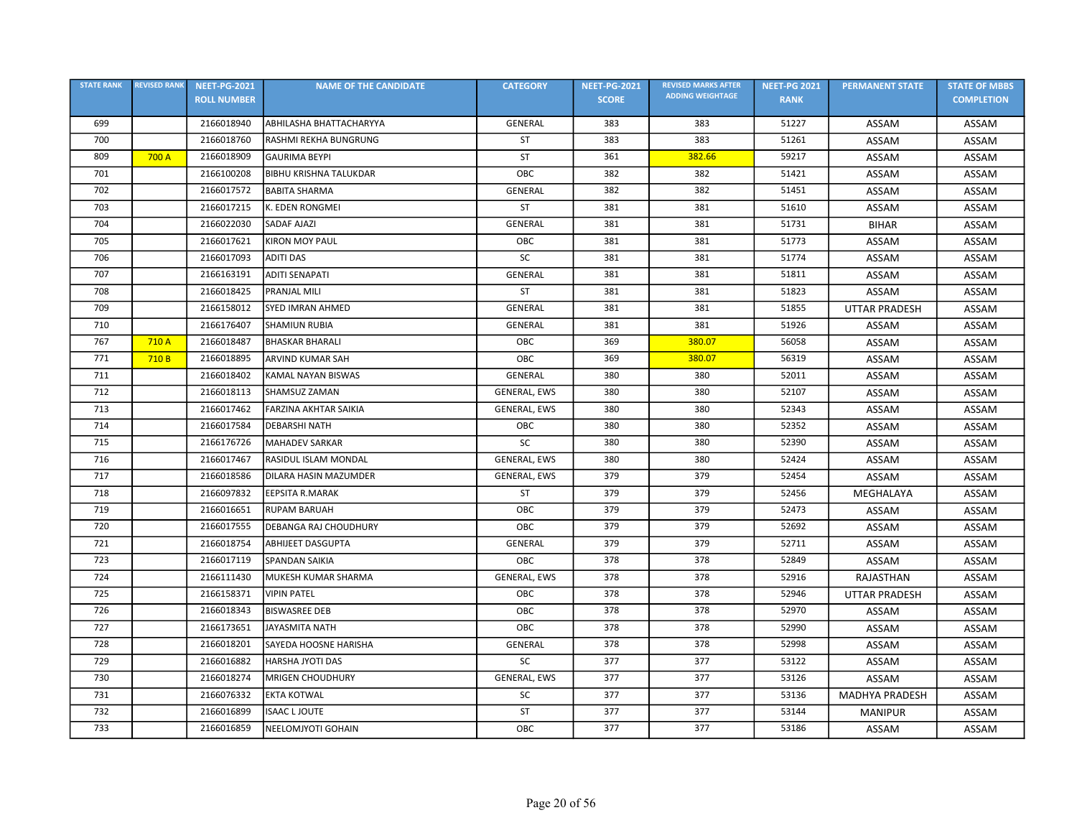| <b>STATE RANK</b> | <b>REVISED RANK</b> | <b>NEET-PG-2021</b> | <b>NAME OF THE CANDIDATE</b>  | <b>CATEGORY</b>     | <b>NEET-PG-2021</b> | <b>REVISED MARKS AFTER</b> | <b>NEET-PG 2021</b> | <b>PERMANENT STATE</b> | <b>STATE OF MBBS</b> |
|-------------------|---------------------|---------------------|-------------------------------|---------------------|---------------------|----------------------------|---------------------|------------------------|----------------------|
|                   |                     | <b>ROLL NUMBER</b>  |                               |                     | <b>SCORE</b>        | <b>ADDING WEIGHTAGE</b>    | <b>RANK</b>         |                        | <b>COMPLETION</b>    |
| 699               |                     | 2166018940          | ABHILASHA BHATTACHARYYA       | GENERAL             | 383                 | 383                        | 51227               | ASSAM                  | ASSAM                |
| 700               |                     | 2166018760          | RASHMI REKHA BUNGRUNG         | ST                  | 383                 | 383                        | 51261               | ASSAM                  | ASSAM                |
| 809               | 700 A               | 2166018909          | <b>GAURIMA BEYPI</b>          | ST                  | 361                 | 382.66                     | 59217               | ASSAM                  | ASSAM                |
| 701               |                     | 2166100208          | <b>BIBHU KRISHNA TALUKDAR</b> | OBC                 | 382                 | 382                        | 51421               | ASSAM                  | ASSAM                |
| 702               |                     | 2166017572          | <b>BABITA SHARMA</b>          | GENERAL             | 382                 | 382                        | 51451               | ASSAM                  | ASSAM                |
| 703               |                     | 2166017215          | K. EDEN RONGMEI               | ST                  | 381                 | 381                        | 51610               | ASSAM                  | ASSAM                |
| 704               |                     | 2166022030          | <b>SADAF AJAZI</b>            | GENERAL             | 381                 | 381                        | 51731               | <b>BIHAR</b>           | <b>ASSAM</b>         |
| 705               |                     | 2166017621          | <b>KIRON MOY PAUL</b>         | OBC                 | 381                 | 381                        | 51773               | ASSAM                  | ASSAM                |
| 706               |                     | 2166017093          | <b>ADITI DAS</b>              | SC                  | 381                 | 381                        | 51774               | ASSAM                  | ASSAM                |
| 707               |                     | 2166163191          | ADITI SENAPATI                | GENERAL             | 381                 | 381                        | 51811               | ASSAM                  | ASSAM                |
| 708               |                     | 2166018425          | <b>PRANJAL MILI</b>           | <b>ST</b>           | 381                 | 381                        | 51823               | ASSAM                  | ASSAM                |
| 709               |                     | 2166158012          | <b>SYED IMRAN AHMED</b>       | <b>GENERAL</b>      | 381                 | 381                        | 51855               | <b>UTTAR PRADESH</b>   | ASSAM                |
| 710               |                     | 2166176407          | <b>SHAMIUN RUBIA</b>          | <b>GENERAL</b>      | 381                 | 381                        | 51926               | ASSAM                  | ASSAM                |
| 767               | 710 A               | 2166018487          | <b>BHASKAR BHARALI</b>        | OBC                 | 369                 | 380.07                     | 56058               | ASSAM                  | ASSAM                |
| 771               | 710 <sub>B</sub>    | 2166018895          | <b>ARVIND KUMAR SAH</b>       | OBC                 | 369                 | 380.07                     | 56319               | ASSAM                  | ASSAM                |
| 711               |                     | 2166018402          | KAMAL NAYAN BISWAS            | GENERAL             | 380                 | 380                        | 52011               | ASSAM                  | ASSAM                |
| 712               |                     | 2166018113          | SHAMSUZ ZAMAN                 | GENERAL, EWS        | 380                 | 380                        | 52107               | ASSAM                  | ASSAM                |
| 713               |                     | 2166017462          | <b>FARZINA AKHTAR SAIKIA</b>  | GENERAL, EWS        | 380                 | 380                        | 52343               | ASSAM                  | <b>ASSAM</b>         |
| 714               |                     | 2166017584          | <b>DEBARSHI NATH</b>          | OBC                 | 380                 | 380                        | 52352               | ASSAM                  | ASSAM                |
| 715               |                     | 2166176726          | <b>MAHADEV SARKAR</b>         | SC                  | 380                 | 380                        | 52390               | ASSAM                  | ASSAM                |
| 716               |                     | 2166017467          | RASIDUL ISLAM MONDAL          | GENERAL, EWS        | 380                 | 380                        | 52424               | ASSAM                  | ASSAM                |
| 717               |                     | 2166018586          | DILARA HASIN MAZUMDER         | GENERAL, EWS        | 379                 | 379                        | 52454               | ASSAM                  | ASSAM                |
| 718               |                     | 2166097832          | <b>EEPSITA R.MARAK</b>        | <b>ST</b>           | 379                 | 379                        | 52456               | MEGHALAYA              | <b>ASSAM</b>         |
| 719               |                     | 2166016651          | <b>RUPAM BARUAH</b>           | OBC                 | 379                 | 379                        | 52473               | ASSAM                  | ASSAM                |
| 720               |                     | 2166017555          | DEBANGA RAJ CHOUDHURY         | OBC                 | 379                 | 379                        | 52692               | ASSAM                  | ASSAM                |
| 721               |                     | 2166018754          | <b>ABHIJEET DASGUPTA</b>      | GENERAL             | 379                 | 379                        | 52711               | ASSAM                  | ASSAM                |
| 723               |                     | 2166017119          | <b>SPANDAN SAIKIA</b>         | OBC                 | 378                 | 378                        | 52849               | ASSAM                  | ASSAM                |
| 724               |                     | 2166111430          | MUKESH KUMAR SHARMA           | GENERAL, EWS        | 378                 | 378                        | 52916               | RAJASTHAN              | <b>ASSAM</b>         |
| 725               |                     | 2166158371          | <b>VIPIN PATEL</b>            | OBC                 | 378                 | 378                        | 52946               | <b>UTTAR PRADESH</b>   | ASSAM                |
| 726               |                     | 2166018343          | <b>BISWASREE DEB</b>          | ОВС                 | 378                 | 378                        | 52970               | ASSAM                  | ASSAM                |
| 727               |                     | 2166173651          | <b>JAYASMITA NATH</b>         | OBC                 | 378                 | 378                        | 52990               | ASSAM                  | ASSAM                |
| 728               |                     | 2166018201          | SAYEDA HOOSNE HARISHA         | GENERAL             | 378                 | 378                        | 52998               | ASSAM                  | ASSAM                |
| 729               |                     | 2166016882          | HARSHA JYOTI DAS              | SC                  | 377                 | 377                        | 53122               | ASSAM                  | ASSAM                |
| 730               |                     | 2166018274          | <b>MRIGEN CHOUDHURY</b>       | <b>GENERAL, EWS</b> | 377                 | 377                        | 53126               | ASSAM                  | <b>ASSAM</b>         |
| 731               |                     | 2166076332          | <b>EKTA KOTWAL</b>            | <b>SC</b>           | 377                 | 377                        | 53136               | <b>MADHYA PRADESH</b>  | ASSAM                |
| 732               |                     | 2166016899          | <b>ISAAC L JOUTE</b>          | <b>ST</b>           | 377                 | 377                        | 53144               | <b>MANIPUR</b>         | ASSAM                |
| 733               |                     | 2166016859          | NEELOMJYOTI GOHAIN            | OBC                 | 377                 | 377                        | 53186               | ASSAM                  | ASSAM                |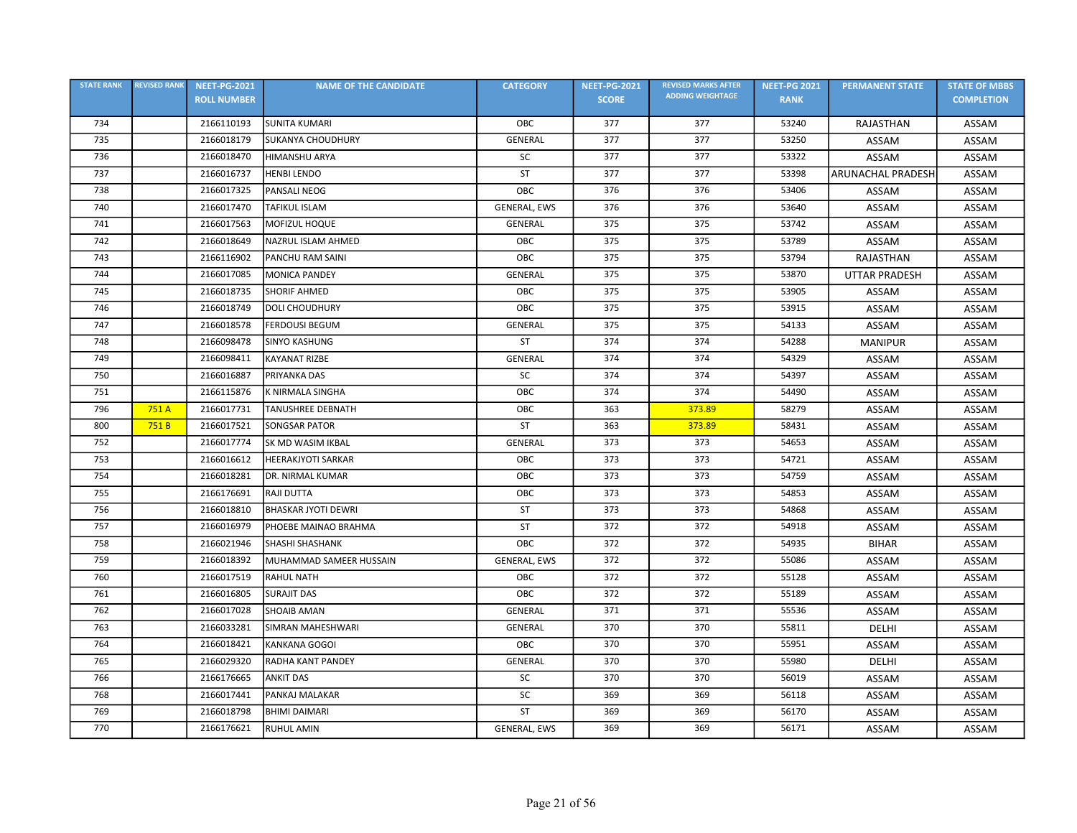| <b>STATE RANK</b> | <b>REVISED RANK</b> | <b>NEET-PG-2021</b> | <b>NAME OF THE CANDIDATE</b> | <b>CATEGORY</b> | <b>NEET-PG-2021</b> | <b>REVISED MARKS AFTER</b> | <b>NEET-PG 2021</b> | <b>PERMANENT STATE</b>   | <b>STATE OF MBBS</b> |
|-------------------|---------------------|---------------------|------------------------------|-----------------|---------------------|----------------------------|---------------------|--------------------------|----------------------|
|                   |                     | <b>ROLL NUMBER</b>  |                              |                 | <b>SCORE</b>        | <b>ADDING WEIGHTAGE</b>    | <b>RANK</b>         |                          | <b>COMPLETION</b>    |
| 734               |                     | 2166110193          | <b>SUNITA KUMARI</b>         | OBC             | 377                 | 377                        | 53240               | RAJASTHAN                | ASSAM                |
| 735               |                     | 2166018179          | <b>SUKANYA CHOUDHURY</b>     | GENERAL         | 377                 | 377                        | 53250               | ASSAM                    | ASSAM                |
| 736               |                     | 2166018470          | <b>HIMANSHU ARYA</b>         | SC              | 377                 | 377                        | 53322               | ASSAM                    | ASSAM                |
| 737               |                     | 2166016737          | <b>HENBI LENDO</b>           | <b>ST</b>       | 377                 | 377                        | 53398               | <b>ARUNACHAL PRADESH</b> | ASSAM                |
| 738               |                     | 2166017325          | PANSALI NEOG                 | OBC             | 376                 | 376                        | 53406               | ASSAM                    | ASSAM                |
| 740               |                     | 2166017470          | <b>TAFIKUL ISLAM</b>         | GENERAL, EWS    | 376                 | 376                        | 53640               | ASSAM                    | ASSAM                |
| 741               |                     | 2166017563          | MOFIZUL HOQUE                | <b>GENERAL</b>  | 375                 | 375                        | 53742               | ASSAM                    | ASSAM                |
| 742               |                     | 2166018649          | NAZRUL ISLAM AHMED           | OBC             | 375                 | 375                        | 53789               | ASSAM                    | ASSAM                |
| 743               |                     | 2166116902          | PANCHU RAM SAINI             | ОВС             | 375                 | 375                        | 53794               | RAJASTHAN                | ASSAM                |
| 744               |                     | 2166017085          | <b>MONICA PANDEY</b>         | GENERAL         | 375                 | 375                        | 53870               | <b>UTTAR PRADESH</b>     | ASSAM                |
| 745               |                     | 2166018735          | <b>SHORIF AHMED</b>          | OBC             | 375                 | 375                        | 53905               | ASSAM                    | ASSAM                |
| 746               |                     | 2166018749          | <b>DOLI CHOUDHURY</b>        | OBC             | 375                 | 375                        | 53915               | ASSAM                    | ASSAM                |
| 747               |                     | 2166018578          | <b>FERDOUSI BEGUM</b>        | <b>GENERAL</b>  | 375                 | 375                        | 54133               | ASSAM                    | ASSAM                |
| 748               |                     | 2166098478          | <b>SINYO KASHUNG</b>         | ST              | 374                 | 374                        | 54288               | <b>MANIPUR</b>           | ASSAM                |
| 749               |                     | 2166098411          | <b>KAYANAT RIZBE</b>         | <b>GENERAL</b>  | 374                 | 374                        | 54329               | ASSAM                    | ASSAM                |
| 750               |                     | 2166016887          | PRIYANKA DAS                 | SC              | 374                 | 374                        | 54397               | ASSAM                    | ASSAM                |
| 751               |                     | 2166115876          | K NIRMALA SINGHA             | OBC             | 374                 | 374                        | 54490               | ASSAM                    | ASSAM                |
| 796               | 751 A               | 2166017731          | <b>TANUSHREE DEBNATH</b>     | OBC             | 363                 | 373.89                     | 58279               | ASSAM                    | ASSAM                |
| 800               | 751B                | 2166017521          | <b>SONGSAR PATOR</b>         | ST              | 363                 | 373.89                     | 58431               | ASSAM                    | ASSAM                |
| 752               |                     | 2166017774          | SK MD WASIM IKBAL            | <b>GENERAL</b>  | 373                 | 373                        | 54653               | ASSAM                    | ASSAM                |
| 753               |                     | 2166016612          | <b>HEERAKJYOTI SARKAR</b>    | OBC             | 373                 | 373                        | 54721               | ASSAM                    | ASSAM                |
| 754               |                     | 2166018281          | DR. NIRMAL KUMAR             | ОВС             | 373                 | 373                        | 54759               | ASSAM                    | ASSAM                |
| 755               |                     | 2166176691          | RAJI DUTTA                   | OBC             | 373                 | 373                        | 54853               | ASSAM                    | ASSAM                |
| 756               |                     | 2166018810          | <b>BHASKAR JYOTI DEWRI</b>   | ST              | 373                 | 373                        | 54868               | ASSAM                    | ASSAM                |
| 757               |                     | 2166016979          | PHOEBE MAINAO BRAHMA         | <b>ST</b>       | 372                 | 372                        | 54918               | ASSAM                    | ASSAM                |
| 758               |                     | 2166021946          | <b>SHASHI SHASHANK</b>       | OBC             | 372                 | 372                        | 54935               | <b>BIHAR</b>             | ASSAM                |
| 759               |                     | 2166018392          | MUHAMMAD SAMEER HUSSAIN      | GENERAL, EWS    | 372                 | 372                        | 55086               | ASSAM                    | ASSAM                |
| 760               |                     | 2166017519          | <b>RAHUL NATH</b>            | OBC             | 372                 | 372                        | 55128               | ASSAM                    | <b>ASSAM</b>         |
| 761               |                     | 2166016805          | <b>SURAJIT DAS</b>           | OBC             | 372                 | 372                        | 55189               | ASSAM                    | ASSAM                |
| 762               |                     | 2166017028          | <b>SHOAIB AMAN</b>           | GENERAL         | 371                 | 371                        | 55536               | ASSAM                    | ASSAM                |
| 763               |                     | 2166033281          | SIMRAN MAHESHWARI            | <b>GENERAL</b>  | 370                 | 370                        | 55811               | DELHI                    | ASSAM                |
| 764               |                     | 2166018421          | <b>KANKANA GOGOI</b>         | OBC             | 370                 | 370                        | 55951               | ASSAM                    | ASSAM                |
| 765               |                     | 2166029320          | RADHA KANT PANDEY            | <b>GENERAL</b>  | 370                 | 370                        | 55980               | DELHI                    | ASSAM                |
| 766               |                     | 2166176665          | <b>ANKIT DAS</b>             | <b>SC</b>       | 370                 | 370                        | 56019               | ASSAM                    | ASSAM                |
| 768               |                     | 2166017441          | PANKAJ MALAKAR               | SC              | 369                 | 369                        | 56118               | ASSAM                    | ASSAM                |
| 769               |                     | 2166018798          | <b>BHIMI DAIMARI</b>         | <b>ST</b>       | 369                 | 369                        | 56170               | ASSAM                    | ASSAM                |
| 770               |                     | 2166176621          | <b>RUHUL AMIN</b>            | GENERAL, EWS    | 369                 | 369                        | 56171               | ASSAM                    | ASSAM                |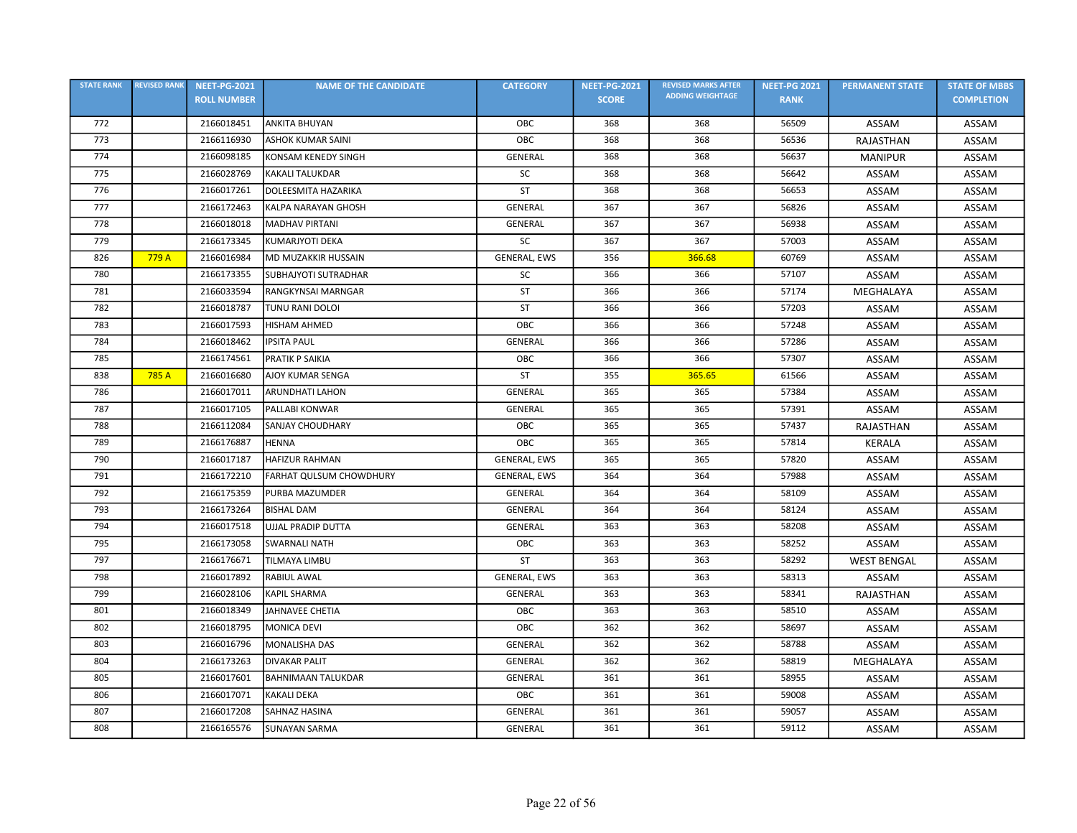| <b>STATE RANK</b> | <b>REVISED RANK</b> | <b>NEET-PG-2021</b> | <b>NAME OF THE CANDIDATE</b> | <b>CATEGORY</b>     | <b>NEET-PG-2021</b> | <b>REVISED MARKS AFTER</b> | <b>NEET-PG 2021</b> | <b>PERMANENT STATE</b> | <b>STATE OF MBBS</b> |
|-------------------|---------------------|---------------------|------------------------------|---------------------|---------------------|----------------------------|---------------------|------------------------|----------------------|
|                   |                     | <b>ROLL NUMBER</b>  |                              |                     | <b>SCORE</b>        | <b>ADDING WEIGHTAGE</b>    | <b>RANK</b>         |                        | <b>COMPLETION</b>    |
| 772               |                     | 2166018451          | <b>ANKITA BHUYAN</b>         | OBC                 | 368                 | 368                        | 56509               | ASSAM                  | ASSAM                |
| 773               |                     | 2166116930          | <b>ASHOK KUMAR SAINI</b>     | OBC                 | 368                 | 368                        | 56536               | RAJASTHAN              | ASSAM                |
| 774               |                     | 2166098185          | KONSAM KENEDY SINGH          | <b>GENERAL</b>      | 368                 | 368                        | 56637               | <b>MANIPUR</b>         | ASSAM                |
| 775               |                     | 2166028769          | <b>KAKALI TALUKDAR</b>       | SC                  | 368                 | 368                        | 56642               | ASSAM                  | ASSAM                |
| 776               |                     | 2166017261          | <b>DOLEESMITA HAZARIKA</b>   | <b>ST</b>           | 368                 | 368                        | 56653               | ASSAM                  | ASSAM                |
| 777               |                     | 2166172463          | KALPA NARAYAN GHOSH          | GENERAL             | 367                 | 367                        | 56826               | ASSAM                  | ASSAM                |
| 778               |                     | 2166018018          | <b>MADHAV PIRTANI</b>        | <b>GENERAL</b>      | 367                 | 367                        | 56938               | ASSAM                  | ASSAM                |
| 779               |                     | 2166173345          | KUMARJYOTI DEKA              | SC                  | 367                 | 367                        | 57003               | ASSAM                  | ASSAM                |
| 826               | 779 A               | 2166016984          | <b>MD MUZAKKIR HUSSAIN</b>   | <b>GENERAL, EWS</b> | 356                 | 366.68                     | 60769               | ASSAM                  | ASSAM                |
| 780               |                     | 2166173355          | <b>SUBHAJYOTI SUTRADHAR</b>  | SC                  | 366                 | 366                        | 57107               | ASSAM                  | ASSAM                |
| 781               |                     | 2166033594          | <b>RANGKYNSAI MARNGAR</b>    | <b>ST</b>           | 366                 | 366                        | 57174               | MEGHALAYA              | ASSAM                |
| 782               |                     | 2166018787          | TUNU RANI DOLOI              | ST                  | 366                 | 366                        | 57203               | ASSAM                  | ASSAM                |
| 783               |                     | 2166017593          | <b>HISHAM AHMED</b>          | OBC                 | 366                 | 366                        | 57248               | ASSAM                  | ASSAM                |
| 784               |                     | 2166018462          | <b>IPSITA PAUL</b>           | <b>GENERAL</b>      | 366                 | 366                        | 57286               | ASSAM                  | ASSAM                |
| 785               |                     | 2166174561          | PRATIK P SAIKIA              | OBC                 | 366                 | 366                        | 57307               | ASSAM                  | <b>ASSAM</b>         |
| 838               | 785 A               | 2166016680          | <b>AJOY KUMAR SENGA</b>      | ST                  | 355                 | 365.65                     | 61566               | ASSAM                  | ASSAM                |
| 786               |                     | 2166017011          | <b>ARUNDHATI LAHON</b>       | GENERAL             | 365                 | 365                        | 57384               | ASSAM                  | <b>ASSAM</b>         |
| 787               |                     | 2166017105          | PALLABI KONWAR               | <b>GENERAL</b>      | 365                 | 365                        | 57391               | ASSAM                  | ASSAM                |
| 788               |                     | 2166112084          | SANJAY CHOUDHARY             | OBC                 | 365                 | 365                        | 57437               | RAJASTHAN              | ASSAM                |
| 789               |                     | 2166176887          | <b>HENNA</b>                 | ОВС                 | 365                 | 365                        | 57814               | <b>KERALA</b>          | ASSAM                |
| 790               |                     | 2166017187          | <b>HAFIZUR RAHMAN</b>        | GENERAL, EWS        | 365                 | 365                        | 57820               | ASSAM                  | ASSAM                |
| 791               |                     | 2166172210          | FARHAT QULSUM CHOWDHURY      | GENERAL, EWS        | 364                 | 364                        | 57988               | ASSAM                  | ASSAM                |
| 792               |                     | 2166175359          | PURBA MAZUMDER               | <b>GENERAL</b>      | 364                 | 364                        | 58109               | ASSAM                  | ASSAM                |
| 793               |                     | 2166173264          | <b>BISHAL DAM</b>            | GENERAL             | 364                 | 364                        | 58124               | ASSAM                  | ASSAM                |
| 794               |                     | 2166017518          | <b>UJJAL PRADIP DUTTA</b>    | GENERAL             | 363                 | 363                        | 58208               | ASSAM                  | ASSAM                |
| 795               |                     | 2166173058          | <b>SWARNALI NATH</b>         | OBC                 | 363                 | 363                        | 58252               | ASSAM                  | ASSAM                |
| 797               |                     | 2166176671          | TILMAYA LIMBU                | <b>ST</b>           | 363                 | 363                        | 58292               | <b>WEST BENGAL</b>     | ASSAM                |
| 798               |                     | 2166017892          | RABIUL AWAL                  | GENERAL, EWS        | 363                 | 363                        | 58313               | ASSAM                  | <b>ASSAM</b>         |
| 799               |                     | 2166028106          | <b>KAPIL SHARMA</b>          | GENERAL             | 363                 | 363                        | 58341               | RAJASTHAN              | ASSAM                |
| 801               |                     | 2166018349          | JAHNAVEE CHETIA              | OBC                 | 363                 | 363                        | 58510               | ASSAM                  | ASSAM                |
| 802               |                     | 2166018795          | <b>MONICA DEVI</b>           | OBC                 | 362                 | 362                        | 58697               | ASSAM                  | ASSAM                |
| 803               |                     | 2166016796          | MONALISHA DAS                | <b>GENERAL</b>      | 362                 | 362                        | 58788               | ASSAM                  | ASSAM                |
| 804               |                     | 2166173263          | <b>DIVAKAR PALIT</b>         | GENERAL             | 362                 | 362                        | 58819               | MEGHALAYA              | ASSAM                |
| 805               |                     | 2166017601          | <b>BAHNIMAAN TALUKDAR</b>    | <b>GENERAL</b>      | 361                 | 361                        | 58955               | ASSAM                  | ASSAM                |
| 806               |                     | 2166017071          | <b>KAKALI DEKA</b>           | OBC                 | 361                 | 361                        | 59008               | ASSAM                  | ASSAM                |
| 807               |                     | 2166017208          | SAHNAZ HASINA                | <b>GENERAL</b>      | 361                 | 361                        | 59057               | ASSAM                  | ASSAM                |
| 808               |                     | 2166165576          | <b>SUNAYAN SARMA</b>         | <b>GENERAL</b>      | 361                 | 361                        | 59112               | ASSAM                  | ASSAM                |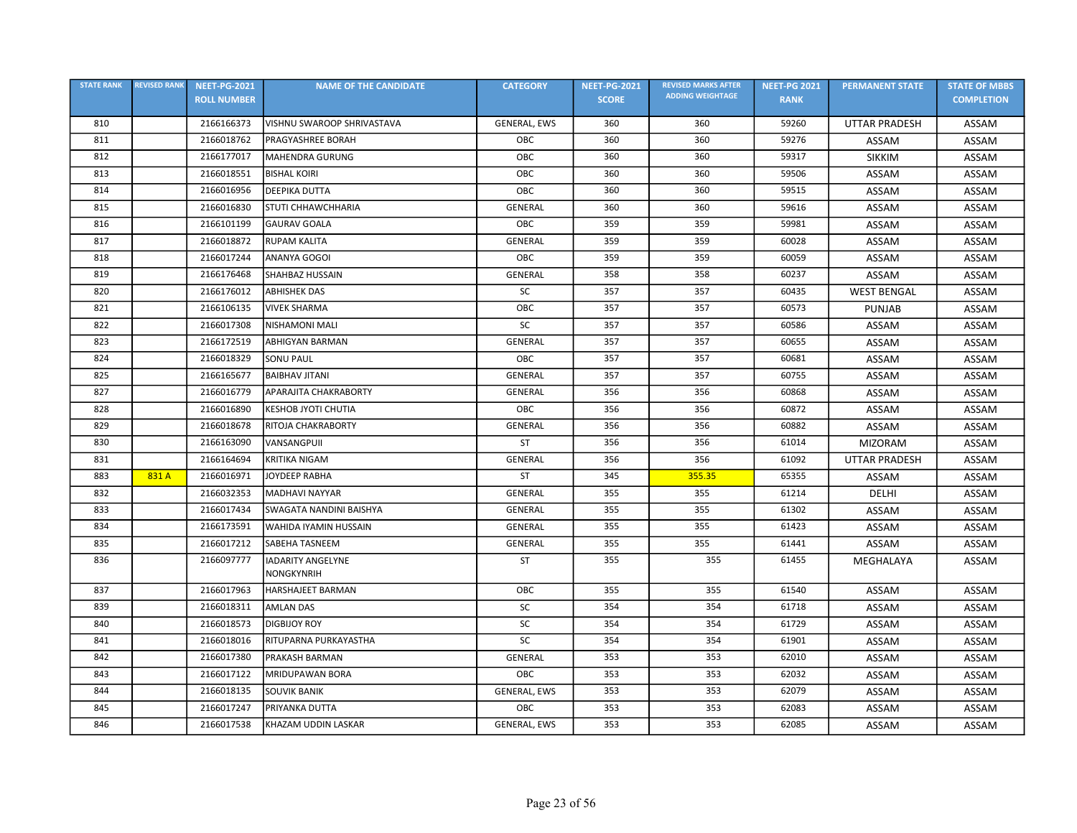| <b>STATE RANK</b> | <b>REVISED RANK</b> | <b>NEET-PG-2021</b> | <b>NAME OF THE CANDIDATE</b>           | <b>CATEGORY</b>     | <b>NEET-PG-2021</b> | <b>REVISED MARKS AFTER</b> | <b>NEET-PG 2021</b> | <b>PERMANENT STATE</b> | <b>STATE OF MBBS</b> |
|-------------------|---------------------|---------------------|----------------------------------------|---------------------|---------------------|----------------------------|---------------------|------------------------|----------------------|
|                   |                     | <b>ROLL NUMBER</b>  |                                        |                     | <b>SCORE</b>        | <b>ADDING WEIGHTAGE</b>    | <b>RANK</b>         |                        | <b>COMPLETION</b>    |
| 810               |                     | 2166166373          | VISHNU SWAROOP SHRIVASTAVA             | <b>GENERAL, EWS</b> | 360                 | 360                        | 59260               | <b>UTTAR PRADESH</b>   | ASSAM                |
| 811               |                     | 2166018762          | <b>PRAGYASHREE BORAH</b>               | OBC                 | 360                 | 360                        | 59276               | ASSAM                  | ASSAM                |
| 812               |                     | 2166177017          | MAHENDRA GURUNG                        | OBC                 | 360                 | 360                        | 59317               | <b>SIKKIM</b>          | ASSAM                |
| 813               |                     | 2166018551          | <b>BISHAL KOIRI</b>                    | OBC                 | 360                 | 360                        | 59506               | ASSAM                  | ASSAM                |
| 814               |                     | 2166016956          | <b>DEEPIKA DUTTA</b>                   | OBC                 | 360                 | 360                        | 59515               | ASSAM                  | ASSAM                |
| 815               |                     | 2166016830          | <b>STUTI CHHAWCHHARIA</b>              | <b>GENERAL</b>      | 360                 | 360                        | 59616               | ASSAM                  | ASSAM                |
| 816               |                     | 2166101199          | <b>GAURAV GOALA</b>                    | OBC                 | 359                 | 359                        | 59981               | ASSAM                  | ASSAM                |
| 817               |                     | 2166018872          | <b>RUPAM KALITA</b>                    | GENERAL             | 359                 | 359                        | 60028               | ASSAM                  | ASSAM                |
| 818               |                     | 2166017244          | ANANYA GOGOI                           | OBC                 | 359                 | 359                        | 60059               | ASSAM                  | ASSAM                |
| 819               |                     | 2166176468          | <b>SHAHBAZ HUSSAIN</b>                 | <b>GENERAL</b>      | 358                 | 358                        | 60237               | ASSAM                  | ASSAM                |
| 820               |                     | 2166176012          | <b>ABHISHEK DAS</b>                    | SC                  | 357                 | 357                        | 60435               | <b>WEST BENGAL</b>     | ASSAM                |
| 821               |                     | 2166106135          | <b>VIVEK SHARMA</b>                    | OBC                 | 357                 | 357                        | 60573               | <b>PUNJAB</b>          | ASSAM                |
| 822               |                     | 2166017308          | INISHAMONI MALI                        | SC                  | 357                 | 357                        | 60586               | ASSAM                  | ASSAM                |
| 823               |                     | 2166172519          | <b>ABHIGYAN BARMAN</b>                 | <b>GENERAL</b>      | 357                 | 357                        | 60655               | ASSAM                  | <b>ASSAM</b>         |
| 824               |                     | 2166018329          | <b>SONU PAUL</b>                       | OBC                 | 357                 | 357                        | 60681               | ASSAM                  | ASSAM                |
| 825               |                     | 2166165677          | BAIBHAV JITANI                         | <b>GENERAL</b>      | 357                 | 357                        | 60755               | ASSAM                  | ASSAM                |
| 827               |                     | 2166016779          | APARAJITA CHAKRABORTY                  | <b>GENERAL</b>      | 356                 | 356                        | 60868               | ASSAM                  | ASSAM                |
| 828               |                     | 2166016890          | <b>KESHOB JYOTI CHUTIA</b>             | OBC                 | 356                 | 356                        | 60872               | ASSAM                  | ASSAM                |
| 829               |                     | 2166018678          | <b>RITOJA CHAKRABORTY</b>              | GENERAL             | 356                 | 356                        | 60882               | ASSAM                  | ASSAM                |
| 830               |                     | 2166163090          | VANSANGPUII                            | ST                  | 356                 | 356                        | 61014               | <b>MIZORAM</b>         | <b>ASSAM</b>         |
| 831               |                     | 2166164694          | KRITIKA NIGAM                          | <b>GENERAL</b>      | 356                 | 356                        | 61092               | <b>UTTAR PRADESH</b>   | ASSAM                |
| 883               | 831 A               | 2166016971          | JOYDEEP RABHA                          | <b>ST</b>           | 345                 | 355.35                     | 65355               | ASSAM                  | ASSAM                |
| 832               |                     | 2166032353          | MADHAVI NAYYAR                         | GENERAL             | 355                 | 355                        | 61214               | <b>DELHI</b>           | ASSAM                |
| 833               |                     | 2166017434          | SWAGATA NANDINI BAISHYA                | <b>GENERAL</b>      | 355                 | 355                        | 61302               | ASSAM                  | ASSAM                |
| 834               |                     | 2166173591          | WAHIDA IYAMIN HUSSAIN                  | <b>GENERAL</b>      | 355                 | 355                        | 61423               | ASSAM                  | ASSAM                |
| 835               |                     | 2166017212          | <b>SABEHA TASNEEM</b>                  | <b>GENERAL</b>      | 355                 | 355                        | 61441               | ASSAM                  | ASSAM                |
| 836               |                     | 2166097777          | <b>IADARITY ANGELYNE</b><br>NONGKYNRIH | <b>ST</b>           | 355                 | 355                        | 61455               | MEGHALAYA              | ASSAM                |
| 837               |                     | 2166017963          | <b>HARSHAJEET BARMAN</b>               | OBC                 | 355                 | 355                        | 61540               | ASSAM                  | ASSAM                |
| 839               |                     | 2166018311          | <b>AMLAN DAS</b>                       | SC                  | 354                 | 354                        | 61718               | ASSAM                  | ASSAM                |
| 840               |                     | 2166018573          | <b>DIGBIJOY ROY</b>                    | SC                  | 354                 | 354                        | 61729               | ASSAM                  | ASSAM                |
| 841               |                     | 2166018016          | RITUPARNA PURKAYASTHA                  | SC                  | 354                 | 354                        | 61901               | ASSAM                  | ASSAM                |
| 842               |                     | 2166017380          | PRAKASH BARMAN                         | <b>GENERAL</b>      | 353                 | 353                        | 62010               | ASSAM                  | ASSAM                |
| 843               |                     | 2166017122          | MRIDUPAWAN BORA                        | OBC                 | 353                 | 353                        | 62032               | ASSAM                  | ASSAM                |
| 844               |                     | 2166018135          | <b>SOUVIK BANIK</b>                    | GENERAL, EWS        | 353                 | 353                        | 62079               | ASSAM                  | ASSAM                |
| 845               |                     | 2166017247          | PRIYANKA DUTTA                         | OBC                 | 353                 | 353                        | 62083               | <b>ASSAM</b>           | ASSAM                |
| 846               |                     | 2166017538          | KHAZAM UDDIN LASKAR                    | GENERAL, EWS        | 353                 | 353                        | 62085               | ASSAM                  | ASSAM                |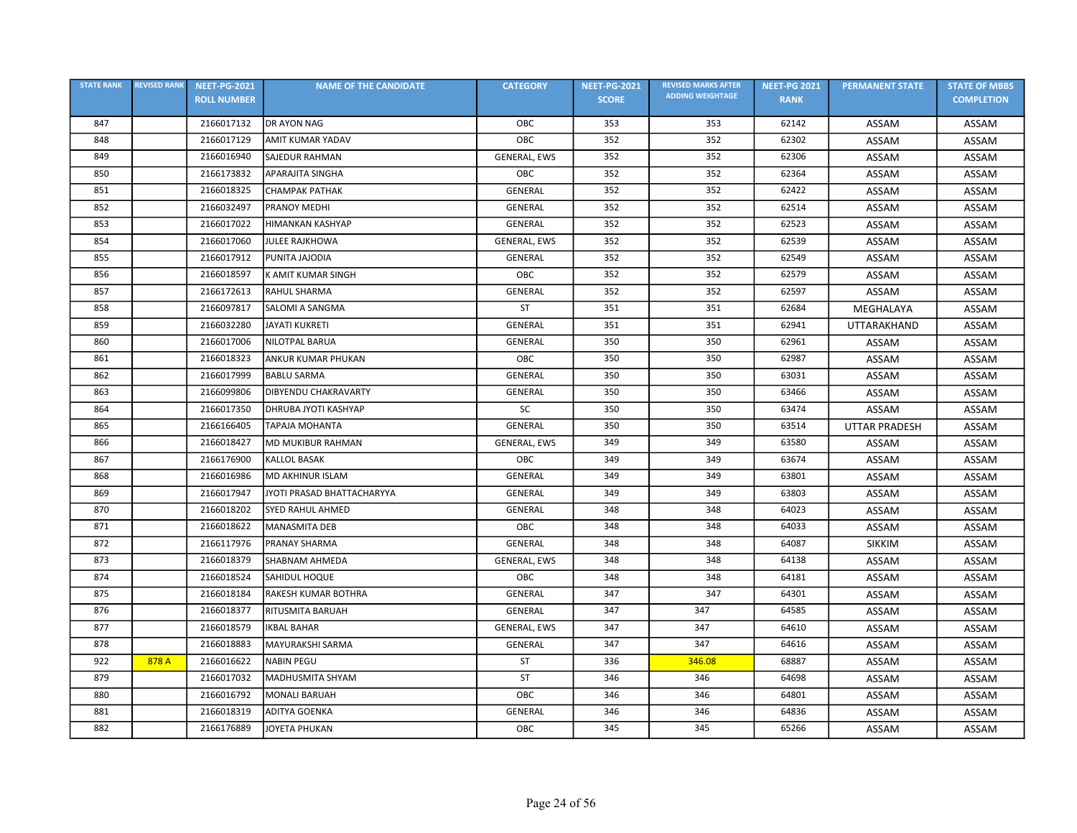| <b>STATE RANK</b> | <b>REVISED RANK</b> | <b>NEET-PG-2021</b> | <b>NAME OF THE CANDIDATE</b> | <b>CATEGORY</b> | <b>NEET-PG-2021</b> | <b>REVISED MARKS AFTER</b> | <b>NEET-PG 2021</b> | <b>PERMANENT STATE</b> | <b>STATE OF MBBS</b> |
|-------------------|---------------------|---------------------|------------------------------|-----------------|---------------------|----------------------------|---------------------|------------------------|----------------------|
|                   |                     | <b>ROLL NUMBER</b>  |                              |                 | <b>SCORE</b>        | <b>ADDING WEIGHTAGE</b>    | <b>RANK</b>         |                        | <b>COMPLETION</b>    |
| 847               |                     | 2166017132          | <b>DR AYON NAG</b>           | OBC             | 353                 | 353                        | 62142               | ASSAM                  | ASSAM                |
| 848               |                     | 2166017129          | <b>AMIT KUMAR YADAV</b>      | OBC             | 352                 | 352                        | 62302               | ASSAM                  | ASSAM                |
| 849               |                     | 2166016940          | <b>SAJEDUR RAHMAN</b>        | GENERAL, EWS    | 352                 | 352                        | 62306               | ASSAM                  | ASSAM                |
| 850               |                     | 2166173832          | <b>APARAJITA SINGHA</b>      | OBC             | 352                 | 352                        | 62364               | ASSAM                  | ASSAM                |
| 851               |                     | 2166018325          | <b>CHAMPAK PATHAK</b>        | GENERAL         | 352                 | 352                        | 62422               | ASSAM                  | ASSAM                |
| 852               |                     | 2166032497          | <b>PRANOY MEDHI</b>          | GENERAL         | 352                 | 352                        | 62514               | ASSAM                  | ASSAM                |
| 853               |                     | 2166017022          | <b>HIMANKAN KASHYAP</b>      | GENERAL         | 352                 | 352                        | 62523               | ASSAM                  | ASSAM                |
| 854               |                     | 2166017060          | <b>JULEE RAJKHOWA</b>        | GENERAL, EWS    | 352                 | 352                        | 62539               | ASSAM                  | ASSAM                |
| 855               |                     | 2166017912          | PUNITA JAJODIA               | GENERAL         | 352                 | 352                        | 62549               | ASSAM                  | ASSAM                |
| 856               |                     | 2166018597          | K AMIT KUMAR SINGH           | OBC             | 352                 | 352                        | 62579               | ASSAM                  | ASSAM                |
| 857               |                     | 2166172613          | <b>RAHUL SHARMA</b>          | GENERAL         | 352                 | 352                        | 62597               | ASSAM                  | ASSAM                |
| 858               |                     | 2166097817          | SALOMI A SANGMA              | ST              | 351                 | 351                        | 62684               | MEGHALAYA              | ASSAM                |
| 859               |                     | 2166032280          | <b>JAYATI KUKRETI</b>        | <b>GENERAL</b>  | 351                 | 351                        | 62941               | UTTARAKHAND            | ASSAM                |
| 860               |                     | 2166017006          | <b>NILOTPAL BARUA</b>        | GENERAL         | 350                 | 350                        | 62961               | ASSAM                  | ASSAM                |
| 861               |                     | 2166018323          | <b>ANKUR KUMAR PHUKAN</b>    | OBC             | 350                 | 350                        | 62987               | ASSAM                  | ASSAM                |
| 862               |                     | 2166017999          | <b>BABLU SARMA</b>           | GENERAL         | 350                 | 350                        | 63031               | ASSAM                  | ASSAM                |
| 863               |                     | 2166099806          | DIBYENDU CHAKRAVARTY         | <b>GENERAL</b>  | 350                 | 350                        | 63466               | ASSAM                  | ASSAM                |
| 864               |                     | 2166017350          | DHRUBA JYOTI KASHYAP         | <b>SC</b>       | 350                 | 350                        | 63474               | ASSAM                  | ASSAM                |
| 865               |                     | 2166166405          | TAPAJA MOHANTA               | <b>GENERAL</b>  | 350                 | 350                        | 63514               | <b>UTTAR PRADESH</b>   | ASSAM                |
| 866               |                     | 2166018427          | <b>MD MUKIBUR RAHMAN</b>     | GENERAL, EWS    | 349                 | 349                        | 63580               | ASSAM                  | ASSAM                |
| 867               |                     | 2166176900          | <b>KALLOL BASAK</b>          | OBC             | 349                 | 349                        | 63674               | ASSAM                  | ASSAM                |
| 868               |                     | 2166016986          | <b>MD AKHINUR ISLAM</b>      | GENERAL         | 349                 | 349                        | 63801               | ASSAM                  | ASSAM                |
| 869               |                     | 2166017947          | JYOTI PRASAD BHATTACHARYYA   | GENERAL         | 349                 | 349                        | 63803               | ASSAM                  | ASSAM                |
| 870               |                     | 2166018202          | SYED RAHUL AHMED             | GENERAL         | 348                 | 348                        | 64023               | ASSAM                  | ASSAM                |
| 871               |                     | 2166018622          | <b>MANASMITA DEB</b>         | OBC             | 348                 | 348                        | 64033               | ASSAM                  | ASSAM                |
| 872               |                     | 2166117976          | <b>PRANAY SHARMA</b>         | <b>GENERAL</b>  | 348                 | 348                        | 64087               | <b>SIKKIM</b>          | ASSAM                |
| 873               |                     | 2166018379          | SHABNAM AHMEDA               | GENERAL, EWS    | 348                 | 348                        | 64138               | ASSAM                  | ASSAM                |
| 874               |                     | 2166018524          | SAHIDUL HOQUE                | OBC             | 348                 | 348                        | 64181               | ASSAM                  | ASSAM                |
| 875               |                     | 2166018184          | RAKESH KUMAR BOTHRA          | GENERAL         | 347                 | 347                        | 64301               | ASSAM                  | ASSAM                |
| 876               |                     | 2166018377          | <b>RITUSMITA BARUAH</b>      | GENERAL         | 347                 | 347                        | 64585               | ASSAM                  | ASSAM                |
| 877               |                     | 2166018579          | <b>IKBAL BAHAR</b>           | GENERAL, EWS    | 347                 | 347                        | 64610               | ASSAM                  | ASSAM                |
| 878               |                     | 2166018883          | MAYURAKSHI SARMA             | <b>GENERAL</b>  | 347                 | 347                        | 64616               | ASSAM                  | ASSAM                |
| 922               | 878 A               | 2166016622          | <b>NABIN PEGU</b>            | ST              | 336                 | 346.08                     | 68887               | ASSAM                  | ASSAM                |
| 879               |                     | 2166017032          | MADHUSMITA SHYAM             | <b>ST</b>       | 346                 | 346                        | 64698               | ASSAM                  | ASSAM                |
| 880               |                     | 2166016792          | <b>MONALI BARUAH</b>         | OBC             | 346                 | 346                        | 64801               | ASSAM                  | ASSAM                |
| 881               |                     | 2166018319          | <b>ADITYA GOENKA</b>         | GENERAL         | 346                 | 346                        | 64836               | ASSAM                  | ASSAM                |
| 882               |                     | 2166176889          | JOYETA PHUKAN                | OBC             | 345                 | 345                        | 65266               | ASSAM                  | ASSAM                |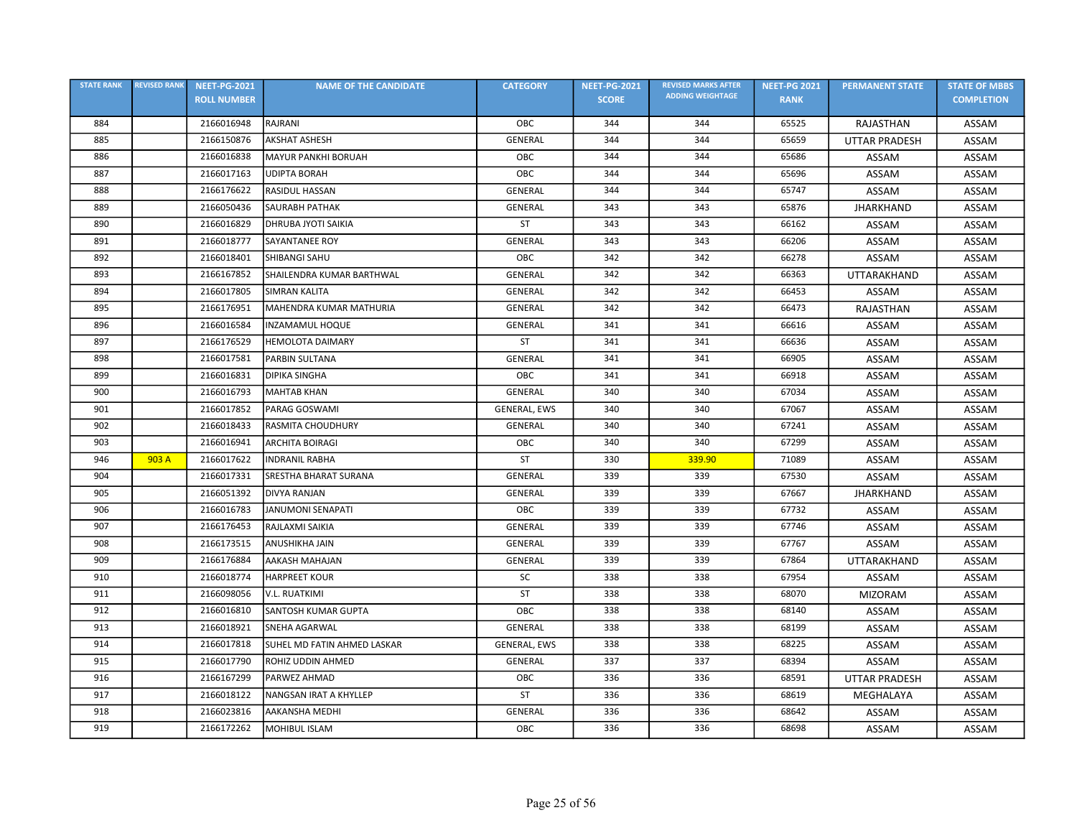| <b>STATE RANK</b> | <b>REVISED RANK</b> | <b>NEET-PG-2021</b> | <b>NAME OF THE CANDIDATE</b> | <b>CATEGORY</b> | <b>NEET-PG-2021</b> | <b>REVISED MARKS AFTER</b> | <b>NEET-PG 2021</b> | <b>PERMANENT STATE</b> | <b>STATE OF MBBS</b> |
|-------------------|---------------------|---------------------|------------------------------|-----------------|---------------------|----------------------------|---------------------|------------------------|----------------------|
|                   |                     | <b>ROLL NUMBER</b>  |                              |                 | <b>SCORE</b>        | <b>ADDING WEIGHTAGE</b>    | <b>RANK</b>         |                        | <b>COMPLETION</b>    |
| 884               |                     | 2166016948          | RAJRANI                      | OBC             | 344                 | 344                        | 65525               | RAJASTHAN              | ASSAM                |
| 885               |                     | 2166150876          | <b>AKSHAT ASHESH</b>         | GENERAL         | 344                 | 344                        | 65659               | <b>UTTAR PRADESH</b>   | ASSAM                |
| 886               |                     | 2166016838          | <b>MAYUR PANKHI BORUAH</b>   | OBC             | 344                 | 344                        | 65686               | ASSAM                  | ASSAM                |
| 887               |                     | 2166017163          | <b>UDIPTA BORAH</b>          | OBC             | 344                 | 344                        | 65696               | ASSAM                  | ASSAM                |
| 888               |                     | 2166176622          | <b>RASIDUL HASSAN</b>        | GENERAL         | 344                 | 344                        | 65747               | ASSAM                  | ASSAM                |
| 889               |                     | 2166050436          | <b>SAURABH PATHAK</b>        | GENERAL         | 343                 | 343                        | 65876               | <b>JHARKHAND</b>       | ASSAM                |
| 890               |                     | 2166016829          | DHRUBA JYOTI SAIKIA          | ST              | 343                 | 343                        | 66162               | ASSAM                  | <b>ASSAM</b>         |
| 891               |                     | 2166018777          | <b>SAYANTANEE ROY</b>        | <b>GENERAL</b>  | 343                 | 343                        | 66206               | ASSAM                  | ASSAM                |
| 892               |                     | 2166018401          | <b>SHIBANGI SAHU</b>         | OBC             | 342                 | 342                        | 66278               | ASSAM                  | ASSAM                |
| 893               |                     | 2166167852          | SHAILENDRA KUMAR BARTHWAL    | GENERAL         | 342                 | 342                        | 66363               | <b>UTTARAKHAND</b>     | ASSAM                |
| 894               |                     | 2166017805          | <b>SIMRAN KALITA</b>         | GENERAL         | 342                 | 342                        | 66453               | ASSAM                  | ASSAM                |
| 895               |                     | 2166176951          | MAHENDRA KUMAR MATHURIA      | <b>GENERAL</b>  | 342                 | 342                        | 66473               | RAJASTHAN              | ASSAM                |
| 896               |                     | 2166016584          | <b>INZAMAMUL HOQUE</b>       | <b>GENERAL</b>  | 341                 | 341                        | 66616               | ASSAM                  | <b>ASSAM</b>         |
| 897               |                     | 2166176529          | <b>HEMOLOTA DAIMARY</b>      | ST              | 341                 | 341                        | 66636               | ASSAM                  | ASSAM                |
| 898               |                     | 2166017581          | PARBIN SULTANA               | GENERAL         | 341                 | 341                        | 66905               | <b>ASSAM</b>           | ASSAM                |
| 899               |                     | 2166016831          | <b>DIPIKA SINGHA</b>         | OBC             | 341                 | 341                        | 66918               | ASSAM                  | ASSAM                |
| 900               |                     | 2166016793          | <b>MAHTAB KHAN</b>           | GENERAL         | 340                 | 340                        | 67034               | ASSAM                  | ASSAM                |
| 901               |                     | 2166017852          | PARAG GOSWAMI                | GENERAL, EWS    | 340                 | 340                        | 67067               | ASSAM                  | ASSAM                |
| 902               |                     | 2166018433          | RASMITA CHOUDHURY            | GENERAL         | 340                 | 340                        | 67241               | ASSAM                  | ASSAM                |
| 903               |                     | 2166016941          | <b>ARCHITA BOIRAGI</b>       | OBC             | 340                 | 340                        | 67299               | ASSAM                  | ASSAM                |
| 946               | 903 A               | 2166017622          | <b>INDRANIL RABHA</b>        | <b>ST</b>       | 330                 | 339.90                     | 71089               | ASSAM                  | ASSAM                |
| 904               |                     | 2166017331          | SRESTHA BHARAT SURANA        | <b>GENERAL</b>  | 339                 | 339                        | 67530               | ASSAM                  | ASSAM                |
| 905               |                     | 2166051392          | <b>DIVYA RANJAN</b>          | <b>GENERAL</b>  | 339                 | 339                        | 67667               | <b>JHARKHAND</b>       | ASSAM                |
| 906               |                     | 2166016783          | JANUMONI SENAPATI            | OBC             | 339                 | 339                        | 67732               | ASSAM                  | ASSAM                |
| 907               |                     | 2166176453          | RAJLAXMI SAIKIA              | GENERAL         | 339                 | 339                        | 67746               | ASSAM                  | ASSAM                |
| 908               |                     | 2166173515          | ANUSHIKHA JAIN               | GENERAL         | 339                 | 339                        | 67767               | ASSAM                  | ASSAM                |
| 909               |                     | 2166176884          | AAKASH MAHAJAN               | GENERAL         | 339                 | 339                        | 67864               | UTTARAKHAND            | ASSAM                |
| 910               |                     | 2166018774          | <b>HARPREET KOUR</b>         | SC              | 338                 | 338                        | 67954               | ASSAM                  | <b>ASSAM</b>         |
| 911               |                     | 2166098056          | <b>V.L. RUATKIMI</b>         | ST              | 338                 | 338                        | 68070               | <b>MIZORAM</b>         | ASSAM                |
| 912               |                     | 2166016810          | <b>SANTOSH KUMAR GUPTA</b>   | OBC             | 338                 | 338                        | 68140               | ASSAM                  | ASSAM                |
| 913               |                     | 2166018921          | <b>SNEHA AGARWAL</b>         | GENERAL         | 338                 | 338                        | 68199               | ASSAM                  | ASSAM                |
| 914               |                     | 2166017818          | SUHEL MD FATIN AHMED LASKAR  | GENERAL, EWS    | 338                 | 338                        | 68225               | ASSAM                  | ASSAM                |
| 915               |                     | 2166017790          | ROHIZ UDDIN AHMED            | GENERAL         | 337                 | 337                        | 68394               | ASSAM                  | ASSAM                |
| 916               |                     | 2166167299          | PARWEZ AHMAD                 | OBC             | 336                 | 336                        | 68591               | <b>UTTAR PRADESH</b>   | ASSAM                |
| 917               |                     | 2166018122          | NANGSAN IRAT A KHYLLEP       | ST              | 336                 | 336                        | 68619               | MEGHALAYA              | ASSAM                |
| 918               |                     | 2166023816          | AAKANSHA MEDHI               | GENERAL         | 336                 | 336                        | 68642               | ASSAM                  | ASSAM                |
| 919               |                     | 2166172262          | MOHIBUL ISLAM                | ОВС             | 336                 | 336                        | 68698               | ASSAM                  | ASSAM                |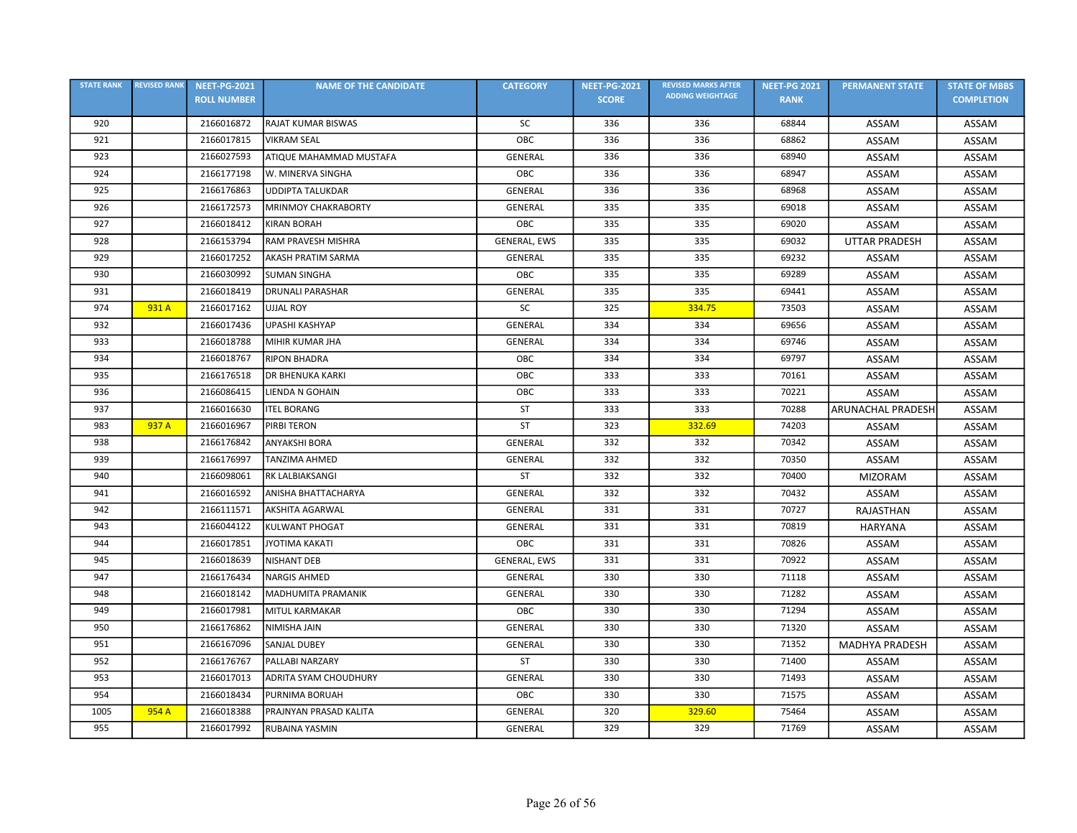| <b>STATE RANK</b> | <b>REVISED RANK</b> | <b>NEET-PG-2021</b> | <b>NAME OF THE CANDIDATE</b> | <b>CATEGORY</b> | <b>NEET-PG-2021</b> | <b>REVISED MARKS AFTER</b> | <b>NEET-PG 2021</b> | <b>PERMANENT STATE</b>   | <b>STATE OF MBBS</b> |
|-------------------|---------------------|---------------------|------------------------------|-----------------|---------------------|----------------------------|---------------------|--------------------------|----------------------|
|                   |                     | <b>ROLL NUMBER</b>  |                              |                 | <b>SCORE</b>        | <b>ADDING WEIGHTAGE</b>    | <b>RANK</b>         |                          | <b>COMPLETION</b>    |
| 920               |                     | 2166016872          | RAJAT KUMAR BISWAS           | SC              | 336                 | 336                        | 68844               | ASSAM                    | ASSAM                |
| 921               |                     | 2166017815          | <b>VIKRAM SEAL</b>           | OBC             | 336                 | 336                        | 68862               | ASSAM                    | ASSAM                |
| 923               |                     | 2166027593          | ATIQUE MAHAMMAD MUSTAFA      | <b>GENERAL</b>  | 336                 | 336                        | 68940               | ASSAM                    | ASSAM                |
| 924               |                     | 2166177198          | W. MINERVA SINGHA            | OBC             | 336                 | 336                        | 68947               | ASSAM                    | ASSAM                |
| 925               |                     | 2166176863          | <b>UDDIPTA TALUKDAR</b>      | <b>GENERAL</b>  | 336                 | 336                        | 68968               | ASSAM                    | ASSAM                |
| 926               |                     | 2166172573          | <b>MRINMOY CHAKRABORTY</b>   | GENERAL         | 335                 | 335                        | 69018               | ASSAM                    | ASSAM                |
| 927               |                     | 2166018412          | <b>KIRAN BORAH</b>           | OBC             | 335                 | 335                        | 69020               | ASSAM                    | ASSAM                |
| 928               |                     | 2166153794          | RAM PRAVESH MISHRA           | GENERAL, EWS    | 335                 | 335                        | 69032               | <b>UTTAR PRADESH</b>     | ASSAM                |
| 929               |                     | 2166017252          | AKASH PRATIM SARMA           | GENERAL         | 335                 | 335                        | 69232               | ASSAM                    | ASSAM                |
| 930               |                     | 2166030992          | <b>SUMAN SINGHA</b>          | OBC             | 335                 | 335                        | 69289               | ASSAM                    | ASSAM                |
| 931               |                     | 2166018419          | <b>DRUNALI PARASHAR</b>      | GENERAL         | 335                 | 335                        | 69441               | ASSAM                    | ASSAM                |
| 974               | 931 A               | 2166017162          | <b>UJJAL ROY</b>             | SC              | 325                 | 334.75                     | 73503               | ASSAM                    | ASSAM                |
| 932               |                     | 2166017436          | <b>UPASHI KASHYAP</b>        | GENERAL         | 334                 | 334                        | 69656               | ASSAM                    | ASSAM                |
| 933               |                     | 2166018788          | MIHIR KUMAR JHA              | <b>GENERAL</b>  | 334                 | 334                        | 69746               | ASSAM                    | ASSAM                |
| 934               |                     | 2166018767          | <b>RIPON BHADRA</b>          | OBC             | 334                 | 334                        | 69797               | ASSAM                    | <b>ASSAM</b>         |
| 935               |                     | 2166176518          | <b>DR BHENUKA KARKI</b>      | OBC             | 333                 | 333                        | 70161               | ASSAM                    | ASSAM                |
| 936               |                     | 2166086415          | LIENDA N GOHAIN              | OBC             | 333                 | 333                        | 70221               | ASSAM                    | <b>ASSAM</b>         |
| 937               |                     | 2166016630          | <b>ITEL BORANG</b>           | <b>ST</b>       | 333                 | 333                        | 70288               | <b>ARUNACHAL PRADESH</b> | ASSAM                |
| 983               | 937 A               | 2166016967          | PIRBI TERON                  | <b>ST</b>       | 323                 | 332.69                     | 74203               | ASSAM                    | ASSAM                |
| 938               |                     | 2166176842          | ANYAKSHI BORA                | <b>GENERAL</b>  | 332                 | 332                        | 70342               | ASSAM                    | ASSAM                |
| 939               |                     | 2166176997          | <b>TANZIMA AHMED</b>         | <b>GENERAL</b>  | 332                 | 332                        | 70350               | ASSAM                    | ASSAM                |
| 940               |                     | 2166098061          | RK LALBIAKSANGI              | ST              | 332                 | 332                        | 70400               | <b>MIZORAM</b>           | ASSAM                |
| 941               |                     | 2166016592          | ANISHA BHATTACHARYA          | GENERAL         | 332                 | 332                        | 70432               | ASSAM                    | ASSAM                |
| 942               |                     | 2166111571          | <b>AKSHITA AGARWAL</b>       | GENERAL         | 331                 | 331                        | 70727               | RAJASTHAN                | ASSAM                |
| 943               |                     | 2166044122          | <b>KULWANT PHOGAT</b>        | <b>GENERAL</b>  | 331                 | 331                        | 70819               | <b>HARYANA</b>           | ASSAM                |
| 944               |                     | 2166017851          | <b>JYOTIMA KAKATI</b>        | OBC             | 331                 | 331                        | 70826               | ASSAM                    | ASSAM                |
| 945               |                     | 2166018639          | NISHANT DEB                  | GENERAL, EWS    | 331                 | 331                        | 70922               | ASSAM                    | ASSAM                |
| 947               |                     | 2166176434          | <b>NARGIS AHMED</b>          | GENERAL         | 330                 | 330                        | 71118               | ASSAM                    | <b>ASSAM</b>         |
| 948               |                     | 2166018142          | MADHUMITA PRAMANIK           | GENERAL         | 330                 | 330                        | 71282               | ASSAM                    | ASSAM                |
| 949               |                     | 2166017981          | MITUL KARMAKAR               | OBC             | 330                 | 330                        | 71294               | <b>ASSAM</b>             | ASSAM                |
| 950               |                     | 2166176862          | NIMISHA JAIN                 | GENERAL         | 330                 | 330                        | 71320               | ASSAM                    | ASSAM                |
| 951               |                     | 2166167096          | <b>SANJAL DUBEY</b>          | <b>GENERAL</b>  | 330                 | 330                        | 71352               | <b>MADHYA PRADESH</b>    | ASSAM                |
| 952               |                     | 2166176767          | PALLABI NARZARY              | ST              | 330                 | 330                        | 71400               | ASSAM                    | ASSAM                |
| 953               |                     | 2166017013          | ADRITA SYAM CHOUDHURY        | GENERAL         | 330                 | 330                        | 71493               | ASSAM                    | ASSAM                |
| 954               |                     | 2166018434          | PURNIMA BORUAH               | OBC             | 330                 | 330                        | 71575               | ASSAM                    | ASSAM                |
| 1005              | 954 A               | 2166018388          | PRAJNYAN PRASAD KALITA       | <b>GENERAL</b>  | 320                 | 329.60                     | 75464               | ASSAM                    | ASSAM                |
| 955               |                     | 2166017992          | <b>RUBAINA YASMIN</b>        | <b>GENERAL</b>  | 329                 | 329                        | 71769               | ASSAM                    | ASSAM                |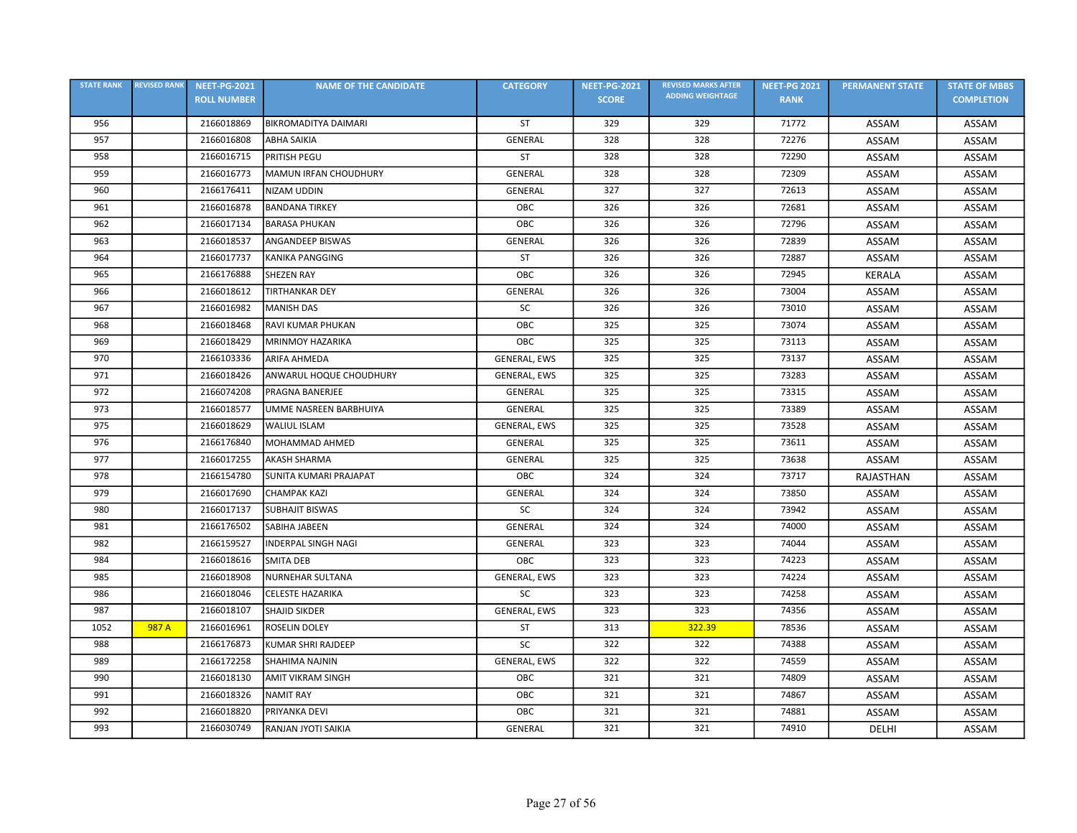| <b>STATE RANK</b> | <b>REVISED RANK</b> | <b>NEET-PG-2021</b> | <b>NAME OF THE CANDIDATE</b>  | <b>CATEGORY</b> | <b>NEET-PG-2021</b> | <b>REVISED MARKS AFTER</b> | <b>NEET-PG 2021</b> | <b>PERMANENT STATE</b> | <b>STATE OF MBBS</b> |
|-------------------|---------------------|---------------------|-------------------------------|-----------------|---------------------|----------------------------|---------------------|------------------------|----------------------|
|                   |                     | <b>ROLL NUMBER</b>  |                               |                 | <b>SCORE</b>        | <b>ADDING WEIGHTAGE</b>    | <b>RANK</b>         |                        | <b>COMPLETION</b>    |
| 956               |                     | 2166018869          | <b>BIKROMADITYA DAIMARI</b>   | ST              | 329                 | 329                        | 71772               | ASSAM                  | ASSAM                |
| 957               |                     | 2166016808          | <b>ABHA SAIKIA</b>            | GENERAL         | 328                 | 328                        | 72276               | ASSAM                  | ASSAM                |
| 958               |                     | 2166016715          | PRITISH PEGU                  | ST              | 328                 | 328                        | 72290               | ASSAM                  | ASSAM                |
| 959               |                     | 2166016773          | MAMUN IRFAN CHOUDHURY         | GENERAL         | 328                 | 328                        | 72309               | ASSAM                  | ASSAM                |
| 960               |                     | 2166176411          | <b>NIZAM UDDIN</b>            | <b>GENERAL</b>  | 327                 | 327                        | 72613               | ASSAM                  | ASSAM                |
| 961               |                     | 2166016878          | <b>BANDANA TIRKEY</b>         | OBC             | 326                 | 326                        | 72681               | ASSAM                  | ASSAM                |
| 962               |                     | 2166017134          | <b>BARASA PHUKAN</b>          | OBC             | 326                 | 326                        | 72796               | ASSAM                  | ASSAM                |
| 963               |                     | 2166018537          | ANGANDEEP BISWAS              | GENERAL         | 326                 | 326                        | 72839               | ASSAM                  | ASSAM                |
| 964               |                     | 2166017737          | KANIKA PANGGING               | <b>ST</b>       | 326                 | 326                        | 72887               | ASSAM                  | ASSAM                |
| 965               |                     | 2166176888          | <b>SHEZEN RAY</b>             | OBC             | 326                 | 326                        | 72945               | <b>KERALA</b>          | ASSAM                |
| 966               |                     | 2166018612          | <b>TIRTHANKAR DEY</b>         | GENERAL         | 326                 | 326                        | 73004               | ASSAM                  | ASSAM                |
| 967               |                     | 2166016982          | <b>MANISH DAS</b>             | SC              | 326                 | 326                        | 73010               | ASSAM                  | ASSAM                |
| 968               |                     | 2166018468          | RAVI KUMAR PHUKAN             | OBC             | 325                 | 325                        | 73074               | ASSAM                  | ASSAM                |
| 969               |                     | 2166018429          | <b>MRINMOY HAZARIKA</b>       | OBC             | 325                 | 325                        | 73113               | ASSAM                  | ASSAM                |
| 970               |                     | 2166103336          | <b>ARIFA AHMEDA</b>           | GENERAL, EWS    | 325                 | 325                        | 73137               | ASSAM                  | ASSAM                |
| 971               |                     | 2166018426          | ANWARUL HOQUE CHOUDHURY       | GENERAL, EWS    | 325                 | 325                        | 73283               | ASSAM                  | ASSAM                |
| 972               |                     | 2166074208          | PRAGNA BANERJEE               | GENERAL         | 325                 | 325                        | 73315               | ASSAM                  | ASSAM                |
| 973               |                     | 2166018577          | UMME NASREEN BARBHUIYA        | GENERAL         | 325                 | 325                        | 73389               | ASSAM                  | ASSAM                |
| 975               |                     | 2166018629          | <b>WALIUL ISLAM</b>           | GENERAL, EWS    | 325                 | 325                        | 73528               | ASSAM                  | ASSAM                |
| 976               |                     | 2166176840          | MOHAMMAD AHMED                | GENERAL         | 325                 | 325                        | 73611               | ASSAM                  | ASSAM                |
| 977               |                     | 2166017255          | <b>AKASH SHARMA</b>           | GENERAL         | 325                 | 325                        | 73638               | ASSAM                  | ASSAM                |
| 978               |                     | 2166154780          | <b>SUNITA KUMARI PRAJAPAT</b> | OBC             | 324                 | 324                        | 73717               | RAJASTHAN              | ASSAM                |
| 979               |                     | 2166017690          | <b>CHAMPAK KAZI</b>           | GENERAL         | 324                 | 324                        | 73850               | ASSAM                  | ASSAM                |
| 980               |                     | 2166017137          | <b>SUBHAJIT BISWAS</b>        | SC              | 324                 | 324                        | 73942               | ASSAM                  | ASSAM                |
| 981               |                     | 2166176502          | <b>SABIHA JABEEN</b>          | GENERAL         | 324                 | 324                        | 74000               | ASSAM                  | ASSAM                |
| 982               |                     | 2166159527          | <b>INDERPAL SINGH NAGI</b>    | GENERAL         | 323                 | 323                        | 74044               | ASSAM                  | ASSAM                |
| 984               |                     | 2166018616          | <b>SMITA DEB</b>              | OBC             | 323                 | 323                        | 74223               | ASSAM                  | ASSAM                |
| 985               |                     | 2166018908          | <b>NURNEHAR SULTANA</b>       | GENERAL, EWS    | 323                 | 323                        | 74224               | ASSAM                  | ASSAM                |
| 986               |                     | 2166018046          | CELESTE HAZARIKA              | SC              | 323                 | 323                        | 74258               | ASSAM                  | ASSAM                |
| 987               |                     | 2166018107          | <b>SHAJID SIKDER</b>          | GENERAL, EWS    | 323                 | 323                        | 74356               | ASSAM                  | ASSAM                |
| 1052              | 987 A               | 2166016961          | <b>ROSELIN DOLEY</b>          | ST              | 313                 | 322.39                     | 78536               | ASSAM                  | ASSAM                |
| 988               |                     | 2166176873          | KUMAR SHRI RAJDEEP            | <b>SC</b>       | 322                 | 322                        | 74388               | ASSAM                  | ASSAM                |
| 989               |                     | 2166172258          | <b>SHAHIMA NAJNIN</b>         | GENERAL, EWS    | 322                 | 322                        | 74559               | ASSAM                  | ASSAM                |
| 990               |                     | 2166018130          | <b>AMIT VIKRAM SINGH</b>      | OBC             | 321                 | 321                        | 74809               | ASSAM                  | ASSAM                |
| 991               |                     | 2166018326          | <b>NAMIT RAY</b>              | OBC             | 321                 | 321                        | 74867               | ASSAM                  | ASSAM                |
| 992               |                     | 2166018820          | PRIYANKA DEVI                 | OBC             | 321                 | 321                        | 74881               | ASSAM                  | ASSAM                |
| 993               |                     | 2166030749          | RANJAN JYOTI SAIKIA           | GENERAL         | 321                 | 321                        | 74910               | DELHI                  | ASSAM                |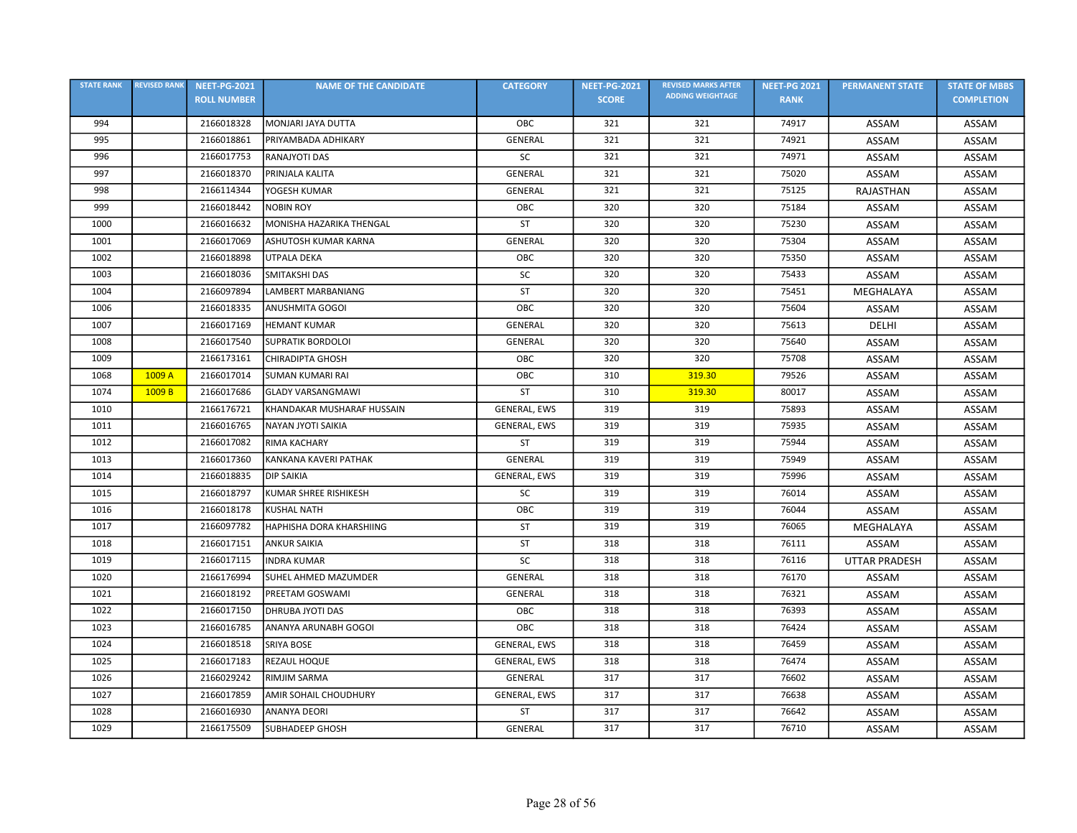| <b>STATE RANK</b> | <b>REVISED RANK</b> | <b>NEET-PG-2021</b> | <b>NAME OF THE CANDIDATE</b> | <b>CATEGORY</b>     | <b>NEET-PG-2021</b> | <b>REVISED MARKS AFTER</b> | <b>NEET-PG 2021</b> | <b>PERMANENT STATE</b> | <b>STATE OF MBBS</b> |
|-------------------|---------------------|---------------------|------------------------------|---------------------|---------------------|----------------------------|---------------------|------------------------|----------------------|
|                   |                     | <b>ROLL NUMBER</b>  |                              |                     | <b>SCORE</b>        | <b>ADDING WEIGHTAGE</b>    | <b>RANK</b>         |                        | <b>COMPLETION</b>    |
| 994               |                     | 2166018328          | MONJARI JAYA DUTTA           | OBC                 | 321                 | 321                        | 74917               | ASSAM                  | ASSAM                |
| 995               |                     | 2166018861          | PRIYAMBADA ADHIKARY          | <b>GENERAL</b>      | 321                 | 321                        | 74921               | ASSAM                  | ASSAM                |
| 996               |                     | 2166017753          | <b>RANAJYOTI DAS</b>         | SC                  | 321                 | 321                        | 74971               | ASSAM                  | ASSAM                |
| 997               |                     | 2166018370          | PRINJALA KALITA              | GENERAL             | 321                 | 321                        | 75020               | ASSAM                  | ASSAM                |
| 998               |                     | 2166114344          | YOGESH KUMAR                 | <b>GENERAL</b>      | 321                 | 321                        | 75125               | RAJASTHAN              | ASSAM                |
| 999               |                     | 2166018442          | <b>NOBIN ROY</b>             | OBC                 | 320                 | 320                        | 75184               | ASSAM                  | ASSAM                |
| 1000              |                     | 2166016632          | MONISHA HAZARIKA THENGAL     | ST                  | 320                 | 320                        | 75230               | ASSAM                  | ASSAM                |
| 1001              |                     | 2166017069          | ASHUTOSH KUMAR KARNA         | <b>GENERAL</b>      | 320                 | 320                        | 75304               | ASSAM                  | ASSAM                |
| 1002              |                     | 2166018898          | UTPALA DEKA                  | OBC                 | 320                 | 320                        | 75350               | ASSAM                  | ASSAM                |
| 1003              |                     | 2166018036          | SMITAKSHI DAS                | <b>SC</b>           | 320                 | 320                        | 75433               | ASSAM                  | ASSAM                |
| 1004              |                     | 2166097894          | <b>LAMBERT MARBANIANG</b>    | <b>ST</b>           | 320                 | 320                        | 75451               | MEGHALAYA              | ASSAM                |
| 1006              |                     | 2166018335          | ANUSHMITA GOGOI              | OBC                 | 320                 | 320                        | 75604               | ASSAM                  | ASSAM                |
| 1007              |                     | 2166017169          | <b>HEMANT KUMAR</b>          | <b>GENERAL</b>      | 320                 | 320                        | 75613               | DELHI                  | ASSAM                |
| 1008              |                     | 2166017540          | <b>SUPRATIK BORDOLOI</b>     | GENERAL             | 320                 | 320                        | 75640               | ASSAM                  | ASSAM                |
| 1009              |                     | 2166173161          | <b>CHIRADIPTA GHOSH</b>      | OBC                 | 320                 | 320                        | 75708               | ASSAM                  | ASSAM                |
| 1068              | 1009 A              | 2166017014          | <b>SUMAN KUMARI RAI</b>      | OBC                 | 310                 | 319.30                     | 79526               | ASSAM                  | ASSAM                |
| 1074              | 1009 B              | 2166017686          | <b>GLADY VARSANGMAWI</b>     | <b>ST</b>           | 310                 | 319.30                     | 80017               | ASSAM                  | ASSAM                |
| 1010              |                     | 2166176721          | KHANDAKAR MUSHARAF HUSSAIN   | GENERAL, EWS        | 319                 | 319                        | 75893               | ASSAM                  | ASSAM                |
| 1011              |                     | 2166016765          | NAYAN JYOTI SAIKIA           | GENERAL, EWS        | 319                 | 319                        | 75935               | ASSAM                  | ASSAM                |
| 1012              |                     | 2166017082          | RIMA KACHARY                 | <b>ST</b>           | 319                 | 319                        | 75944               | ASSAM                  | ASSAM                |
| 1013              |                     | 2166017360          | KANKANA KAVERI PATHAK        | GENERAL             | 319                 | 319                        | 75949               | ASSAM                  | ASSAM                |
| 1014              |                     | 2166018835          | <b>DIP SAIKIA</b>            | GENERAL, EWS        | 319                 | 319                        | 75996               | ASSAM                  | ASSAM                |
| 1015              |                     | 2166018797          | KUMAR SHREE RISHIKESH        | SC                  | 319                 | 319                        | 76014               | ASSAM                  | <b>ASSAM</b>         |
| 1016              |                     | 2166018178          | <b>KUSHAL NATH</b>           | OBC                 | 319                 | 319                        | 76044               | ASSAM                  | ASSAM                |
| 1017              |                     | 2166097782          | HAPHISHA DORA KHARSHIING     | <b>ST</b>           | 319                 | 319                        | 76065               | MEGHALAYA              | ASSAM                |
| 1018              |                     | 2166017151          | <b>ANKUR SAIKIA</b>          | <b>ST</b>           | 318                 | 318                        | 76111               | ASSAM                  | ASSAM                |
| 1019              |                     | 2166017115          | <b>INDRA KUMAR</b>           | SC                  | 318                 | 318                        | 76116               | <b>UTTAR PRADESH</b>   | ASSAM                |
| 1020              |                     | 2166176994          | SUHEL AHMED MAZUMDER         | <b>GENERAL</b>      | 318                 | 318                        | 76170               | ASSAM                  | <b>ASSAM</b>         |
| 1021              |                     | 2166018192          | PREETAM GOSWAMI              | GENERAL             | 318                 | 318                        | 76321               | ASSAM                  | ASSAM                |
| 1022              |                     | 2166017150          | <b>DHRUBA JYOTI DAS</b>      | OBC                 | 318                 | 318                        | 76393               | ASSAM                  | ASSAM                |
| 1023              |                     | 2166016785          | ANANYA ARUNABH GOGOI         | OBC                 | 318                 | 318                        | 76424               | ASSAM                  | ASSAM                |
| 1024              |                     | 2166018518          | <b>SRIYA BOSE</b>            | <b>GENERAL, EWS</b> | 318                 | 318                        | 76459               | ASSAM                  | ASSAM                |
| 1025              |                     | 2166017183          | REZAUL HOQUE                 | GENERAL, EWS        | 318                 | 318                        | 76474               | ASSAM                  | ASSAM                |
| 1026              |                     | 2166029242          | RIMJIM SARMA                 | <b>GENERAL</b>      | 317                 | 317                        | 76602               | ASSAM                  | ASSAM                |
| 1027              |                     | 2166017859          | AMIR SOHAIL CHOUDHURY        | GENERAL, EWS        | 317                 | 317                        | 76638               | ASSAM                  | ASSAM                |
| 1028              |                     | 2166016930          | <b>ANANYA DEORI</b>          | <b>ST</b>           | 317                 | 317                        | 76642               | ASSAM                  | ASSAM                |
| 1029              |                     | 2166175509          | <b>SUBHADEEP GHOSH</b>       | GENERAL             | 317                 | 317                        | 76710               | ASSAM                  | ASSAM                |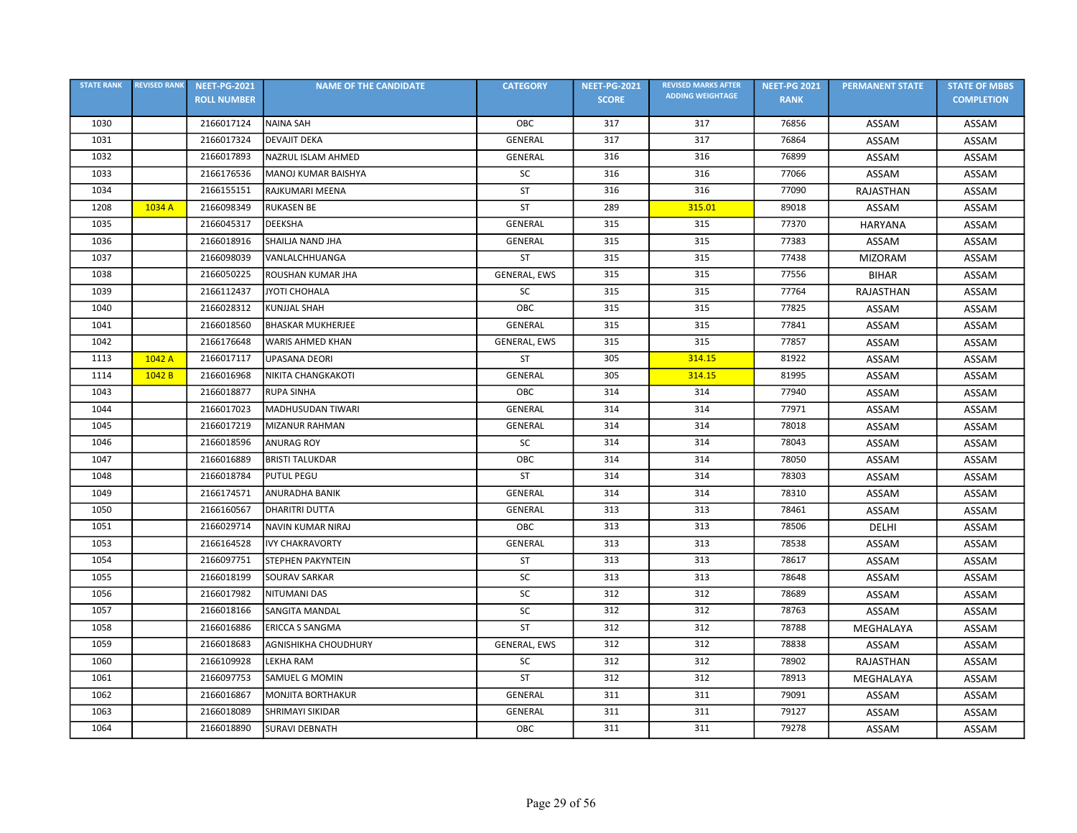| <b>STATE RANK</b> | <b>REVISED RANK</b> | <b>NEET-PG-2021</b> | <b>NAME OF THE CANDIDATE</b> | <b>CATEGORY</b>     | <b>NEET-PG-2021</b> | <b>REVISED MARKS AFTER</b> | <b>NEET-PG 2021</b> | <b>PERMANENT STATE</b> | <b>STATE OF MBBS</b> |
|-------------------|---------------------|---------------------|------------------------------|---------------------|---------------------|----------------------------|---------------------|------------------------|----------------------|
|                   |                     | <b>ROLL NUMBER</b>  |                              |                     | <b>SCORE</b>        | <b>ADDING WEIGHTAGE</b>    | <b>RANK</b>         |                        | <b>COMPLETION</b>    |
| 1030              |                     | 2166017124          | <b>NAINA SAH</b>             | OBC                 | 317                 | 317                        | 76856               | ASSAM                  | ASSAM                |
| 1031              |                     | 2166017324          | <b>DEVAJIT DEKA</b>          | GENERAL             | 317                 | 317                        | 76864               | ASSAM                  | ASSAM                |
| 1032              |                     | 2166017893          | NAZRUL ISLAM AHMED           | <b>GENERAL</b>      | 316                 | 316                        | 76899               | ASSAM                  | ASSAM                |
| 1033              |                     | 2166176536          | MANOJ KUMAR BAISHYA          | SC                  | 316                 | 316                        | 77066               | <b>ASSAM</b>           | ASSAM                |
| 1034              |                     | 2166155151          | RAJKUMARI MEENA              | <b>ST</b>           | 316                 | 316                        | 77090               | RAJASTHAN              | ASSAM                |
| 1208              | 1034 A              | 2166098349          | <b>RUKASEN BE</b>            | ST                  | 289                 | 315.01                     | 89018               | ASSAM                  | ASSAM                |
| 1035              |                     | 2166045317          | <b>DEEKSHA</b>               | <b>GENERAL</b>      | 315                 | 315                        | 77370               | <b>HARYANA</b>         | ASSAM                |
| 1036              |                     | 2166018916          | SHAILJA NAND JHA             | GENERAL             | 315                 | 315                        | 77383               | ASSAM                  | ASSAM                |
| 1037              |                     | 2166098039          | VANLALCHHUANGA               | <b>ST</b>           | 315                 | 315                        | 77438               | <b>MIZORAM</b>         | ASSAM                |
| 1038              |                     | 2166050225          | ROUSHAN KUMAR JHA            | <b>GENERAL, EWS</b> | 315                 | 315                        | 77556               | <b>BIHAR</b>           | ASSAM                |
| 1039              |                     | 2166112437          | JYOTI CHOHALA                | <b>SC</b>           | 315                 | 315                        | 77764               | RAJASTHAN              | ASSAM                |
| 1040              |                     | 2166028312          | <b>KUNJJAL SHAH</b>          | OBC                 | 315                 | 315                        | 77825               | ASSAM                  | ASSAM                |
| 1041              |                     | 2166018560          | <b>BHASKAR MUKHERJEE</b>     | <b>GENERAL</b>      | 315                 | 315                        | 77841               | ASSAM                  | ASSAM                |
| 1042              |                     | 2166176648          | <b>WARIS AHMED KHAN</b>      | <b>GENERAL, EWS</b> | 315                 | 315                        | 77857               | ASSAM                  | ASSAM                |
| 1113              | 1042 A              | 2166017117          | <b>UPASANA DEORI</b>         | ST                  | 305                 | 314.15                     | 81922               | ASSAM                  | ASSAM                |
| 1114              | 1042 B              | 2166016968          | NIKITA CHANGKAKOTI           | GENERAL             | 305                 | 314.15                     | 81995               | ASSAM                  | ASSAM                |
| 1043              |                     | 2166018877          | <b>RUPA SINHA</b>            | OBC                 | 314                 | 314                        | 77940               | ASSAM                  | ASSAM                |
| 1044              |                     | 2166017023          | MADHUSUDAN TIWARI            | <b>GENERAL</b>      | 314                 | 314                        | 77971               | ASSAM                  | ASSAM                |
| 1045              |                     | 2166017219          | <b>MIZANUR RAHMAN</b>        | <b>GENERAL</b>      | 314                 | 314                        | 78018               | ASSAM                  | ASSAM                |
| 1046              |                     | 2166018596          | <b>ANURAG ROY</b>            | SC                  | 314                 | 314                        | 78043               | ASSAM                  | ASSAM                |
| 1047              |                     | 2166016889          | <b>BRISTI TALUKDAR</b>       | OBC                 | 314                 | 314                        | 78050               | ASSAM                  | ASSAM                |
| 1048              |                     | 2166018784          | <b>PUTUL PEGU</b>            | <b>ST</b>           | 314                 | 314                        | 78303               | ASSAM                  | ASSAM                |
| 1049              |                     | 2166174571          | ANURADHA BANIK               | <b>GENERAL</b>      | 314                 | 314                        | 78310               | ASSAM                  | ASSAM                |
| 1050              |                     | 2166160567          | DHARITRI DUTTA               | <b>GENERAL</b>      | 313                 | 313                        | 78461               | ASSAM                  | ASSAM                |
| 1051              |                     | 2166029714          | NAVIN KUMAR NIRAJ            | OBC                 | 313                 | 313                        | 78506               | DELHI                  | ASSAM                |
| 1053              |                     | 2166164528          | <b>IVY CHAKRAVORTY</b>       | <b>GENERAL</b>      | 313                 | 313                        | 78538               | ASSAM                  | ASSAM                |
| 1054              |                     | 2166097751          | STEPHEN PAKYNTEIN            | ST                  | 313                 | 313                        | 78617               | ASSAM                  | ASSAM                |
| 1055              |                     | 2166018199          | <b>SOURAV SARKAR</b>         | SC                  | 313                 | 313                        | 78648               | ASSAM                  | ASSAM                |
| 1056              |                     | 2166017982          | <b>NITUMANI DAS</b>          | SC                  | 312                 | 312                        | 78689               | ASSAM                  | ASSAM                |
| 1057              |                     | 2166018166          | <b>SANGITA MANDAL</b>        | SC                  | 312                 | 312                        | 78763               | <b>ASSAM</b>           | ASSAM                |
| 1058              |                     | 2166016886          | <b>ERICCA S SANGMA</b>       | ST                  | 312                 | 312                        | 78788               | MEGHALAYA              | ASSAM                |
| 1059              |                     | 2166018683          | <b>AGNISHIKHA CHOUDHURY</b>  | GENERAL, EWS        | 312                 | 312                        | 78838               | ASSAM                  | ASSAM                |
| 1060              |                     | 2166109928          | <b>LEKHA RAM</b>             | SC                  | 312                 | 312                        | 78902               | RAJASTHAN              | ASSAM                |
| 1061              |                     | 2166097753          | SAMUEL G MOMIN               | ST                  | 312                 | 312                        | 78913               | MEGHALAYA              | ASSAM                |
| 1062              |                     | 2166016867          | MONJITA BORTHAKUR            | <b>GENERAL</b>      | 311                 | 311                        | 79091               | ASSAM                  | ASSAM                |
| 1063              |                     | 2166018089          | SHRIMAYI SIKIDAR             | <b>GENERAL</b>      | 311                 | 311                        | 79127               | ASSAM                  | ASSAM                |
| 1064              |                     | 2166018890          | <b>SURAVI DEBNATH</b>        | OBC                 | 311                 | 311                        | 79278               | ASSAM                  | ASSAM                |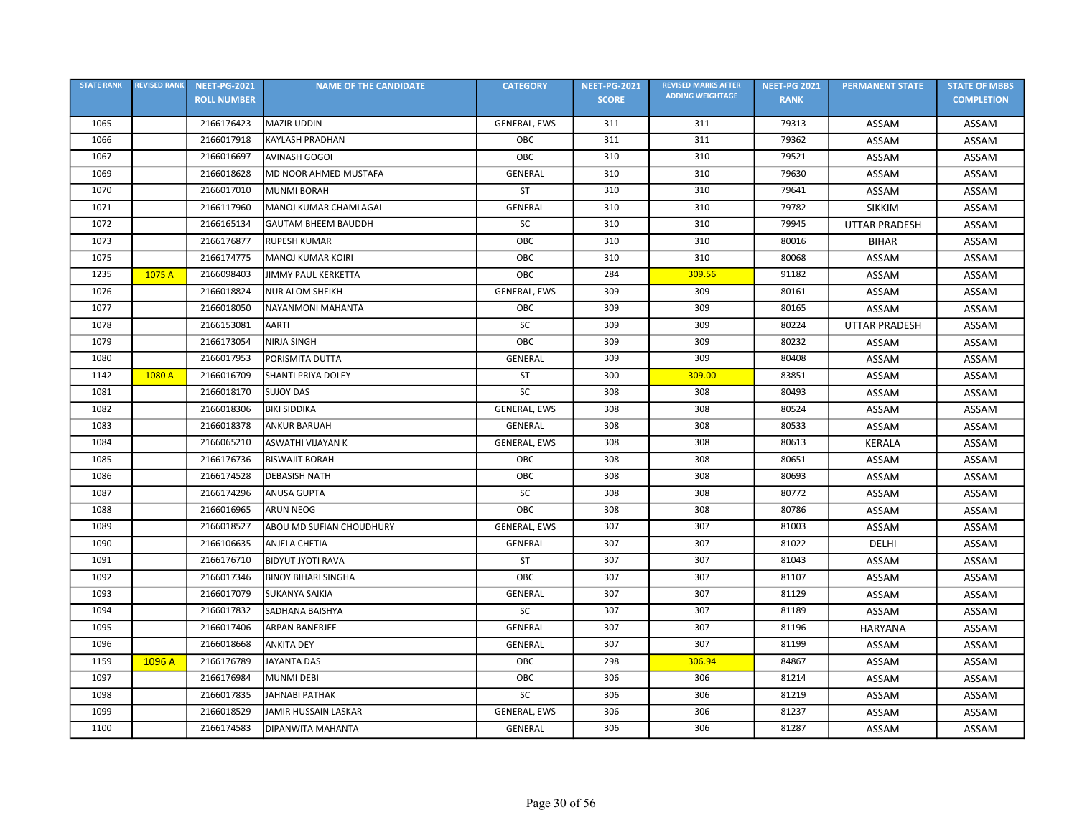| <b>STATE RANK</b> | <b>REVISED RANK</b> | <b>NEET-PG-2021</b> | <b>NAME OF THE CANDIDATE</b> | <b>CATEGORY</b>     | <b>NEET-PG-2021</b> | <b>REVISED MARKS AFTER</b> | <b>NEET-PG 2021</b> | <b>PERMANENT STATE</b> | <b>STATE OF MBBS</b> |
|-------------------|---------------------|---------------------|------------------------------|---------------------|---------------------|----------------------------|---------------------|------------------------|----------------------|
|                   |                     | <b>ROLL NUMBER</b>  |                              |                     | <b>SCORE</b>        | <b>ADDING WEIGHTAGE</b>    | <b>RANK</b>         |                        | <b>COMPLETION</b>    |
| 1065              |                     | 2166176423          | <b>MAZIR UDDIN</b>           | GENERAL, EWS        | 311                 | 311                        | 79313               | ASSAM                  | ASSAM                |
| 1066              |                     | 2166017918          | <b>KAYLASH PRADHAN</b>       | OBC                 | 311                 | 311                        | 79362               | ASSAM                  | ASSAM                |
| 1067              |                     | 2166016697          | <b>AVINASH GOGOI</b>         | OBC                 | 310                 | 310                        | 79521               | ASSAM                  | ASSAM                |
| 1069              |                     | 2166018628          | MD NOOR AHMED MUSTAFA        | GENERAL             | 310                 | 310                        | 79630               | ASSAM                  | ASSAM                |
| 1070              |                     | 2166017010          | <b>MUNMI BORAH</b>           | ST                  | 310                 | 310                        | 79641               | ASSAM                  | ASSAM                |
| 1071              |                     | 2166117960          | MANOJ KUMAR CHAMLAGAI        | GENERAL             | 310                 | 310                        | 79782               | <b>SIKKIM</b>          | ASSAM                |
| 1072              |                     | 2166165134          | <b>GAUTAM BHEEM BAUDDH</b>   | SC                  | 310                 | 310                        | 79945               | <b>UTTAR PRADESH</b>   | ASSAM                |
| 1073              |                     | 2166176877          | <b>RUPESH KUMAR</b>          | OBC                 | 310                 | 310                        | 80016               | <b>BIHAR</b>           | ASSAM                |
| 1075              |                     | 2166174775          | <b>MANOJ KUMAR KOIRI</b>     | OBC                 | 310                 | 310                        | 80068               | ASSAM                  | ASSAM                |
| 1235              | 1075 A              | 2166098403          | JIMMY PAUL KERKETTA          | OBC                 | 284                 | 309.56                     | 91182               | ASSAM                  | ASSAM                |
| 1076              |                     | 2166018824          | <b>NUR ALOM SHEIKH</b>       | GENERAL, EWS        | 309                 | 309                        | 80161               | ASSAM                  | ASSAM                |
| 1077              |                     | 2166018050          | NAYANMONI MAHANTA            | OBC                 | 309                 | 309                        | 80165               | ASSAM                  | ASSAM                |
| 1078              |                     | 2166153081          | AARTI                        | SC                  | 309                 | 309                        | 80224               | <b>UTTAR PRADESH</b>   | ASSAM                |
| 1079              |                     | 2166173054          | NIRJA SINGH                  | OBC                 | 309                 | 309                        | 80232               | ASSAM                  | ASSAM                |
| 1080              |                     | 2166017953          | PORISMITA DUTTA              | GENERAL             | 309                 | 309                        | 80408               | ASSAM                  | ASSAM                |
| 1142              | 1080 A              | 2166016709          | <b>SHANTI PRIYA DOLEY</b>    | <b>ST</b>           | 300                 | 309.00                     | 83851               | ASSAM                  | ASSAM                |
| 1081              |                     | 2166018170          | <b>SUJOY DAS</b>             | <b>SC</b>           | 308                 | 308                        | 80493               | ASSAM                  | ASSAM                |
| 1082              |                     | 2166018306          | <b>BIKI SIDDIKA</b>          | GENERAL, EWS        | 308                 | 308                        | 80524               | ASSAM                  | ASSAM                |
| 1083              |                     | 2166018378          | <b>ANKUR BARUAH</b>          | <b>GENERAL</b>      | 308                 | 308                        | 80533               | ASSAM                  | ASSAM                |
| 1084              |                     | 2166065210          | ASWATHI VIJAYAN K            | GENERAL, EWS        | 308                 | 308                        | 80613               | <b>KERALA</b>          | ASSAM                |
| 1085              |                     | 2166176736          | <b>BISWAJIT BORAH</b>        | OBC                 | 308                 | 308                        | 80651               | ASSAM                  | ASSAM                |
| 1086              |                     | 2166174528          | <b>DEBASISH NATH</b>         | OBC                 | 308                 | 308                        | 80693               | ASSAM                  | ASSAM                |
| 1087              |                     | 2166174296          | <b>ANUSA GUPTA</b>           | SC                  | 308                 | 308                        | 80772               | ASSAM                  | ASSAM                |
| 1088              |                     | 2166016965          | <b>ARUN NEOG</b>             | OBC                 | 308                 | 308                        | 80786               | ASSAM                  | ASSAM                |
| 1089              |                     | 2166018527          | ABOU MD SUFIAN CHOUDHURY     | <b>GENERAL, EWS</b> | 307                 | 307                        | 81003               | <b>ASSAM</b>           | ASSAM                |
| 1090              |                     | 2166106635          | ANJELA CHETIA                | GENERAL             | 307                 | 307                        | 81022               | DELHI                  | ASSAM                |
| 1091              |                     | 2166176710          | <b>BIDYUT JYOTI RAVA</b>     | <b>ST</b>           | 307                 | 307                        | 81043               | ASSAM                  | ASSAM                |
| 1092              |                     | 2166017346          | <b>BINOY BIHARI SINGHA</b>   | OBC                 | 307                 | 307                        | 81107               | ASSAM                  | ASSAM                |
| 1093              |                     | 2166017079          | <b>SUKANYA SAIKIA</b>        | <b>GENERAL</b>      | 307                 | 307                        | 81129               | ASSAM                  | ASSAM                |
| 1094              |                     | 2166017832          | <b>SADHANA BAISHYA</b>       | SC                  | 307                 | 307                        | 81189               | ASSAM                  | ASSAM                |
| 1095              |                     | 2166017406          | <b>ARPAN BANERJEE</b>        | GENERAL             | 307                 | 307                        | 81196               | <b>HARYANA</b>         | ASSAM                |
| 1096              |                     | 2166018668          | <b>ANKITA DEY</b>            | <b>GENERAL</b>      | 307                 | 307                        | 81199               | ASSAM                  | ASSAM                |
| 1159              | 1096 A              | 2166176789          | JAYANTA DAS                  | OBC                 | 298                 | 306.94                     | 84867               | ASSAM                  | ASSAM                |
| 1097              |                     | 2166176984          | <b>MUNMI DEBI</b>            | OBC                 | 306                 | 306                        | 81214               | ASSAM                  | ASSAM                |
| 1098              |                     | 2166017835          | JAHNABI PATHAK               | SC                  | 306                 | 306                        | 81219               | ASSAM                  | ASSAM                |
| 1099              |                     | 2166018529          | JAMIR HUSSAIN LASKAR         | <b>GENERAL, EWS</b> | 306                 | 306                        | 81237               | ASSAM                  | ASSAM                |
| 1100              |                     | 2166174583          | DIPANWITA MAHANTA            | GENERAL             | 306                 | 306                        | 81287               | ASSAM                  | ASSAM                |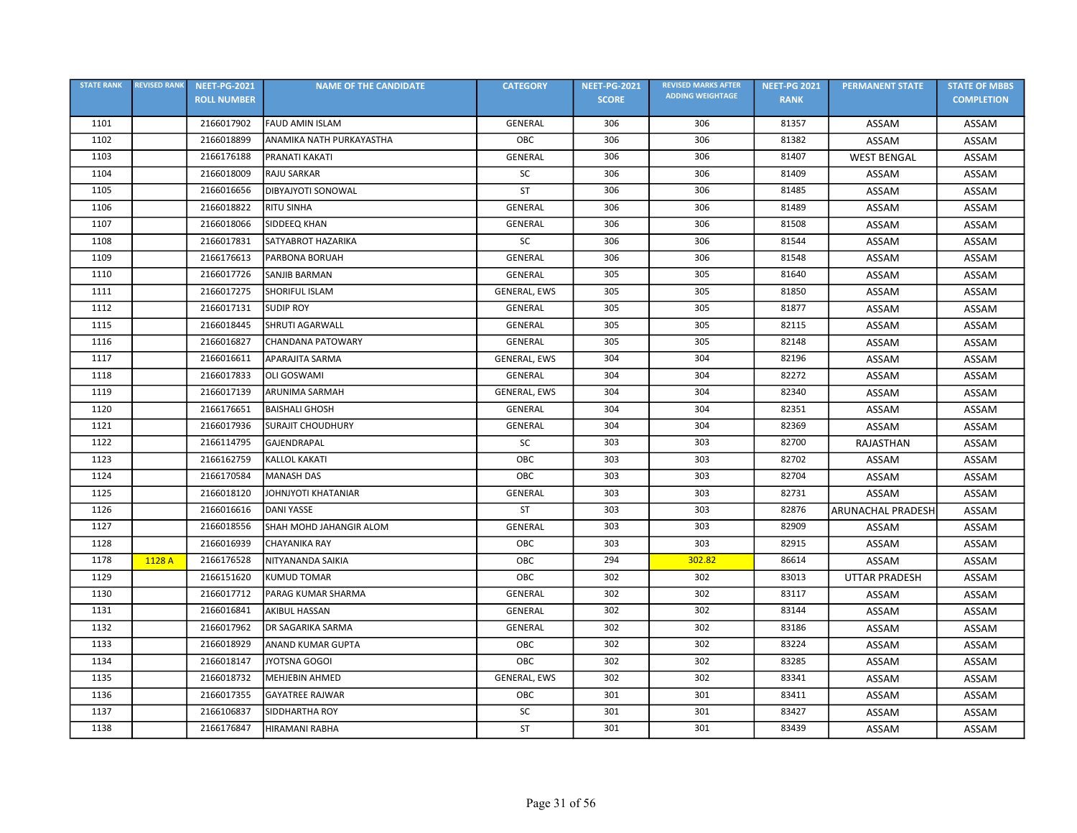| <b>STATE RANK</b> | <b>REVISED RANK</b> | <b>NEET-PG-2021</b> | <b>NAME OF THE CANDIDATE</b> | <b>CATEGORY</b> | <b>NEET-PG-2021</b> | <b>REVISED MARKS AFTER</b> | <b>NEET-PG 2021</b> | <b>PERMANENT STATE</b>   | <b>STATE OF MBBS</b> |
|-------------------|---------------------|---------------------|------------------------------|-----------------|---------------------|----------------------------|---------------------|--------------------------|----------------------|
|                   |                     | <b>ROLL NUMBER</b>  |                              |                 | <b>SCORE</b>        | <b>ADDING WEIGHTAGE</b>    | <b>RANK</b>         |                          | <b>COMPLETION</b>    |
| 1101              |                     | 2166017902          | <b>FAUD AMIN ISLAM</b>       | <b>GENERAL</b>  | 306                 | 306                        | 81357               | ASSAM                    | ASSAM                |
| 1102              |                     | 2166018899          | ANAMIKA NATH PURKAYASTHA     | OBC             | 306                 | 306                        | 81382               | <b>ASSAM</b>             | ASSAM                |
| 1103              |                     | 2166176188          | PRANATI KAKATI               | GENERAL         | 306                 | 306                        | 81407               | <b>WEST BENGAL</b>       | ASSAM                |
| 1104              |                     | 2166018009          | <b>RAJU SARKAR</b>           | <b>SC</b>       | 306                 | 306                        | 81409               | <b>ASSAM</b>             | ASSAM                |
| 1105              |                     | 2166016656          | DIBYAJYOTI SONOWAL           | <b>ST</b>       | 306                 | 306                        | 81485               | ASSAM                    | ASSAM                |
| 1106              |                     | 2166018822          | <b>RITU SINHA</b>            | GENERAL         | 306                 | 306                        | 81489               | ASSAM                    | ASSAM                |
| 1107              |                     | 2166018066          | SIDDEEQ KHAN                 | GENERAL         | 306                 | 306                        | 81508               | ASSAM                    | ASSAM                |
| 1108              |                     | 2166017831          | SATYABROT HAZARIKA           | SC              | 306                 | 306                        | 81544               | ASSAM                    | ASSAM                |
| 1109              |                     | 2166176613          | PARBONA BORUAH               | <b>GENERAL</b>  | 306                 | 306                        | 81548               | ASSAM                    | ASSAM                |
| 1110              |                     | 2166017726          | SANJIB BARMAN                | <b>GENERAL</b>  | 305                 | 305                        | 81640               | ASSAM                    | ASSAM                |
| 1111              |                     | 2166017275          | <b>SHORIFUL ISLAM</b>        | GENERAL, EWS    | 305                 | 305                        | 81850               | ASSAM                    | ASSAM                |
| 1112              |                     | 2166017131          | <b>SUDIP ROY</b>             | <b>GENERAL</b>  | 305                 | 305                        | 81877               | ASSAM                    | <b>ASSAM</b>         |
| 1115              |                     | 2166018445          | <b>SHRUTI AGARWALL</b>       | GENERAL         | 305                 | 305                        | 82115               | ASSAM                    | ASSAM                |
| 1116              |                     | 2166016827          | <b>CHANDANA PATOWARY</b>     | GENERAL         | 305                 | 305                        | 82148               | ASSAM                    | ASSAM                |
| 1117              |                     | 2166016611          | APARAJITA SARMA              | GENERAL, EWS    | 304                 | 304                        | 82196               | ASSAM                    | ASSAM                |
| 1118              |                     | 2166017833          | <b>OLI GOSWAMI</b>           | GENERAL         | 304                 | 304                        | 82272               | ASSAM                    | ASSAM                |
| 1119              |                     | 2166017139          | <b>ARUNIMA SARMAH</b>        | GENERAL, EWS    | 304                 | 304                        | 82340               | ASSAM                    | ASSAM                |
| 1120              |                     | 2166176651          | <b>BAISHALI GHOSH</b>        | <b>GENERAL</b>  | 304                 | 304                        | 82351               | ASSAM                    | ASSAM                |
| 1121              |                     | 2166017936          | <b>SURAJIT CHOUDHURY</b>     | <b>GENERAL</b>  | 304                 | 304                        | 82369               | ASSAM                    | ASSAM                |
| 1122              |                     | 2166114795          | GAJENDRAPAL                  | SC              | 303                 | 303                        | 82700               | RAJASTHAN                | ASSAM                |
| 1123              |                     | 2166162759          | <b>KALLOL KAKATI</b>         | OBC             | 303                 | 303                        | 82702               | ASSAM                    | ASSAM                |
| 1124              |                     | 2166170584          | <b>MANASH DAS</b>            | OBC             | 303                 | 303                        | 82704               | ASSAM                    | ASSAM                |
| 1125              |                     | 2166018120          | JOHNJYOTI KHATANIAR          | <b>GENERAL</b>  | 303                 | 303                        | 82731               | ASSAM                    | ASSAM                |
| 1126              |                     | 2166016616          | <b>DANI YASSE</b>            | <b>ST</b>       | 303                 | 303                        | 82876               | <b>ARUNACHAL PRADESH</b> | ASSAM                |
| 1127              |                     | 2166018556          | SHAH MOHD JAHANGIR ALOM      | <b>GENERAL</b>  | 303                 | 303                        | 82909               | ASSAM                    | ASSAM                |
| 1128              |                     | 2166016939          | <b>CHAYANIKA RAY</b>         | OBC             | 303                 | 303                        | 82915               | ASSAM                    | ASSAM                |
| 1178              | 1128 A              | 2166176528          | NITYANANDA SAIKIA            | ОВС             | 294                 | 302.82                     | 86614               | ASSAM                    | ASSAM                |
| 1129              |                     | 2166151620          | <b>KUMUD TOMAR</b>           | ОВС             | 302                 | 302                        | 83013               | <b>UTTAR PRADESH</b>     | ASSAM                |
| 1130              |                     | 2166017712          | PARAG KUMAR SHARMA           | <b>GENERAL</b>  | 302                 | 302                        | 83117               | ASSAM                    | ASSAM                |
| 1131              |                     | 2166016841          | <b>AKIBUL HASSAN</b>         | <b>GENERAL</b>  | 302                 | 302                        | 83144               | ASSAM                    | ASSAM                |
| 1132              |                     | 2166017962          | DR SAGARIKA SARMA            | <b>GENERAL</b>  | 302                 | 302                        | 83186               | ASSAM                    | ASSAM                |
| 1133              |                     | 2166018929          | <b>ANAND KUMAR GUPTA</b>     | OBC             | 302                 | 302                        | 83224               | ASSAM                    | ASSAM                |
| 1134              |                     | 2166018147          | JYOTSNA GOGOI                | OBC             | 302                 | 302                        | 83285               | ASSAM                    | ASSAM                |
| 1135              |                     | 2166018732          | <b>MEHJEBIN AHMED</b>        | GENERAL, EWS    | 302                 | 302                        | 83341               | ASSAM                    | ASSAM                |
| 1136              |                     | 2166017355          | <b>GAYATREE RAJWAR</b>       | OBC             | 301                 | 301                        | 83411               | ASSAM                    | ASSAM                |
| 1137              |                     | 2166106837          | SIDDHARTHA ROY               | SC              | 301                 | 301                        | 83427               | ASSAM                    | ASSAM                |
| 1138              |                     | 2166176847          | <b>HIRAMANI RABHA</b>        | ST              | 301                 | 301                        | 83439               | ASSAM                    | ASSAM                |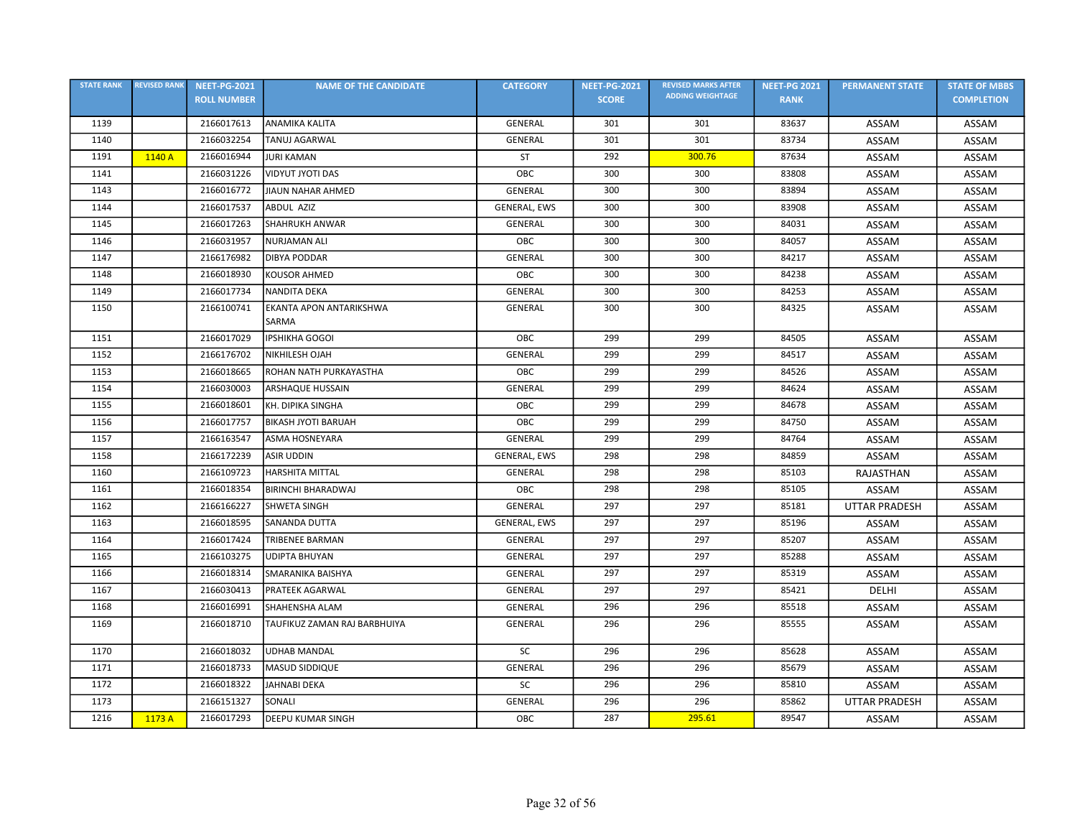| <b>STATE RANK</b> | <b>REVISED RANK</b> | <b>NEET-PG-2021</b> | <b>NAME OF THE CANDIDATE</b>     | <b>CATEGORY</b>     | <b>NEET-PG-2021</b> | <b>REVISED MARKS AFTER</b> | <b>NEET-PG 2021</b> | <b>PERMANENT STATE</b> | <b>STATE OF MBBS</b> |
|-------------------|---------------------|---------------------|----------------------------------|---------------------|---------------------|----------------------------|---------------------|------------------------|----------------------|
|                   |                     | <b>ROLL NUMBER</b>  |                                  |                     | <b>SCORE</b>        | <b>ADDING WEIGHTAGE</b>    | <b>RANK</b>         |                        | <b>COMPLETION</b>    |
| 1139              |                     | 2166017613          | <b>ANAMIKA KALITA</b>            | <b>GENERAL</b>      | 301                 | 301                        | 83637               | ASSAM                  | ASSAM                |
| 1140              |                     | 2166032254          | <b>TANUJ AGARWAL</b>             | GENERAL             | 301                 | 301                        | 83734               | <b>ASSAM</b>           | <b>ASSAM</b>         |
| 1191              | 1140 A              | 2166016944          | <b>JURI KAMAN</b>                | <b>ST</b>           | 292                 | 300.76                     | 87634               | ASSAM                  | ASSAM                |
| 1141              |                     | 2166031226          | VIDYUT JYOTI DAS                 | OBC                 | 300                 | 300                        | 83808               | ASSAM                  | ASSAM                |
| 1143              |                     | 2166016772          | JIAUN NAHAR AHMED                | <b>GENERAL</b>      | 300                 | 300                        | 83894               | ASSAM                  | ASSAM                |
| 1144              |                     | 2166017537          | ABDUL AZIZ                       | GENERAL, EWS        | 300                 | 300                        | 83908               | <b>ASSAM</b>           | ASSAM                |
| 1145              |                     | 2166017263          | <b>SHAHRUKH ANWAR</b>            | GENERAL             | 300                 | 300                        | 84031               | ASSAM                  | ASSAM                |
| 1146              |                     | 2166031957          | <b>NURJAMAN ALI</b>              | OBC                 | 300                 | 300                        | 84057               | ASSAM                  | ASSAM                |
| 1147              |                     | 2166176982          | <b>DIBYA PODDAR</b>              | <b>GENERAL</b>      | 300                 | 300                        | 84217               | ASSAM                  | ASSAM                |
| 1148              |                     | 2166018930          | <b>KOUSOR AHMED</b>              | OBC                 | 300                 | 300                        | 84238               | ASSAM                  | ASSAM                |
| 1149              |                     | 2166017734          | NANDITA DEKA                     | <b>GENERAL</b>      | 300                 | 300                        | 84253               | ASSAM                  | ASSAM                |
| 1150              |                     | 2166100741          | EKANTA APON ANTARIKSHWA<br>SARMA | <b>GENERAL</b>      | 300                 | 300                        | 84325               | ASSAM                  | ASSAM                |
| 1151              |                     | 2166017029          | <b>IPSHIKHA GOGOI</b>            | OBC                 | 299                 | 299                        | 84505               | ASSAM                  | ASSAM                |
| 1152              |                     | 2166176702          | NIKHILESH OJAH                   | <b>GENERAL</b>      | 299                 | 299                        | 84517               | ASSAM                  | ASSAM                |
| 1153              |                     | 2166018665          | ROHAN NATH PURKAYASTHA           | OBC                 | 299                 | 299                        | 84526               | ASSAM                  | ASSAM                |
| 1154              |                     | 2166030003          | <b>ARSHAQUE HUSSAIN</b>          | GENERAL             | 299                 | 299                        | 84624               | ASSAM                  | ASSAM                |
| 1155              |                     | 2166018601          | KH. DIPIKA SINGHA                | OBC                 | 299                 | 299                        | 84678               | ASSAM                  | ASSAM                |
| 1156              |                     | 2166017757          | <b>BIKASH JYOTI BARUAH</b>       | OBC                 | 299                 | 299                        | 84750               | ASSAM                  | ASSAM                |
| 1157              |                     | 2166163547          | ASMA HOSNEYARA                   | <b>GENERAL</b>      | 299                 | 299                        | 84764               | ASSAM                  | ASSAM                |
| 1158              |                     | 2166172239          | <b>ASIR UDDIN</b>                | GENERAL, EWS        | 298                 | 298                        | 84859               | ASSAM                  | ASSAM                |
| 1160              |                     | 2166109723          | <b>HARSHITA MITTAL</b>           | <b>GENERAL</b>      | 298                 | 298                        | 85103               | RAJASTHAN              | ASSAM                |
| 1161              |                     | 2166018354          | <b>BIRINCHI BHARADWAJ</b>        | OBC                 | 298                 | 298                        | 85105               | ASSAM                  | ASSAM                |
| 1162              |                     | 2166166227          | <b>SHWETA SINGH</b>              | <b>GENERAL</b>      | 297                 | 297                        | 85181               | <b>UTTAR PRADESH</b>   | ASSAM                |
| 1163              |                     | 2166018595          | <b>SANANDA DUTTA</b>             | <b>GENERAL, EWS</b> | 297                 | 297                        | 85196               | ASSAM                  | ASSAM                |
| 1164              |                     | 2166017424          | TRIBENEE BARMAN                  | <b>GENERAL</b>      | 297                 | 297                        | 85207               | ASSAM                  | ASSAM                |
| 1165              |                     | 2166103275          | <b>UDIPTA BHUYAN</b>             | <b>GENERAL</b>      | 297                 | 297                        | 85288               | ASSAM                  | ASSAM                |
| 1166              |                     | 2166018314          | SMARANIKA BAISHYA                | <b>GENERAL</b>      | 297                 | 297                        | 85319               | ASSAM                  | ASSAM                |
| 1167              |                     | 2166030413          | <b>PRATEEK AGARWAL</b>           | <b>GENERAL</b>      | 297                 | 297                        | 85421               | DELHI                  | ASSAM                |
| 1168              |                     | 2166016991          | SHAHENSHA ALAM                   | <b>GENERAL</b>      | 296                 | 296                        | 85518               | ASSAM                  | ASSAM                |
| 1169              |                     | 2166018710          | TAUFIKUZ ZAMAN RAJ BARBHUIYA     | <b>GENERAL</b>      | 296                 | 296                        | 85555               | ASSAM                  | ASSAM                |
| 1170              |                     | 2166018032          | <b>UDHAB MANDAL</b>              | SC                  | 296                 | 296                        | 85628               | ASSAM                  | ASSAM                |
| 1171              |                     | 2166018733          | MASUD SIDDIQUE                   | <b>GENERAL</b>      | 296                 | 296                        | 85679               | ASSAM                  | ASSAM                |
| 1172              |                     | 2166018322          | JAHNABI DEKA                     | SC                  | 296                 | 296                        | 85810               | ASSAM                  | ASSAM                |
| 1173              |                     | 2166151327          | SONALI                           | <b>GENERAL</b>      | 296                 | 296                        | 85862               | <b>UTTAR PRADESH</b>   | ASSAM                |
| 1216              | 1173 A              | 2166017293          | <b>DEEPU KUMAR SINGH</b>         | OBC                 | 287                 | 295.61                     | 89547               | ASSAM                  | ASSAM                |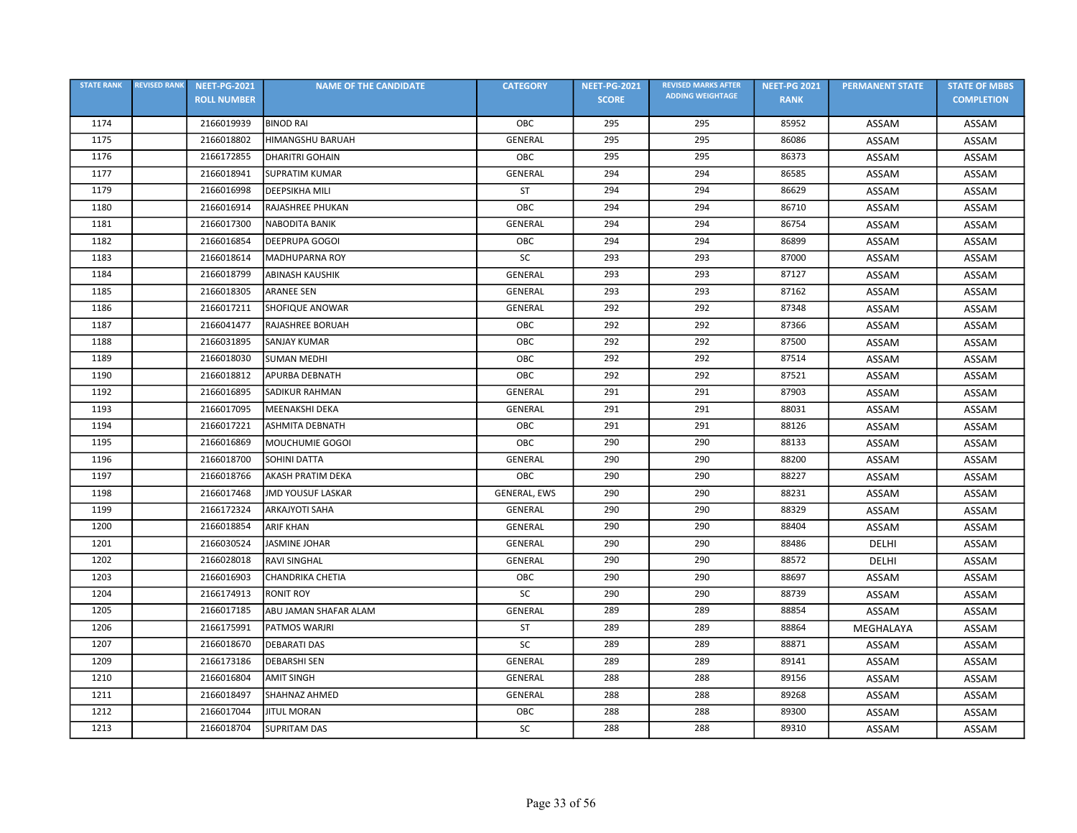| <b>STATE RANK</b> | <b>REVISED RANK</b> | <b>NEET-PG-2021</b> | <b>NAME OF THE CANDIDATE</b> | <b>CATEGORY</b> | <b>NEET-PG-2021</b> | <b>REVISED MARKS AFTER</b> | <b>NEET-PG 2021</b> | <b>PERMANENT STATE</b> | <b>STATE OF MBBS</b> |
|-------------------|---------------------|---------------------|------------------------------|-----------------|---------------------|----------------------------|---------------------|------------------------|----------------------|
|                   |                     | <b>ROLL NUMBER</b>  |                              |                 | <b>SCORE</b>        | <b>ADDING WEIGHTAGE</b>    | <b>RANK</b>         |                        | <b>COMPLETION</b>    |
| 1174              |                     | 2166019939          | <b>BINOD RAI</b>             | OBC             | 295                 | 295                        | 85952               | ASSAM                  | ASSAM                |
| 1175              |                     | 2166018802          | <b>HIMANGSHU BARUAH</b>      | GENERAL         | 295                 | 295                        | 86086               | ASSAM                  | ASSAM                |
| 1176              |                     | 2166172855          | <b>DHARITRI GOHAIN</b>       | OBC             | 295                 | 295                        | 86373               | ASSAM                  | ASSAM                |
| 1177              |                     | 2166018941          | <b>SUPRATIM KUMAR</b>        | GENERAL         | 294                 | 294                        | 86585               | ASSAM                  | ASSAM                |
| 1179              |                     | 2166016998          | <b>DEEPSIKHA MILI</b>        | <b>ST</b>       | 294                 | 294                        | 86629               | ASSAM                  | ASSAM                |
| 1180              |                     | 2166016914          | RAJASHREE PHUKAN             | OBC             | 294                 | 294                        | 86710               | ASSAM                  | ASSAM                |
| 1181              |                     | 2166017300          | <b>NABODITA BANIK</b>        | <b>GENERAL</b>  | 294                 | 294                        | 86754               | ASSAM                  | ASSAM                |
| 1182              |                     | 2166016854          | <b>DEEPRUPA GOGOI</b>        | OBC             | 294                 | 294                        | 86899               | ASSAM                  | ASSAM                |
| 1183              |                     | 2166018614          | <b>MADHUPARNA ROY</b>        | SC              | 293                 | 293                        | 87000               | ASSAM                  | ASSAM                |
| 1184              |                     | 2166018799          | <b>ABINASH KAUSHIK</b>       | GENERAL         | 293                 | 293                        | 87127               | ASSAM                  | ASSAM                |
| 1185              |                     | 2166018305          | <b>ARANEE SEN</b>            | GENERAL         | 293                 | 293                        | 87162               | ASSAM                  | ASSAM                |
| 1186              |                     | 2166017211          | <b>SHOFIQUE ANOWAR</b>       | <b>GENERAL</b>  | 292                 | 292                        | 87348               | ASSAM                  | ASSAM                |
| 1187              |                     | 2166041477          | RAJASHREE BORUAH             | OBC             | 292                 | 292                        | 87366               | ASSAM                  | ASSAM                |
| 1188              |                     | 2166031895          | <b>SANJAY KUMAR</b>          | OBC             | 292                 | 292                        | 87500               | ASSAM                  | ASSAM                |
| 1189              |                     | 2166018030          | <b>SUMAN MEDHI</b>           | OBC             | 292                 | 292                        | 87514               | <b>ASSAM</b>           | ASSAM                |
| 1190              |                     | 2166018812          | <b>APURBA DEBNATH</b>        | OBC             | 292                 | 292                        | 87521               | ASSAM                  | ASSAM                |
| 1192              |                     | 2166016895          | <b>SADIKUR RAHMAN</b>        | GENERAL         | 291                 | 291                        | 87903               | ASSAM                  | ASSAM                |
| 1193              |                     | 2166017095          | MEENAKSHI DEKA               | GENERAL         | 291                 | 291                        | 88031               | ASSAM                  | ASSAM                |
| 1194              |                     | 2166017221          | <b>ASHMITA DEBNATH</b>       | OBC             | 291                 | 291                        | 88126               | ASSAM                  | ASSAM                |
| 1195              |                     | 2166016869          | MOUCHUMIE GOGOI              | OBC             | 290                 | 290                        | 88133               | ASSAM                  | ASSAM                |
| 1196              |                     | 2166018700          | <b>SOHINI DATTA</b>          | <b>GENERAL</b>  | 290                 | 290                        | 88200               | ASSAM                  | ASSAM                |
| 1197              |                     | 2166018766          | <b>AKASH PRATIM DEKA</b>     | OBC             | 290                 | 290                        | 88227               | ASSAM                  | ASSAM                |
| 1198              |                     | 2166017468          | <b>JMD YOUSUF LASKAR</b>     | GENERAL, EWS    | 290                 | 290                        | 88231               | ASSAM                  | ASSAM                |
| 1199              |                     | 2166172324          | <b>ARKAJYOTI SAHA</b>        | <b>GENERAL</b>  | 290                 | 290                        | 88329               | ASSAM                  | ASSAM                |
| 1200              |                     | 2166018854          | <b>ARIF KHAN</b>             | <b>GENERAL</b>  | 290                 | 290                        | 88404               | ASSAM                  | ASSAM                |
| 1201              |                     | 2166030524          | <b>JASMINE JOHAR</b>         | GENERAL         | 290                 | 290                        | 88486               | DELHI                  | ASSAM                |
| 1202              |                     | 2166028018          | <b>RAVI SINGHAL</b>          | GENERAL         | 290                 | 290                        | 88572               | DELHI                  | ASSAM                |
| 1203              |                     | 2166016903          | <b>CHANDRIKA CHETIA</b>      | OBC             | 290                 | 290                        | 88697               | ASSAM                  | <b>ASSAM</b>         |
| 1204              |                     | 2166174913          | <b>RONIT ROY</b>             | SC              | 290                 | 290                        | 88739               | ASSAM                  | ASSAM                |
| 1205              |                     | 2166017185          | ABU JAMAN SHAFAR ALAM        | GENERAL         | 289                 | 289                        | 88854               | ASSAM                  | ASSAM                |
| 1206              |                     | 2166175991          | PATMOS WARJRI                | ST              | 289                 | 289                        | 88864               | MEGHALAYA              | ASSAM                |
| 1207              |                     | 2166018670          | <b>DEBARATI DAS</b>          | SC              | 289                 | 289                        | 88871               | ASSAM                  | ASSAM                |
| 1209              |                     | 2166173186          | <b>DEBARSHI SEN</b>          | GENERAL         | 289                 | 289                        | 89141               | ASSAM                  | ASSAM                |
| 1210              |                     | 2166016804          | <b>AMIT SINGH</b>            | <b>GENERAL</b>  | 288                 | 288                        | 89156               | ASSAM                  | ASSAM                |
| 1211              |                     | 2166018497          | SHAHNAZ AHMED                | <b>GENERAL</b>  | 288                 | 288                        | 89268               | ASSAM                  | ASSAM                |
| 1212              |                     | 2166017044          | <b>JITUL MORAN</b>           | OBC             | 288                 | 288                        | 89300               | ASSAM                  | ASSAM                |
| 1213              |                     | 2166018704          | <b>SUPRITAM DAS</b>          | SC              | 288                 | 288                        | 89310               | ASSAM                  | ASSAM                |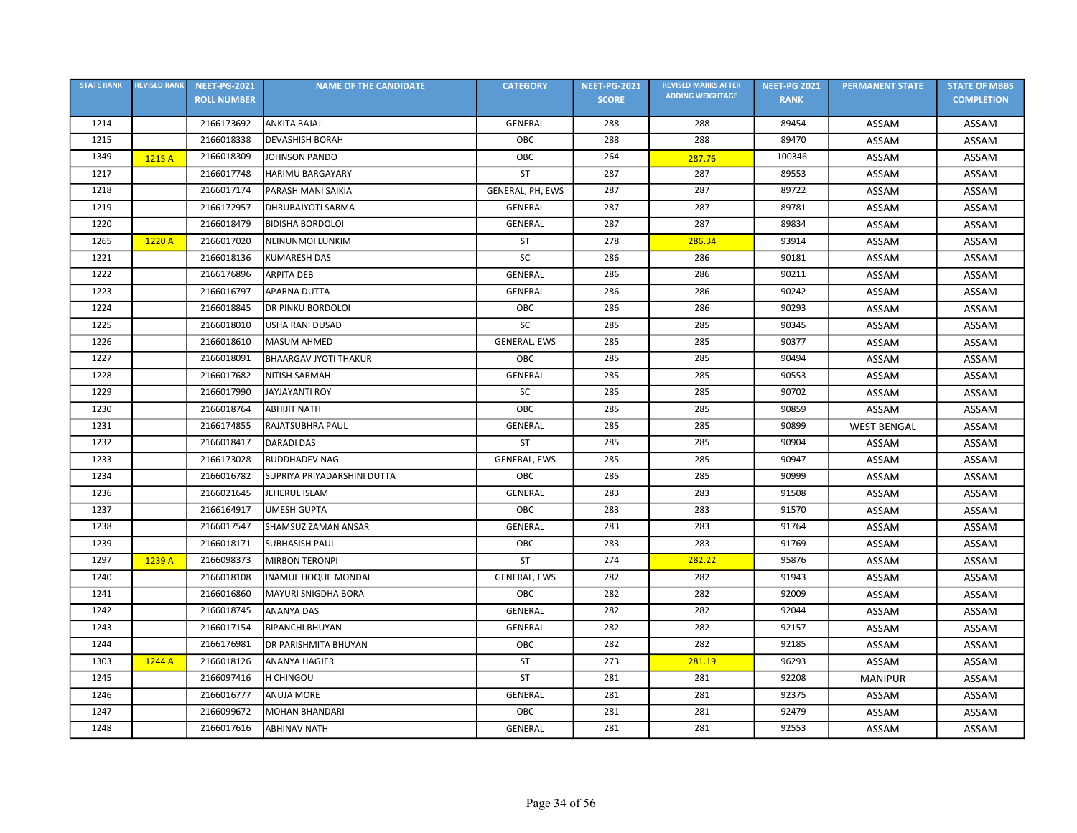| <b>STATE RANK</b> | <b>REVISED RANK</b> | <b>NEET-PG-2021</b> | <b>NAME OF THE CANDIDATE</b> | <b>CATEGORY</b>     | <b>NEET-PG-2021</b> | <b>REVISED MARKS AFTER</b> | <b>NEET-PG 2021</b> | <b>PERMANENT STATE</b> | <b>STATE OF MBBS</b> |
|-------------------|---------------------|---------------------|------------------------------|---------------------|---------------------|----------------------------|---------------------|------------------------|----------------------|
|                   |                     | <b>ROLL NUMBER</b>  |                              |                     | <b>SCORE</b>        | <b>ADDING WEIGHTAGE</b>    | <b>RANK</b>         |                        | <b>COMPLETION</b>    |
| 1214              |                     | 2166173692          | <b>ANKITA BAJAJ</b>          | GENERAL             | 288                 | 288                        | 89454               | ASSAM                  | ASSAM                |
| 1215              |                     | 2166018338          | <b>DEVASHISH BORAH</b>       | OBC                 | 288                 | 288                        | 89470               | ASSAM                  | ASSAM                |
| 1349              | 1215 A              | 2166018309          | JOHNSON PANDO                | OBC                 | 264                 | 287.76                     | 100346              | ASSAM                  | ASSAM                |
| 1217              |                     | 2166017748          | <b>HARIMU BARGAYARY</b>      | <b>ST</b>           | 287                 | 287                        | 89553               | ASSAM                  | ASSAM                |
| 1218              |                     | 2166017174          | PARASH MANI SAIKIA           | GENERAL, PH, EWS    | 287                 | 287                        | 89722               | ASSAM                  | ASSAM                |
| 1219              |                     | 2166172957          | <b>DHRUBAJYOTI SARMA</b>     | GENERAL             | 287                 | 287                        | 89781               | ASSAM                  | ASSAM                |
| 1220              |                     | 2166018479          | <b>BIDISHA BORDOLOI</b>      | <b>GENERAL</b>      | 287                 | 287                        | 89834               | ASSAM                  | ASSAM                |
| 1265              | 1220 A              | 2166017020          | NEINUNMOI LUNKIM             | <b>ST</b>           | 278                 | 286.34                     | 93914               | ASSAM                  | ASSAM                |
| 1221              |                     | 2166018136          | <b>KUMARESH DAS</b>          | SC                  | 286                 | 286                        | 90181               | ASSAM                  | ASSAM                |
| 1222              |                     | 2166176896          | <b>ARPITA DEB</b>            | GENERAL             | 286                 | 286                        | 90211               | ASSAM                  | ASSAM                |
| 1223              |                     | 2166016797          | <b>APARNA DUTTA</b>          | <b>GENERAL</b>      | 286                 | 286                        | 90242               | ASSAM                  | ASSAM                |
| 1224              |                     | 2166018845          | <b>DR PINKU BORDOLOI</b>     | OBC                 | 286                 | 286                        | 90293               | ASSAM                  | ASSAM                |
| 1225              |                     | 2166018010          | <b>USHA RANI DUSAD</b>       | SC                  | 285                 | 285                        | 90345               | ASSAM                  | ASSAM                |
| 1226              |                     | 2166018610          | MASUM AHMED                  | GENERAL, EWS        | 285                 | 285                        | 90377               | ASSAM                  | ASSAM                |
| 1227              |                     | 2166018091          | <b>BHAARGAV JYOTI THAKUR</b> | OBC                 | 285                 | 285                        | 90494               | ASSAM                  | ASSAM                |
| 1228              |                     | 2166017682          | <b>NITISH SARMAH</b>         | GENERAL             | 285                 | 285                        | 90553               | ASSAM                  | ASSAM                |
| 1229              |                     | 2166017990          | JAYJAYANTI ROY               | SC                  | 285                 | 285                        | 90702               | ASSAM                  | ASSAM                |
| 1230              |                     | 2166018764          | <b>ABHIJIT NATH</b>          | OBC                 | 285                 | 285                        | 90859               | ASSAM                  | ASSAM                |
| 1231              |                     | 2166174855          | RAJATSUBHRA PAUL             | <b>GENERAL</b>      | 285                 | 285                        | 90899               | <b>WEST BENGAL</b>     | ASSAM                |
| 1232              |                     | 2166018417          | <b>DARADI DAS</b>            | ST                  | 285                 | 285                        | 90904               | ASSAM                  | ASSAM                |
| 1233              |                     | 2166173028          | <b>BUDDHADEV NAG</b>         | <b>GENERAL, EWS</b> | 285                 | 285                        | 90947               | ASSAM                  | ASSAM                |
| 1234              |                     | 2166016782          | SUPRIYA PRIYADARSHINI DUTTA  | OBC                 | 285                 | 285                        | 90999               | ASSAM                  | ASSAM                |
| 1236              |                     | 2166021645          | JEHERUL ISLAM                | GENERAL             | 283                 | 283                        | 91508               | ASSAM                  | ASSAM                |
| 1237              |                     | 2166164917          | <b>UMESH GUPTA</b>           | OBC                 | 283                 | 283                        | 91570               | ASSAM                  | ASSAM                |
| 1238              |                     | 2166017547          | SHAMSUZ ZAMAN ANSAR          | GENERAL             | 283                 | 283                        | 91764               | <b>ASSAM</b>           | ASSAM                |
| 1239              |                     | 2166018171          | <b>SUBHASISH PAUL</b>        | OBC                 | 283                 | 283                        | 91769               | ASSAM                  | ASSAM                |
| 1297              | 1239 A              | 2166098373          | <b>MIRBON TERONPI</b>        | <b>ST</b>           | 274                 | 282.22                     | 95876               | ASSAM                  | ASSAM                |
| 1240              |                     | 2166018108          | <b>INAMUL HOQUE MONDAL</b>   | GENERAL, EWS        | 282                 | 282                        | 91943               | ASSAM                  | ASSAM                |
| 1241              |                     | 2166016860          | MAYURI SNIGDHA BORA          | OBC                 | 282                 | 282                        | 92009               | ASSAM                  | ASSAM                |
| 1242              |                     | 2166018745          | <b>ANANYA DAS</b>            | <b>GENERAL</b>      | 282                 | 282                        | 92044               | ASSAM                  | ASSAM                |
| 1243              |                     | 2166017154          | <b>BIPANCHI BHUYAN</b>       | <b>GENERAL</b>      | 282                 | 282                        | 92157               | ASSAM                  | ASSAM                |
| 1244              |                     | 2166176981          | <b>DR PARISHMITA BHUYAN</b>  | OBC                 | 282                 | 282                        | 92185               | ASSAM                  | ASSAM                |
| 1303              | 1244A               | 2166018126          | ANANYA HAGJER                | <b>ST</b>           | 273                 | 281.19                     | 96293               | ASSAM                  | ASSAM                |
| 1245              |                     | 2166097416          | <b>H CHINGOU</b>             | ST                  | 281                 | 281                        | 92208               | <b>MANIPUR</b>         | ASSAM                |
| 1246              |                     | 2166016777          | <b>ANUJA MORE</b>            | <b>GENERAL</b>      | 281                 | 281                        | 92375               | ASSAM                  | ASSAM                |
| 1247              |                     | 2166099672          | <b>MOHAN BHANDARI</b>        | OBC                 | 281                 | 281                        | 92479               | ASSAM                  | ASSAM                |
| 1248              |                     | 2166017616          | <b>ABHINAV NATH</b>          | <b>GENERAL</b>      | 281                 | 281                        | 92553               | ASSAM                  | ASSAM                |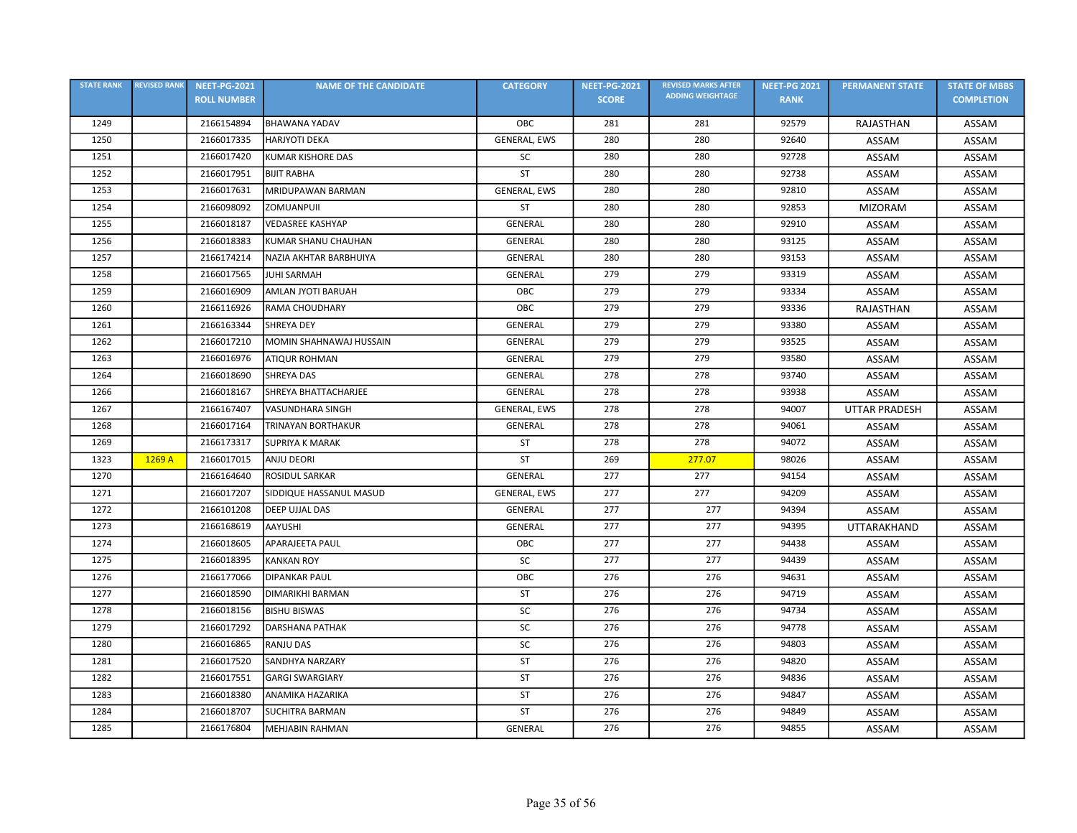| <b>STATE RANK</b> | <b>REVISED RANK</b> | <b>NEET-PG-2021</b> | <b>NAME OF THE CANDIDATE</b> | <b>CATEGORY</b>     | <b>NEET-PG-2021</b> | <b>REVISED MARKS AFTER</b> | <b>NEET-PG 2021</b> | <b>PERMANENT STATE</b> | <b>STATE OF MBBS</b> |
|-------------------|---------------------|---------------------|------------------------------|---------------------|---------------------|----------------------------|---------------------|------------------------|----------------------|
|                   |                     | <b>ROLL NUMBER</b>  |                              |                     | <b>SCORE</b>        | <b>ADDING WEIGHTAGE</b>    | <b>RANK</b>         |                        | <b>COMPLETION</b>    |
| 1249              |                     | 2166154894          | <b>BHAWANA YADAV</b>         | OBC                 | 281                 | 281                        | 92579               | RAJASTHAN              | ASSAM                |
| 1250              |                     | 2166017335          | <b>HARJYOTI DEKA</b>         | GENERAL, EWS        | 280                 | 280                        | 92640               | ASSAM                  | ASSAM                |
| 1251              |                     | 2166017420          | <b>KUMAR KISHORE DAS</b>     | SC                  | 280                 | 280                        | 92728               | ASSAM                  | ASSAM                |
| 1252              |                     | 2166017951          | <b>BIJIT RABHA</b>           | <b>ST</b>           | 280                 | 280                        | 92738               | ASSAM                  | ASSAM                |
| 1253              |                     | 2166017631          | MRIDUPAWAN BARMAN            | GENERAL, EWS        | 280                 | 280                        | 92810               | ASSAM                  | ASSAM                |
| 1254              |                     | 2166098092          | ZOMUANPUII                   | ST                  | 280                 | 280                        | 92853               | <b>MIZORAM</b>         | ASSAM                |
| 1255              |                     | 2166018187          | <b>VEDASREE KASHYAP</b>      | <b>GENERAL</b>      | 280                 | 280                        | 92910               | ASSAM                  | ASSAM                |
| 1256              |                     | 2166018383          | KUMAR SHANU CHAUHAN          | GENERAL             | 280                 | 280                        | 93125               | ASSAM                  | ASSAM                |
| 1257              |                     | 2166174214          | NAZIA AKHTAR BARBHUIYA       | <b>GENERAL</b>      | 280                 | 280                        | 93153               | ASSAM                  | ASSAM                |
| 1258              |                     | 2166017565          | <b>JUHI SARMAH</b>           | <b>GENERAL</b>      | 279                 | 279                        | 93319               | ASSAM                  | ASSAM                |
| 1259              |                     | 2166016909          | <b>AMLAN JYOTI BARUAH</b>    | OBC                 | 279                 | 279                        | 93334               | ASSAM                  | ASSAM                |
| 1260              |                     | 2166116926          | RAMA CHOUDHARY               | OBC                 | 279                 | 279                        | 93336               | RAJASTHAN              | ASSAM                |
| 1261              |                     | 2166163344          | <b>SHREYA DEY</b>            | GENERAL             | 279                 | 279                        | 93380               | ASSAM                  | ASSAM                |
| 1262              |                     | 2166017210          | MOMIN SHAHNAWAJ HUSSAIN      | <b>GENERAL</b>      | 279                 | 279                        | 93525               | ASSAM                  | ASSAM                |
| 1263              |                     | 2166016976          | <b>ATIQUR ROHMAN</b>         | <b>GENERAL</b>      | 279                 | 279                        | 93580               | ASSAM                  | ASSAM                |
| 1264              |                     | 2166018690          | <b>SHREYA DAS</b>            | <b>GENERAL</b>      | 278                 | 278                        | 93740               | ASSAM                  | ASSAM                |
| 1266              |                     | 2166018167          | SHREYA BHATTACHARJEE         | <b>GENERAL</b>      | 278                 | 278                        | 93938               | ASSAM                  | ASSAM                |
| 1267              |                     | 2166167407          | <b>VASUNDHARA SINGH</b>      | <b>GENERAL, EWS</b> | 278                 | 278                        | 94007               | <b>UTTAR PRADESH</b>   | ASSAM                |
| 1268              |                     | 2166017164          | <b>TRINAYAN BORTHAKUR</b>    | GENERAL             | 278                 | 278                        | 94061               | ASSAM                  | ASSAM                |
| 1269              |                     | 2166173317          | <b>SUPRIYA K MARAK</b>       | ST                  | 278                 | 278                        | 94072               | ASSAM                  | ASSAM                |
| 1323              | 1269 A              | 2166017015          | <b>ANJU DEORI</b>            | <b>ST</b>           | 269                 | 277.07                     | 98026               | ASSAM                  | ASSAM                |
| 1270              |                     | 2166164640          | ROSIDUL SARKAR               | GENERAL             | 277                 | 277                        | 94154               | ASSAM                  | ASSAM                |
| 1271              |                     | 2166017207          | SIDDIQUE HASSANUL MASUD      | GENERAL, EWS        | 277                 | 277                        | 94209               | ASSAM                  | ASSAM                |
| 1272              |                     | 2166101208          | DEEP UJJAL DAS               | <b>GENERAL</b>      | 277                 | 277                        | 94394               | ASSAM                  | ASSAM                |
| 1273              |                     | 2166168619          | <b>AAYUSHI</b>               | GENERAL             | 277                 | 277                        | 94395               | UTTARAKHAND            | ASSAM                |
| 1274              |                     | 2166018605          | <b>APARAJEETA PAUL</b>       | OBC                 | 277                 | 277                        | 94438               | ASSAM                  | ASSAM                |
| 1275              |                     | 2166018395          | <b>KANKAN ROY</b>            | SC                  | 277                 | 277                        | 94439               | ASSAM                  | ASSAM                |
| 1276              |                     | 2166177066          | <b>DIPANKAR PAUL</b>         | OBC                 | 276                 | 276                        | 94631               | ASSAM                  | ASSAM                |
| 1277              |                     | 2166018590          | DIMARIKHI BARMAN             | <b>ST</b>           | 276                 | 276                        | 94719               | ASSAM                  | ASSAM                |
| 1278              |                     | 2166018156          | <b>BISHU BISWAS</b>          | <b>SC</b>           | 276                 | 276                        | 94734               | ASSAM                  | ASSAM                |
| 1279              |                     | 2166017292          | <b>DARSHANA PATHAK</b>       | <b>SC</b>           | 276                 | 276                        | 94778               | ASSAM                  | ASSAM                |
| 1280              |                     | 2166016865          | <b>RANJU DAS</b>             | SC                  | 276                 | 276                        | 94803               | ASSAM                  | ASSAM                |
| 1281              |                     | 2166017520          | <b>SANDHYA NARZARY</b>       | ST                  | 276                 | 276                        | 94820               | ASSAM                  | ASSAM                |
| 1282              |                     | 2166017551          | <b>GARGI SWARGIARY</b>       | <b>ST</b>           | 276                 | 276                        | 94836               | ASSAM                  | ASSAM                |
| 1283              |                     | 2166018380          | ANAMIKA HAZARIKA             | <b>ST</b>           | 276                 | 276                        | 94847               | ASSAM                  | ASSAM                |
| 1284              |                     | 2166018707          | <b>SUCHITRA BARMAN</b>       | ST                  | 276                 | 276                        | 94849               | ASSAM                  | ASSAM                |
| 1285              |                     | 2166176804          | <b>MEHJABIN RAHMAN</b>       | <b>GENERAL</b>      | 276                 | 276                        | 94855               | ASSAM                  | ASSAM                |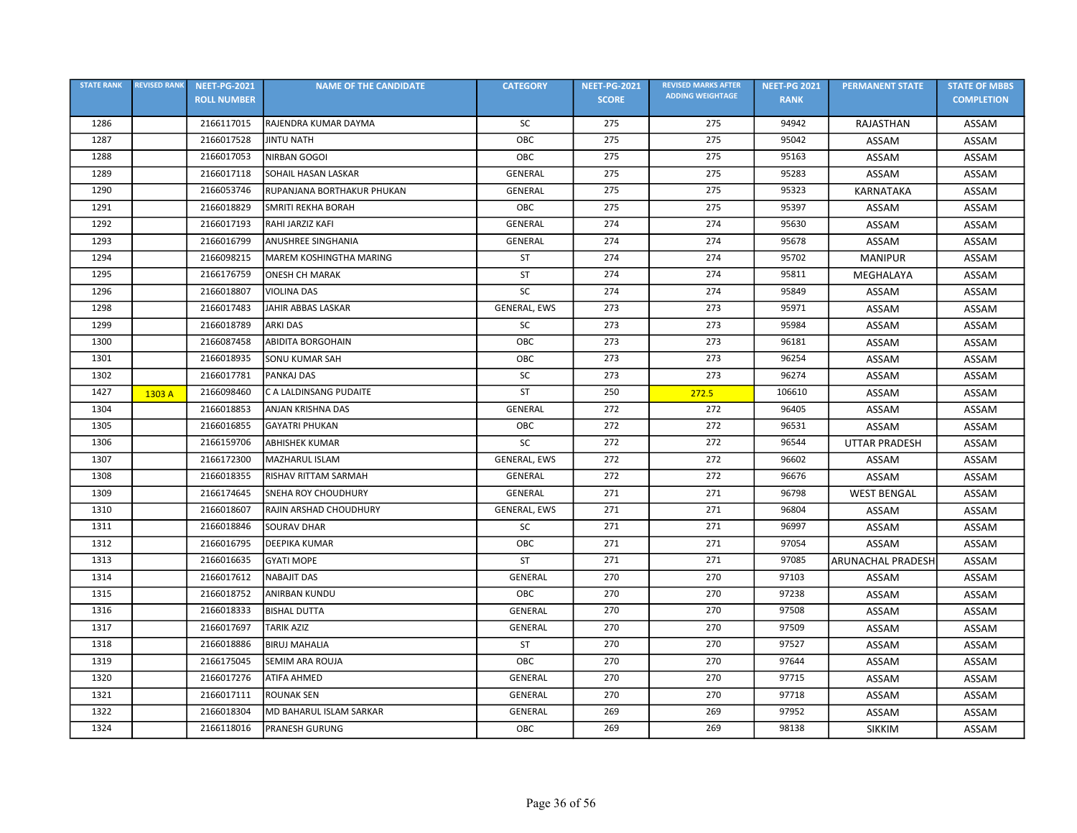| <b>STATE RANK</b> | <b>REVISED RANK</b> | <b>NEET-PG-2021</b> | <b>NAME OF THE CANDIDATE</b> | <b>CATEGORY</b>     | <b>NEET-PG-2021</b> | <b>REVISED MARKS AFTER</b> | <b>NEET-PG 2021</b> | <b>PERMANENT STATE</b>   | <b>STATE OF MBBS</b> |
|-------------------|---------------------|---------------------|------------------------------|---------------------|---------------------|----------------------------|---------------------|--------------------------|----------------------|
|                   |                     | <b>ROLL NUMBER</b>  |                              |                     | <b>SCORE</b>        | <b>ADDING WEIGHTAGE</b>    | <b>RANK</b>         |                          | <b>COMPLETION</b>    |
| 1286              |                     | 2166117015          | RAJENDRA KUMAR DAYMA         | SC                  | 275                 | 275                        | 94942               | RAJASTHAN                | ASSAM                |
| 1287              |                     | 2166017528          | <b>JINTU NATH</b>            | OBC                 | 275                 | 275                        | 95042               | ASSAM                    | ASSAM                |
| 1288              |                     | 2166017053          | NIRBAN GOGOI                 | OBC                 | 275                 | 275                        | 95163               | ASSAM                    | ASSAM                |
| 1289              |                     | 2166017118          | SOHAIL HASAN LASKAR          | GENERAL             | 275                 | 275                        | 95283               | ASSAM                    | ASSAM                |
| 1290              |                     | 2166053746          | RUPANJANA BORTHAKUR PHUKAN   | GENERAL             | 275                 | 275                        | 95323               | KARNATAKA                | ASSAM                |
| 1291              |                     | 2166018829          | SMRITI REKHA BORAH           | OBC                 | 275                 | 275                        | 95397               | ASSAM                    | ASSAM                |
| 1292              |                     | 2166017193          | RAHI JARZIZ KAFI             | <b>GENERAL</b>      | 274                 | 274                        | 95630               | ASSAM                    | ASSAM                |
| 1293              |                     | 2166016799          | <b>ANUSHREE SINGHANIA</b>    | GENERAL             | 274                 | 274                        | 95678               | ASSAM                    | ASSAM                |
| 1294              |                     | 2166098215          | MAREM KOSHINGTHA MARING      | ST                  | 274                 | 274                        | 95702               | <b>MANIPUR</b>           | ASSAM                |
| 1295              |                     | 2166176759          | <b>ONESH CH MARAK</b>        | ST                  | 274                 | 274                        | 95811               | MEGHALAYA                | ASSAM                |
| 1296              |                     | 2166018807          | <b>VIOLINA DAS</b>           | SC                  | 274                 | 274                        | 95849               | ASSAM                    | ASSAM                |
| 1298              |                     | 2166017483          | JAHIR ABBAS LASKAR           | GENERAL, EWS        | 273                 | 273                        | 95971               | ASSAM                    | ASSAM                |
| 1299              |                     | 2166018789          | <b>ARKI DAS</b>              | <b>SC</b>           | 273                 | 273                        | 95984               | ASSAM                    | ASSAM                |
| 1300              |                     | 2166087458          | <b>ABIDITA BORGOHAIN</b>     | OBC                 | 273                 | 273                        | 96181               | ASSAM                    | ASSAM                |
| 1301              |                     | 2166018935          | <b>SONU KUMAR SAH</b>        | OBC                 | 273                 | 273                        | 96254               | ASSAM                    | ASSAM                |
| 1302              |                     | 2166017781          | PANKAJ DAS                   | SC                  | 273                 | 273                        | 96274               | ASSAM                    | ASSAM                |
| 1427              | 1303 A              | 2166098460          | C A LALDINSANG PUDAITE       | ST                  | 250                 | 272.5                      | 106610              | ASSAM                    | <b>ASSAM</b>         |
| 1304              |                     | 2166018853          | ANJAN KRISHNA DAS            | <b>GENERAL</b>      | 272                 | 272                        | 96405               | ASSAM                    | ASSAM                |
| 1305              |                     | 2166016855          | <b>GAYATRI PHUKAN</b>        | OBC                 | 272                 | 272                        | 96531               | ASSAM                    | ASSAM                |
| 1306              |                     | 2166159706          | <b>ABHISHEK KUMAR</b>        | SC                  | 272                 | 272                        | 96544               | <b>UTTAR PRADESH</b>     | ASSAM                |
| 1307              |                     | 2166172300          | MAZHARUL ISLAM               | GENERAL, EWS        | 272                 | 272                        | 96602               | ASSAM                    | ASSAM                |
| 1308              |                     | 2166018355          | RISHAV RITTAM SARMAH         | GENERAL             | 272                 | 272                        | 96676               | ASSAM                    | ASSAM                |
| 1309              |                     | 2166174645          | <b>SNEHA ROY CHOUDHURY</b>   | <b>GENERAL</b>      | 271                 | 271                        | 96798               | <b>WEST BENGAL</b>       | ASSAM                |
| 1310              |                     | 2166018607          | RAJIN ARSHAD CHOUDHURY       | <b>GENERAL, EWS</b> | 271                 | 271                        | 96804               | ASSAM                    | ASSAM                |
| 1311              |                     | 2166018846          | <b>SOURAV DHAR</b>           | SC                  | 271                 | 271                        | 96997               | ASSAM                    | ASSAM                |
| 1312              |                     | 2166016795          | <b>DEEPIKA KUMAR</b>         | OBC                 | 271                 | 271                        | 97054               | ASSAM                    | ASSAM                |
| 1313              |                     | 2166016635          | <b>GYATI MOPE</b>            | <b>ST</b>           | 271                 | 271                        | 97085               | <b>ARUNACHAL PRADESH</b> | ASSAM                |
| 1314              |                     | 2166017612          | <b>NABAJIT DAS</b>           | GENERAL             | 270                 | 270                        | 97103               | ASSAM                    | <b>ASSAM</b>         |
| 1315              |                     | 2166018752          | ANIRBAN KUNDU                | OBC                 | 270                 | 270                        | 97238               | ASSAM                    | ASSAM                |
| 1316              |                     | 2166018333          | <b>BISHAL DUTTA</b>          | GENERAL             | 270                 | 270                        | 97508               | ASSAM                    | ASSAM                |
| 1317              |                     | 2166017697          | <b>TARIK AZIZ</b>            | GENERAL             | 270                 | 270                        | 97509               | ASSAM                    | ASSAM                |
| 1318              |                     | 2166018886          | <b>BIRUJ MAHALIA</b>         | ST                  | 270                 | 270                        | 97527               | ASSAM                    | ASSAM                |
| 1319              |                     | 2166175045          | SEMIM ARA ROUJA              | OBC                 | 270                 | 270                        | 97644               | ASSAM                    | ASSAM                |
| 1320              |                     | 2166017276          | <b>ATIFA AHMED</b>           | GENERAL             | 270                 | 270                        | 97715               | ASSAM                    | ASSAM                |
| 1321              |                     | 2166017111          | <b>ROUNAK SEN</b>            | GENERAL             | 270                 | 270                        | 97718               | ASSAM                    | ASSAM                |
| 1322              |                     | 2166018304          | MD BAHARUL ISLAM SARKAR      | GENERAL             | 269                 | 269                        | 97952               | ASSAM                    | ASSAM                |
| 1324              |                     | 2166118016          | <b>PRANESH GURUNG</b>        | OBC                 | 269                 | 269                        | 98138               | <b>SIKKIM</b>            | ASSAM                |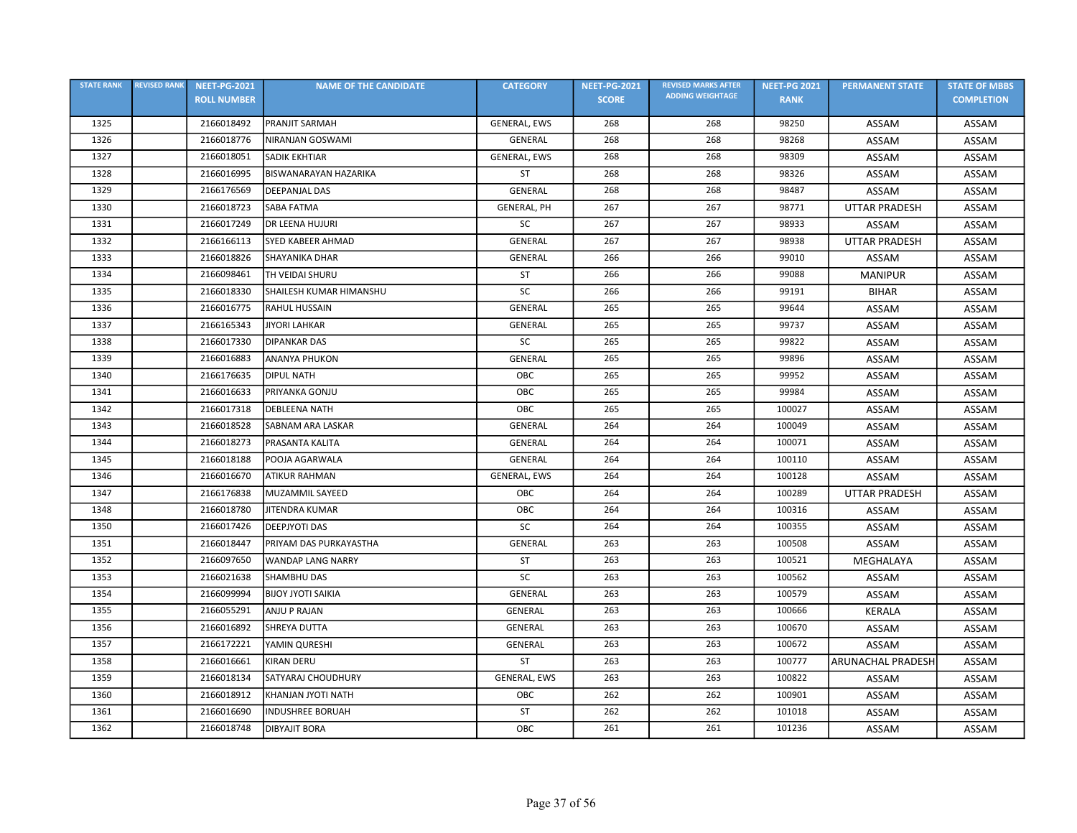| <b>STATE RANK</b> | <b>REVISED RANK</b> | <b>NEET-PG-2021</b> | <b>NAME OF THE CANDIDATE</b> | <b>CATEGORY</b>     | <b>NEET-PG-2021</b> | <b>REVISED MARKS AFTER</b> | <b>NEET-PG 2021</b> | <b>PERMANENT STATE</b>   | <b>STATE OF MBBS</b> |
|-------------------|---------------------|---------------------|------------------------------|---------------------|---------------------|----------------------------|---------------------|--------------------------|----------------------|
|                   |                     | <b>ROLL NUMBER</b>  |                              |                     | <b>SCORE</b>        | <b>ADDING WEIGHTAGE</b>    | <b>RANK</b>         |                          | <b>COMPLETION</b>    |
| 1325              |                     | 2166018492          | <b>PRANJIT SARMAH</b>        | <b>GENERAL, EWS</b> | 268                 | 268                        | 98250               | ASSAM                    | ASSAM                |
| 1326              |                     | 2166018776          | <b>NIRANJAN GOSWAMI</b>      | GENERAL             | 268                 | 268                        | 98268               | ASSAM                    | ASSAM                |
| 1327              |                     | 2166018051          | <b>SADIK EKHTIAR</b>         | GENERAL, EWS        | 268                 | 268                        | 98309               | ASSAM                    | ASSAM                |
| 1328              |                     | 2166016995          | <b>BISWANARAYAN HAZARIKA</b> | <b>ST</b>           | 268                 | 268                        | 98326               | <b>ASSAM</b>             | ASSAM                |
| 1329              |                     | 2166176569          | <b>DEEPANJAL DAS</b>         | GENERAL             | 268                 | 268                        | 98487               | ASSAM                    | ASSAM                |
| 1330              |                     | 2166018723          | <b>SABA FATMA</b>            | <b>GENERAL, PH</b>  | 267                 | 267                        | 98771               | <b>UTTAR PRADESH</b>     | ASSAM                |
| 1331              |                     | 2166017249          | <b>DR LEENA HUJURI</b>       | <b>SC</b>           | 267                 | 267                        | 98933               | ASSAM                    | ASSAM                |
| 1332              |                     | 2166166113          | <b>SYED KABEER AHMAD</b>     | <b>GENERAL</b>      | 267                 | 267                        | 98938               | <b>UTTAR PRADESH</b>     | ASSAM                |
| 1333              |                     | 2166018826          | <b>SHAYANIKA DHAR</b>        | <b>GENERAL</b>      | 266                 | 266                        | 99010               | ASSAM                    | ASSAM                |
| 1334              |                     | 2166098461          | TH VEIDAI SHURU              | ST                  | 266                 | 266                        | 99088               | <b>MANIPUR</b>           | ASSAM                |
| 1335              |                     | 2166018330          | SHAILESH KUMAR HIMANSHU      | <b>SC</b>           | 266                 | 266                        | 99191               | <b>BIHAR</b>             | ASSAM                |
| 1336              |                     | 2166016775          | <b>RAHUL HUSSAIN</b>         | <b>GENERAL</b>      | 265                 | 265                        | 99644               | ASSAM                    | <b>ASSAM</b>         |
| 1337              |                     | 2166165343          | <b>JIYORI LAHKAR</b>         | GENERAL             | 265                 | 265                        | 99737               | ASSAM                    | ASSAM                |
| 1338              |                     | 2166017330          | <b>DIPANKAR DAS</b>          | <b>SC</b>           | 265                 | 265                        | 99822               | ASSAM                    | ASSAM                |
| 1339              |                     | 2166016883          | <b>ANANYA PHUKON</b>         | GENERAL             | 265                 | 265                        | 99896               | ASSAM                    | ASSAM                |
| 1340              |                     | 2166176635          | <b>DIPUL NATH</b>            | OBC                 | 265                 | 265                        | 99952               | ASSAM                    | ASSAM                |
| 1341              |                     | 2166016633          | PRIYANKA GONJU               | OBC                 | 265                 | 265                        | 99984               | ASSAM                    | ASSAM                |
| 1342              |                     | 2166017318          | <b>DEBLEENA NATH</b>         | OBC                 | 265                 | 265                        | 100027              | ASSAM                    | ASSAM                |
| 1343              |                     | 2166018528          | SABNAM ARA LASKAR            | <b>GENERAL</b>      | 264                 | 264                        | 100049              | ASSAM                    | ASSAM                |
| 1344              |                     | 2166018273          | PRASANTA KALITA              | GENERAL             | 264                 | 264                        | 100071              | ASSAM                    | ASSAM                |
| 1345              |                     | 2166018188          | POOJA AGARWALA               | GENERAL             | 264                 | 264                        | 100110              | ASSAM                    | ASSAM                |
| 1346              |                     | 2166016670          | <b>ATIKUR RAHMAN</b>         | <b>GENERAL, EWS</b> | 264                 | 264                        | 100128              | ASSAM                    | ASSAM                |
| 1347              |                     | 2166176838          | MUZAMMIL SAYEED              | OBC                 | 264                 | 264                        | 100289              | <b>UTTAR PRADESH</b>     | ASSAM                |
| 1348              |                     | 2166018780          | <b>JITENDRA KUMAR</b>        | OBC                 | 264                 | 264                        | 100316              | ASSAM                    | ASSAM                |
| 1350              |                     | 2166017426          | <b>DEEPJYOTI DAS</b>         | SC                  | 264                 | 264                        | 100355              | ASSAM                    | ASSAM                |
| 1351              |                     | 2166018447          | PRIYAM DAS PURKAYASTHA       | GENERAL             | 263                 | 263                        | 100508              | ASSAM                    | ASSAM                |
| 1352              |                     | 2166097650          | WANDAP LANG NARRY            | ST                  | 263                 | 263                        | 100521              | MEGHALAYA                | ASSAM                |
| 1353              |                     | 2166021638          | SHAMBHU DAS                  | SC                  | 263                 | 263                        | 100562              | ASSAM                    | ASSAM                |
| 1354              |                     | 2166099994          | <b>BIJOY JYOTI SAIKIA</b>    | GENERAL             | 263                 | 263                        | 100579              | ASSAM                    | ASSAM                |
| 1355              |                     | 2166055291          | <b>ANJU P RAJAN</b>          | GENERAL             | 263                 | 263                        | 100666              | <b>KERALA</b>            | ASSAM                |
| 1356              |                     | 2166016892          | SHREYA DUTTA                 | GENERAL             | 263                 | 263                        | 100670              | ASSAM                    | ASSAM                |
| 1357              |                     | 2166172221          | YAMIN QURESHI                | <b>GENERAL</b>      | 263                 | 263                        | 100672              | ASSAM                    | ASSAM                |
| 1358              |                     | 2166016661          | <b>KIRAN DERU</b>            | ST                  | 263                 | 263                        | 100777              | <b>ARUNACHAL PRADESH</b> | ASSAM                |
| 1359              |                     | 2166018134          | SATYARAJ CHOUDHURY           | GENERAL, EWS        | 263                 | 263                        | 100822              | ASSAM                    | ASSAM                |
| 1360              |                     | 2166018912          | KHANJAN JYOTI NATH           | OBC                 | 262                 | 262                        | 100901              | ASSAM                    | ASSAM                |
| 1361              |                     | 2166016690          | <b>INDUSHREE BORUAH</b>      | <b>ST</b>           | 262                 | 262                        | 101018              | ASSAM                    | ASSAM                |
| 1362              |                     | 2166018748          | <b>DIBYAJIT BORA</b>         | OBC                 | 261                 | 261                        | 101236              | ASSAM                    | ASSAM                |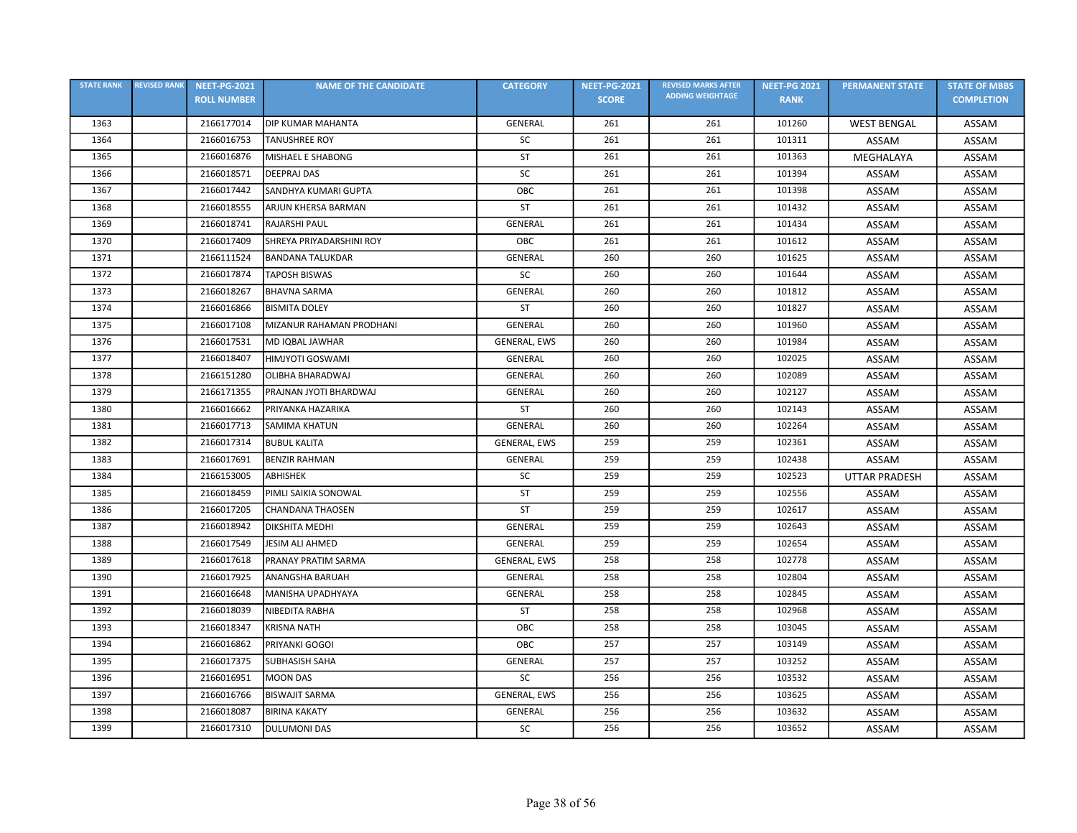| <b>STATE RANK</b> | <b>REVISED RANK</b> | <b>NEET-PG-2021</b> | <b>NAME OF THE CANDIDATE</b> | <b>CATEGORY</b>     | <b>NEET-PG-2021</b> | <b>REVISED MARKS AFTER</b> | <b>NEET-PG 2021</b> | <b>PERMANENT STATE</b> | <b>STATE OF MBBS</b> |
|-------------------|---------------------|---------------------|------------------------------|---------------------|---------------------|----------------------------|---------------------|------------------------|----------------------|
|                   |                     | <b>ROLL NUMBER</b>  |                              |                     | <b>SCORE</b>        | <b>ADDING WEIGHTAGE</b>    | <b>RANK</b>         |                        | <b>COMPLETION</b>    |
| 1363              |                     | 2166177014          | <b>DIP KUMAR MAHANTA</b>     | GENERAL             | 261                 | 261                        | 101260              | <b>WEST BENGAL</b>     | ASSAM                |
| 1364              |                     | 2166016753          | <b>TANUSHREE ROY</b>         | SC                  | 261                 | 261                        | 101311              | ASSAM                  | ASSAM                |
| 1365              |                     | 2166016876          | MISHAEL E SHABONG            | <b>ST</b>           | 261                 | 261                        | 101363              | MEGHALAYA              | ASSAM                |
| 1366              |                     | 2166018571          | <b>DEEPRAJ DAS</b>           | SC                  | 261                 | 261                        | 101394              | ASSAM                  | ASSAM                |
| 1367              |                     | 2166017442          | SANDHYA KUMARI GUPTA         | OBC                 | 261                 | 261                        | 101398              | ASSAM                  | ASSAM                |
| 1368              |                     | 2166018555          | ARJUN KHERSA BARMAN          | ST                  | 261                 | 261                        | 101432              | ASSAM                  | ASSAM                |
| 1369              |                     | 2166018741          | RAJARSHI PAUL                | GENERAL             | 261                 | 261                        | 101434              | ASSAM                  | ASSAM                |
| 1370              |                     | 2166017409          | SHREYA PRIYADARSHINI ROY     | OBC                 | 261                 | 261                        | 101612              | ASSAM                  | ASSAM                |
| 1371              |                     | 2166111524          | <b>BANDANA TALUKDAR</b>      | GENERAL             | 260                 | 260                        | 101625              | ASSAM                  | ASSAM                |
| 1372              |                     | 2166017874          | <b>TAPOSH BISWAS</b>         | <b>SC</b>           | 260                 | 260                        | 101644              | ASSAM                  | ASSAM                |
| 1373              |                     | 2166018267          | <b>BHAVNA SARMA</b>          | GENERAL             | 260                 | 260                        | 101812              | ASSAM                  | ASSAM                |
| 1374              |                     | 2166016866          | <b>BISMITA DOLEY</b>         | ST                  | 260                 | 260                        | 101827              | ASSAM                  | ASSAM                |
| 1375              |                     | 2166017108          | MIZANUR RAHAMAN PRODHANI     | <b>GENERAL</b>      | 260                 | 260                        | 101960              | ASSAM                  | ASSAM                |
| 1376              |                     | 2166017531          | MD IQBAL JAWHAR              | GENERAL, EWS        | 260                 | 260                        | 101984              | ASSAM                  | ASSAM                |
| 1377              |                     | 2166018407          | <b>HIMJYOTI GOSWAMI</b>      | GENERAL             | 260                 | 260                        | 102025              | ASSAM                  | ASSAM                |
| 1378              |                     | 2166151280          | OLIBHA BHARADWAJ             | <b>GENERAL</b>      | 260                 | 260                        | 102089              | ASSAM                  | ASSAM                |
| 1379              |                     | 2166171355          | PRAJNAN JYOTI BHARDWAJ       | <b>GENERAL</b>      | 260                 | 260                        | 102127              | ASSAM                  | ASSAM                |
| 1380              |                     | 2166016662          | PRIYANKA HAZARIKA            | <b>ST</b>           | 260                 | 260                        | 102143              | ASSAM                  | ASSAM                |
| 1381              |                     | 2166017713          | <b>SAMIMA KHATUN</b>         | GENERAL             | 260                 | 260                        | 102264              | ASSAM                  | ASSAM                |
| 1382              |                     | 2166017314          | <b>BUBUL KALITA</b>          | GENERAL, EWS        | 259                 | 259                        | 102361              | ASSAM                  | ASSAM                |
| 1383              |                     | 2166017691          | <b>BENZIR RAHMAN</b>         | GENERAL             | 259                 | 259                        | 102438              | ASSAM                  | ASSAM                |
| 1384              |                     | 2166153005          | ABHISHEK                     | SC                  | 259                 | 259                        | 102523              | <b>UTTAR PRADESH</b>   | ASSAM                |
| 1385              |                     | 2166018459          | PIMLI SAIKIA SONOWAL         | ST                  | 259                 | 259                        | 102556              | <b>ASSAM</b>           | ASSAM                |
| 1386              |                     | 2166017205          | <b>CHANDANA THAOSEN</b>      | ST                  | 259                 | 259                        | 102617              | ASSAM                  | ASSAM                |
| 1387              |                     | 2166018942          | <b>DIKSHITA MEDHI</b>        | GENERAL             | 259                 | 259                        | 102643              | ASSAM                  | ASSAM                |
| 1388              |                     | 2166017549          | JESIM ALI AHMED              | <b>GENERAL</b>      | 259                 | 259                        | 102654              | ASSAM                  | ASSAM                |
| 1389              |                     | 2166017618          | PRANAY PRATIM SARMA          | <b>GENERAL, EWS</b> | 258                 | 258                        | 102778              | ASSAM                  | ASSAM                |
| 1390              |                     | 2166017925          | <b>ANANGSHA BARUAH</b>       | <b>GENERAL</b>      | 258                 | 258                        | 102804              | ASSAM                  | ASSAM                |
| 1391              |                     | 2166016648          | MANISHA UPADHYAYA            | <b>GENERAL</b>      | 258                 | 258                        | 102845              | ASSAM                  | ASSAM                |
| 1392              |                     | 2166018039          | NIBEDITA RABHA               | ST                  | 258                 | 258                        | 102968              | ASSAM                  | ASSAM                |
| 1393              |                     | 2166018347          | <b>KRISNA NATH</b>           | OBC                 | 258                 | 258                        | 103045              | ASSAM                  | ASSAM                |
| 1394              |                     | 2166016862          | PRIYANKI GOGOI               | OBC                 | 257                 | 257                        | 103149              | ASSAM                  | ASSAM                |
| 1395              |                     | 2166017375          | <b>SUBHASISH SAHA</b>        | GENERAL             | 257                 | 257                        | 103252              | ASSAM                  | ASSAM                |
| 1396              |                     | 2166016951          | <b>MOON DAS</b>              | <b>SC</b>           | 256                 | 256                        | 103532              | ASSAM                  | ASSAM                |
| 1397              |                     | 2166016766          | <b>BISWAJIT SARMA</b>        | GENERAL, EWS        | 256                 | 256                        | 103625              | ASSAM                  | ASSAM                |
| 1398              |                     | 2166018087          | <b>BIRINA KAKATY</b>         | GENERAL             | 256                 | 256                        | 103632              | ASSAM                  | ASSAM                |
| 1399              |                     | 2166017310          | <b>DULUMONI DAS</b>          | SC                  | 256                 | 256                        | 103652              | ASSAM                  | ASSAM                |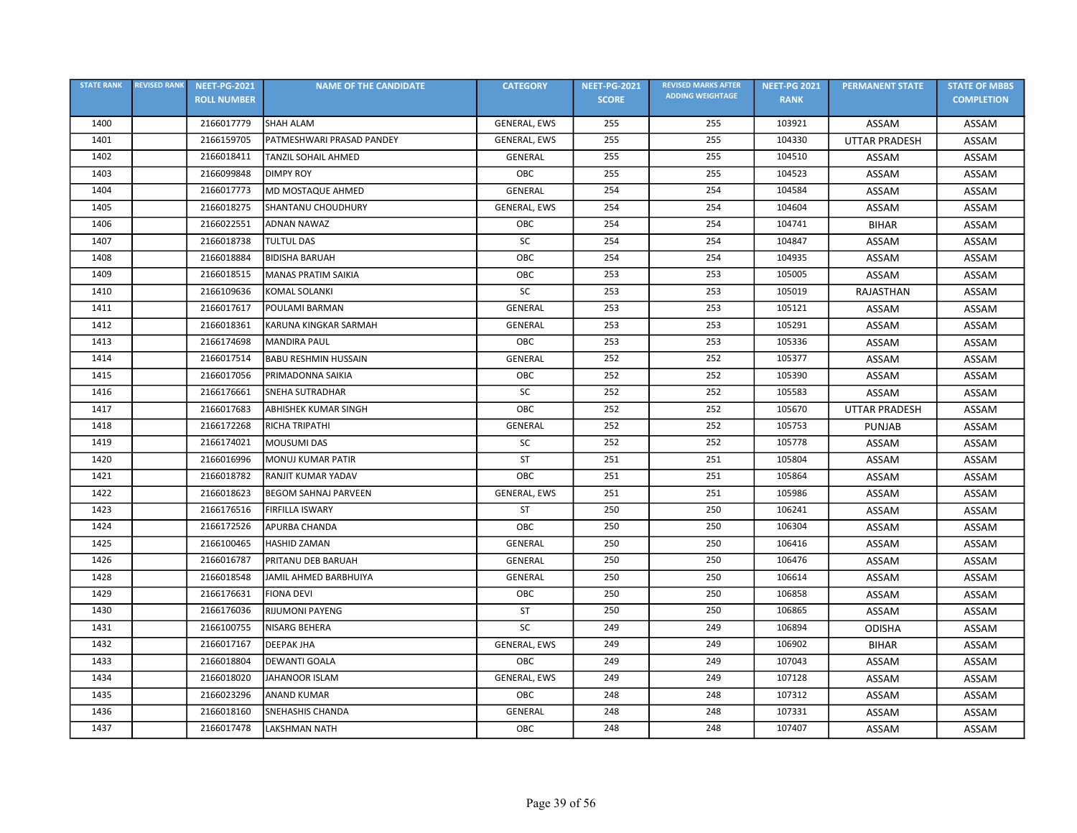| <b>STATE RANK</b> | <b>REVISED RANK</b> | <b>NEET-PG-2021</b> | <b>NAME OF THE CANDIDATE</b> | <b>CATEGORY</b>     | <b>NEET-PG-2021</b> | <b>REVISED MARKS AFTER</b> | <b>NEET-PG 2021</b> | <b>PERMANENT STATE</b> | <b>STATE OF MBBS</b> |
|-------------------|---------------------|---------------------|------------------------------|---------------------|---------------------|----------------------------|---------------------|------------------------|----------------------|
|                   |                     | <b>ROLL NUMBER</b>  |                              |                     | <b>SCORE</b>        | <b>ADDING WEIGHTAGE</b>    | <b>RANK</b>         |                        | <b>COMPLETION</b>    |
| 1400              |                     | 2166017779          | <b>SHAH ALAM</b>             | GENERAL, EWS        | 255                 | 255                        | 103921              | ASSAM                  | ASSAM                |
| 1401              |                     | 2166159705          | PATMESHWARI PRASAD PANDEY    | GENERAL, EWS        | 255                 | 255                        | 104330              | <b>UTTAR PRADESH</b>   | ASSAM                |
| 1402              |                     | 2166018411          | <b>TANZIL SOHAIL AHMED</b>   | GENERAL             | 255                 | 255                        | 104510              | ASSAM                  | ASSAM                |
| 1403              |                     | 2166099848          | <b>DIMPY ROY</b>             | OBC                 | 255                 | 255                        | 104523              | <b>ASSAM</b>           | ASSAM                |
| 1404              |                     | 2166017773          | MD MOSTAQUE AHMED            | GENERAL             | 254                 | 254                        | 104584              | ASSAM                  | ASSAM                |
| 1405              |                     | 2166018275          | <b>SHANTANU CHOUDHURY</b>    | <b>GENERAL, EWS</b> | 254                 | 254                        | 104604              | ASSAM                  | ASSAM                |
| 1406              |                     | 2166022551          | <b>ADNAN NAWAZ</b>           | OBC                 | 254                 | 254                        | 104741              | <b>BIHAR</b>           | ASSAM                |
| 1407              |                     | 2166018738          | <b>TULTUL DAS</b>            | SC                  | 254                 | 254                        | 104847              | ASSAM                  | ASSAM                |
| 1408              |                     | 2166018884          | <b>BIDISHA BARUAH</b>        | OBC                 | 254                 | 254                        | 104935              | ASSAM                  | ASSAM                |
| 1409              |                     | 2166018515          | <b>MANAS PRATIM SAIKIA</b>   | OBC                 | 253                 | 253                        | 105005              | ASSAM                  | <b>ASSAM</b>         |
| 1410              |                     | 2166109636          | KOMAL SOLANKI                | SC                  | 253                 | 253                        | 105019              | RAJASTHAN              | ASSAM                |
| 1411              |                     | 2166017617          | POULAMI BARMAN               | GENERAL             | 253                 | 253                        | 105121              | ASSAM                  | <b>ASSAM</b>         |
| 1412              |                     | 2166018361          | KARUNA KINGKAR SARMAH        | GENERAL             | 253                 | 253                        | 105291              | ASSAM                  | ASSAM                |
| 1413              |                     | 2166174698          | <b>MANDIRA PAUL</b>          | OBC                 | 253                 | 253                        | 105336              | ASSAM                  | ASSAM                |
| 1414              |                     | 2166017514          | <b>BABU RESHMIN HUSSAIN</b>  | <b>GENERAL</b>      | 252                 | 252                        | 105377              | ASSAM                  | ASSAM                |
| 1415              |                     | 2166017056          | PRIMADONNA SAIKIA            | OBC                 | 252                 | 252                        | 105390              | ASSAM                  | ASSAM                |
| 1416              |                     | 2166176661          | <b>SNEHA SUTRADHAR</b>       | SC                  | 252                 | 252                        | 105583              | ASSAM                  | ASSAM                |
| 1417              |                     | 2166017683          | ABHISHEK KUMAR SINGH         | OBC                 | 252                 | 252                        | 105670              | <b>UTTAR PRADESH</b>   | ASSAM                |
| 1418              |                     | 2166172268          | RICHA TRIPATHI               | <b>GENERAL</b>      | 252                 | 252                        | 105753              | <b>PUNJAB</b>          | ASSAM                |
| 1419              |                     | 2166174021          | <b>MOUSUMI DAS</b>           | SC                  | 252                 | 252                        | 105778              | ASSAM                  | ASSAM                |
| 1420              |                     | 2166016996          | MONUJ KUMAR PATIR            | <b>ST</b>           | 251                 | 251                        | 105804              | ASSAM                  | ASSAM                |
| 1421              |                     | 2166018782          | RANJIT KUMAR YADAV           | OBC                 | 251                 | 251                        | 105864              | ASSAM                  | ASSAM                |
| 1422              |                     | 2166018623          | <b>BEGOM SAHNAJ PARVEEN</b>  | GENERAL, EWS        | 251                 | 251                        | 105986              | ASSAM                  | ASSAM                |
| 1423              |                     | 2166176516          | <b>FIRFILLA ISWARY</b>       | <b>ST</b>           | 250                 | 250                        | 106241              | ASSAM                  | ASSAM                |
| 1424              |                     | 2166172526          | APURBA CHANDA                | OBC                 | 250                 | 250                        | 106304              | ASSAM                  | ASSAM                |
| 1425              |                     | 2166100465          | <b>HASHID ZAMAN</b>          | <b>GENERAL</b>      | 250                 | 250                        | 106416              | ASSAM                  | ASSAM                |
| 1426              |                     | 2166016787          | PRITANU DEB BARUAH           | <b>GENERAL</b>      | 250                 | 250                        | 106476              | ASSAM                  | ASSAM                |
| 1428              |                     | 2166018548          | JAMIL AHMED BARBHUIYA        | GENERAL             | 250                 | 250                        | 106614              | ASSAM                  | ASSAM                |
| 1429              |                     | 2166176631          | <b>FIONA DEVI</b>            | OBC                 | 250                 | 250                        | 106858              | ASSAM                  | ASSAM                |
| 1430              |                     | 2166176036          | <b>RIJUMONI PAYENG</b>       | <b>ST</b>           | 250                 | 250                        | 106865              | ASSAM                  | ASSAM                |
| 1431              |                     | 2166100755          | NISARG BEHERA                | SC                  | 249                 | 249                        | 106894              | <b>ODISHA</b>          | ASSAM                |
| 1432              |                     | 2166017167          | <b>DEEPAK JHA</b>            | GENERAL, EWS        | 249                 | 249                        | 106902              | <b>BIHAR</b>           | ASSAM                |
| 1433              |                     | 2166018804          | <b>DEWANTI GOALA</b>         | ОВС                 | 249                 | 249                        | 107043              | ASSAM                  | ASSAM                |
| 1434              |                     | 2166018020          | JAHANOOR ISLAM               | GENERAL, EWS        | 249                 | 249                        | 107128              | ASSAM                  | ASSAM                |
| 1435              |                     | 2166023296          | <b>ANAND KUMAR</b>           | OBC                 | 248                 | 248                        | 107312              | ASSAM                  | ASSAM                |
| 1436              |                     | 2166018160          | <b>SNEHASHIS CHANDA</b>      | GENERAL             | 248                 | 248                        | 107331              | ASSAM                  | ASSAM                |
| 1437              |                     | 2166017478          | <b>LAKSHMAN NATH</b>         | ОВС                 | 248                 | 248                        | 107407              | ASSAM                  | ASSAM                |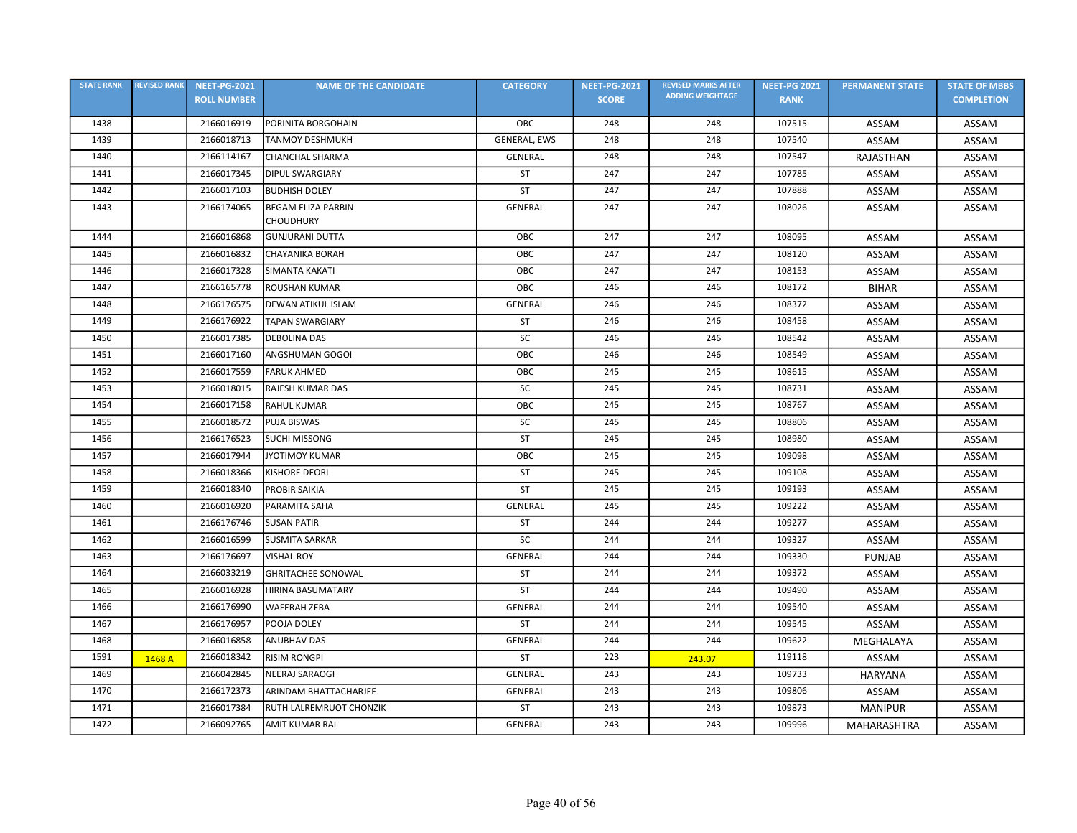| <b>STATE RANK</b> | <b>REVISED RANK</b> | <b>NEET-PG-2021</b> | <b>NAME OF THE CANDIDATE</b> | <b>CATEGORY</b>     | <b>NEET-PG-2021</b> | <b>REVISED MARKS AFTER</b> | <b>NEET-PG 2021</b> | <b>PERMANENT STATE</b> | <b>STATE OF MBBS</b> |
|-------------------|---------------------|---------------------|------------------------------|---------------------|---------------------|----------------------------|---------------------|------------------------|----------------------|
|                   |                     | <b>ROLL NUMBER</b>  |                              |                     | <b>SCORE</b>        | <b>ADDING WEIGHTAGE</b>    | <b>RANK</b>         |                        | <b>COMPLETION</b>    |
| 1438              |                     | 2166016919          | PORINITA BORGOHAIN           | OBC                 | 248                 | 248                        | 107515              | ASSAM                  | ASSAM                |
| 1439              |                     | 2166018713          | <b>TANMOY DESHMUKH</b>       | <b>GENERAL, EWS</b> | 248                 | 248                        | 107540              | ASSAM                  | ASSAM                |
| 1440              |                     | 2166114167          | CHANCHAL SHARMA              | GENERAL             | 248                 | 248                        | 107547              | RAJASTHAN              | ASSAM                |
| 1441              |                     | 2166017345          | <b>DIPUL SWARGIARY</b>       | <b>ST</b>           | 247                 | 247                        | 107785              | ASSAM                  | ASSAM                |
| 1442              |                     | 2166017103          | <b>BUDHISH DOLEY</b>         | <b>ST</b>           | 247                 | 247                        | 107888              | ASSAM                  | ASSAM                |
| 1443              |                     | 2166174065          | <b>BEGAM ELIZA PARBIN</b>    | GENERAL             | 247                 | 247                        | 108026              | ASSAM                  | ASSAM                |
|                   |                     |                     | <b>CHOUDHURY</b>             |                     |                     |                            |                     |                        |                      |
| 1444              |                     | 2166016868          | <b>GUNJURANI DUTTA</b>       | OBC                 | 247                 | 247                        | 108095              | ASSAM                  | ASSAM                |
| 1445              |                     | 2166016832          | <b>CHAYANIKA BORAH</b>       | OBC                 | 247                 | 247                        | 108120              | ASSAM                  | ASSAM                |
| 1446              |                     | 2166017328          | SIMANTA KAKATI               | OBC                 | 247                 | 247                        | 108153              | ASSAM                  | ASSAM                |
| 1447              |                     | 2166165778          | <b>ROUSHAN KUMAR</b>         | OBC                 | 246                 | 246                        | 108172              | <b>BIHAR</b>           | ASSAM                |
| 1448              |                     | 2166176575          | <b>DEWAN ATIKUL ISLAM</b>    | GENERAL             | 246                 | 246                        | 108372              | ASSAM                  | ASSAM                |
| 1449              |                     | 2166176922          | <b>TAPAN SWARGIARY</b>       | <b>ST</b>           | 246                 | 246                        | 108458              | ASSAM                  | ASSAM                |
| 1450              |                     | 2166017385          | <b>DEBOLINA DAS</b>          | SC                  | 246                 | 246                        | 108542              | ASSAM                  | ASSAM                |
| 1451              |                     | 2166017160          | ANGSHUMAN GOGOI              | OBC                 | 246                 | 246                        | 108549              | ASSAM                  | ASSAM                |
| 1452              |                     | 2166017559          | <b>FARUK AHMED</b>           | OBC                 | 245                 | 245                        | 108615              | ASSAM                  | ASSAM                |
| 1453              |                     | 2166018015          | RAJESH KUMAR DAS             | SC                  | 245                 | 245                        | 108731              | ASSAM                  | ASSAM                |
| 1454              |                     | 2166017158          | <b>RAHUL KUMAR</b>           | OBC                 | 245                 | 245                        | 108767              | ASSAM                  | ASSAM                |
| 1455              |                     | 2166018572          | PUJA BISWAS                  | SC                  | 245                 | 245                        | 108806              | ASSAM                  | ASSAM                |
| 1456              |                     | 2166176523          | <b>SUCHI MISSONG</b>         | ST                  | 245                 | 245                        | 108980              | ASSAM                  | ASSAM                |
| 1457              |                     | 2166017944          | <b>JYOTIMOY KUMAR</b>        | OBC                 | 245                 | 245                        | 109098              | ASSAM                  | ASSAM                |
| 1458              |                     | 2166018366          | <b>KISHORE DEORI</b>         | <b>ST</b>           | 245                 | 245                        | 109108              | ASSAM                  | ASSAM                |
| 1459              |                     | 2166018340          | <b>PROBIR SAIKIA</b>         | <b>ST</b>           | 245                 | 245                        | 109193              | ASSAM                  | ASSAM                |
| 1460              |                     | 2166016920          | PARAMITA SAHA                | GENERAL             | 245                 | 245                        | 109222              | ASSAM                  | ASSAM                |
| 1461              |                     | 2166176746          | <b>SUSAN PATIR</b>           | <b>ST</b>           | 244                 | 244                        | 109277              | ASSAM                  | ASSAM                |
| 1462              |                     | 2166016599          | <b>SUSMITA SARKAR</b>        | SC                  | 244                 | 244                        | 109327              | ASSAM                  | ASSAM                |
| 1463              |                     | 2166176697          | <b>VISHAL ROY</b>            | <b>GENERAL</b>      | 244                 | 244                        | 109330              | <b>PUNJAB</b>          | ASSAM                |
| 1464              |                     | 2166033219          | <b>GHRITACHEE SONOWAL</b>    | <b>ST</b>           | 244                 | 244                        | 109372              | ASSAM                  | ASSAM                |
| 1465              |                     | 2166016928          | HIRINA BASUMATARY            | ST                  | 244                 | 244                        | 109490              | ASSAM                  | ASSAM                |
| 1466              |                     | 2166176990          | <b>WAFERAH ZEBA</b>          | GENERAL             | 244                 | 244                        | 109540              | ASSAM                  | ASSAM                |
| 1467              |                     | 2166176957          | POOJA DOLEY                  | <b>ST</b>           | 244                 | 244                        | 109545              | ASSAM                  | ASSAM                |
| 1468              |                     | 2166016858          | <b>ANUBHAV DAS</b>           | GENERAL             | 244                 | 244                        | 109622              | MEGHALAYA              | ASSAM                |
| 1591              | 1468 A              | 2166018342          | <b>RISIM RONGPI</b>          | ST                  | 223                 | 243.07                     | 119118              | ASSAM                  | ASSAM                |
| 1469              |                     | 2166042845          | NEERAJ SARAOGI               | GENERAL             | 243                 | 243                        | 109733              | <b>HARYANA</b>         | ASSAM                |
| 1470              |                     | 2166172373          | ARINDAM BHATTACHARJEE        | GENERAL             | 243                 | 243                        | 109806              | ASSAM                  | ASSAM                |
| 1471              |                     | 2166017384          | RUTH LALREMRUOT CHONZIK      | <b>ST</b>           | 243                 | 243                        | 109873              | <b>MANIPUR</b>         | ASSAM                |
| 1472              |                     | 2166092765          | <b>AMIT KUMAR RAI</b>        | <b>GENERAL</b>      | 243                 | 243                        | 109996              | MAHARASHTRA            | ASSAM                |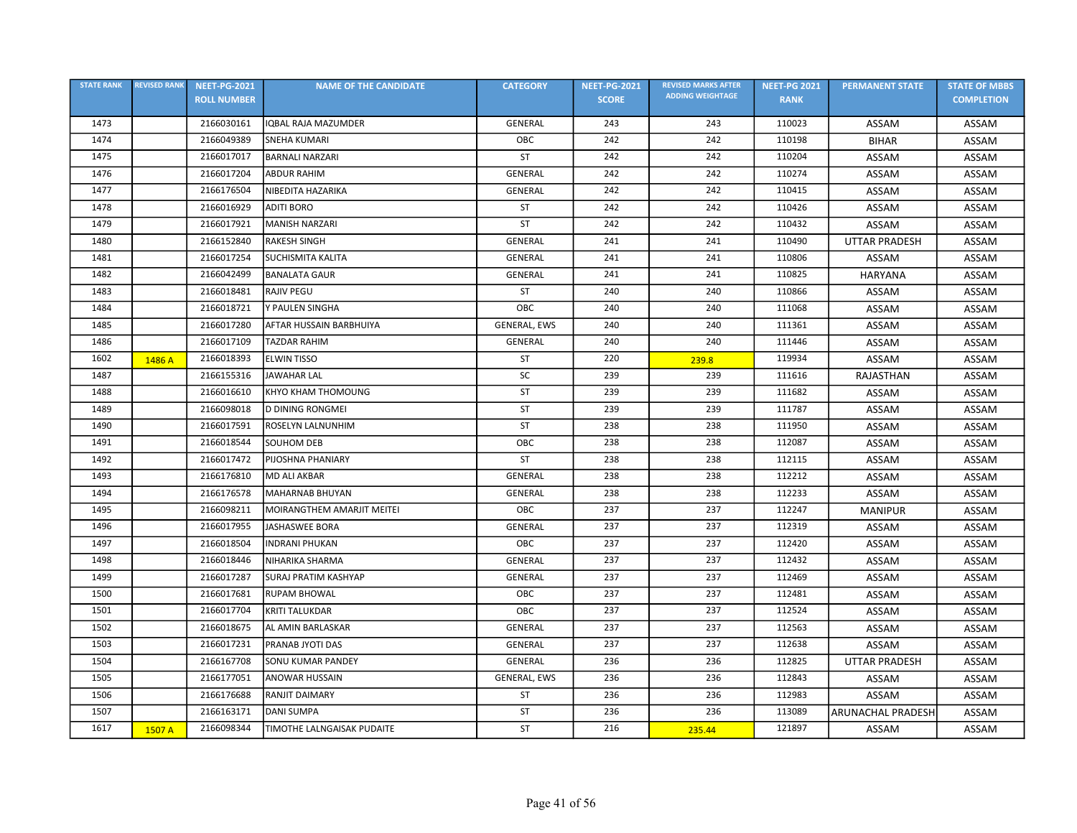| <b>STATE RANK</b> | <b>REVISED RANK</b> | <b>NEET-PG-2021</b> | <b>NAME OF THE CANDIDATE</b> | <b>CATEGORY</b> | <b>NEET-PG-2021</b> | <b>REVISED MARKS AFTER</b> | <b>NEET-PG 2021</b> | <b>PERMANENT STATE</b>   | <b>STATE OF MBBS</b> |
|-------------------|---------------------|---------------------|------------------------------|-----------------|---------------------|----------------------------|---------------------|--------------------------|----------------------|
|                   |                     | <b>ROLL NUMBER</b>  |                              |                 | <b>SCORE</b>        | <b>ADDING WEIGHTAGE</b>    | <b>RANK</b>         |                          | <b>COMPLETION</b>    |
| 1473              |                     | 2166030161          | <b>IQBAL RAJA MAZUMDER</b>   | GENERAL         | 243                 | 243                        | 110023              | ASSAM                    | ASSAM                |
| 1474              |                     | 2166049389          | <b>SNEHA KUMARI</b>          | OBC             | 242                 | 242                        | 110198              | <b>BIHAR</b>             | ASSAM                |
| 1475              |                     | 2166017017          | <b>BARNALI NARZARI</b>       | ST              | 242                 | 242                        | 110204              | ASSAM                    | ASSAM                |
| 1476              |                     | 2166017204          | <b>ABDUR RAHIM</b>           | GENERAL         | 242                 | 242                        | 110274              | ASSAM                    | ASSAM                |
| 1477              |                     | 2166176504          | NIBEDITA HAZARIKA            | <b>GENERAL</b>  | 242                 | 242                        | 110415              | ASSAM                    | ASSAM                |
| 1478              |                     | 2166016929          | <b>ADITI BORO</b>            | ST              | 242                 | 242                        | 110426              | ASSAM                    | ASSAM                |
| 1479              |                     | 2166017921          | <b>MANISH NARZARI</b>        | ST              | 242                 | 242                        | 110432              | ASSAM                    | ASSAM                |
| 1480              |                     | 2166152840          | <b>RAKESH SINGH</b>          | GENERAL         | 241                 | 241                        | 110490              | <b>UTTAR PRADESH</b>     | ASSAM                |
| 1481              |                     | 2166017254          | <b>SUCHISMITA KALITA</b>     | GENERAL         | 241                 | 241                        | 110806              | ASSAM                    | ASSAM                |
| 1482              |                     | 2166042499          | <b>BANALATA GAUR</b>         | GENERAL         | 241                 | 241                        | 110825              | <b>HARYANA</b>           | ASSAM                |
| 1483              |                     | 2166018481          | <b>RAJIV PEGU</b>            | <b>ST</b>       | 240                 | 240                        | 110866              | ASSAM                    | ASSAM                |
| 1484              |                     | 2166018721          | Y PAULEN SINGHA              | ОВС             | 240                 | 240                        | 111068              | ASSAM                    | ASSAM                |
| 1485              |                     | 2166017280          | AFTAR HUSSAIN BARBHUIYA      | GENERAL, EWS    | 240                 | 240                        | 111361              | ASSAM                    | ASSAM                |
| 1486              |                     | 2166017109          | <b>TAZDAR RAHIM</b>          | <b>GENERAL</b>  | 240                 | 240                        | 111446              | ASSAM                    | ASSAM                |
| 1602              | 1486 A              | 2166018393          | <b>ELWIN TISSO</b>           | ST              | 220                 | 239.8                      | 119934              | ASSAM                    | ASSAM                |
| 1487              |                     | 2166155316          | <b>JAWAHAR LAL</b>           | <b>SC</b>       | 239                 | 239                        | 111616              | RAJASTHAN                | ASSAM                |
| 1488              |                     | 2166016610          | KHYO KHAM THOMOUNG           | <b>ST</b>       | 239                 | 239                        | 111682              | ASSAM                    | ASSAM                |
| 1489              |                     | 2166098018          | <b>D DINING RONGMEI</b>      | <b>ST</b>       | 239                 | 239                        | 111787              | ASSAM                    | ASSAM                |
| 1490              |                     | 2166017591          | ROSELYN LALNUNHIM            | ST              | 238                 | 238                        | 111950              | ASSAM                    | ASSAM                |
| 1491              |                     | 2166018544          | <b>SOUHOM DEB</b>            | OBC             | 238                 | 238                        | 112087              | ASSAM                    | ASSAM                |
| 1492              |                     | 2166017472          | PIJOSHNA PHANIARY            | ST              | 238                 | 238                        | 112115              | ASSAM                    | ASSAM                |
| 1493              |                     | 2166176810          | MD ALI AKBAR                 | GENERAL         | 238                 | 238                        | 112212              | ASSAM                    | ASSAM                |
| 1494              |                     | 2166176578          | <b>MAHARNAB BHUYAN</b>       | GENERAL         | 238                 | 238                        | 112233              | ASSAM                    | ASSAM                |
| 1495              |                     | 2166098211          | MOIRANGTHEM AMARJIT MEITEI   | OBC             | 237                 | 237                        | 112247              | <b>MANIPUR</b>           | ASSAM                |
| 1496              |                     | 2166017955          | <b>JASHASWEE BORA</b>        | GENERAL         | 237                 | 237                        | 112319              | ASSAM                    | ASSAM                |
| 1497              |                     | 2166018504          | <b>INDRANI PHUKAN</b>        | OBC             | 237                 | 237                        | 112420              | ASSAM                    | ASSAM                |
| 1498              |                     | 2166018446          | <b>NIHARIKA SHARMA</b>       | GENERAL         | 237                 | 237                        | 112432              | ASSAM                    | ASSAM                |
| 1499              |                     | 2166017287          | <b>SURAJ PRATIM KASHYAP</b>  | <b>GENERAL</b>  | 237                 | 237                        | 112469              | ASSAM                    | ASSAM                |
| 1500              |                     | 2166017681          | <b>RUPAM BHOWAL</b>          | OBC             | 237                 | 237                        | 112481              | ASSAM                    | ASSAM                |
| 1501              |                     | 2166017704          | <b>KRITI TALUKDAR</b>        | ОВС             | 237                 | 237                        | 112524              | ASSAM                    | ASSAM                |
| 1502              |                     | 2166018675          | AL AMIN BARLASKAR            | GENERAL         | 237                 | 237                        | 112563              | ASSAM                    | ASSAM                |
| 1503              |                     | 2166017231          | PRANAB JYOTI DAS             | <b>GENERAL</b>  | 237                 | 237                        | 112638              | ASSAM                    | ASSAM                |
| 1504              |                     | 2166167708          | <b>SONU KUMAR PANDEY</b>     | <b>GENERAL</b>  | 236                 | 236                        | 112825              | <b>UTTAR PRADESH</b>     | ASSAM                |
| 1505              |                     | 2166177051          | <b>ANOWAR HUSSAIN</b>        | GENERAL, EWS    | 236                 | 236                        | 112843              | ASSAM                    | ASSAM                |
| 1506              |                     | 2166176688          | RANJIT DAIMARY               | <b>ST</b>       | 236                 | 236                        | 112983              | ASSAM                    | ASSAM                |
| 1507              |                     | 2166163171          | <b>DANI SUMPA</b>            | <b>ST</b>       | 236                 | 236                        | 113089              | <b>ARUNACHAL PRADESH</b> | ASSAM                |
| 1617              | 1507 A              | 2166098344          | TIMOTHE LALNGAISAK PUDAITE   | ST              | 216                 | 235.44                     | 121897              | ASSAM                    | ASSAM                |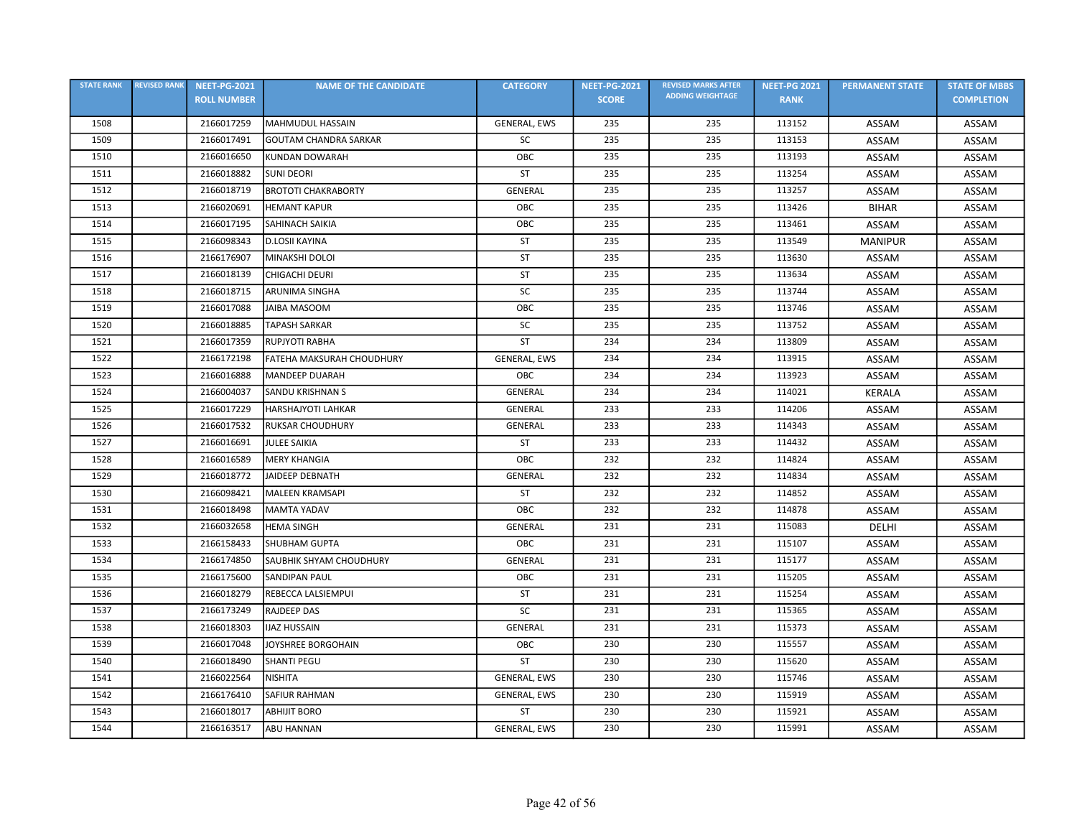| <b>STATE RANK</b> | <b>REVISED RANK</b> | <b>NEET-PG-2021</b> | <b>NAME OF THE CANDIDATE</b>   | <b>CATEGORY</b> | <b>NEET-PG-2021</b> | <b>REVISED MARKS AFTER</b> | <b>NEET-PG 2021</b> | <b>PERMANENT STATE</b> | <b>STATE OF MBBS</b> |
|-------------------|---------------------|---------------------|--------------------------------|-----------------|---------------------|----------------------------|---------------------|------------------------|----------------------|
|                   |                     | <b>ROLL NUMBER</b>  |                                |                 | <b>SCORE</b>        | <b>ADDING WEIGHTAGE</b>    | <b>RANK</b>         |                        | <b>COMPLETION</b>    |
| 1508              |                     | 2166017259          | MAHMUDUL HASSAIN               | GENERAL, EWS    | 235                 | 235                        | 113152              | ASSAM                  | ASSAM                |
| 1509              |                     | 2166017491          | <b>GOUTAM CHANDRA SARKAR</b>   | SC              | 235                 | 235                        | 113153              | ASSAM                  | ASSAM                |
| 1510              |                     | 2166016650          | KUNDAN DOWARAH                 | OBC             | 235                 | 235                        | 113193              | ASSAM                  | ASSAM                |
| 1511              |                     | 2166018882          | <b>SUNI DEORI</b>              | ST              | 235                 | 235                        | 113254              | ASSAM                  | ASSAM                |
| 1512              |                     | 2166018719          | <b>BROTOTI CHAKRABORTY</b>     | GENERAL         | 235                 | 235                        | 113257              | ASSAM                  | ASSAM                |
| 1513              |                     | 2166020691          | <b>HEMANT KAPUR</b>            | OBC             | 235                 | 235                        | 113426              | <b>BIHAR</b>           | ASSAM                |
| 1514              |                     | 2166017195          | <b>SAHINACH SAIKIA</b>         | OBC             | 235                 | 235                        | 113461              | ASSAM                  | ASSAM                |
| 1515              |                     | 2166098343          | D.LOSII KAYINA                 | ST              | 235                 | 235                        | 113549              | <b>MANIPUR</b>         | ASSAM                |
| 1516              |                     | 2166176907          | MINAKSHI DOLOI                 | ST              | 235                 | 235                        | 113630              | ASSAM                  | ASSAM                |
| 1517              |                     | 2166018139          | CHIGACHI DEURI                 | <b>ST</b>       | 235                 | 235                        | 113634              | ASSAM                  | ASSAM                |
| 1518              |                     | 2166018715          | <b>ARUNIMA SINGHA</b>          | SC              | 235                 | 235                        | 113744              | ASSAM                  | ASSAM                |
| 1519              |                     | 2166017088          | JAIBA MASOOM                   | OBC             | 235                 | 235                        | 113746              | ASSAM                  | <b>ASSAM</b>         |
| 1520              |                     | 2166018885          | <b>TAPASH SARKAR</b>           | SC              | 235                 | 235                        | 113752              | ASSAM                  | ASSAM                |
| 1521              |                     | 2166017359          | RUPJYOTI RABHA                 | <b>ST</b>       | 234                 | 234                        | 113809              | ASSAM                  | ASSAM                |
| 1522              |                     | 2166172198          | FATEHA MAKSURAH CHOUDHURY      | GENERAL, EWS    | 234                 | 234                        | 113915              | ASSAM                  | ASSAM                |
| 1523              |                     | 2166016888          | MANDEEP DUARAH                 | OBC             | 234                 | 234                        | 113923              | ASSAM                  | ASSAM                |
| 1524              |                     | 2166004037          | <b>SANDU KRISHNAN S</b>        | GENERAL         | 234                 | 234                        | 114021              | <b>KERALA</b>          | ASSAM                |
| 1525              |                     | 2166017229          | <b>HARSHAJYOTI LAHKAR</b>      | GENERAL         | 233                 | 233                        | 114206              | ASSAM                  | ASSAM                |
| 1526              |                     | 2166017532          | <b>RUKSAR CHOUDHURY</b>        | <b>GENERAL</b>  | 233                 | 233                        | 114343              | ASSAM                  | ASSAM                |
| 1527              |                     | 2166016691          | <b>JULEE SAIKIA</b>            | ST              | 233                 | 233                        | 114432              | ASSAM                  | ASSAM                |
| 1528              |                     | 2166016589          | <b>MERY KHANGIA</b>            | OBC             | 232                 | 232                        | 114824              | ASSAM                  | ASSAM                |
| 1529              |                     | 2166018772          | JAIDEEP DEBNATH                | <b>GENERAL</b>  | 232                 | 232                        | 114834              | ASSAM                  | ASSAM                |
| 1530              |                     | 2166098421          | MALEEN KRAMSAPI                | ST              | 232                 | 232                        | 114852              | ASSAM                  | ASSAM                |
| 1531              |                     | 2166018498          | <b>MAMTA YADAV</b>             | OBC             | 232                 | 232                        | 114878              | ASSAM                  | ASSAM                |
| 1532              |                     | 2166032658          | <b>HEMA SINGH</b>              | GENERAL         | 231                 | 231                        | 115083              | <b>DELHI</b>           | ASSAM                |
| 1533              |                     | 2166158433          | <b>SHUBHAM GUPTA</b>           | OBC             | 231                 | 231                        | 115107              | ASSAM                  | ASSAM                |
| 1534              |                     | 2166174850          | <b>SAUBHIK SHYAM CHOUDHURY</b> | GENERAL         | 231                 | 231                        | 115177              | ASSAM                  | ASSAM                |
| 1535              |                     | 2166175600          | SANDIPAN PAUL                  | OBC             | 231                 | 231                        | 115205              | ASSAM                  | ASSAM                |
| 1536              |                     | 2166018279          | REBECCA LALSIEMPUI             | ST              | 231                 | 231                        | 115254              | ASSAM                  | ASSAM                |
| 1537              |                     | 2166173249          | <b>RAJDEEP DAS</b>             | SC              | 231                 | 231                        | 115365              | ASSAM                  | ASSAM                |
| 1538              |                     | 2166018303          | <b>IJAZ HUSSAIN</b>            | <b>GENERAL</b>  | 231                 | 231                        | 115373              | ASSAM                  | ASSAM                |
| 1539              |                     | 2166017048          | JOYSHREE BORGOHAIN             | OBC             | 230                 | 230                        | 115557              | ASSAM                  | ASSAM                |
| 1540              |                     | 2166018490          | <b>SHANTI PEGU</b>             | <b>ST</b>       | 230                 | 230                        | 115620              | ASSAM                  | ASSAM                |
| 1541              |                     | 2166022564          | NISHITA                        | GENERAL, EWS    | 230                 | 230                        | 115746              | ASSAM                  | ASSAM                |
| 1542              |                     | 2166176410          | <b>SAFIUR RAHMAN</b>           | GENERAL, EWS    | 230                 | 230                        | 115919              | ASSAM                  | ASSAM                |
| 1543              |                     | 2166018017          | <b>ABHIJIT BORO</b>            | <b>ST</b>       | 230                 | 230                        | 115921              | ASSAM                  | <b>ASSAM</b>         |
| 1544              |                     | 2166163517          | ABU HANNAN                     | GENERAL, EWS    | 230                 | 230                        | 115991              | ASSAM                  | ASSAM                |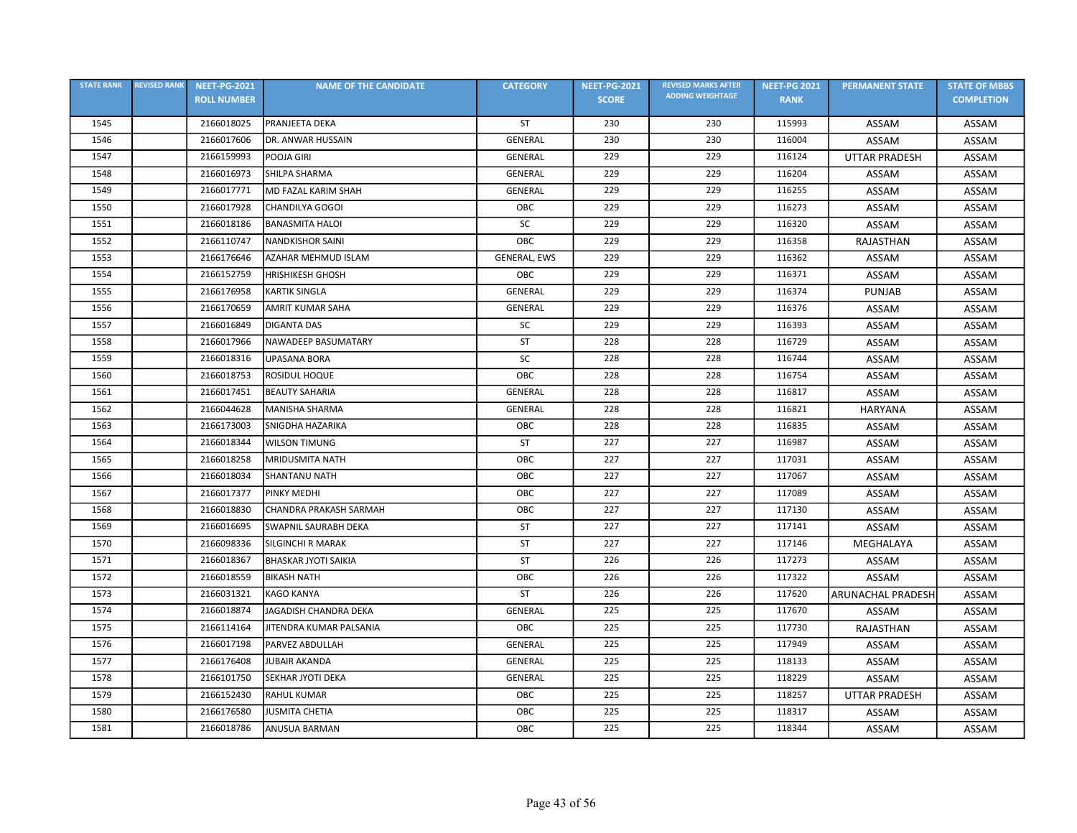| <b>STATE RANK</b> | <b>REVISED RANK</b> | <b>NEET-PG-2021</b> | <b>NAME OF THE CANDIDATE</b> | <b>CATEGORY</b> | <b>NEET-PG-2021</b> | <b>REVISED MARKS AFTER</b> | <b>NEET-PG 2021</b> | <b>PERMANENT STATE</b>   | <b>STATE OF MBBS</b> |
|-------------------|---------------------|---------------------|------------------------------|-----------------|---------------------|----------------------------|---------------------|--------------------------|----------------------|
|                   |                     | <b>ROLL NUMBER</b>  |                              |                 | <b>SCORE</b>        | <b>ADDING WEIGHTAGE</b>    | <b>RANK</b>         |                          | <b>COMPLETION</b>    |
| 1545              |                     | 2166018025          | <b>PRANJEETA DEKA</b>        | <b>ST</b>       | 230                 | 230                        | 115993              | ASSAM                    | ASSAM                |
| 1546              |                     | 2166017606          | DR. ANWAR HUSSAIN            | GENERAL         | 230                 | 230                        | 116004              | ASSAM                    | ASSAM                |
| 1547              |                     | 2166159993          | POOJA GIRI                   | <b>GENERAL</b>  | 229                 | 229                        | 116124              | <b>UTTAR PRADESH</b>     | ASSAM                |
| 1548              |                     | 2166016973          | SHILPA SHARMA                | GENERAL         | 229                 | 229                        | 116204              | <b>ASSAM</b>             | <b>ASSAM</b>         |
| 1549              |                     | 2166017771          | MD FAZAL KARIM SHAH          | <b>GENERAL</b>  | 229                 | 229                        | 116255              | ASSAM                    | ASSAM                |
| 1550              |                     | 2166017928          | <b>CHANDILYA GOGOI</b>       | OBC             | 229                 | 229                        | 116273              | ASSAM                    | ASSAM                |
| 1551              |                     | 2166018186          | <b>BANASMITA HALOI</b>       | SC              | 229                 | 229                        | 116320              | ASSAM                    | ASSAM                |
| 1552              |                     | 2166110747          | <b>NANDKISHOR SAINI</b>      | OBC             | 229                 | 229                        | 116358              | <b>RAJASTHAN</b>         | ASSAM                |
| 1553              |                     | 2166176646          | AZAHAR MEHMUD ISLAM          | GENERAL, EWS    | 229                 | 229                        | 116362              | ASSAM                    | ASSAM                |
| 1554              |                     | 2166152759          | <b>HRISHIKESH GHOSH</b>      | OBC             | 229                 | 229                        | 116371              | ASSAM                    | <b>ASSAM</b>         |
| 1555              |                     | 2166176958          | <b>KARTIK SINGLA</b>         | <b>GENERAL</b>  | 229                 | 229                        | 116374              | <b>PUNJAB</b>            | ASSAM                |
| 1556              |                     | 2166170659          | <b>AMRIT KUMAR SAHA</b>      | <b>GENERAL</b>  | 229                 | 229                        | 116376              | ASSAM                    | <b>ASSAM</b>         |
| 1557              |                     | 2166016849          | <b>DIGANTA DAS</b>           | <b>SC</b>       | 229                 | 229                        | 116393              | ASSAM                    | ASSAM                |
| 1558              |                     | 2166017966          | NAWADEEP BASUMATARY          | <b>ST</b>       | 228                 | 228                        | 116729              | ASSAM                    | ASSAM                |
| 1559              |                     | 2166018316          | <b>UPASANA BORA</b>          | SC              | 228                 | 228                        | 116744              | ASSAM                    | ASSAM                |
| 1560              |                     | 2166018753          | ROSIDUL HOQUE                | OBC             | 228                 | 228                        | 116754              | ASSAM                    | ASSAM                |
| 1561              |                     | 2166017451          | <b>BEAUTY SAHARIA</b>        | <b>GENERAL</b>  | 228                 | 228                        | 116817              | ASSAM                    | ASSAM                |
| 1562              |                     | 2166044628          | <b>MANISHA SHARMA</b>        | <b>GENERAL</b>  | 228                 | 228                        | 116821              | <b>HARYANA</b>           | ASSAM                |
| 1563              |                     | 2166173003          | SNIGDHA HAZARIKA             | OBC             | 228                 | 228                        | 116835              | ASSAM                    | ASSAM                |
| 1564              |                     | 2166018344          | <b>WILSON TIMUNG</b>         | <b>ST</b>       | 227                 | 227                        | 116987              | <b>ASSAM</b>             | ASSAM                |
| 1565              |                     | 2166018258          | <b>MRIDUSMITA NATH</b>       | OBC             | 227                 | 227                        | 117031              | ASSAM                    | ASSAM                |
| 1566              |                     | 2166018034          | <b>SHANTANU NATH</b>         | OBC             | 227                 | 227                        | 117067              | ASSAM                    | ASSAM                |
| 1567              |                     | 2166017377          | <b>PINKY MEDHI</b>           | ОВС             | 227                 | 227                        | 117089              | ASSAM                    | ASSAM                |
| 1568              |                     | 2166018830          | CHANDRA PRAKASH SARMAH       | OBC             | 227                 | 227                        | 117130              | ASSAM                    | ASSAM                |
| 1569              |                     | 2166016695          | <b>SWAPNIL SAURABH DEKA</b>  | ST              | 227                 | 227                        | 117141              | ASSAM                    | ASSAM                |
| 1570              |                     | 2166098336          | <b>SILGINCHI R MARAK</b>     | <b>ST</b>       | 227                 | 227                        | 117146              | MEGHALAYA                | ASSAM                |
| 1571              |                     | 2166018367          | <b>BHASKAR JYOTI SAIKIA</b>  | ST              | 226                 | 226                        | 117273              | ASSAM                    | ASSAM                |
| 1572              |                     | 2166018559          | <b>BIKASH NATH</b>           | OBC             | 226                 | 226                        | 117322              | ASSAM                    | ASSAM                |
| 1573              |                     | 2166031321          | <b>KAGO KANYA</b>            | ST              | 226                 | 226                        | 117620              | <b>ARUNACHAL PRADESH</b> | ASSAM                |
| 1574              |                     | 2166018874          | JAGADISH CHANDRA DEKA        | GENERAL         | 225                 | 225                        | 117670              | ASSAM                    | ASSAM                |
| 1575              |                     | 2166114164          | JITENDRA KUMAR PALSANIA      | OBC             | 225                 | 225                        | 117730              | RAJASTHAN                | ASSAM                |
| 1576              |                     | 2166017198          | PARVEZ ABDULLAH              | <b>GENERAL</b>  | 225                 | 225                        | 117949              | ASSAM                    | ASSAM                |
| 1577              |                     | 2166176408          | <b>JUBAIR AKANDA</b>         | <b>GENERAL</b>  | 225                 | 225                        | 118133              | ASSAM                    | ASSAM                |
| 1578              |                     | 2166101750          | SEKHAR JYOTI DEKA            | <b>GENERAL</b>  | 225                 | 225                        | 118229              | ASSAM                    | ASSAM                |
| 1579              |                     | 2166152430          | <b>RAHUL KUMAR</b>           | OBC             | 225                 | 225                        | 118257              | <b>UTTAR PRADESH</b>     | ASSAM                |
| 1580              |                     | 2166176580          | <b>JUSMITA CHETIA</b>        | OBC             | 225                 | 225                        | 118317              | ASSAM                    | ASSAM                |
| 1581              |                     | 2166018786          | ANUSUA BARMAN                | OBC             | 225                 | 225                        | 118344              | ASSAM                    | ASSAM                |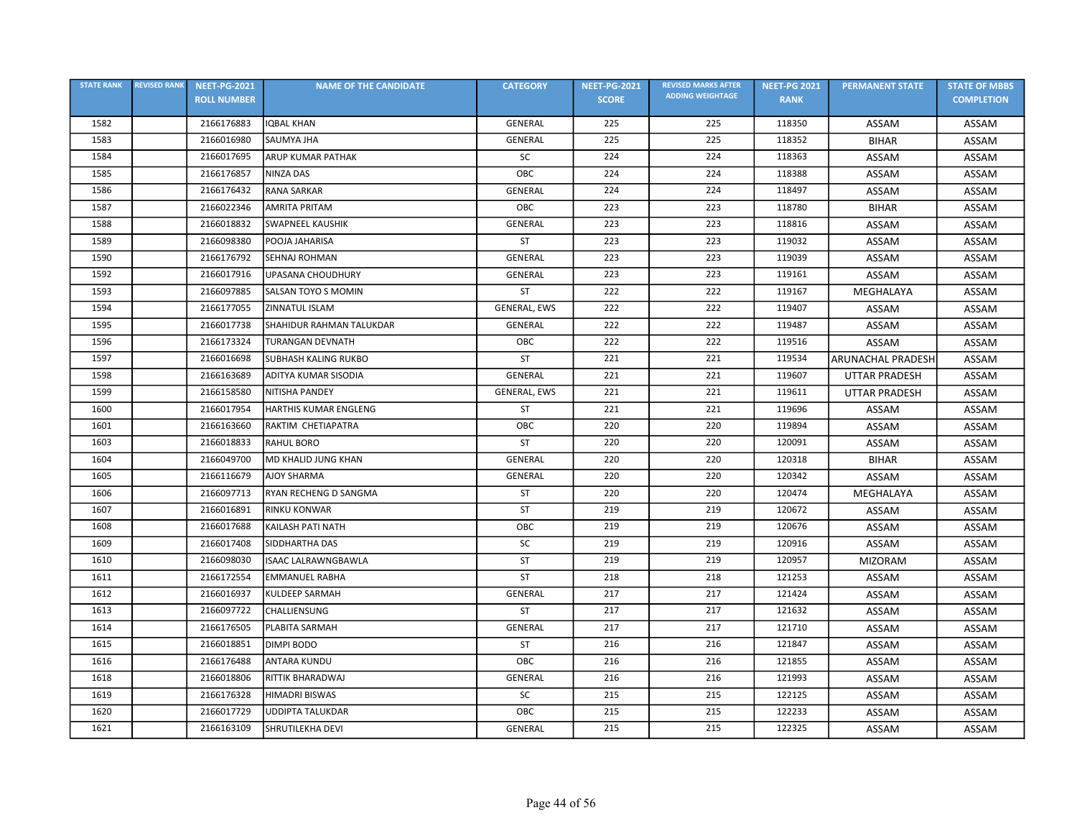| <b>STATE RANK</b> | <b>REVISED RANK</b> | <b>NEET-PG-2021</b> | <b>NAME OF THE CANDIDATE</b> | <b>CATEGORY</b> | <b>NEET-PG-2021</b> | <b>REVISED MARKS AFTER</b> | <b>NEET-PG 2021</b> | <b>PERMANENT STATE</b>   | <b>STATE OF MBBS</b> |
|-------------------|---------------------|---------------------|------------------------------|-----------------|---------------------|----------------------------|---------------------|--------------------------|----------------------|
|                   |                     | <b>ROLL NUMBER</b>  |                              |                 | <b>SCORE</b>        | <b>ADDING WEIGHTAGE</b>    | <b>RANK</b>         |                          | <b>COMPLETION</b>    |
| 1582              |                     | 2166176883          | <b>IQBAL KHAN</b>            | <b>GENERAL</b>  | 225                 | 225                        | 118350              | ASSAM                    | ASSAM                |
| 1583              |                     | 2166016980          | SAUMYA JHA                   | <b>GENERAL</b>  | 225                 | 225                        | 118352              | <b>BIHAR</b>             | ASSAM                |
| 1584              |                     | 2166017695          | <b>ARUP KUMAR PATHAK</b>     | SC              | 224                 | 224                        | 118363              | ASSAM                    | ASSAM                |
| 1585              |                     | 2166176857          | <b>NINZA DAS</b>             | OBC             | 224                 | 224                        | 118388              | <b>ASSAM</b>             | ASSAM                |
| 1586              |                     | 2166176432          | <b>RANA SARKAR</b>           | GENERAL         | 224                 | 224                        | 118497              | ASSAM                    | ASSAM                |
| 1587              |                     | 2166022346          | <b>AMRITA PRITAM</b>         | OBC             | 223                 | 223                        | 118780              | <b>BIHAR</b>             | ASSAM                |
| 1588              |                     | 2166018832          | <b>SWAPNEEL KAUSHIK</b>      | <b>GENERAL</b>  | 223                 | 223                        | 118816              | ASSAM                    | ASSAM                |
| 1589              |                     | 2166098380          | POOJA JAHARISA               | <b>ST</b>       | 223                 | 223                        | 119032              | ASSAM                    | ASSAM                |
| 1590              |                     | 2166176792          | SEHNAJ ROHMAN                | <b>GENERAL</b>  | 223                 | 223                        | 119039              | ASSAM                    | ASSAM                |
| 1592              |                     | 2166017916          | UPASANA CHOUDHURY            | <b>GENERAL</b>  | 223                 | 223                        | 119161              | ASSAM                    | <b>ASSAM</b>         |
| 1593              |                     | 2166097885          | SALSAN TOYO S MOMIN          | <b>ST</b>       | 222                 | 222                        | 119167              | MEGHALAYA                | ASSAM                |
| 1594              |                     | 2166177055          | ZINNATUL ISLAM               | GENERAL, EWS    | 222                 | 222                        | 119407              | ASSAM                    | <b>ASSAM</b>         |
| 1595              |                     | 2166017738          | SHAHIDUR RAHMAN TALUKDAR     | GENERAL         | 222                 | 222                        | 119487              | ASSAM                    | ASSAM                |
| 1596              |                     | 2166173324          | <b>TURANGAN DEVNATH</b>      | OBC             | 222                 | 222                        | 119516              | ASSAM                    | ASSAM                |
| 1597              |                     | 2166016698          | <b>SUBHASH KALING RUKBO</b>  | ST              | 221                 | 221                        | 119534              | <b>ARUNACHAL PRADESH</b> | ASSAM                |
| 1598              |                     | 2166163689          | ADITYA KUMAR SISODIA         | GENERAL         | 221                 | 221                        | 119607              | <b>UTTAR PRADESH</b>     | ASSAM                |
| 1599              |                     | 2166158580          | NITISHA PANDEY               | GENERAL, EWS    | 221                 | 221                        | 119611              | UTTAR PRADESH            | ASSAM                |
| 1600              |                     | 2166017954          | HARTHIS KUMAR ENGLENG        | ST              | 221                 | 221                        | 119696              | ASSAM                    | ASSAM                |
| 1601              |                     | 2166163660          | RAKTIM CHETIAPATRA           | OBC             | 220                 | 220                        | 119894              | ASSAM                    | ASSAM                |
| 1603              |                     | 2166018833          | RAHUL BORO                   | ST              | 220                 | 220                        | 120091              | <b>ASSAM</b>             | ASSAM                |
| 1604              |                     | 2166049700          | MD KHALID JUNG KHAN          | <b>GENERAL</b>  | 220                 | 220                        | 120318              | <b>BIHAR</b>             | ASSAM                |
| 1605              |                     | 2166116679          | <b>AJOY SHARMA</b>           | <b>GENERAL</b>  | 220                 | 220                        | 120342              | ASSAM                    | ASSAM                |
| 1606              |                     | 2166097713          | RYAN RECHENG D SANGMA        | ST              | 220                 | 220                        | 120474              | MEGHALAYA                | ASSAM                |
| 1607              |                     | 2166016891          | <b>RINKU KONWAR</b>          | <b>ST</b>       | 219                 | 219                        | 120672              | ASSAM                    | ASSAM                |
| 1608              |                     | 2166017688          | KAILASH PATI NATH            | OBC             | 219                 | 219                        | 120676              | ASSAM                    | ASSAM                |
| 1609              |                     | 2166017408          | SIDDHARTHA DAS               | <b>SC</b>       | 219                 | 219                        | 120916              | ASSAM                    | ASSAM                |
| 1610              |                     | 2166098030          | <b>ISAAC LALRAWNGBAWLA</b>   | ST              | 219                 | 219                        | 120957              | <b>MIZORAM</b>           | ASSAM                |
| 1611              |                     | 2166172554          | <b>EMMANUEL RABHA</b>        | ST              | 218                 | 218                        | 121253              | ASSAM                    | ASSAM                |
| 1612              |                     | 2166016937          | <b>KULDEEP SARMAH</b>        | <b>GENERAL</b>  | 217                 | 217                        | 121424              | ASSAM                    | ASSAM                |
| 1613              |                     | 2166097722          | CHALLIENSUNG                 | ST              | 217                 | 217                        | 121632              | ASSAM                    | ASSAM                |
| 1614              |                     | 2166176505          | PLABITA SARMAH               | <b>GENERAL</b>  | 217                 | 217                        | 121710              | ASSAM                    | ASSAM                |
| 1615              |                     | 2166018851          | DIMPI BODO                   | ST              | 216                 | 216                        | 121847              | ASSAM                    | ASSAM                |
| 1616              |                     | 2166176488          | <b>ANTARA KUNDU</b>          | ОВС             | 216                 | 216                        | 121855              | ASSAM                    | ASSAM                |
| 1618              |                     | 2166018806          | RITTIK BHARADWAJ             | <b>GENERAL</b>  | 216                 | 216                        | 121993              | ASSAM                    | ASSAM                |
| 1619              |                     | 2166176328          | <b>HIMADRI BISWAS</b>        | <b>SC</b>       | 215                 | 215                        | 122125              | ASSAM                    | ASSAM                |
| 1620              |                     | 2166017729          | <b>UDDIPTA TALUKDAR</b>      | OBC             | 215                 | 215                        | 122233              | ASSAM                    | ASSAM                |
| 1621              |                     | 2166163109          | <b>SHRUTILEKHA DEVI</b>      | <b>GENERAL</b>  | 215                 | 215                        | 122325              | ASSAM                    | ASSAM                |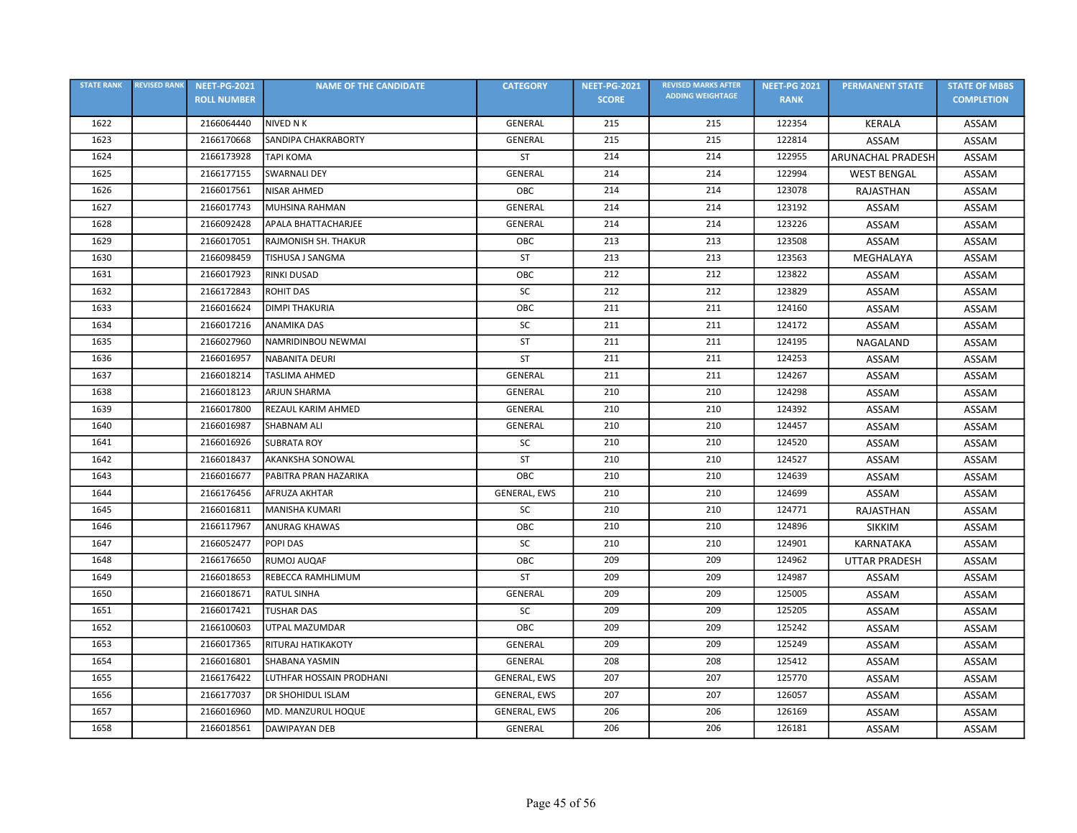| <b>STATE RANK</b> | <b>REVISED RANK</b> | <b>NEET-PG-2021</b> | <b>NAME OF THE CANDIDATE</b> | <b>CATEGORY</b>     | <b>NEET-PG-2021</b> | <b>REVISED MARKS AFTER</b> | <b>NEET-PG 2021</b> | <b>PERMANENT STATE</b>   | <b>STATE OF MBBS</b> |
|-------------------|---------------------|---------------------|------------------------------|---------------------|---------------------|----------------------------|---------------------|--------------------------|----------------------|
|                   |                     | <b>ROLL NUMBER</b>  |                              |                     | <b>SCORE</b>        | <b>ADDING WEIGHTAGE</b>    | <b>RANK</b>         |                          | <b>COMPLETION</b>    |
| 1622              |                     | 2166064440          | NIVED N K                    | <b>GENERAL</b>      | 215                 | 215                        | 122354              | KERALA                   | ASSAM                |
| 1623              |                     | 2166170668          | SANDIPA CHAKRABORTY          | <b>GENERAL</b>      | 215                 | 215                        | 122814              | ASSAM                    | ASSAM                |
| 1624              |                     | 2166173928          | <b>TAPI KOMA</b>             | ST                  | 214                 | 214                        | 122955              | <b>ARUNACHAL PRADESH</b> | ASSAM                |
| 1625              |                     | 2166177155          | <b>SWARNALI DEY</b>          | GENERAL             | 214                 | 214                        | 122994              | <b>WEST BENGAL</b>       | ASSAM                |
| 1626              |                     | 2166017561          | <b>NISAR AHMED</b>           | OBC                 | 214                 | 214                        | 123078              | RAJASTHAN                | ASSAM                |
| 1627              |                     | 2166017743          | <b>MUHSINA RAHMAN</b>        | GENERAL             | 214                 | 214                        | 123192              | ASSAM                    | ASSAM                |
| 1628              |                     | 2166092428          | APALA BHATTACHARJEE          | GENERAL             | 214                 | 214                        | 123226              | ASSAM                    | ASSAM                |
| 1629              |                     | 2166017051          | RAJMONISH SH. THAKUR         | OBC                 | 213                 | 213                        | 123508              | ASSAM                    | ASSAM                |
| 1630              |                     | 2166098459          | TISHUSA J SANGMA             | <b>ST</b>           | 213                 | 213                        | 123563              | MEGHALAYA                | ASSAM                |
| 1631              |                     | 2166017923          | <b>RINKI DUSAD</b>           | OBC                 | 212                 | 212                        | 123822              | ASSAM                    | ASSAM                |
| 1632              |                     | 2166172843          | <b>ROHIT DAS</b>             | SC                  | 212                 | 212                        | 123829              | ASSAM                    | ASSAM                |
| 1633              |                     | 2166016624          | <b>DIMPI THAKURIA</b>        | OBC                 | 211                 | 211                        | 124160              | ASSAM                    | ASSAM                |
| 1634              |                     | 2166017216          | <b>ANAMIKA DAS</b>           | SC                  | 211                 | 211                        | 124172              | ASSAM                    | ASSAM                |
| 1635              |                     | 2166027960          | NAMRIDINBOU NEWMAI           | <b>ST</b>           | 211                 | 211                        | 124195              | NAGALAND                 | ASSAM                |
| 1636              |                     | 2166016957          | <b>NABANITA DEURI</b>        | ST                  | 211                 | 211                        | 124253              | ASSAM                    | ASSAM                |
| 1637              |                     | 2166018214          | <b>TASLIMA AHMED</b>         | GENERAL             | 211                 | 211                        | 124267              | ASSAM                    | ASSAM                |
| 1638              |                     | 2166018123          | <b>ARJUN SHARMA</b>          | <b>GENERAL</b>      | 210                 | 210                        | 124298              | ASSAM                    | ASSAM                |
| 1639              |                     | 2166017800          | REZAUL KARIM AHMED           | GENERAL             | 210                 | 210                        | 124392              | ASSAM                    | ASSAM                |
| 1640              |                     | 2166016987          | <b>SHABNAM ALI</b>           | GENERAL             | 210                 | 210                        | 124457              | ASSAM                    | ASSAM                |
| 1641              |                     | 2166016926          | <b>SUBRATA ROY</b>           | SC                  | 210                 | 210                        | 124520              | ASSAM                    | ASSAM                |
| 1642              |                     | 2166018437          | <b>AKANKSHA SONOWAL</b>      | ST                  | 210                 | 210                        | 124527              | ASSAM                    | ASSAM                |
| 1643              |                     | 2166016677          | PABITRA PRAN HAZARIKA        | OBC                 | 210                 | 210                        | 124639              | ASSAM                    | ASSAM                |
| 1644              |                     | 2166176456          | AFRUZA AKHTAR                | GENERAL, EWS        | 210                 | 210                        | 124699              | ASSAM                    | ASSAM                |
| 1645              |                     | 2166016811          | <b>MANISHA KUMARI</b>        | <b>SC</b>           | 210                 | 210                        | 124771              | RAJASTHAN                | ASSAM                |
| 1646              |                     | 2166117967          | <b>ANURAG KHAWAS</b>         | OBC                 | 210                 | 210                        | 124896              | <b>SIKKIM</b>            | ASSAM                |
| 1647              |                     | 2166052477          | POPI DAS                     | <b>SC</b>           | 210                 | 210                        | 124901              | KARNATAKA                | ASSAM                |
| 1648              |                     | 2166176650          | RUMOJ AUQAF                  | OBC                 | 209                 | 209                        | 124962              | <b>UTTAR PRADESH</b>     | ASSAM                |
| 1649              |                     | 2166018653          | REBECCA RAMHLIMUM            | ST                  | 209                 | 209                        | 124987              | ASSAM                    | ASSAM                |
| 1650              |                     | 2166018671          | <b>RATUL SINHA</b>           | <b>GENERAL</b>      | 209                 | 209                        | 125005              | ASSAM                    | ASSAM                |
| 1651              |                     | 2166017421          | <b>TUSHAR DAS</b>            | SC                  | 209                 | 209                        | 125205              | ASSAM                    | ASSAM                |
| 1652              |                     | 2166100603          | UTPAL MAZUMDAR               | OBC                 | 209                 | 209                        | 125242              | ASSAM                    | ASSAM                |
| 1653              |                     | 2166017365          | <b>RITURAJ HATIKAKOTY</b>    | GENERAL             | 209                 | 209                        | 125249              | ASSAM                    | ASSAM                |
| 1654              |                     | 2166016801          | SHABANA YASMIN               | GENERAL             | 208                 | 208                        | 125412              | ASSAM                    | ASSAM                |
| 1655              |                     | 2166176422          | LUTHFAR HOSSAIN PRODHANI     | GENERAL, EWS        | 207                 | 207                        | 125770              | ASSAM                    | ASSAM                |
| 1656              |                     | 2166177037          | <b>DR SHOHIDUL ISLAM</b>     | <b>GENERAL, EWS</b> | 207                 | 207                        | 126057              | ASSAM                    | ASSAM                |
| 1657              |                     | 2166016960          | MD. MANZURUL HOQUE           | GENERAL, EWS        | 206                 | 206                        | 126169              | ASSAM                    | ASSAM                |
| 1658              |                     | 2166018561          | DAWIPAYAN DEB                | GENERAL             | 206                 | 206                        | 126181              | ASSAM                    | ASSAM                |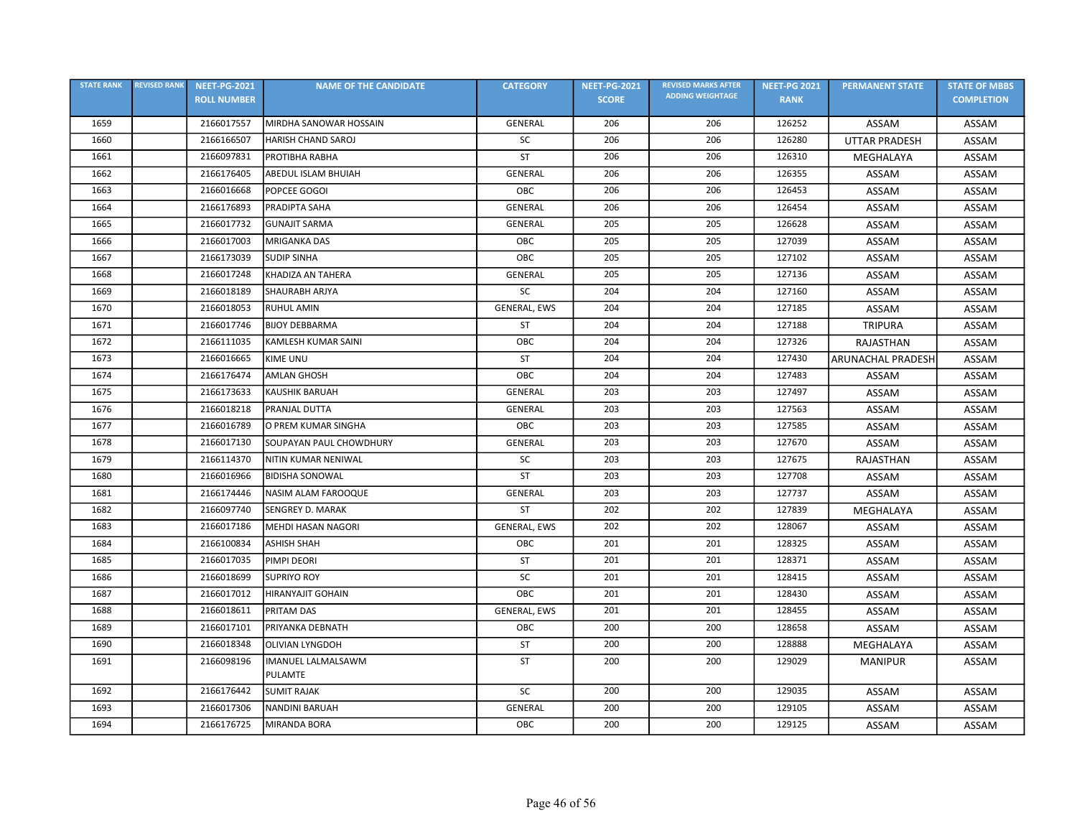| <b>STATE RANK</b> | <b>REVISED RANK</b> | <b>NEET-PG-2021</b> | <b>NAME OF THE CANDIDATE</b> | <b>CATEGORY</b> | <b>NEET-PG-2021</b> | <b>REVISED MARKS AFTER</b> | <b>NEET-PG 2021</b> | <b>PERMANENT STATE</b>   | <b>STATE OF MBBS</b> |
|-------------------|---------------------|---------------------|------------------------------|-----------------|---------------------|----------------------------|---------------------|--------------------------|----------------------|
|                   |                     | <b>ROLL NUMBER</b>  |                              |                 | <b>SCORE</b>        | <b>ADDING WEIGHTAGE</b>    | <b>RANK</b>         |                          | <b>COMPLETION</b>    |
| 1659              |                     | 2166017557          | MIRDHA SANOWAR HOSSAIN       | <b>GENERAL</b>  | 206                 | 206                        | 126252              | ASSAM                    | ASSAM                |
| 1660              |                     | 2166166507          | HARISH CHAND SAROJ           | SC              | 206                 | 206                        | 126280              | <b>UTTAR PRADESH</b>     | ASSAM                |
| 1661              |                     | 2166097831          | PROTIBHA RABHA               | <b>ST</b>       | 206                 | 206                        | 126310              | MEGHALAYA                | ASSAM                |
| 1662              |                     | 2166176405          | ABEDUL ISLAM BHUIAH          | GENERAL         | 206                 | 206                        | 126355              | ASSAM                    | ASSAM                |
| 1663              |                     | 2166016668          | POPCEE GOGOI                 | ОВС             | 206                 | 206                        | 126453              | ASSAM                    | ASSAM                |
| 1664              |                     | 2166176893          | PRADIPTA SAHA                | GENERAL         | 206                 | 206                        | 126454              | ASSAM                    | ASSAM                |
| 1665              |                     | 2166017732          | <b>GUNAJIT SARMA</b>         | GENERAL         | 205                 | 205                        | 126628              | ASSAM                    | ASSAM                |
| 1666              |                     | 2166017003          | MRIGANKA DAS                 | OBC             | 205                 | 205                        | 127039              | ASSAM                    | ASSAM                |
| 1667              |                     | 2166173039          | <b>SUDIP SINHA</b>           | OBC             | 205                 | 205                        | 127102              | ASSAM                    | ASSAM                |
| 1668              |                     | 2166017248          | KHADIZA AN TAHERA            | GENERAL         | 205                 | 205                        | 127136              | ASSAM                    | ASSAM                |
| 1669              |                     | 2166018189          | <b>SHAURABH ARJYA</b>        | SC              | 204                 | 204                        | 127160              | ASSAM                    | ASSAM                |
| 1670              |                     | 2166018053          | <b>RUHUL AMIN</b>            | GENERAL, EWS    | 204                 | 204                        | 127185              | ASSAM                    | ASSAM                |
| 1671              |                     | 2166017746          | <b>BIJOY DEBBARMA</b>        | <b>ST</b>       | 204                 | 204                        | 127188              | <b>TRIPURA</b>           | ASSAM                |
| 1672              |                     | 2166111035          | KAMLESH KUMAR SAINI          | OBC             | 204                 | 204                        | 127326              | RAJASTHAN                | ASSAM                |
| 1673              |                     | 2166016665          | <b>KIME UNU</b>              | <b>ST</b>       | 204                 | 204                        | 127430              | <b>ARUNACHAL PRADESH</b> | ASSAM                |
| 1674              |                     | 2166176474          | <b>AMLAN GHOSH</b>           | OBC             | 204                 | 204                        | 127483              | ASSAM                    | ASSAM                |
| 1675              |                     | 2166173633          | <b>KAUSHIK BARUAH</b>        | <b>GENERAL</b>  | 203                 | 203                        | 127497              | ASSAM                    | ASSAM                |
| 1676              |                     | 2166018218          | PRANJAL DUTTA                | <b>GENERAL</b>  | 203                 | 203                        | 127563              | ASSAM                    | ASSAM                |
| 1677              |                     | 2166016789          | O PREM KUMAR SINGHA          | OBC             | 203                 | 203                        | 127585              | ASSAM                    | ASSAM                |
| 1678              |                     | 2166017130          | SOUPAYAN PAUL CHOWDHURY      | GENERAL         | 203                 | 203                        | 127670              | ASSAM                    | ASSAM                |
| 1679              |                     | 2166114370          | NITIN KUMAR NENIWAL          | <b>SC</b>       | 203                 | 203                        | 127675              | RAJASTHAN                | ASSAM                |
| 1680              |                     | 2166016966          | <b>BIDISHA SONOWAL</b>       | <b>ST</b>       | 203                 | 203                        | 127708              | ASSAM                    | ASSAM                |
| 1681              |                     | 2166174446          | NASIM ALAM FAROOQUE          | GENERAL         | 203                 | 203                        | 127737              | ASSAM                    | ASSAM                |
| 1682              |                     | 2166097740          | <b>SENGREY D. MARAK</b>      | ST              | 202                 | 202                        | 127839              | MEGHALAYA                | ASSAM                |
| 1683              |                     | 2166017186          | MEHDI HASAN NAGORI           | GENERAL, EWS    | 202                 | 202                        | 128067              | ASSAM                    | ASSAM                |
| 1684              |                     | 2166100834          | <b>ASHISH SHAH</b>           | OBC             | 201                 | 201                        | 128325              | ASSAM                    | ASSAM                |
| 1685              |                     | 2166017035          | PIMPI DEORI                  | <b>ST</b>       | 201                 | 201                        | 128371              | ASSAM                    | ASSAM                |
| 1686              |                     | 2166018699          | <b>SUPRIYO ROY</b>           | <b>SC</b>       | 201                 | 201                        | 128415              | ASSAM                    | ASSAM                |
| 1687              |                     | 2166017012          | <b>HIRANYAJIT GOHAIN</b>     | OBC             | 201                 | 201                        | 128430              | ASSAM                    | ASSAM                |
| 1688              |                     | 2166018611          | <b>PRITAM DAS</b>            | GENERAL, EWS    | 201                 | 201                        | 128455              | ASSAM                    | ASSAM                |
| 1689              |                     | 2166017101          | PRIYANKA DEBNATH             | OBC             | 200                 | 200                        | 128658              | ASSAM                    | ASSAM                |
| 1690              |                     | 2166018348          | <b>OLIVIAN LYNGDOH</b>       | <b>ST</b>       | 200                 | 200                        | 128888              | MEGHALAYA                | ASSAM                |
| 1691              |                     | 2166098196          | IMANUEL LALMALSAWM           | ST              | 200                 | 200                        | 129029              | <b>MANIPUR</b>           | ASSAM                |
|                   |                     |                     | PULAMTE                      |                 |                     |                            |                     |                          |                      |
| 1692              |                     | 2166176442          | <b>SUMIT RAJAK</b>           | SC              | 200                 | 200                        | 129035              | ASSAM                    | ASSAM                |
| 1693              |                     | 2166017306          | <b>NANDINI BARUAH</b>        | GENERAL         | 200                 | 200                        | 129105              | ASSAM                    | ASSAM                |
| 1694              |                     | 2166176725          | MIRANDA BORA                 | OBC             | 200                 | 200                        | 129125              | ASSAM                    | ASSAM                |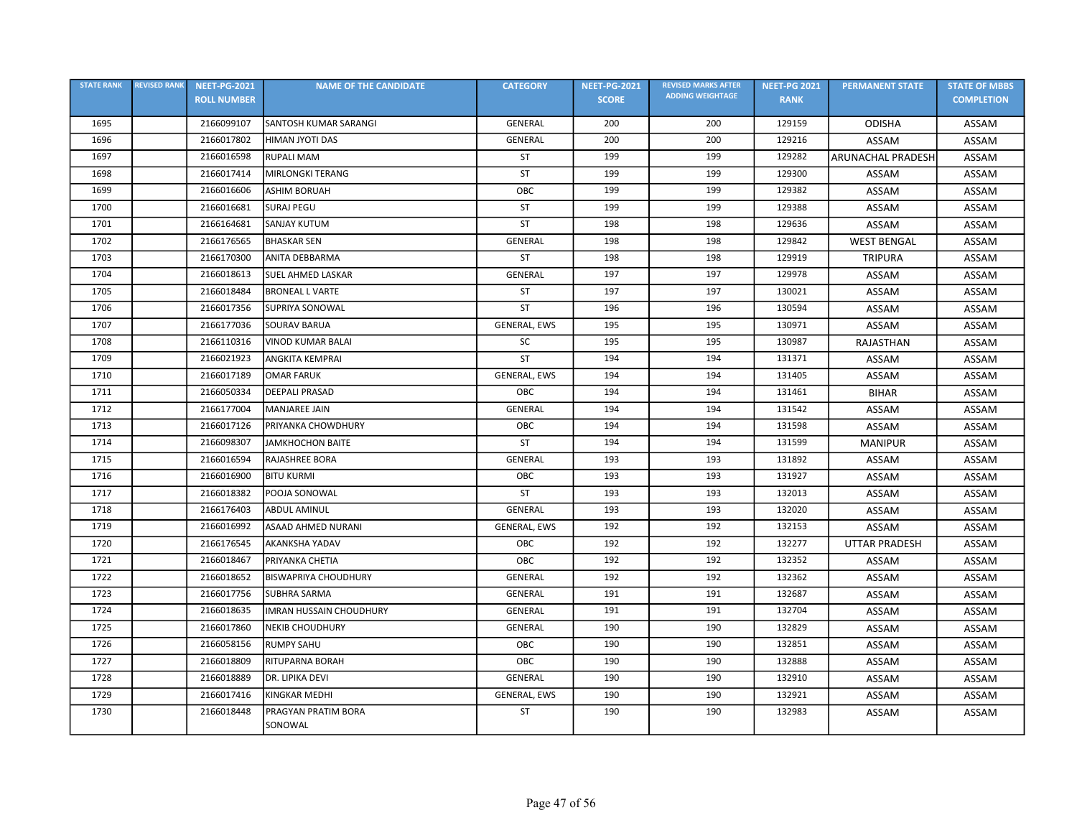| <b>STATE RANK</b> | <b>REVISED RANK</b> | <b>NEET-PG-2021</b> | <b>NAME OF THE CANDIDATE</b>   | <b>CATEGORY</b> | <b>NEET-PG-2021</b> | <b>REVISED MARKS AFTER</b> | <b>NEET-PG 2021</b> | <b>PERMANENT STATE</b>   | <b>STATE OF MBBS</b> |
|-------------------|---------------------|---------------------|--------------------------------|-----------------|---------------------|----------------------------|---------------------|--------------------------|----------------------|
|                   |                     | <b>ROLL NUMBER</b>  |                                |                 | <b>SCORE</b>        | <b>ADDING WEIGHTAGE</b>    | <b>RANK</b>         |                          | <b>COMPLETION</b>    |
| 1695              |                     | 2166099107          | SANTOSH KUMAR SARANGI          | GENERAL         | 200                 | 200                        | 129159              | <b>ODISHA</b>            | ASSAM                |
| 1696              |                     | 2166017802          | HIMAN JYOTI DAS                | GENERAL         | 200                 | 200                        | 129216              | ASSAM                    | ASSAM                |
| 1697              |                     | 2166016598          | <b>RUPALI MAM</b>              | ST              | 199                 | 199                        | 129282              | <b>ARUNACHAL PRADESH</b> | ASSAM                |
| 1698              |                     | 2166017414          | <b>MIRLONGKI TERANG</b>        | <b>ST</b>       | 199                 | 199                        | 129300              | ASSAM                    | ASSAM                |
| 1699              |                     | 2166016606          | <b>ASHIM BORUAH</b>            | OBC             | 199                 | 199                        | 129382              | ASSAM                    | ASSAM                |
| 1700              |                     | 2166016681          | <b>SURAJ PEGU</b>              | ST              | 199                 | 199                        | 129388              | ASSAM                    | ASSAM                |
| 1701              |                     | 2166164681          | <b>SANJAY KUTUM</b>            | <b>ST</b>       | 198                 | 198                        | 129636              | ASSAM                    | ASSAM                |
| 1702              |                     | 2166176565          | <b>BHASKAR SEN</b>             | GENERAL         | 198                 | 198                        | 129842              | <b>WEST BENGAL</b>       | ASSAM                |
| 1703              |                     | 2166170300          | ANITA DEBBARMA                 | <b>ST</b>       | 198                 | 198                        | 129919              | <b>TRIPURA</b>           | ASSAM                |
| 1704              |                     | 2166018613          | <b>SUEL AHMED LASKAR</b>       | GENERAL         | 197                 | 197                        | 129978              | ASSAM                    | ASSAM                |
| 1705              |                     | 2166018484          | <b>BRONEAL L VARTE</b>         | <b>ST</b>       | 197                 | 197                        | 130021              | <b>ASSAM</b>             | ASSAM                |
| 1706              |                     | 2166017356          | SUPRIYA SONOWAL                | <b>ST</b>       | 196                 | 196                        | 130594              | ASSAM                    | ASSAM                |
| 1707              |                     | 2166177036          | <b>SOURAV BARUA</b>            | GENERAL, EWS    | 195                 | 195                        | 130971              | ASSAM                    | ASSAM                |
| 1708              |                     | 2166110316          | <b>VINOD KUMAR BALAI</b>       | <b>SC</b>       | 195                 | 195                        | 130987              | <b>RAJASTHAN</b>         | ASSAM                |
| 1709              |                     | 2166021923          | <b>ANGKITA KEMPRAI</b>         | ST              | 194                 | 194                        | 131371              | ASSAM                    | ASSAM                |
| 1710              |                     | 2166017189          | <b>OMAR FARUK</b>              | GENERAL, EWS    | 194                 | 194                        | 131405              | ASSAM                    | ASSAM                |
| 1711              |                     | 2166050334          | <b>DEEPALI PRASAD</b>          | OBC             | 194                 | 194                        | 131461              | <b>BIHAR</b>             | ASSAM                |
| 1712              |                     | 2166177004          | <b>MANJAREE JAIN</b>           | GENERAL         | 194                 | 194                        | 131542              | ASSAM                    | ASSAM                |
| 1713              |                     | 2166017126          | PRIYANKA CHOWDHURY             | OBC             | 194                 | 194                        | 131598              | ASSAM                    | ASSAM                |
| 1714              |                     | 2166098307          | <b>JAMKHOCHON BAITE</b>        | <b>ST</b>       | 194                 | 194                        | 131599              | <b>MANIPUR</b>           | ASSAM                |
| 1715              |                     | 2166016594          | RAJASHREE BORA                 | GENERAL         | 193                 | 193                        | 131892              | ASSAM                    | ASSAM                |
| 1716              |                     | 2166016900          | <b>BITU KURMI</b>              | OBC             | 193                 | 193                        | 131927              | ASSAM                    | ASSAM                |
| 1717              |                     | 2166018382          | POOJA SONOWAL                  | <b>ST</b>       | 193                 | 193                        | 132013              | ASSAM                    | ASSAM                |
| 1718              |                     | 2166176403          | <b>ABDUL AMINUL</b>            | GENERAL         | 193                 | 193                        | 132020              | ASSAM                    | ASSAM                |
| 1719              |                     | 2166016992          | ASAAD AHMED NURANI             | GENERAL, EWS    | 192                 | 192                        | 132153              | ASSAM                    | ASSAM                |
| 1720              |                     | 2166176545          | <b>AKANKSHA YADAV</b>          | OBC             | 192                 | 192                        | 132277              | <b>UTTAR PRADESH</b>     | ASSAM                |
| 1721              |                     | 2166018467          | PRIYANKA CHETIA                | OBC             | 192                 | 192                        | 132352              | ASSAM                    | ASSAM                |
| 1722              |                     | 2166018652          | <b>BISWAPRIYA CHOUDHURY</b>    | GENERAL         | 192                 | 192                        | 132362              | ASSAM                    | ASSAM                |
| 1723              |                     | 2166017756          | <b>SUBHRA SARMA</b>            | <b>GENERAL</b>  | 191                 | 191                        | 132687              | ASSAM                    | ASSAM                |
| 1724              |                     | 2166018635          | <b>IMRAN HUSSAIN CHOUDHURY</b> | <b>GENERAL</b>  | 191                 | 191                        | 132704              | ASSAM                    | ASSAM                |
| 1725              |                     | 2166017860          | <b>NEKIB CHOUDHURY</b>         | GENERAL         | 190                 | 190                        | 132829              | ASSAM                    | ASSAM                |
| 1726              |                     | 2166058156          | <b>RUMPY SAHU</b>              | OBC             | 190                 | 190                        | 132851              | ASSAM                    | ASSAM                |
| 1727              |                     | 2166018809          | RITUPARNA BORAH                | OBC             | 190                 | 190                        | 132888              | ASSAM                    | ASSAM                |
| 1728              |                     | 2166018889          | DR. LIPIKA DEVI                | GENERAL         | 190                 | 190                        | 132910              | ASSAM                    | ASSAM                |
| 1729              |                     | 2166017416          | KINGKAR MEDHI                  | GENERAL, EWS    | 190                 | 190                        | 132921              | ASSAM                    | ASSAM                |
| 1730              |                     | 2166018448          | PRAGYAN PRATIM BORA<br>SONOWAL | <b>ST</b>       | 190                 | 190                        | 132983              | ASSAM                    | ASSAM                |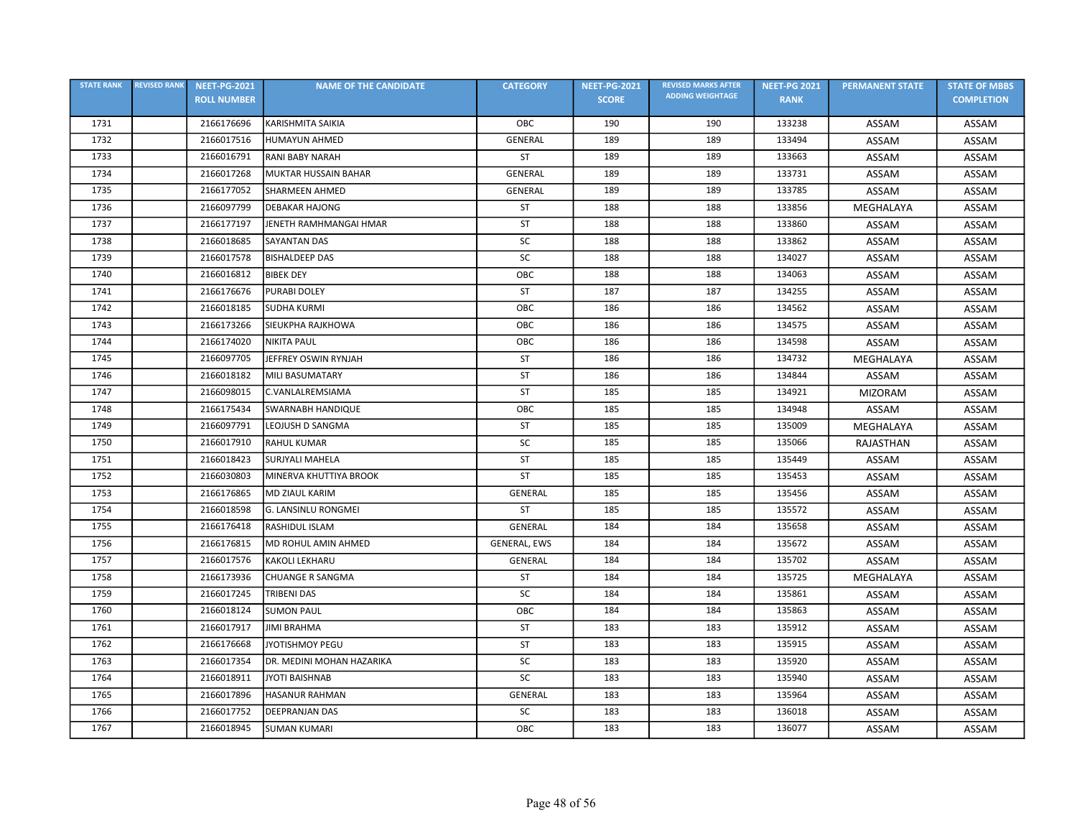| <b>STATE RANK</b> | <b>REVISED RANK</b> | <b>NEET-PG-2021</b> | <b>NAME OF THE CANDIDATE</b> | <b>CATEGORY</b> | <b>NEET-PG-2021</b> | <b>REVISED MARKS AFTER</b> | <b>NEET-PG 2021</b> | <b>PERMANENT STATE</b> | <b>STATE OF MBBS</b> |
|-------------------|---------------------|---------------------|------------------------------|-----------------|---------------------|----------------------------|---------------------|------------------------|----------------------|
|                   |                     | <b>ROLL NUMBER</b>  |                              |                 | <b>SCORE</b>        | <b>ADDING WEIGHTAGE</b>    | <b>RANK</b>         |                        | <b>COMPLETION</b>    |
| 1731              |                     | 2166176696          | <b>KARISHMITA SAIKIA</b>     | OBC             | 190                 | 190                        | 133238              | ASSAM                  | ASSAM                |
| 1732              |                     | 2166017516          | <b>HUMAYUN AHMED</b>         | <b>GENERAL</b>  | 189                 | 189                        | 133494              | ASSAM                  | ASSAM                |
| 1733              |                     | 2166016791          | <b>RANI BABY NARAH</b>       | ST              | 189                 | 189                        | 133663              | ASSAM                  | ASSAM                |
| 1734              |                     | 2166017268          | <b>MUKTAR HUSSAIN BAHAR</b>  | GENERAL         | 189                 | 189                        | 133731              | ASSAM                  | ASSAM                |
| 1735              |                     | 2166177052          | <b>SHARMEEN AHMED</b>        | <b>GENERAL</b>  | 189                 | 189                        | 133785              | ASSAM                  | ASSAM                |
| 1736              |                     | 2166097799          | <b>DEBAKAR HAJONG</b>        | <b>ST</b>       | 188                 | 188                        | 133856              | MEGHALAYA              | ASSAM                |
| 1737              |                     | 2166177197          | JENETH RAMHMANGAI HMAR       | ST              | 188                 | 188                        | 133860              | ASSAM                  | ASSAM                |
| 1738              |                     | 2166018685          | SAYANTAN DAS                 | SC              | 188                 | 188                        | 133862              | ASSAM                  | ASSAM                |
| 1739              |                     | 2166017578          | <b>BISHALDEEP DAS</b>        | SC              | 188                 | 188                        | 134027              | ASSAM                  | ASSAM                |
| 1740              |                     | 2166016812          | <b>BIBEK DEY</b>             | OBC             | 188                 | 188                        | 134063              | ASSAM                  | ASSAM                |
| 1741              |                     | 2166176676          | <b>PURABI DOLEY</b>          | <b>ST</b>       | 187                 | 187                        | 134255              | ASSAM                  | ASSAM                |
| 1742              |                     | 2166018185          | <b>SUDHA KURMI</b>           | OBC             | 186                 | 186                        | 134562              | ASSAM                  | ASSAM                |
| 1743              |                     | 2166173266          | SIEUKPHA RAJKHOWA            | OBC             | 186                 | 186                        | 134575              | ASSAM                  | ASSAM                |
| 1744              |                     | 2166174020          | <b>NIKITA PAUL</b>           | OBC             | 186                 | 186                        | 134598              | ASSAM                  | ASSAM                |
| 1745              |                     | 2166097705          | JEFFREY OSWIN RYNJAH         | <b>ST</b>       | 186                 | 186                        | 134732              | MEGHALAYA              | ASSAM                |
| 1746              |                     | 2166018182          | <b>MILI BASUMATARY</b>       | <b>ST</b>       | 186                 | 186                        | 134844              | ASSAM                  | ASSAM                |
| 1747              |                     | 2166098015          | C.VANLALREMSIAMA             | ST              | 185                 | 185                        | 134921              | <b>MIZORAM</b>         | ASSAM                |
| 1748              |                     | 2166175434          | <b>SWARNABH HANDIQUE</b>     | OBC             | 185                 | 185                        | 134948              | ASSAM                  | ASSAM                |
| 1749              |                     | 2166097791          | LEOJUSH D SANGMA             | ST              | 185                 | 185                        | 135009              | MEGHALAYA              | ASSAM                |
| 1750              |                     | 2166017910          | <b>RAHUL KUMAR</b>           | SC              | 185                 | 185                        | 135066              | RAJASTHAN              | ASSAM                |
| 1751              |                     | 2166018423          | <b>SURJYALI MAHELA</b>       | ST              | 185                 | 185                        | 135449              | ASSAM                  | ASSAM                |
| 1752              |                     | 2166030803          | MINERVA KHUTTIYA BROOK       | ST              | 185                 | 185                        | 135453              | ASSAM                  | ASSAM                |
| 1753              |                     | 2166176865          | <b>MD ZIAUL KARIM</b>        | GENERAL         | 185                 | 185                        | 135456              | ASSAM                  | ASSAM                |
| 1754              |                     | 2166018598          | <b>G. LANSINLU RONGMEI</b>   | <b>ST</b>       | 185                 | 185                        | 135572              | ASSAM                  | ASSAM                |
| 1755              |                     | 2166176418          | RASHIDUL ISLAM               | GENERAL         | 184                 | 184                        | 135658              | <b>ASSAM</b>           | ASSAM                |
| 1756              |                     | 2166176815          | MD ROHUL AMIN AHMED          | GENERAL, EWS    | 184                 | 184                        | 135672              | ASSAM                  | ASSAM                |
| 1757              |                     | 2166017576          | <b>KAKOLI LEKHARU</b>        | GENERAL         | 184                 | 184                        | 135702              | ASSAM                  | ASSAM                |
| 1758              |                     | 2166173936          | CHUANGE R SANGMA             | ST              | 184                 | 184                        | 135725              | MEGHALAYA              | ASSAM                |
| 1759              |                     | 2166017245          | TRIBENI DAS                  | SC              | 184                 | 184                        | 135861              | ASSAM                  | ASSAM                |
| 1760              |                     | 2166018124          | <b>SUMON PAUL</b>            | OBC             | 184                 | 184                        | 135863              | ASSAM                  | ASSAM                |
| 1761              |                     | 2166017917          | <b>JIMI BRAHMA</b>           | <b>ST</b>       | 183                 | 183                        | 135912              | ASSAM                  | ASSAM                |
| 1762              |                     | 2166176668          | <b>JYOTISHMOY PEGU</b>       | ST              | 183                 | 183                        | 135915              | ASSAM                  | ASSAM                |
| 1763              |                     | 2166017354          | DR. MEDINI MOHAN HAZARIKA    | SC              | 183                 | 183                        | 135920              | ASSAM                  | ASSAM                |
| 1764              |                     | 2166018911          | <b>JYOTI BAISHNAB</b>        | SC              | 183                 | 183                        | 135940              | ASSAM                  | ASSAM                |
| 1765              |                     | 2166017896          | <b>HASANUR RAHMAN</b>        | GENERAL         | 183                 | 183                        | 135964              | ASSAM                  | ASSAM                |
| 1766              |                     | 2166017752          | <b>DEEPRANJAN DAS</b>        | SC              | 183                 | 183                        | 136018              | ASSAM                  | ASSAM                |
| 1767              |                     | 2166018945          | <b>SUMAN KUMARI</b>          | OBC             | 183                 | 183                        | 136077              | ASSAM                  | ASSAM                |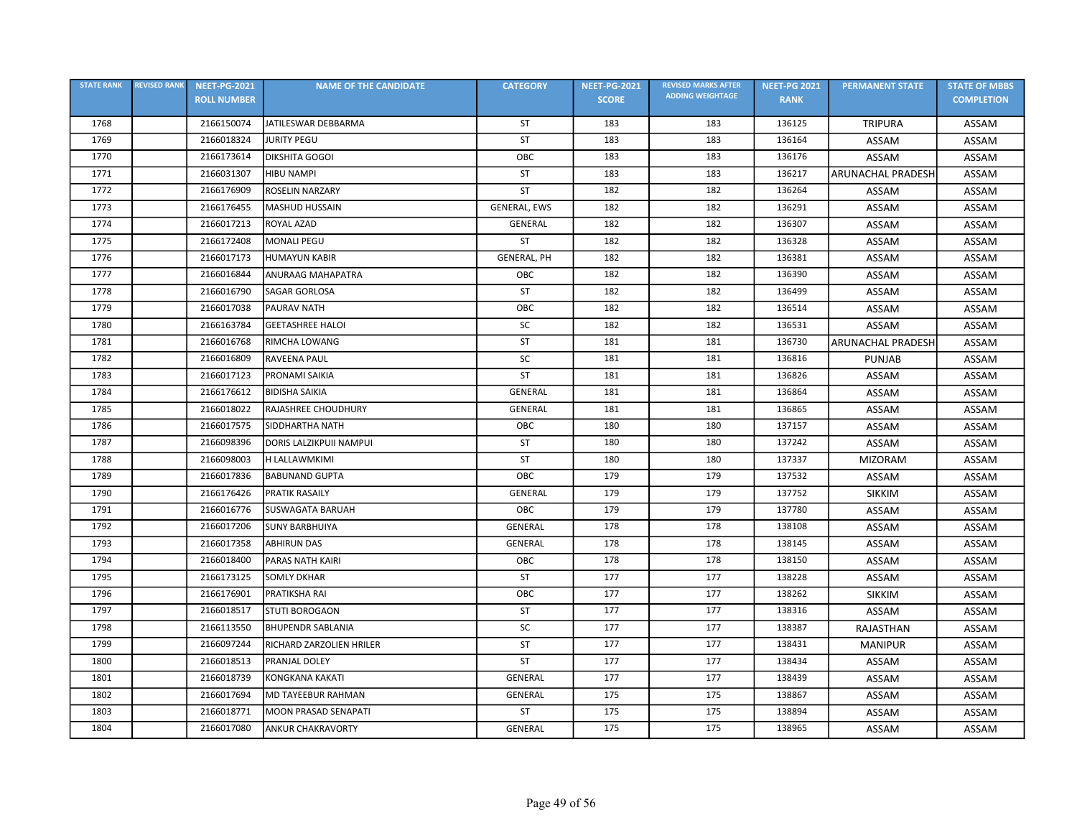| <b>STATE RANK</b> | <b>REVISED RANK</b> | <b>NEET-PG-2021</b> | <b>NAME OF THE CANDIDATE</b> | <b>CATEGORY</b>    | <b>NEET-PG-2021</b> | <b>REVISED MARKS AFTER</b> | <b>NEET-PG 2021</b> | <b>PERMANENT STATE</b>   | <b>STATE OF MBBS</b> |
|-------------------|---------------------|---------------------|------------------------------|--------------------|---------------------|----------------------------|---------------------|--------------------------|----------------------|
|                   |                     | <b>ROLL NUMBER</b>  |                              |                    | <b>SCORE</b>        | <b>ADDING WEIGHTAGE</b>    | <b>RANK</b>         |                          | <b>COMPLETION</b>    |
| 1768              |                     | 2166150074          | JATILESWAR DEBBARMA          | ST                 | 183                 | 183                        | 136125              | <b>TRIPURA</b>           | ASSAM                |
| 1769              |                     | 2166018324          | <b>JURITY PEGU</b>           | <b>ST</b>          | 183                 | 183                        | 136164              | ASSAM                    | ASSAM                |
| 1770              |                     | 2166173614          | <b>DIKSHITA GOGOI</b>        | OBC                | 183                 | 183                        | 136176              | ASSAM                    | ASSAM                |
| 1771              |                     | 2166031307          | <b>HIBU NAMPI</b>            | <b>ST</b>          | 183                 | 183                        | 136217              | <b>ARUNACHAL PRADESH</b> | ASSAM                |
| 1772              |                     | 2166176909          | ROSELIN NARZARY              | <b>ST</b>          | 182                 | 182                        | 136264              | ASSAM                    | ASSAM                |
| 1773              |                     | 2166176455          | <b>MASHUD HUSSAIN</b>        | GENERAL, EWS       | 182                 | 182                        | 136291              | ASSAM                    | ASSAM                |
| 1774              |                     | 2166017213          | ROYAL AZAD                   | GENERAL            | 182                 | 182                        | 136307              | ASSAM                    | ASSAM                |
| 1775              |                     | 2166172408          | <b>MONALI PEGU</b>           | ST                 | 182                 | 182                        | 136328              | ASSAM                    | ASSAM                |
| 1776              |                     | 2166017173          | <b>HUMAYUN KABIR</b>         | <b>GENERAL, PH</b> | 182                 | 182                        | 136381              | ASSAM                    | ASSAM                |
| 1777              |                     | 2166016844          | ANURAAG MAHAPATRA            | OBC                | 182                 | 182                        | 136390              | ASSAM                    | ASSAM                |
| 1778              |                     | 2166016790          | <b>SAGAR GORLOSA</b>         | <b>ST</b>          | 182                 | 182                        | 136499              | ASSAM                    | ASSAM                |
| 1779              |                     | 2166017038          | <b>PAURAV NATH</b>           | OBC                | 182                 | 182                        | 136514              | ASSAM                    | ASSAM                |
| 1780              |                     | 2166163784          | <b>GEETASHREE HALOI</b>      | SC                 | 182                 | 182                        | 136531              | ASSAM                    | ASSAM                |
| 1781              |                     | 2166016768          | RIMCHA LOWANG                | ST                 | 181                 | 181                        | 136730              | <b>ARUNACHAL PRADESH</b> | ASSAM                |
| 1782              |                     | 2166016809          | RAVEENA PAUL                 | <b>SC</b>          | 181                 | 181                        | 136816              | <b>PUNJAB</b>            | ASSAM                |
| 1783              |                     | 2166017123          | PRONAMI SAIKIA               | ST                 | 181                 | 181                        | 136826              | ASSAM                    | ASSAM                |
| 1784              |                     | 2166176612          | <b>BIDISHA SAIKIA</b>        | GENERAL            | 181                 | 181                        | 136864              | ASSAM                    | ASSAM                |
| 1785              |                     | 2166018022          | RAJASHREE CHOUDHURY          | GENERAL            | 181                 | 181                        | 136865              | ASSAM                    | ASSAM                |
| 1786              |                     | 2166017575          | SIDDHARTHA NATH              | OBC                | 180                 | 180                        | 137157              | ASSAM                    | ASSAM                |
| 1787              |                     | 2166098396          | DORIS LALZIKPUII NAMPUI      | ST                 | 180                 | 180                        | 137242              | ASSAM                    | ASSAM                |
| 1788              |                     | 2166098003          | H LALLAWMKIMI                | <b>ST</b>          | 180                 | 180                        | 137337              | <b>MIZORAM</b>           | ASSAM                |
| 1789              |                     | 2166017836          | <b>BABUNAND GUPTA</b>        | OBC                | 179                 | 179                        | 137532              | ASSAM                    | ASSAM                |
| 1790              |                     | 2166176426          | <b>PRATIK RASAILY</b>        | GENERAL            | 179                 | 179                        | 137752              | <b>SIKKIM</b>            | ASSAM                |
| 1791              |                     | 2166016776          | <b>SUSWAGATA BARUAH</b>      | OBC                | 179                 | 179                        | 137780              | ASSAM                    | ASSAM                |
| 1792              |                     | 2166017206          | <b>SUNY BARBHUIYA</b>        | GENERAL            | 178                 | 178                        | 138108              | ASSAM                    | ASSAM                |
| 1793              |                     | 2166017358          | <b>ABHIRUN DAS</b>           | <b>GENERAL</b>     | 178                 | 178                        | 138145              | ASSAM                    | ASSAM                |
| 1794              |                     | 2166018400          | PARAS NATH KAIRI             | OBC                | 178                 | 178                        | 138150              | ASSAM                    | ASSAM                |
| 1795              |                     | 2166173125          | <b>SOMLY DKHAR</b>           | <b>ST</b>          | 177                 | 177                        | 138228              | ASSAM                    | <b>ASSAM</b>         |
| 1796              |                     | 2166176901          | PRATIKSHA RAI                | OBC                | 177                 | 177                        | 138262              | <b>SIKKIM</b>            | ASSAM                |
| 1797              |                     | 2166018517          | <b>STUTI BOROGAON</b>        | <b>ST</b>          | 177                 | 177                        | 138316              | <b>ASSAM</b>             | ASSAM                |
| 1798              |                     | 2166113550          | <b>BHUPENDR SABLANIA</b>     | SC                 | 177                 | 177                        | 138387              | RAJASTHAN                | ASSAM                |
| 1799              |                     | 2166097244          | RICHARD ZARZOLIEN HRILER     | <b>ST</b>          | 177                 | 177                        | 138431              | <b>MANIPUR</b>           | ASSAM                |
| 1800              |                     | 2166018513          | PRANJAL DOLEY                | ST                 | 177                 | 177                        | 138434              | ASSAM                    | ASSAM                |
| 1801              |                     | 2166018739          | KONGKANA KAKATI              | <b>GENERAL</b>     | 177                 | 177                        | 138439              | ASSAM                    | ASSAM                |
| 1802              |                     | 2166017694          | MD TAYEEBUR RAHMAN           | GENERAL            | 175                 | 175                        | 138867              | ASSAM                    | ASSAM                |
| 1803              |                     | 2166018771          | MOON PRASAD SENAPATI         | ST                 | 175                 | 175                        | 138894              | ASSAM                    | ASSAM                |
| 1804              |                     | 2166017080          | <b>ANKUR CHAKRAVORTY</b>     | <b>GENERAL</b>     | 175                 | 175                        | 138965              | ASSAM                    | ASSAM                |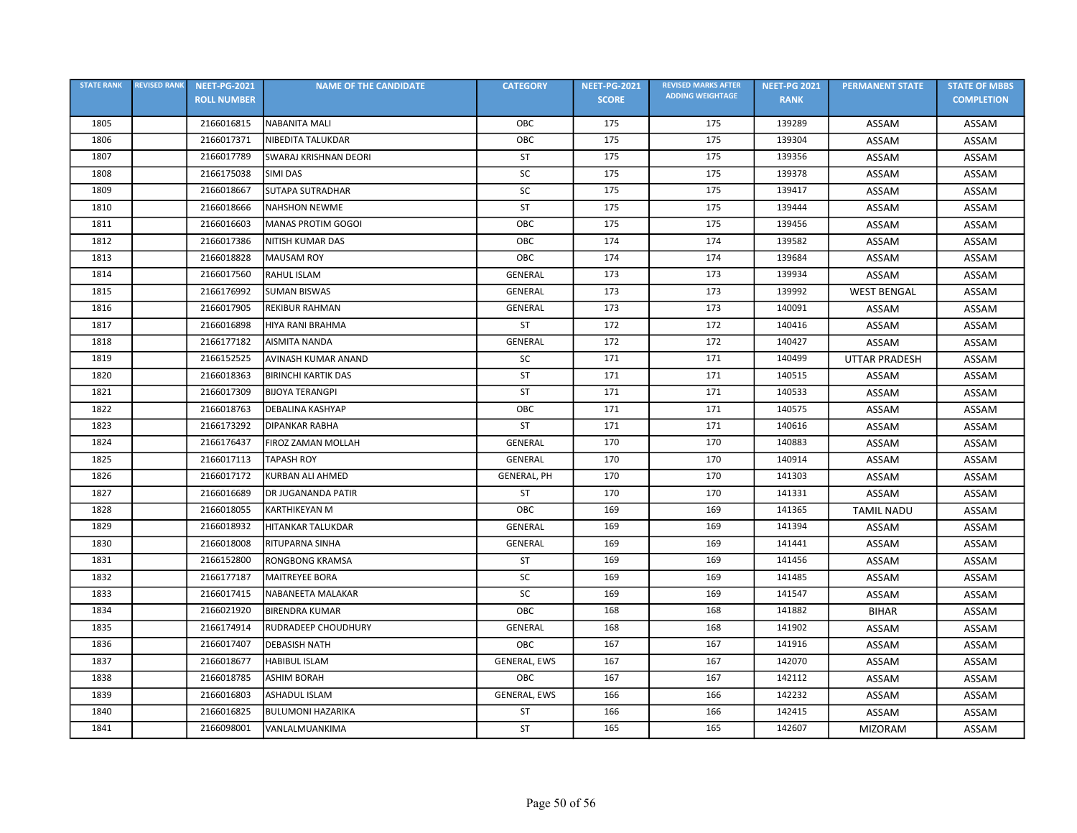| <b>STATE RANK</b> | <b>REVISED RANK</b> | <b>NEET-PG-2021</b> | <b>NAME OF THE CANDIDATE</b> | <b>CATEGORY</b>    | <b>NEET-PG-2021</b> | <b>REVISED MARKS AFTER</b> | <b>NEET-PG 2021</b> | <b>PERMANENT STATE</b> | <b>STATE OF MBBS</b> |
|-------------------|---------------------|---------------------|------------------------------|--------------------|---------------------|----------------------------|---------------------|------------------------|----------------------|
|                   |                     | <b>ROLL NUMBER</b>  |                              |                    | <b>SCORE</b>        | <b>ADDING WEIGHTAGE</b>    | <b>RANK</b>         |                        | <b>COMPLETION</b>    |
| 1805              |                     | 2166016815          | <b>NABANITA MALI</b>         | OBC                | 175                 | 175                        | 139289              | ASSAM                  | ASSAM                |
| 1806              |                     | 2166017371          | NIBEDITA TALUKDAR            | OBC                | 175                 | 175                        | 139304              | ASSAM                  | ASSAM                |
| 1807              |                     | 2166017789          | SWARAJ KRISHNAN DEORI        | <b>ST</b>          | 175                 | 175                        | 139356              | ASSAM                  | ASSAM                |
| 1808              |                     | 2166175038          | SIMI DAS                     | SC                 | 175                 | 175                        | 139378              | ASSAM                  | ASSAM                |
| 1809              |                     | 2166018667          | <b>SUTAPA SUTRADHAR</b>      | <b>SC</b>          | 175                 | 175                        | 139417              | ASSAM                  | ASSAM                |
| 1810              |                     | 2166018666          | <b>NAHSHON NEWME</b>         | <b>ST</b>          | 175                 | 175                        | 139444              | ASSAM                  | ASSAM                |
| 1811              |                     | 2166016603          | MANAS PROTIM GOGOI           | OBC                | 175                 | 175                        | 139456              | ASSAM                  | ASSAM                |
| 1812              |                     | 2166017386          | NITISH KUMAR DAS             | OBC                | 174                 | 174                        | 139582              | ASSAM                  | ASSAM                |
| 1813              |                     | 2166018828          | <b>MAUSAM ROY</b>            | OBC                | 174                 | 174                        | 139684              | ASSAM                  | ASSAM                |
| 1814              |                     | 2166017560          | RAHUL ISLAM                  | <b>GENERAL</b>     | 173                 | 173                        | 139934              | ASSAM                  | ASSAM                |
| 1815              |                     | 2166176992          | <b>SUMAN BISWAS</b>          | <b>GENERAL</b>     | 173                 | 173                        | 139992              | <b>WEST BENGAL</b>     | ASSAM                |
| 1816              |                     | 2166017905          | <b>REKIBUR RAHMAN</b>        | <b>GENERAL</b>     | 173                 | 173                        | 140091              | ASSAM                  | ASSAM                |
| 1817              |                     | 2166016898          | HIYA RANI BRAHMA             | <b>ST</b>          | 172                 | 172                        | 140416              | ASSAM                  | ASSAM                |
| 1818              |                     | 2166177182          | <b>AISMITA NANDA</b>         | GENERAL            | 172                 | 172                        | 140427              | ASSAM                  | ASSAM                |
| 1819              |                     | 2166152525          | AVINASH KUMAR ANAND          | <b>SC</b>          | 171                 | 171                        | 140499              | <b>UTTAR PRADESH</b>   | ASSAM                |
| 1820              |                     | 2166018363          | <b>BIRINCHI KARTIK DAS</b>   | <b>ST</b>          | 171                 | 171                        | 140515              | ASSAM                  | ASSAM                |
| 1821              |                     | 2166017309          | <b>BIJOYA TERANGPI</b>       | ST                 | 171                 | 171                        | 140533              | ASSAM                  | ASSAM                |
| 1822              |                     | 2166018763          | <b>DEBALINA KASHYAP</b>      | OBC                | 171                 | 171                        | 140575              | ASSAM                  | ASSAM                |
| 1823              |                     | 2166173292          | <b>DIPANKAR RABHA</b>        | ST                 | 171                 | 171                        | 140616              | ASSAM                  | ASSAM                |
| 1824              |                     | 2166176437          | FIROZ ZAMAN MOLLAH           | <b>GENERAL</b>     | 170                 | 170                        | 140883              | ASSAM                  | ASSAM                |
| 1825              |                     | 2166017113          | <b>TAPASH ROY</b>            | GENERAL            | 170                 | 170                        | 140914              | ASSAM                  | ASSAM                |
| 1826              |                     | 2166017172          | <b>KURBAN ALI AHMED</b>      | <b>GENERAL, PH</b> | 170                 | 170                        | 141303              | ASSAM                  | ASSAM                |
| 1827              |                     | 2166016689          | DR JUGANANDA PATIR           | <b>ST</b>          | 170                 | 170                        | 141331              | ASSAM                  | ASSAM                |
| 1828              |                     | 2166018055          | <b>KARTHIKEYAN M</b>         | OBC                | 169                 | 169                        | 141365              | <b>TAMIL NADU</b>      | ASSAM                |
| 1829              |                     | 2166018932          | <b>HITANKAR TALUKDAR</b>     | GENERAL            | 169                 | 169                        | 141394              | ASSAM                  | ASSAM                |
| 1830              |                     | 2166018008          | RITUPARNA SINHA              | GENERAL            | 169                 | 169                        | 141441              | ASSAM                  | ASSAM                |
| 1831              |                     | 2166152800          | <b>RONGBONG KRAMSA</b>       | ST                 | 169                 | 169                        | 141456              | ASSAM                  | ASSAM                |
| 1832              |                     | 2166177187          | <b>MAITREYEE BORA</b>        | SC                 | 169                 | 169                        | 141485              | ASSAM                  | <b>ASSAM</b>         |
| 1833              |                     | 2166017415          | NABANEETA MALAKAR            | SC                 | 169                 | 169                        | 141547              | ASSAM                  | ASSAM                |
| 1834              |                     | 2166021920          | <b>BIRENDRA KUMAR</b>        | OBC                | 168                 | 168                        | 141882              | <b>BIHAR</b>           | ASSAM                |
| 1835              |                     | 2166174914          | RUDRADEEP CHOUDHURY          | <b>GENERAL</b>     | 168                 | 168                        | 141902              | ASSAM                  | ASSAM                |
| 1836              |                     | 2166017407          | <b>DEBASISH NATH</b>         | OBC                | 167                 | 167                        | 141916              | ASSAM                  | ASSAM                |
| 1837              |                     | 2166018677          | <b>HABIBUL ISLAM</b>         | GENERAL, EWS       | 167                 | 167                        | 142070              | ASSAM                  | ASSAM                |
| 1838              |                     | 2166018785          | <b>ASHIM BORAH</b>           | OBC                | 167                 | 167                        | 142112              | ASSAM                  | ASSAM                |
| 1839              |                     | 2166016803          | <b>ASHADUL ISLAM</b>         | GENERAL, EWS       | 166                 | 166                        | 142232              | ASSAM                  | ASSAM                |
| 1840              |                     | 2166016825          | <b>BULUMONI HAZARIKA</b>     | <b>ST</b>          | 166                 | 166                        | 142415              | ASSAM                  | ASSAM                |
| 1841              |                     | 2166098001          | VANLALMUANKIMA               | ST                 | 165                 | 165                        | 142607              | <b>MIZORAM</b>         | ASSAM                |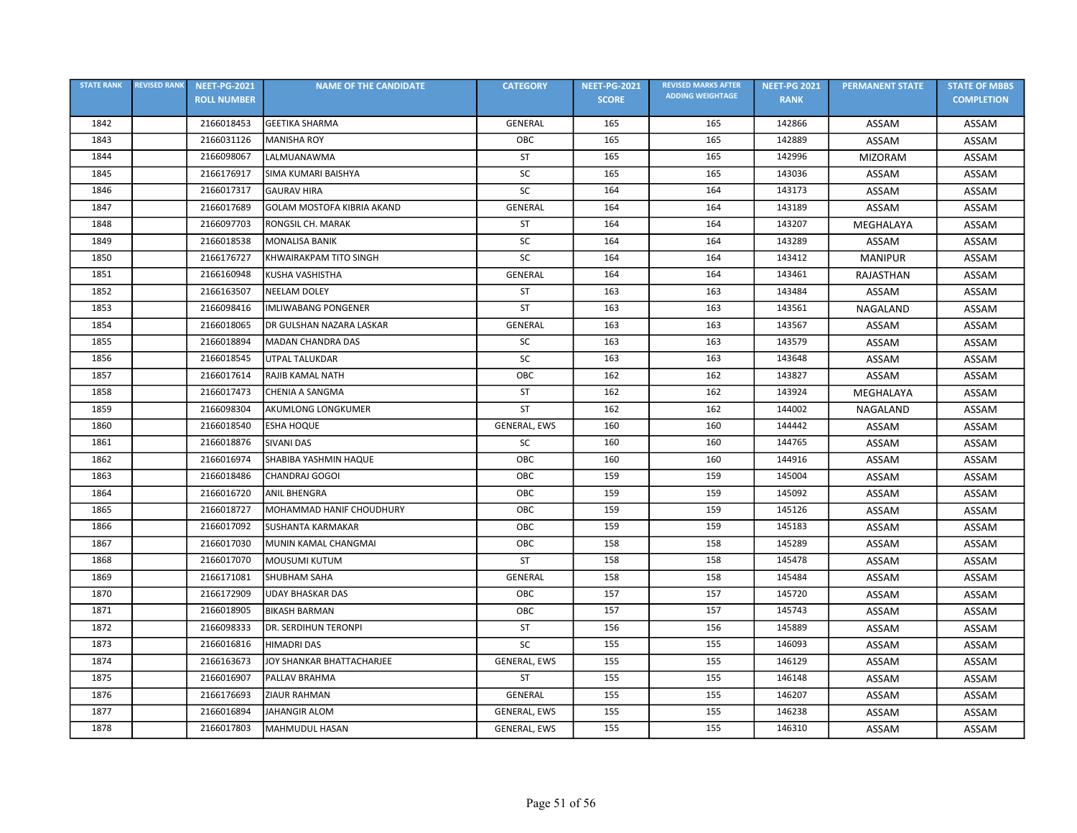| <b>STATE RANK</b> | <b>REVISED RANK</b> | <b>NEET-PG-2021</b> | <b>NAME OF THE CANDIDATE</b>      | <b>CATEGORY</b> | <b>NEET-PG-2021</b> | <b>REVISED MARKS AFTER</b> | <b>NEET-PG 2021</b> | <b>PERMANENT STATE</b> | <b>STATE OF MBBS</b> |
|-------------------|---------------------|---------------------|-----------------------------------|-----------------|---------------------|----------------------------|---------------------|------------------------|----------------------|
|                   |                     | <b>ROLL NUMBER</b>  |                                   |                 | <b>SCORE</b>        | <b>ADDING WEIGHTAGE</b>    | <b>RANK</b>         |                        | <b>COMPLETION</b>    |
| 1842              |                     | 2166018453          | <b>GEETIKA SHARMA</b>             | <b>GENERAL</b>  | 165                 | 165                        | 142866              | ASSAM                  | ASSAM                |
| 1843              |                     | 2166031126          | <b>MANISHA ROY</b>                | OBC             | 165                 | 165                        | 142889              | <b>ASSAM</b>           | ASSAM                |
| 1844              |                     | 2166098067          | LALMUANAWMA                       | <b>ST</b>       | 165                 | 165                        | 142996              | <b>MIZORAM</b>         | ASSAM                |
| 1845              |                     | 2166176917          | SIMA KUMARI BAISHYA               | SC              | 165                 | 165                        | 143036              | ASSAM                  | <b>ASSAM</b>         |
| 1846              |                     | 2166017317          | <b>GAURAV HIRA</b>                | SC              | 164                 | 164                        | 143173              | ASSAM                  | ASSAM                |
| 1847              |                     | 2166017689          | <b>GOLAM MOSTOFA KIBRIA AKAND</b> | GENERAL         | 164                 | 164                        | 143189              | ASSAM                  | ASSAM                |
| 1848              |                     | 2166097703          | RONGSIL CH. MARAK                 | <b>ST</b>       | 164                 | 164                        | 143207              | MEGHALAYA              | ASSAM                |
| 1849              |                     | 2166018538          | <b>MONALISA BANIK</b>             | SC              | 164                 | 164                        | 143289              | ASSAM                  | ASSAM                |
| 1850              |                     | 2166176727          | KHWAIRAKPAM TITO SINGH            | <b>SC</b>       | 164                 | 164                        | 143412              | <b>MANIPUR</b>         | ASSAM                |
| 1851              |                     | 2166160948          | KUSHA VASHISTHA                   | GENERAL         | 164                 | 164                        | 143461              | <b>RAJASTHAN</b>       | <b>ASSAM</b>         |
| 1852              |                     | 2166163507          | <b>NEELAM DOLEY</b>               | <b>ST</b>       | 163                 | 163                        | 143484              | ASSAM                  | ASSAM                |
| 1853              |                     | 2166098416          | <b>IMLIWABANG PONGENER</b>        | <b>ST</b>       | 163                 | 163                        | 143561              | <b>NAGALAND</b>        | <b>ASSAM</b>         |
| 1854              |                     | 2166018065          | DR GULSHAN NAZARA LASKAR          | <b>GENERAL</b>  | 163                 | 163                        | 143567              | ASSAM                  | ASSAM                |
| 1855              |                     | 2166018894          | <b>MADAN CHANDRA DAS</b>          | <b>SC</b>       | 163                 | 163                        | 143579              | ASSAM                  | ASSAM                |
| 1856              |                     | 2166018545          | <b>UTPAL TALUKDAR</b>             | SC              | 163                 | 163                        | 143648              | ASSAM                  | ASSAM                |
| 1857              |                     | 2166017614          | RAJIB KAMAL NATH                  | OBC             | 162                 | 162                        | 143827              | ASSAM                  | ASSAM                |
| 1858              |                     | 2166017473          | CHENIA A SANGMA                   | ST              | 162                 | 162                        | 143924              | MEGHALAYA              | ASSAM                |
| 1859              |                     | 2166098304          | AKUMLONG LONGKUMER                | <b>ST</b>       | 162                 | 162                        | 144002              | NAGALAND               | ASSAM                |
| 1860              |                     | 2166018540          | <b>ESHA HOQUE</b>                 | GENERAL, EWS    | 160                 | 160                        | 144442              | ASSAM                  | ASSAM                |
| 1861              |                     | 2166018876          | <b>SIVANI DAS</b>                 | SC              | 160                 | 160                        | 144765              | <b>ASSAM</b>           | ASSAM                |
| 1862              |                     | 2166016974          | SHABIBA YASHMIN HAQUE             | OBC             | 160                 | 160                        | 144916              | ASSAM                  | ASSAM                |
| 1863              |                     | 2166018486          | CHANDRAJ GOGOI                    | OBC             | 159                 | 159                        | 145004              | ASSAM                  | ASSAM                |
| 1864              |                     | 2166016720          | <b>ANIL BHENGRA</b>               | ОВС             | 159                 | 159                        | 145092              | ASSAM                  | ASSAM                |
| 1865              |                     | 2166018727          | MOHAMMAD HANIF CHOUDHURY          | OBC             | 159                 | 159                        | 145126              | ASSAM                  | ASSAM                |
| 1866              |                     | 2166017092          | <b>SUSHANTA KARMAKAR</b>          | OBC             | 159                 | 159                        | 145183              | ASSAM                  | ASSAM                |
| 1867              |                     | 2166017030          | MUNIN KAMAL CHANGMAI              | OBC             | 158                 | 158                        | 145289              | ASSAM                  | ASSAM                |
| 1868              |                     | 2166017070          | <b>MOUSUMI KUTUM</b>              | ST              | 158                 | 158                        | 145478              | ASSAM                  | ASSAM                |
| 1869              |                     | 2166171081          | <b>SHUBHAM SAHA</b>               | <b>GENERAL</b>  | 158                 | 158                        | 145484              | ASSAM                  | ASSAM                |
| 1870              |                     | 2166172909          | <b>UDAY BHASKAR DAS</b>           | OBC             | 157                 | 157                        | 145720              | ASSAM                  | ASSAM                |
| 1871              |                     | 2166018905          | <b>BIKASH BARMAN</b>              | OBC             | 157                 | 157                        | 145743              | ASSAM                  | ASSAM                |
| 1872              |                     | 2166098333          | <b>DR. SERDIHUN TERONPI</b>       | ST              | 156                 | 156                        | 145889              | ASSAM                  | ASSAM                |
| 1873              |                     | 2166016816          | HIMADRI DAS                       | <b>SC</b>       | 155                 | 155                        | 146093              | ASSAM                  | ASSAM                |
| 1874              |                     | 2166163673          | JOY SHANKAR BHATTACHARJEE         | GENERAL, EWS    | 155                 | 155                        | 146129              | ASSAM                  | ASSAM                |
| 1875              |                     | 2166016907          | PALLAV BRAHMA                     | <b>ST</b>       | 155                 | 155                        | 146148              | ASSAM                  | ASSAM                |
| 1876              |                     | 2166176693          | ZIAUR RAHMAN                      | GENERAL         | 155                 | 155                        | 146207              | ASSAM                  | ASSAM                |
| 1877              |                     | 2166016894          | <b>JAHANGIR ALOM</b>              | GENERAL, EWS    | 155                 | 155                        | 146238              | ASSAM                  | ASSAM                |
| 1878              |                     | 2166017803          | <b>MAHMUDUL HASAN</b>             | GENERAL, EWS    | 155                 | 155                        | 146310              | ASSAM                  | ASSAM                |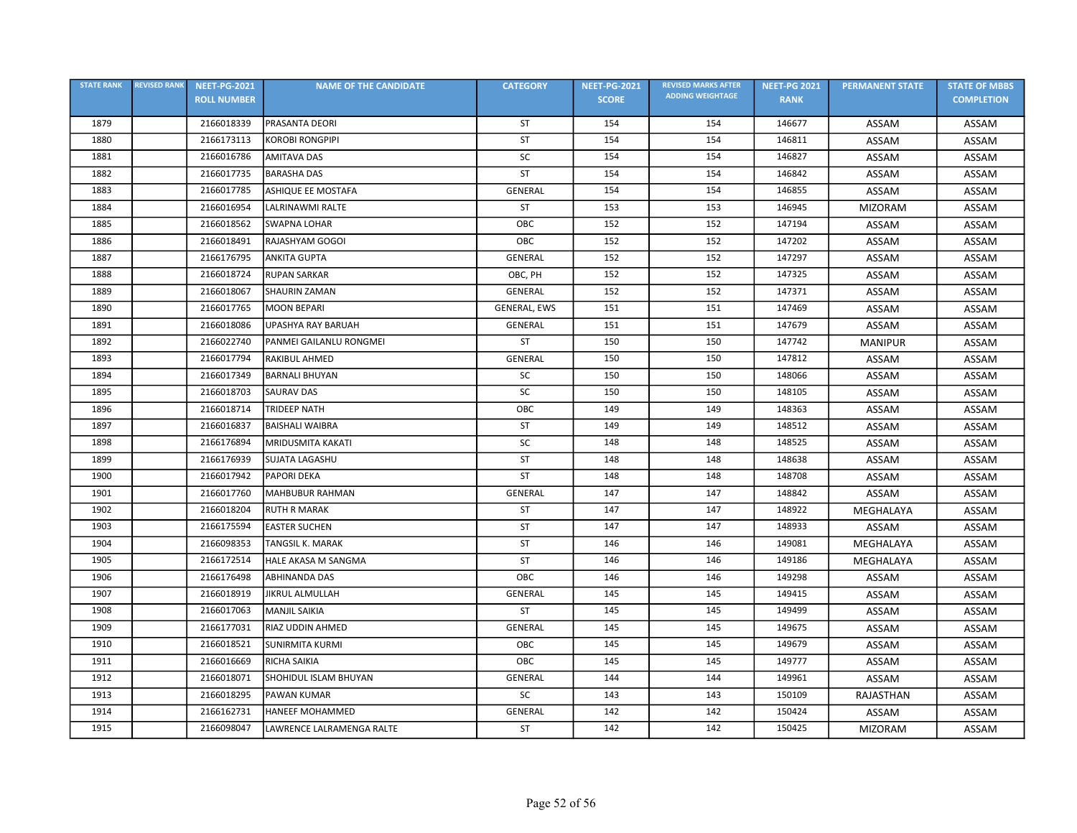| <b>STATE RANK</b> | <b>REVISED RANK</b> | <b>NEET-PG-2021</b> | <b>NAME OF THE CANDIDATE</b> | <b>CATEGORY</b> | <b>NEET-PG-2021</b> | <b>REVISED MARKS AFTER</b> | <b>NEET-PG 2021</b> | <b>PERMANENT STATE</b> | <b>STATE OF MBBS</b> |
|-------------------|---------------------|---------------------|------------------------------|-----------------|---------------------|----------------------------|---------------------|------------------------|----------------------|
|                   |                     | <b>ROLL NUMBER</b>  |                              |                 | <b>SCORE</b>        | <b>ADDING WEIGHTAGE</b>    | <b>RANK</b>         |                        | <b>COMPLETION</b>    |
| 1879              |                     | 2166018339          | PRASANTA DEORI               | ST              | 154                 | 154                        | 146677              | ASSAM                  | ASSAM                |
| 1880              |                     | 2166173113          | <b>KOROBI RONGPIPI</b>       | <b>ST</b>       | 154                 | 154                        | 146811              | ASSAM                  | ASSAM                |
| 1881              |                     | 2166016786          | <b>AMITAVA DAS</b>           | SC              | 154                 | 154                        | 146827              | ASSAM                  | ASSAM                |
| 1882              |                     | 2166017735          | <b>BARASHA DAS</b>           | <b>ST</b>       | 154                 | 154                        | 146842              | ASSAM                  | ASSAM                |
| 1883              |                     | 2166017785          | ASHIQUE EE MOSTAFA           | GENERAL         | 154                 | 154                        | 146855              | ASSAM                  | ASSAM                |
| 1884              |                     | 2166016954          | LALRINAWMI RALTE             | <b>ST</b>       | 153                 | 153                        | 146945              | <b>MIZORAM</b>         | ASSAM                |
| 1885              |                     | 2166018562          | <b>SWAPNA LOHAR</b>          | ОВС             | 152                 | 152                        | 147194              | ASSAM                  | ASSAM                |
| 1886              |                     | 2166018491          | RAJASHYAM GOGOI              | OBC             | 152                 | 152                        | 147202              | ASSAM                  | ASSAM                |
| 1887              |                     | 2166176795          | <b>ANKITA GUPTA</b>          | <b>GENERAL</b>  | 152                 | 152                        | 147297              | ASSAM                  | ASSAM                |
| 1888              |                     | 2166018724          | <b>RUPAN SARKAR</b>          | OBC, PH         | 152                 | 152                        | 147325              | ASSAM                  | ASSAM                |
| 1889              |                     | 2166018067          | <b>SHAURIN ZAMAN</b>         | <b>GENERAL</b>  | 152                 | 152                        | 147371              | ASSAM                  | ASSAM                |
| 1890              |                     | 2166017765          | <b>MOON BEPARI</b>           | GENERAL, EWS    | 151                 | 151                        | 147469              | ASSAM                  | ASSAM                |
| 1891              |                     | 2166018086          | UPASHYA RAY BARUAH           | <b>GENERAL</b>  | 151                 | 151                        | 147679              | ASSAM                  | ASSAM                |
| 1892              |                     | 2166022740          | PANMEI GAILANLU RONGMEI      | <b>ST</b>       | 150                 | 150                        | 147742              | <b>MANIPUR</b>         | ASSAM                |
| 1893              |                     | 2166017794          | RAKIBUL AHMED                | GENERAL         | 150                 | 150                        | 147812              | ASSAM                  | ASSAM                |
| 1894              |                     | 2166017349          | <b>BARNALI BHUYAN</b>        | SC              | 150                 | 150                        | 148066              | ASSAM                  | ASSAM                |
| 1895              |                     | 2166018703          | <b>SAURAV DAS</b>            | SC              | 150                 | 150                        | 148105              | ASSAM                  | ASSAM                |
| 1896              |                     | 2166018714          | <b>TRIDEEP NATH</b>          | OBC             | 149                 | 149                        | 148363              | ASSAM                  | ASSAM                |
| 1897              |                     | 2166016837          | <b>BAISHALI WAIBRA</b>       | <b>ST</b>       | 149                 | 149                        | 148512              | ASSAM                  | ASSAM                |
| 1898              |                     | 2166176894          | <b>MRIDUSMITA KAKATI</b>     | SC              | 148                 | 148                        | 148525              | ASSAM                  | ASSAM                |
| 1899              |                     | 2166176939          | <b>SUJATA LAGASHU</b>        | <b>ST</b>       | 148                 | 148                        | 148638              | ASSAM                  | ASSAM                |
| 1900              |                     | 2166017942          | <b>PAPORI DEKA</b>           | ST              | 148                 | 148                        | 148708              | ASSAM                  | ASSAM                |
| 1901              |                     | 2166017760          | <b>MAHBUBUR RAHMAN</b>       | <b>GENERAL</b>  | 147                 | 147                        | 148842              | ASSAM                  | ASSAM                |
| 1902              |                     | 2166018204          | <b>RUTH R MARAK</b>          | <b>ST</b>       | 147                 | 147                        | 148922              | MEGHALAYA              | ASSAM                |
| 1903              |                     | 2166175594          | <b>EASTER SUCHEN</b>         | <b>ST</b>       | 147                 | 147                        | 148933              | ASSAM                  | ASSAM                |
| 1904              |                     | 2166098353          | <b>TANGSIL K. MARAK</b>      | <b>ST</b>       | 146                 | 146                        | 149081              | MEGHALAYA              | ASSAM                |
| 1905              |                     | 2166172514          | HALE AKASA M SANGMA          | ST              | 146                 | 146                        | 149186              | MEGHALAYA              | ASSAM                |
| 1906              |                     | 2166176498          | <b>ABHINANDA DAS</b>         | OBC             | 146                 | 146                        | 149298              | ASSAM                  | <b>ASSAM</b>         |
| 1907              |                     | 2166018919          | <b>JIKRUL ALMULLAH</b>       | <b>GENERAL</b>  | 145                 | 145                        | 149415              | ASSAM                  | ASSAM                |
| 1908              |                     | 2166017063          | <b>MANJIL SAIKIA</b>         | ST              | 145                 | 145                        | 149499              | ASSAM                  | ASSAM                |
| 1909              |                     | 2166177031          | RIAZ UDDIN AHMED             | GENERAL         | 145                 | 145                        | 149675              | ASSAM                  | ASSAM                |
| 1910              |                     | 2166018521          | <b>SUNIRMITA KURMI</b>       | OBC             | 145                 | 145                        | 149679              | ASSAM                  | ASSAM                |
| 1911              |                     | 2166016669          | RICHA SAIKIA                 | OBC             | 145                 | 145                        | 149777              | ASSAM                  | ASSAM                |
| 1912              |                     | 2166018071          | SHOHIDUL ISLAM BHUYAN        | GENERAL         | 144                 | 144                        | 149961              | ASSAM                  | ASSAM                |
| 1913              |                     | 2166018295          | PAWAN KUMAR                  | SC              | 143                 | 143                        | 150109              | RAJASTHAN              | ASSAM                |
| 1914              |                     | 2166162731          | <b>HANEEF MOHAMMED</b>       | GENERAL         | 142                 | 142                        | 150424              | ASSAM                  | ASSAM                |
| 1915              |                     | 2166098047          | LAWRENCE LALRAMENGA RALTE    | ST              | 142                 | 142                        | 150425              | <b>MIZORAM</b>         | ASSAM                |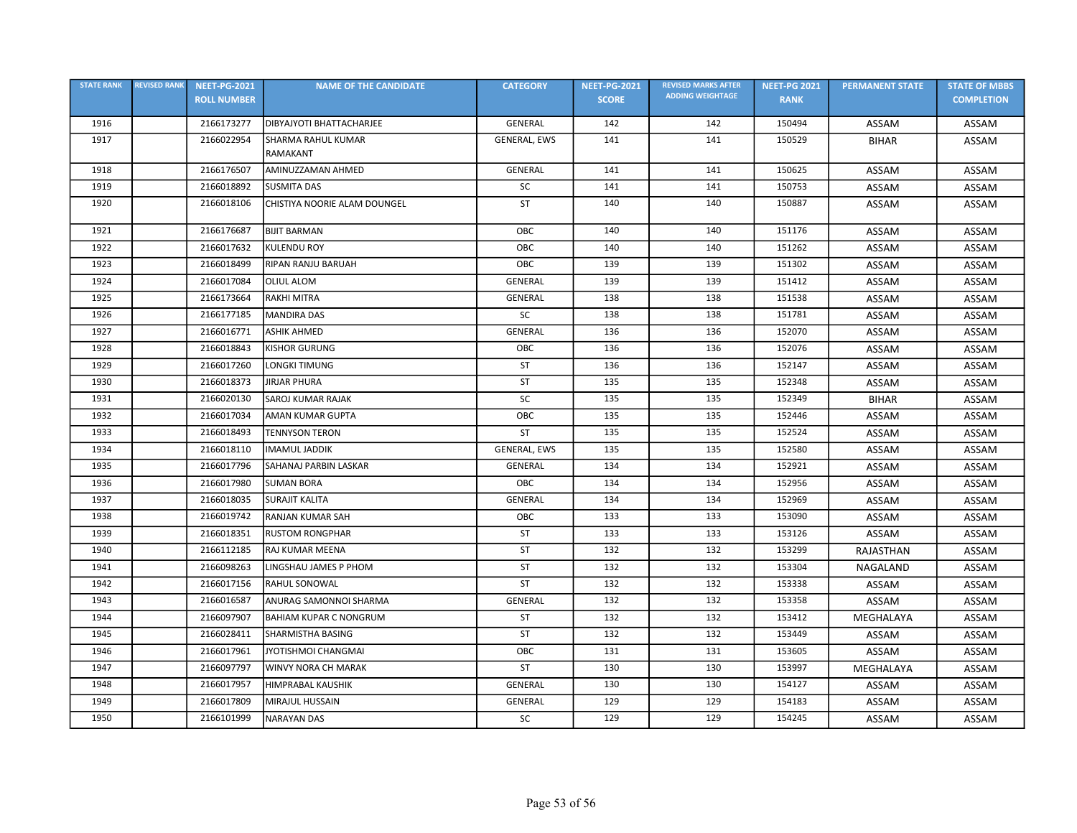| <b>STATE RANK</b> | <b>REVISED RANK</b> | <b>NEET-PG-2021</b> | <b>NAME OF THE CANDIDATE</b>  | <b>CATEGORY</b> | <b>NEET-PG-2021</b> | <b>REVISED MARKS AFTER</b> | <b>NEET-PG 2021</b> | <b>PERMANENT STATE</b> | <b>STATE OF MBBS</b> |
|-------------------|---------------------|---------------------|-------------------------------|-----------------|---------------------|----------------------------|---------------------|------------------------|----------------------|
|                   |                     | <b>ROLL NUMBER</b>  |                               |                 | <b>SCORE</b>        | <b>ADDING WEIGHTAGE</b>    | <b>RANK</b>         |                        | <b>COMPLETION</b>    |
| 1916              |                     | 2166173277          | DIBYAJYOTI BHATTACHARJEE      | GENERAL         | 142                 | 142                        | 150494              | ASSAM                  | ASSAM                |
| 1917              |                     | 2166022954          | SHARMA RAHUL KUMAR            | GENERAL, EWS    | 141                 | 141                        | 150529              | <b>BIHAR</b>           | ASSAM                |
|                   |                     |                     | RAMAKANT                      |                 |                     |                            |                     |                        |                      |
| 1918              |                     | 2166176507          | AMINUZZAMAN AHMED             | <b>GENERAL</b>  | 141                 | 141                        | 150625              | ASSAM                  | ASSAM                |
| 1919              |                     | 2166018892          | <b>SUSMITA DAS</b>            | SC              | 141                 | 141                        | 150753              | ASSAM                  | ASSAM                |
| 1920              |                     | 2166018106          | CHISTIYA NOORIE ALAM DOUNGEL  | <b>ST</b>       | 140                 | 140                        | 150887              | ASSAM                  | ASSAM                |
| 1921              |                     | 2166176687          | <b>BIJIT BARMAN</b>           | OBC             | 140                 | 140                        | 151176              | ASSAM                  | ASSAM                |
| 1922              |                     | 2166017632          | <b>KULENDU ROY</b>            | OBC             | 140                 | 140                        | 151262              | ASSAM                  | ASSAM                |
| 1923              |                     | 2166018499          | RIPAN RANJU BARUAH            | OBC             | 139                 | 139                        | 151302              | ASSAM                  | ASSAM                |
| 1924              |                     | 2166017084          | <b>OLIUL ALOM</b>             | <b>GENERAL</b>  | 139                 | 139                        | 151412              | ASSAM                  | ASSAM                |
| 1925              |                     | 2166173664          | RAKHI MITRA                   | <b>GENERAL</b>  | 138                 | 138                        | 151538              | ASSAM                  | ASSAM                |
| 1926              |                     | 2166177185          | <b>MANDIRA DAS</b>            | SC              | 138                 | 138                        | 151781              | ASSAM                  | ASSAM                |
| 1927              |                     | 2166016771          | <b>ASHIK AHMED</b>            | GENERAL         | 136                 | 136                        | 152070              | ASSAM                  | ASSAM                |
| 1928              |                     | 2166018843          | <b>KISHOR GURUNG</b>          | OBC             | 136                 | 136                        | 152076              | ASSAM                  | ASSAM                |
| 1929              |                     | 2166017260          | LONGKI TIMUNG                 | <b>ST</b>       | 136                 | 136                        | 152147              | ASSAM                  | ASSAM                |
| 1930              |                     | 2166018373          | <b>JIRJAR PHURA</b>           | <b>ST</b>       | 135                 | 135                        | 152348              | ASSAM                  | ASSAM                |
| 1931              |                     | 2166020130          | <b>SAROJ KUMAR RAJAK</b>      | SC              | 135                 | 135                        | 152349              | <b>BIHAR</b>           | ASSAM                |
| 1932              |                     | 2166017034          | <b>AMAN KUMAR GUPTA</b>       | OBC             | 135                 | 135                        | 152446              | ASSAM                  | ASSAM                |
| 1933              |                     | 2166018493          | <b>TENNYSON TERON</b>         | <b>ST</b>       | 135                 | 135                        | 152524              | ASSAM                  | ASSAM                |
| 1934              |                     | 2166018110          | <b>IMAMUL JADDIK</b>          | GENERAL, EWS    | 135                 | 135                        | 152580              | ASSAM                  | ASSAM                |
| 1935              |                     | 2166017796          | SAHANAJ PARBIN LASKAR         | <b>GENERAL</b>  | 134                 | 134                        | 152921              | ASSAM                  | ASSAM                |
| 1936              |                     | 2166017980          | <b>SUMAN BORA</b>             | OBC             | 134                 | 134                        | 152956              | ASSAM                  | ASSAM                |
| 1937              |                     | 2166018035          | <b>SURAJIT KALITA</b>         | GENERAL         | 134                 | 134                        | 152969              | ASSAM                  | ASSAM                |
| 1938              |                     | 2166019742          | <b>RANJAN KUMAR SAH</b>       | <b>OBC</b>      | 133                 | 133                        | 153090              | ASSAM                  | ASSAM                |
| 1939              |                     | 2166018351          | <b>RUSTOM RONGPHAR</b>        | ST              | 133                 | 133                        | 153126              | ASSAM                  | ASSAM                |
| 1940              |                     | 2166112185          | RAJ KUMAR MEENA               | <b>ST</b>       | 132                 | 132                        | 153299              | RAJASTHAN              | ASSAM                |
| 1941              |                     | 2166098263          | LINGSHAU JAMES P PHOM         | ST              | 132                 | 132                        | 153304              | NAGALAND               | ASSAM                |
| 1942              |                     | 2166017156          | <b>RAHUL SONOWAL</b>          | ST              | 132                 | 132                        | 153338              | ASSAM                  | ASSAM                |
| 1943              |                     | 2166016587          | ANURAG SAMONNOI SHARMA        | GENERAL         | 132                 | 132                        | 153358              | ASSAM                  | ASSAM                |
| 1944              |                     | 2166097907          | <b>BAHIAM KUPAR C NONGRUM</b> | <b>ST</b>       | 132                 | 132                        | 153412              | MEGHALAYA              | ASSAM                |
| 1945              |                     | 2166028411          | SHARMISTHA BASING             | <b>ST</b>       | 132                 | 132                        | 153449              | ASSAM                  | ASSAM                |
| 1946              |                     | 2166017961          | JYOTISHMOI CHANGMAI           | OBC             | 131                 | 131                        | 153605              | ASSAM                  | ASSAM                |
| 1947              |                     | 2166097797          | WINVY NORA CH MARAK           | ST              | 130                 | 130                        | 153997              | MEGHALAYA              | ASSAM                |
| 1948              |                     | 2166017957          | HIMPRABAL KAUSHIK             | GENERAL         | 130                 | 130                        | 154127              | ASSAM                  | ASSAM                |
| 1949              |                     | 2166017809          | MIRAJUL HUSSAIN               | GENERAL         | 129                 | 129                        | 154183              | ASSAM                  | ASSAM                |
| 1950              |                     | 2166101999          | <b>NARAYAN DAS</b>            | SC              | 129                 | 129                        | 154245              | ASSAM                  | ASSAM                |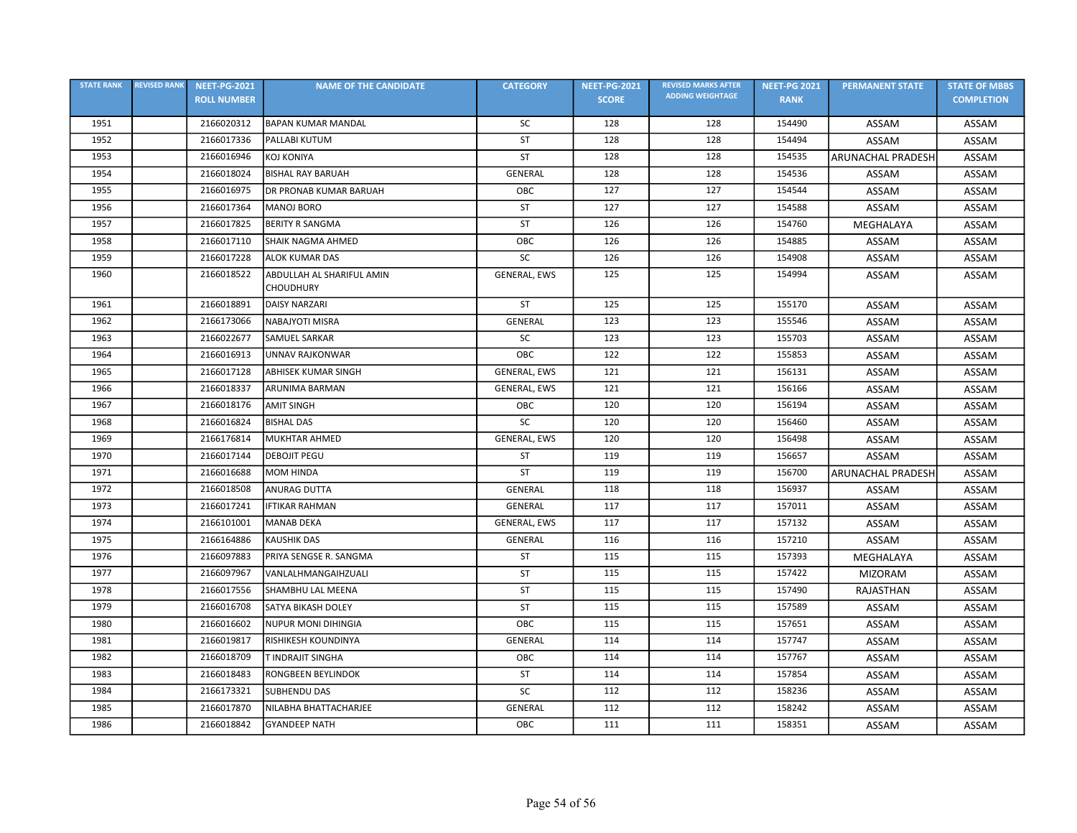| <b>STATE RANK</b> | <b>REVISED RANK</b> | <b>NEET-PG-2021</b> | <b>NAME OF THE CANDIDATE</b>                  | <b>CATEGORY</b>     | <b>NEET-PG-2021</b> | <b>REVISED MARKS AFTER</b> | <b>NEET-PG 2021</b> | <b>PERMANENT STATE</b>   | <b>STATE OF MBBS</b> |
|-------------------|---------------------|---------------------|-----------------------------------------------|---------------------|---------------------|----------------------------|---------------------|--------------------------|----------------------|
|                   |                     | <b>ROLL NUMBER</b>  |                                               |                     | <b>SCORE</b>        | <b>ADDING WEIGHTAGE</b>    | <b>RANK</b>         |                          | <b>COMPLETION</b>    |
| 1951              |                     | 2166020312          | <b>BAPAN KUMAR MANDAL</b>                     | <b>SC</b>           | 128                 | 128                        | 154490              | ASSAM                    | ASSAM                |
| 1952              |                     | 2166017336          | PALLABI KUTUM                                 | ST                  | 128                 | 128                        | 154494              | ASSAM                    | ASSAM                |
| 1953              |                     | 2166016946          | <b>KOJ KONIYA</b>                             | <b>ST</b>           | 128                 | 128                        | 154535              | <b>ARUNACHAL PRADESH</b> | ASSAM                |
| 1954              |                     | 2166018024          | <b>BISHAL RAY BARUAH</b>                      | <b>GENERAL</b>      | 128                 | 128                        | 154536              | ASSAM                    | ASSAM                |
| 1955              |                     | 2166016975          | DR PRONAB KUMAR BARUAH                        | OBC                 | 127                 | 127                        | 154544              | ASSAM                    | ASSAM                |
| 1956              |                     | 2166017364          | <b>MANOJ BORO</b>                             | ST                  | 127                 | 127                        | 154588              | ASSAM                    | ASSAM                |
| 1957              |                     | 2166017825          | <b>BERITY R SANGMA</b>                        | <b>ST</b>           | 126                 | 126                        | 154760              | MEGHALAYA                | ASSAM                |
| 1958              |                     | 2166017110          | SHAIK NAGMA AHMED                             | OBC                 | 126                 | 126                        | 154885              | ASSAM                    | ASSAM                |
| 1959              |                     | 2166017228          | <b>ALOK KUMAR DAS</b>                         | SC                  | 126                 | 126                        | 154908              | ASSAM                    | ASSAM                |
| 1960              |                     | 2166018522          | ABDULLAH AL SHARIFUL AMIN<br><b>CHOUDHURY</b> | <b>GENERAL, EWS</b> | 125                 | 125                        | 154994              | ASSAM                    | ASSAM                |
| 1961              |                     | 2166018891          | <b>DAISY NARZARI</b>                          | <b>ST</b>           | 125                 | 125                        | 155170              | ASSAM                    | ASSAM                |
| 1962              |                     | 2166173066          | NABAJYOTI MISRA                               | GENERAL             | 123                 | 123                        | 155546              | ASSAM                    | ASSAM                |
| 1963              |                     | 2166022677          | SAMUEL SARKAR                                 | SC                  | 123                 | 123                        | 155703              | ASSAM                    | <b>ASSAM</b>         |
| 1964              |                     | 2166016913          | <b>UNNAV RAJKONWAR</b>                        | OBC                 | 122                 | 122                        | 155853              | ASSAM                    | ASSAM                |
| 1965              |                     | 2166017128          | <b>ABHISEK KUMAR SINGH</b>                    | <b>GENERAL, EWS</b> | 121                 | 121                        | 156131              | ASSAM                    | ASSAM                |
| 1966              |                     | 2166018337          | <b>ARUNIMA BARMAN</b>                         | GENERAL, EWS        | 121                 | 121                        | 156166              | ASSAM                    | ASSAM                |
| 1967              |                     | 2166018176          | <b>AMIT SINGH</b>                             | OBC                 | 120                 | 120                        | 156194              | ASSAM                    | <b>ASSAM</b>         |
| 1968              |                     | 2166016824          | <b>BISHAL DAS</b>                             | SC                  | 120                 | 120                        | 156460              | ASSAM                    | ASSAM                |
| 1969              |                     | 2166176814          | <b>MUKHTAR AHMED</b>                          | GENERAL, EWS        | 120                 | 120                        | 156498              | ASSAM                    | ASSAM                |
| 1970              |                     | 2166017144          | <b>DEBOJIT PEGU</b>                           | <b>ST</b>           | 119                 | 119                        | 156657              | ASSAM                    | ASSAM                |
| 1971              |                     | 2166016688          | <b>MOM HINDA</b>                              | <b>ST</b>           | 119                 | 119                        | 156700              | <b>ARUNACHAL PRADESH</b> | ASSAM                |
| 1972              |                     | 2166018508          | <b>ANURAG DUTTA</b>                           | <b>GENERAL</b>      | 118                 | 118                        | 156937              | ASSAM                    | ASSAM                |
| 1973              |                     | 2166017241          | <b>IFTIKAR RAHMAN</b>                         | GENERAL             | 117                 | 117                        | 157011              | ASSAM                    | ASSAM                |
| 1974              |                     | 2166101001          | <b>MANAB DEKA</b>                             | GENERAL, EWS        | 117                 | 117                        | 157132              | ASSAM                    | ASSAM                |
| 1975              |                     | 2166164886          | <b>KAUSHIK DAS</b>                            | <b>GENERAL</b>      | 116                 | 116                        | 157210              | ASSAM                    | ASSAM                |
| 1976              |                     | 2166097883          | PRIYA SENGSE R. SANGMA                        | ST                  | 115                 | 115                        | 157393              | MEGHALAYA                | ASSAM                |
| 1977              |                     | 2166097967          | VANLALHMANGAIHZUALI                           | <b>ST</b>           | 115                 | 115                        | 157422              | <b>MIZORAM</b>           | ASSAM                |
| 1978              |                     | 2166017556          | SHAMBHU LAL MEENA                             | ST                  | 115                 | 115                        | 157490              | RAJASTHAN                | ASSAM                |
| 1979              |                     | 2166016708          | SATYA BIKASH DOLEY                            | ST                  | 115                 | 115                        | 157589              | ASSAM                    | ASSAM                |
| 1980              |                     | 2166016602          | <b>NUPUR MONI DIHINGIA</b>                    | ОВС                 | 115                 | 115                        | 157651              | ASSAM                    | ASSAM                |
| 1981              |                     | 2166019817          | RISHIKESH KOUNDINYA                           | <b>GENERAL</b>      | 114                 | 114                        | 157747              | ASSAM                    | ASSAM                |
| 1982              |                     | 2166018709          | T INDRAJIT SINGHA                             | OBC                 | 114                 | 114                        | 157767              | ASSAM                    | ASSAM                |
| 1983              |                     | 2166018483          | RONGBEEN BEYLINDOK                            | <b>ST</b>           | 114                 | 114                        | 157854              | ASSAM                    | ASSAM                |
| 1984              |                     | 2166173321          | <b>SUBHENDU DAS</b>                           | SC                  | 112                 | 112                        | 158236              | ASSAM                    | ASSAM                |
| 1985              |                     | 2166017870          | NILABHA BHATTACHARJEE                         | GENERAL             | 112                 | 112                        | 158242              | <b>ASSAM</b>             | ASSAM                |
| 1986              |                     | 2166018842          | <b>GYANDEEP NATH</b>                          | OBC                 | 111                 | 111                        | 158351              | ASSAM                    | ASSAM                |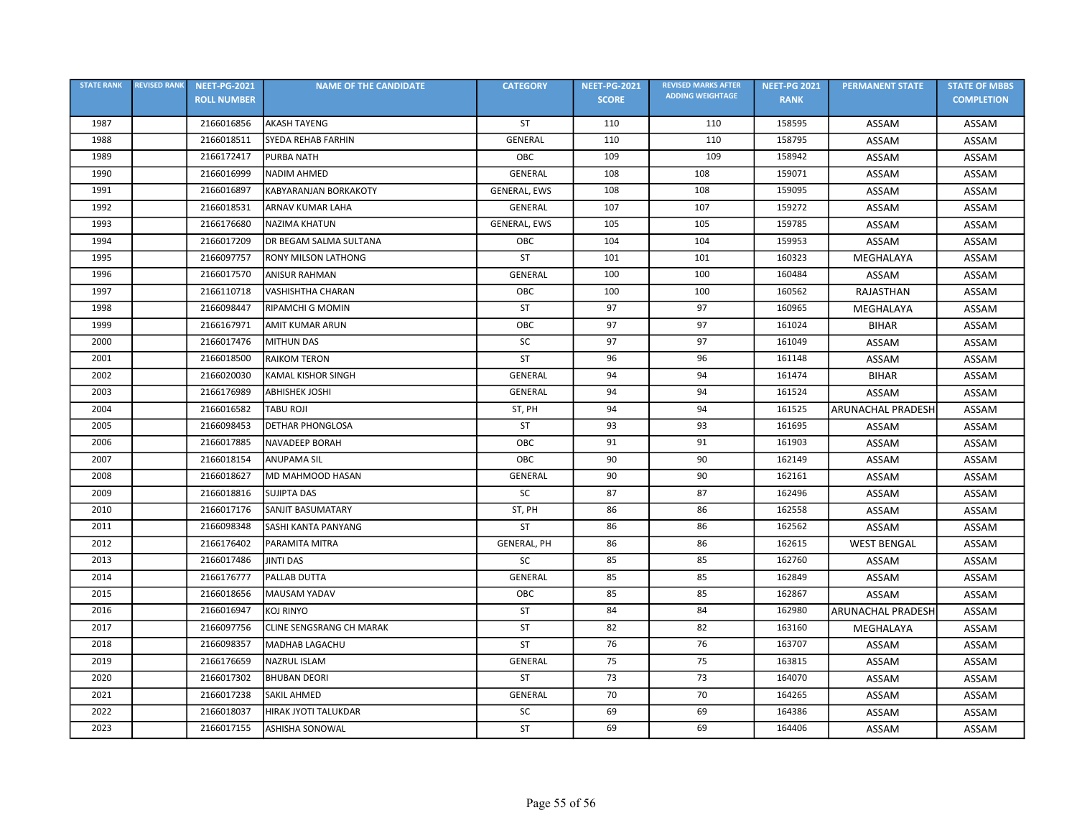| <b>STATE RANK</b> | <b>REVISED RANK</b> | <b>NEET-PG-2021</b> | <b>NAME OF THE CANDIDATE</b>    | <b>CATEGORY</b>    | <b>NEET-PG-2021</b> | <b>REVISED MARKS AFTER</b> | <b>NEET-PG 2021</b> | <b>PERMANENT STATE</b>   | <b>STATE OF MBBS</b> |
|-------------------|---------------------|---------------------|---------------------------------|--------------------|---------------------|----------------------------|---------------------|--------------------------|----------------------|
|                   |                     | <b>ROLL NUMBER</b>  |                                 |                    | <b>SCORE</b>        | <b>ADDING WEIGHTAGE</b>    | <b>RANK</b>         |                          | <b>COMPLETION</b>    |
| 1987              |                     | 2166016856          | <b>AKASH TAYENG</b>             | ST                 | 110                 | 110                        | 158595              | ASSAM                    | ASSAM                |
| 1988              |                     | 2166018511          | SYEDA REHAB FARHIN              | GENERAL            | 110                 | 110                        | 158795              | ASSAM                    | ASSAM                |
| 1989              |                     | 2166172417          | <b>PURBA NATH</b>               | OBC                | 109                 | 109                        | 158942              | ASSAM                    | ASSAM                |
| 1990              |                     | 2166016999          | <b>NADIM AHMED</b>              | GENERAL            | 108                 | 108                        | 159071              | <b>ASSAM</b>             | ASSAM                |
| 1991              |                     | 2166016897          | KABYARANJAN BORKAKOTY           | GENERAL, EWS       | 108                 | 108                        | 159095              | ASSAM                    | ASSAM                |
| 1992              |                     | 2166018531          | <b>ARNAV KUMAR LAHA</b>         | GENERAL            | 107                 | 107                        | 159272              | ASSAM                    | ASSAM                |
| 1993              |                     | 2166176680          | <b>NAZIMA KHATUN</b>            | GENERAL, EWS       | 105                 | 105                        | 159785              | ASSAM                    | ASSAM                |
| 1994              |                     | 2166017209          | DR BEGAM SALMA SULTANA          | OBC                | 104                 | 104                        | 159953              | ASSAM                    | ASSAM                |
| 1995              |                     | 2166097757          | <b>RONY MILSON LATHONG</b>      | <b>ST</b>          | 101                 | 101                        | 160323              | MEGHALAYA                | ASSAM                |
| 1996              |                     | 2166017570          | <b>ANISUR RAHMAN</b>            | <b>GENERAL</b>     | 100                 | 100                        | 160484              | ASSAM                    | <b>ASSAM</b>         |
| 1997              |                     | 2166110718          | VASHISHTHA CHARAN               | OBC                | 100                 | 100                        | 160562              | RAJASTHAN                | ASSAM                |
| 1998              |                     | 2166098447          | <b>RIPAMCHI G MOMIN</b>         | <b>ST</b>          | 97                  | 97                         | 160965              | MEGHALAYA                | <b>ASSAM</b>         |
| 1999              |                     | 2166167971          | <b>AMIT KUMAR ARUN</b>          | OBC                | 97                  | 97                         | 161024              | <b>BIHAR</b>             | ASSAM                |
| 2000              |                     | 2166017476          | <b>MITHUN DAS</b>               | <b>SC</b>          | 97                  | 97                         | 161049              | ASSAM                    | ASSAM                |
| 2001              |                     | 2166018500          | RAIKOM TERON                    | ST                 | 96                  | 96                         | 161148              | ASSAM                    | ASSAM                |
| 2002              |                     | 2166020030          | KAMAL KISHOR SINGH              | <b>GENERAL</b>     | 94                  | 94                         | 161474              | <b>BIHAR</b>             | ASSAM                |
| 2003              |                     | 2166176989          | <b>ABHISHEK JOSHI</b>           | GENERAL            | 94                  | 94                         | 161524              | ASSAM                    | ASSAM                |
| 2004              |                     | 2166016582          | TABU ROJI                       | ST, PH             | 94                  | 94                         | 161525              | <b>ARUNACHAL PRADESH</b> | ASSAM                |
| 2005              |                     | 2166098453          | <b>DETHAR PHONGLOSA</b>         | ST                 | 93                  | 93                         | 161695              | ASSAM                    | ASSAM                |
| 2006              |                     | 2166017885          | <b>NAVADEEP BORAH</b>           | OBC                | 91                  | 91                         | 161903              | <b>ASSAM</b>             | ASSAM                |
| 2007              |                     | 2166018154          | <b>ANUPAMA SIL</b>              | OBC                | 90                  | 90                         | 162149              | ASSAM                    | ASSAM                |
| 2008              |                     | 2166018627          | MD MAHMOOD HASAN                | GENERAL            | 90                  | 90                         | 162161              | ASSAM                    | ASSAM                |
| 2009              |                     | 2166018816          | <b>SUJIPTA DAS</b>              | SC                 | 87                  | 87                         | 162496              | ASSAM                    | ASSAM                |
| 2010              |                     | 2166017176          | SANJIT BASUMATARY               | ST, PH             | 86                  | 86                         | 162558              | ASSAM                    | ASSAM                |
| 2011              |                     | 2166098348          | SASHI KANTA PANYANG             | ST                 | 86                  | 86                         | 162562              | ASSAM                    | ASSAM                |
| 2012              |                     | 2166176402          | PARAMITA MITRA                  | <b>GENERAL, PH</b> | 86                  | 86                         | 162615              | <b>WEST BENGAL</b>       | ASSAM                |
| 2013              |                     | 2166017486          | <b>JINTI DAS</b>                | SC                 | 85                  | 85                         | 162760              | ASSAM                    | ASSAM                |
| 2014              |                     | 2166176777          | PALLAB DUTTA                    | <b>GENERAL</b>     | 85                  | 85                         | 162849              | ASSAM                    | ASSAM                |
| 2015              |                     | 2166018656          | <b>MAUSAM YADAV</b>             | OBC                | 85                  | 85                         | 162867              | ASSAM                    | ASSAM                |
| 2016              |                     | 2166016947          | <b>KOJ RINYO</b>                | <b>ST</b>          | 84                  | 84                         | 162980              | <b>ARUNACHAL PRADESH</b> | ASSAM                |
| 2017              |                     | 2166097756          | <b>CLINE SENGSRANG CH MARAK</b> | ST                 | 82                  | 82                         | 163160              | MEGHALAYA                | ASSAM                |
| 2018              |                     | 2166098357          | <b>MADHAB LAGACHU</b>           | ST                 | 76                  | 76                         | 163707              | ASSAM                    | ASSAM                |
| 2019              |                     | 2166176659          | NAZRUL ISLAM                    | GENERAL            | 75                  | 75                         | 163815              | ASSAM                    | ASSAM                |
| 2020              |                     | 2166017302          | <b>BHUBAN DEORI</b>             | ST                 | 73                  | 73                         | 164070              | ASSAM                    | ASSAM                |
| 2021              |                     | 2166017238          | SAKIL AHMED                     | GENERAL            | 70                  | 70                         | 164265              | ASSAM                    | ASSAM                |
| 2022              |                     | 2166018037          | HIRAK JYOTI TALUKDAR            | SC                 | 69                  | 69                         | 164386              | ASSAM                    | ASSAM                |
| 2023              |                     | 2166017155          | <b>ASHISHA SONOWAL</b>          | ST                 | 69                  | 69                         | 164406              | ASSAM                    | ASSAM                |